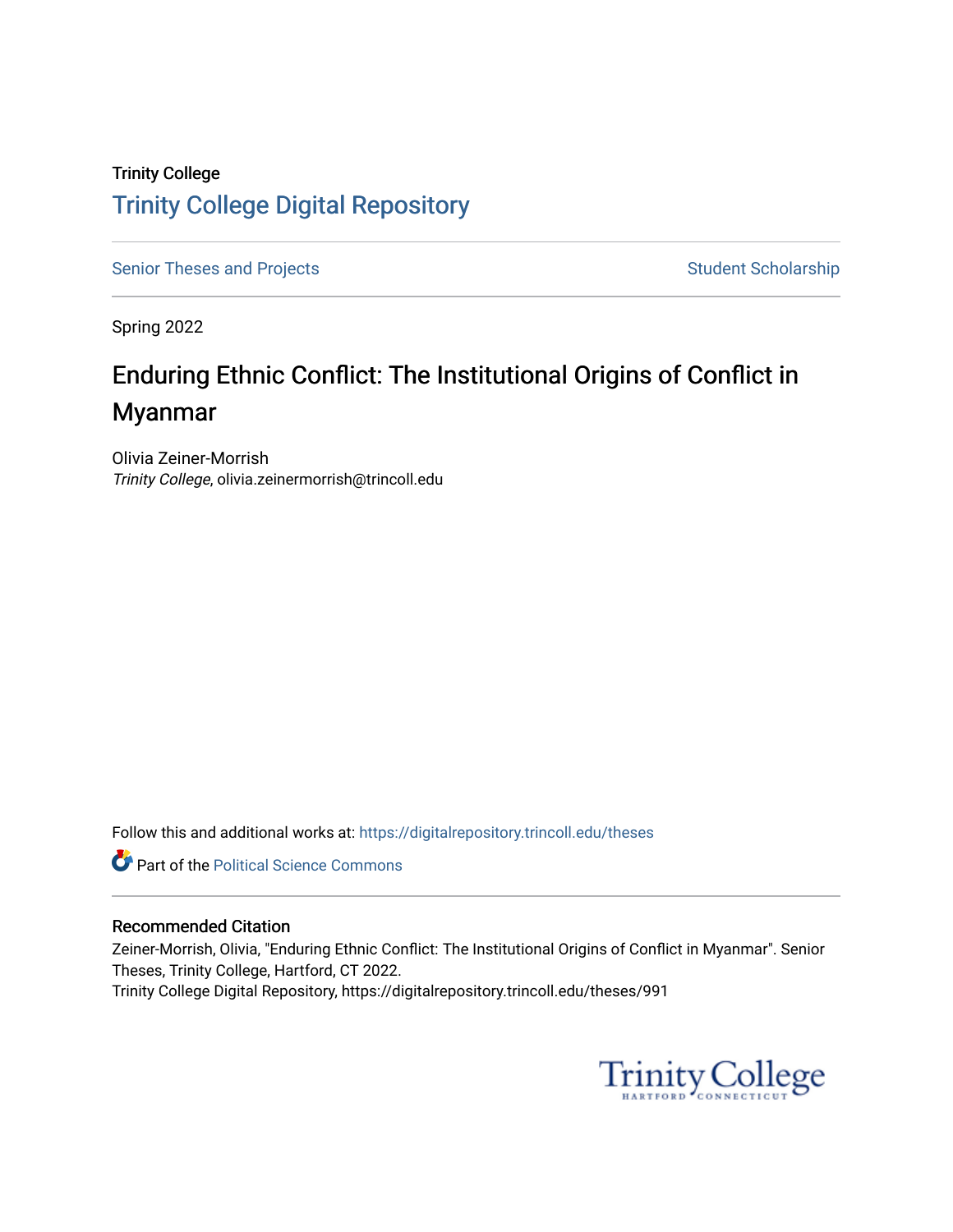### Trinity College [Trinity College Digital Repository](https://digitalrepository.trincoll.edu/)

[Senior Theses and Projects](https://digitalrepository.trincoll.edu/theses) Senior Theses and Projects Student Scholarship

Spring 2022

# Enduring Ethnic Conflict: The Institutional Origins of Conflict in Myanmar

Olivia Zeiner-Morrish Trinity College, olivia.zeinermorrish@trincoll.edu

Follow this and additional works at: [https://digitalrepository.trincoll.edu/theses](https://digitalrepository.trincoll.edu/theses?utm_source=digitalrepository.trincoll.edu%2Ftheses%2F991&utm_medium=PDF&utm_campaign=PDFCoverPages)

**Part of the Political Science Commons** 

#### Recommended Citation

Zeiner-Morrish, Olivia, "Enduring Ethnic Conflict: The Institutional Origins of Conflict in Myanmar". Senior Theses, Trinity College, Hartford, CT 2022. Trinity College Digital Repository, https://digitalrepository.trincoll.edu/theses/991

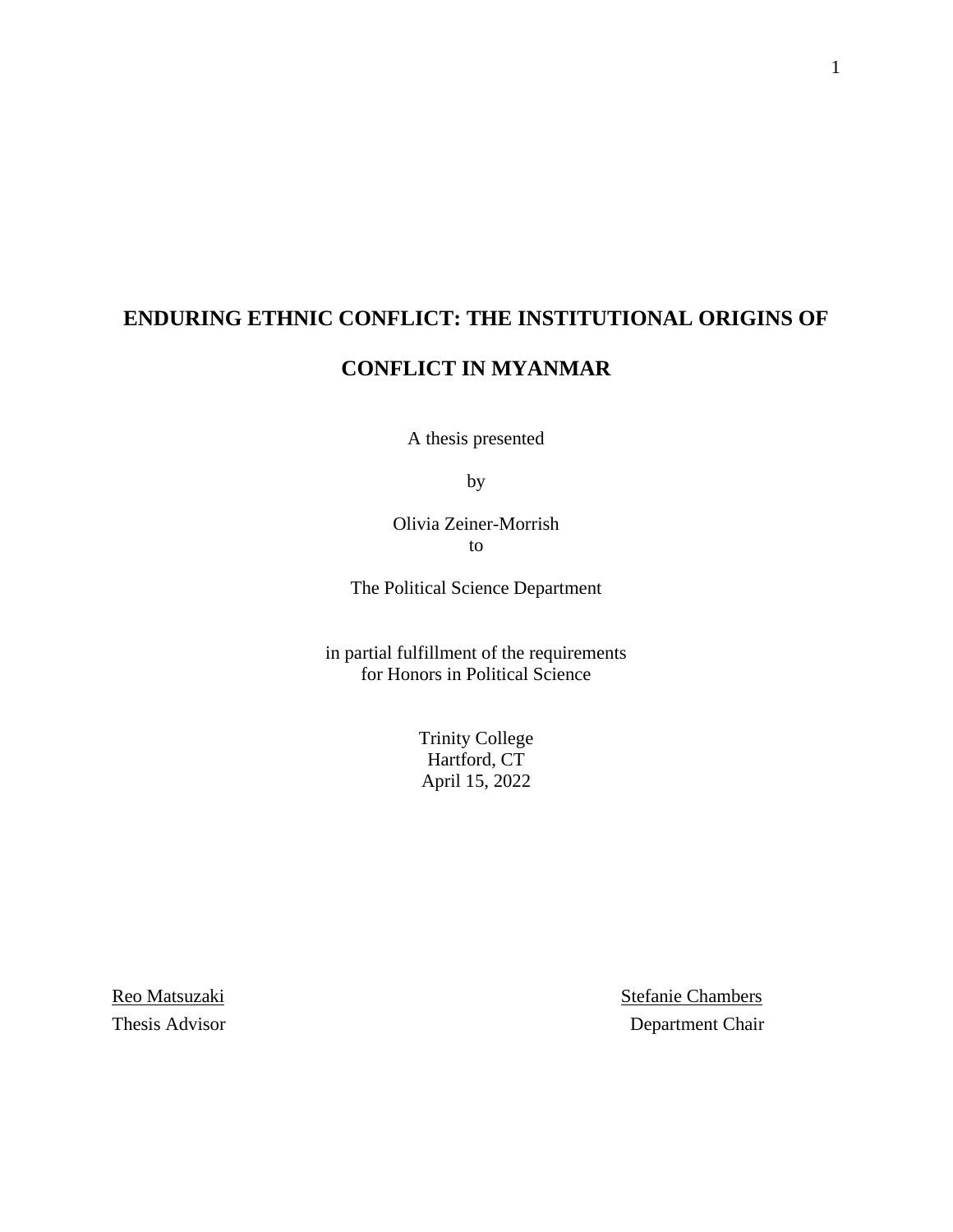## **ENDURING ETHNIC CONFLICT: THE INSTITUTIONAL ORIGINS OF**

### **CONFLICT IN MYANMAR**

A thesis presented

by

Olivia Zeiner-Morrish to

The Political Science Department

in partial fulfillment of the requirements for Honors in Political Science

> Trinity College Hartford, CT April 15, 2022

Reo Matsuzaki Stefanie Chambers Thesis Advisor Department Chair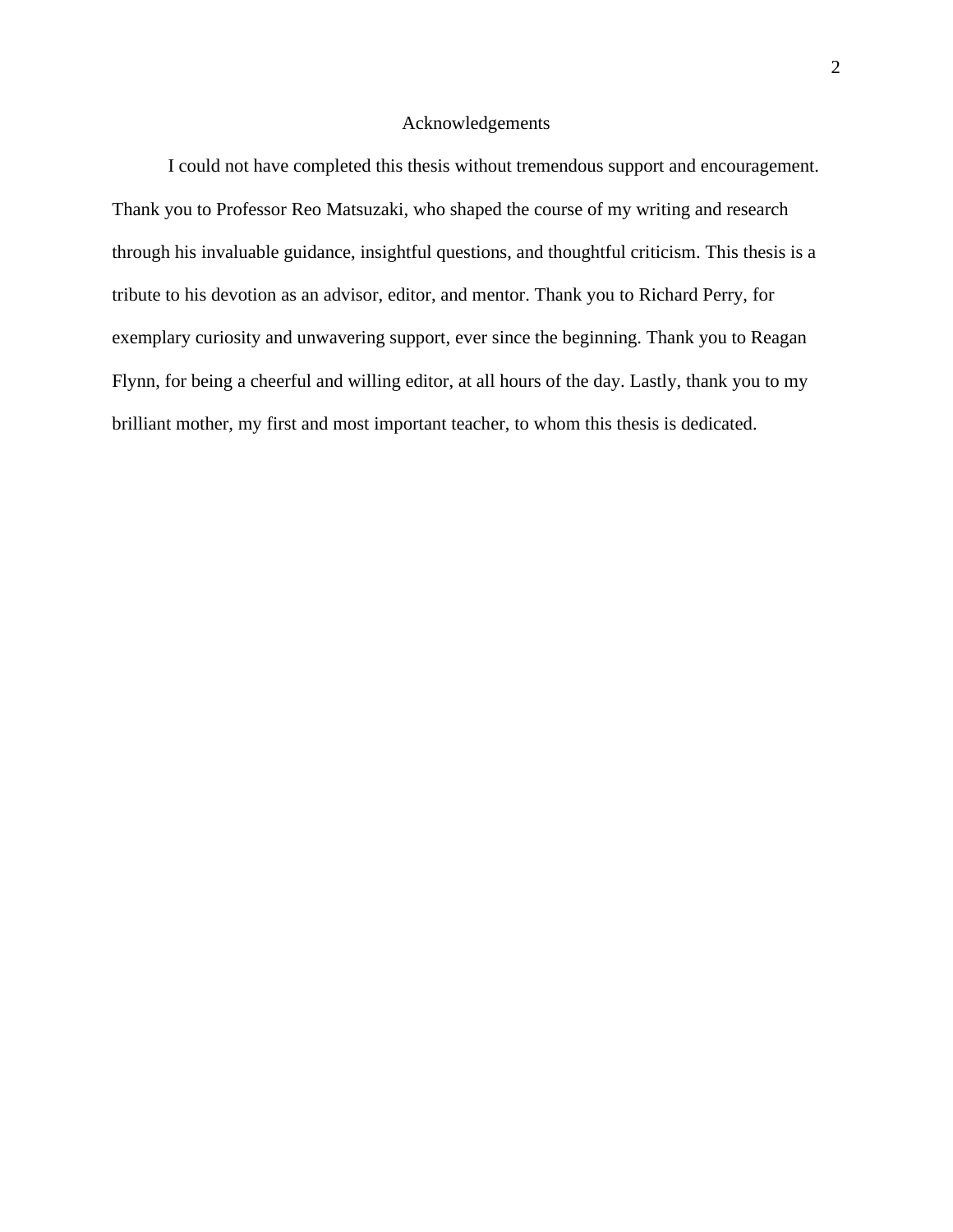#### Acknowledgements

I could not have completed this thesis without tremendous support and encouragement. Thank you to Professor Reo Matsuzaki, who shaped the course of my writing and research through his invaluable guidance, insightful questions, and thoughtful criticism. This thesis is a tribute to his devotion as an advisor, editor, and mentor. Thank you to Richard Perry, for exemplary curiosity and unwavering support, ever since the beginning. Thank you to Reagan Flynn, for being a cheerful and willing editor, at all hours of the day. Lastly, thank you to my brilliant mother, my first and most important teacher, to whom this thesis is dedicated.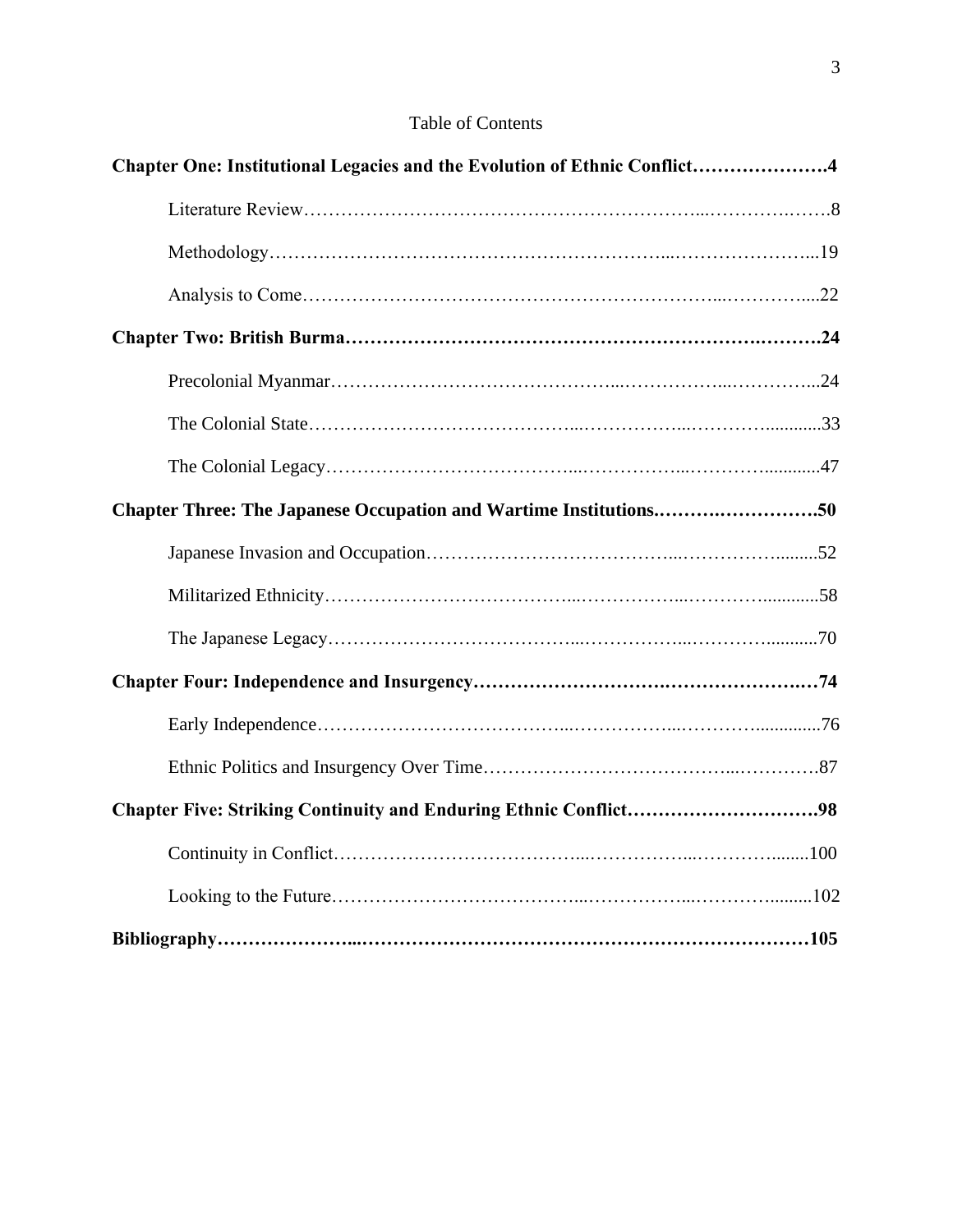| <b>Table of Contents</b> |
|--------------------------|
|                          |

| Chapter One: Institutional Legacies and the Evolution of Ethnic Conflict4 |
|---------------------------------------------------------------------------|
|                                                                           |
|                                                                           |
|                                                                           |
|                                                                           |
|                                                                           |
|                                                                           |
|                                                                           |
|                                                                           |
|                                                                           |
|                                                                           |
|                                                                           |
|                                                                           |
|                                                                           |
|                                                                           |
|                                                                           |
|                                                                           |
|                                                                           |
|                                                                           |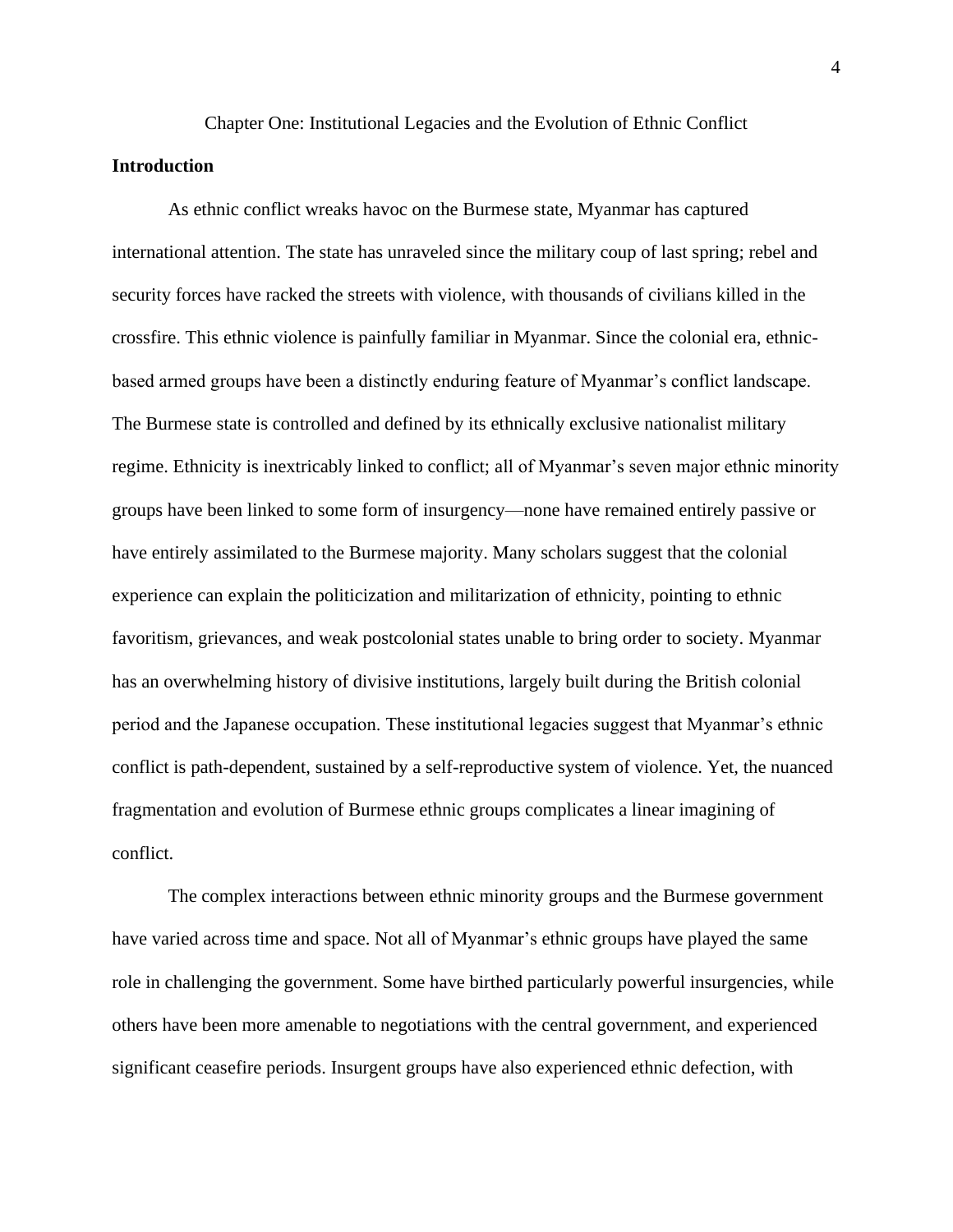## Chapter One: Institutional Legacies and the Evolution of Ethnic Conflict **Introduction**

As ethnic conflict wreaks havoc on the Burmese state, Myanmar has captured international attention. The state has unraveled since the military coup of last spring; rebel and security forces have racked the streets with violence, with thousands of civilians killed in the crossfire. This ethnic violence is painfully familiar in Myanmar. Since the colonial era, ethnicbased armed groups have been a distinctly enduring feature of Myanmar's conflict landscape. The Burmese state is controlled and defined by its ethnically exclusive nationalist military regime. Ethnicity is inextricably linked to conflict; all of Myanmar's seven major ethnic minority groups have been linked to some form of insurgency—none have remained entirely passive or have entirely assimilated to the Burmese majority. Many scholars suggest that the colonial experience can explain the politicization and militarization of ethnicity, pointing to ethnic favoritism, grievances, and weak postcolonial states unable to bring order to society. Myanmar has an overwhelming history of divisive institutions, largely built during the British colonial period and the Japanese occupation. These institutional legacies suggest that Myanmar's ethnic conflict is path-dependent, sustained by a self-reproductive system of violence. Yet, the nuanced fragmentation and evolution of Burmese ethnic groups complicates a linear imagining of conflict.

The complex interactions between ethnic minority groups and the Burmese government have varied across time and space. Not all of Myanmar's ethnic groups have played the same role in challenging the government. Some have birthed particularly powerful insurgencies, while others have been more amenable to negotiations with the central government, and experienced significant ceasefire periods. Insurgent groups have also experienced ethnic defection, with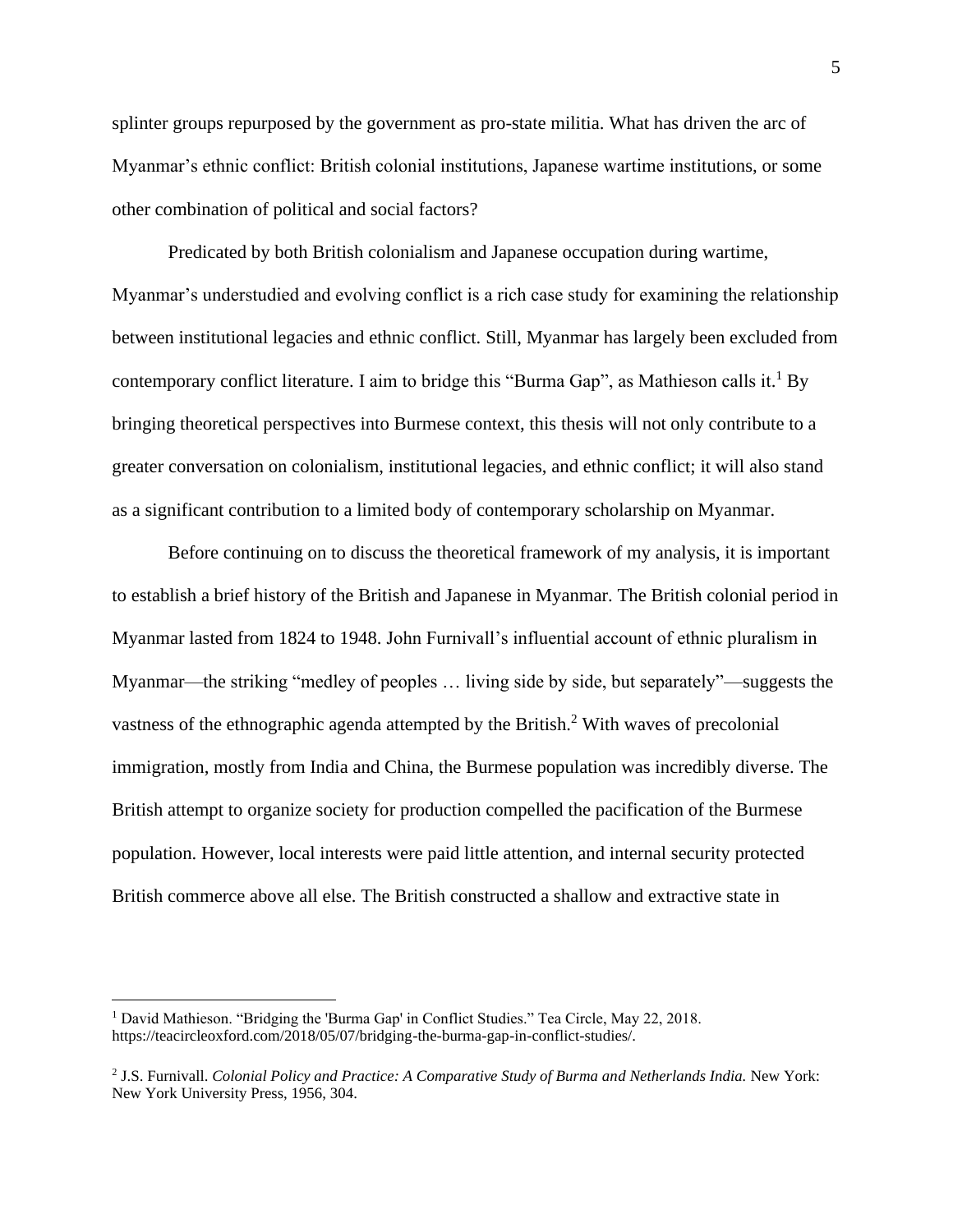splinter groups repurposed by the government as pro-state militia. What has driven the arc of Myanmar's ethnic conflict: British colonial institutions, Japanese wartime institutions, or some other combination of political and social factors?

Predicated by both British colonialism and Japanese occupation during wartime, Myanmar's understudied and evolving conflict is a rich case study for examining the relationship between institutional legacies and ethnic conflict. Still, Myanmar has largely been excluded from contemporary conflict literature. I aim to bridge this "Burma Gap", as Mathieson calls it.<sup>1</sup> By bringing theoretical perspectives into Burmese context, this thesis will not only contribute to a greater conversation on colonialism, institutional legacies, and ethnic conflict; it will also stand as a significant contribution to a limited body of contemporary scholarship on Myanmar.

Before continuing on to discuss the theoretical framework of my analysis, it is important to establish a brief history of the British and Japanese in Myanmar. The British colonial period in Myanmar lasted from 1824 to 1948. John Furnivall's influential account of ethnic pluralism in Myanmar—the striking "medley of peoples … living side by side, but separately"—suggests the vastness of the ethnographic agenda attempted by the British.<sup>2</sup> With waves of precolonial immigration, mostly from India and China, the Burmese population was incredibly diverse. The British attempt to organize society for production compelled the pacification of the Burmese population. However, local interests were paid little attention, and internal security protected British commerce above all else. The British constructed a shallow and extractive state in

<sup>&</sup>lt;sup>1</sup> David Mathieson. "Bridging the 'Burma Gap' in Conflict Studies." Tea Circle, May 22, 2018. https://teacircleoxford.com/2018/05/07/bridging-the-burma-gap-in-conflict-studies/.

<sup>&</sup>lt;sup>2</sup> J.S. Furnivall. *Colonial Policy and Practice: A Comparative Study of Burma and Netherlands India. New York:* New York University Press, 1956, 304.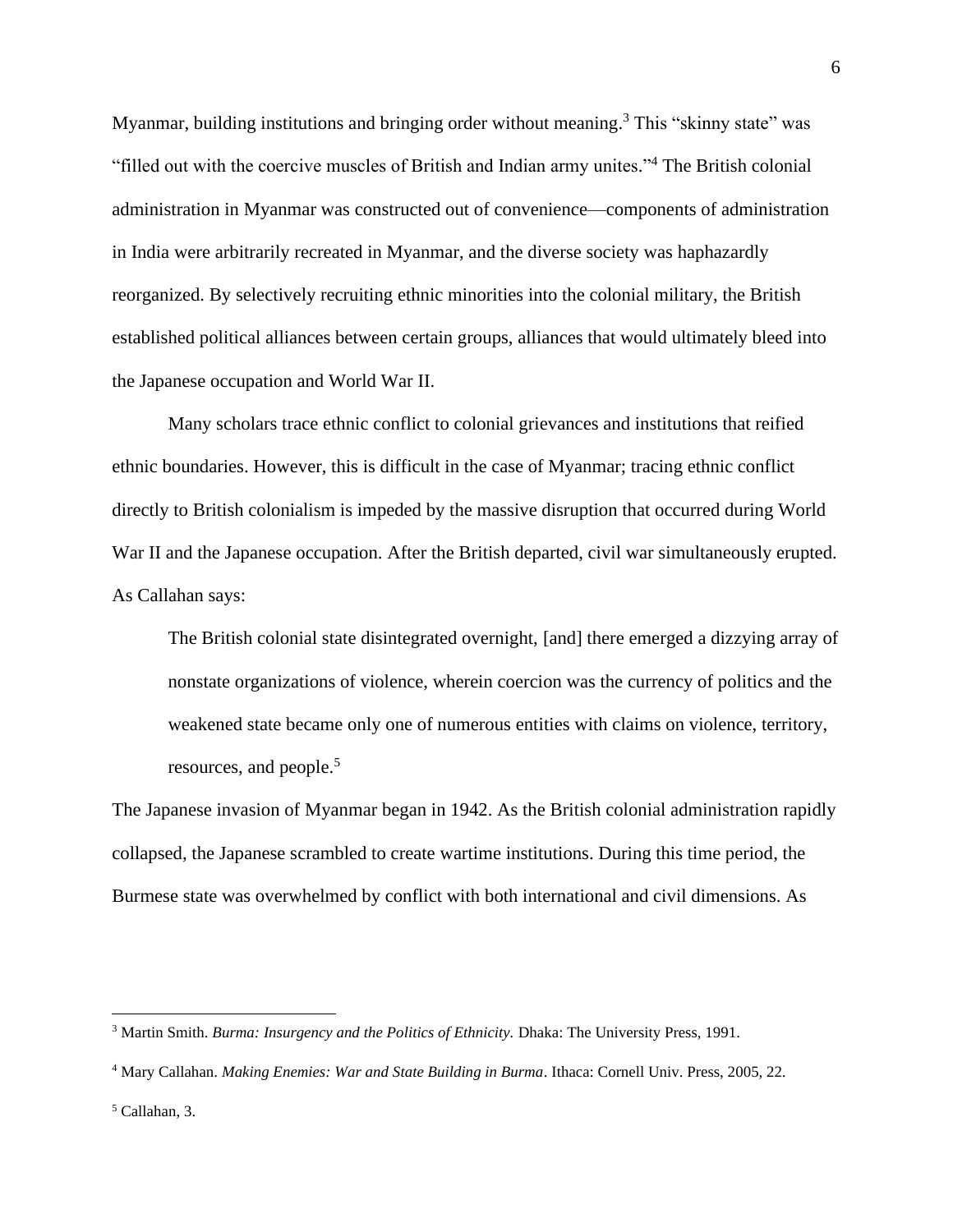Myanmar, building institutions and bringing order without meaning.<sup>3</sup> This "skinny state" was "filled out with the coercive muscles of British and Indian army unites."<sup>4</sup> The British colonial administration in Myanmar was constructed out of convenience—components of administration in India were arbitrarily recreated in Myanmar, and the diverse society was haphazardly reorganized. By selectively recruiting ethnic minorities into the colonial military, the British established political alliances between certain groups, alliances that would ultimately bleed into the Japanese occupation and World War II.

Many scholars trace ethnic conflict to colonial grievances and institutions that reified ethnic boundaries. However, this is difficult in the case of Myanmar; tracing ethnic conflict directly to British colonialism is impeded by the massive disruption that occurred during World War II and the Japanese occupation. After the British departed, civil war simultaneously erupted. As Callahan says:

The British colonial state disintegrated overnight, [and] there emerged a dizzying array of nonstate organizations of violence, wherein coercion was the currency of politics and the weakened state became only one of numerous entities with claims on violence, territory, resources, and people.<sup>5</sup>

The Japanese invasion of Myanmar began in 1942. As the British colonial administration rapidly collapsed, the Japanese scrambled to create wartime institutions. During this time period, the Burmese state was overwhelmed by conflict with both international and civil dimensions. As

<sup>3</sup> Martin Smith. *Burma: Insurgency and the Politics of Ethnicity.* Dhaka: The University Press, 1991.

<sup>4</sup> Mary Callahan. *Making Enemies: War and State Building in Burma*. Ithaca: Cornell Univ. Press, 2005, 22.

<sup>5</sup> Callahan, 3.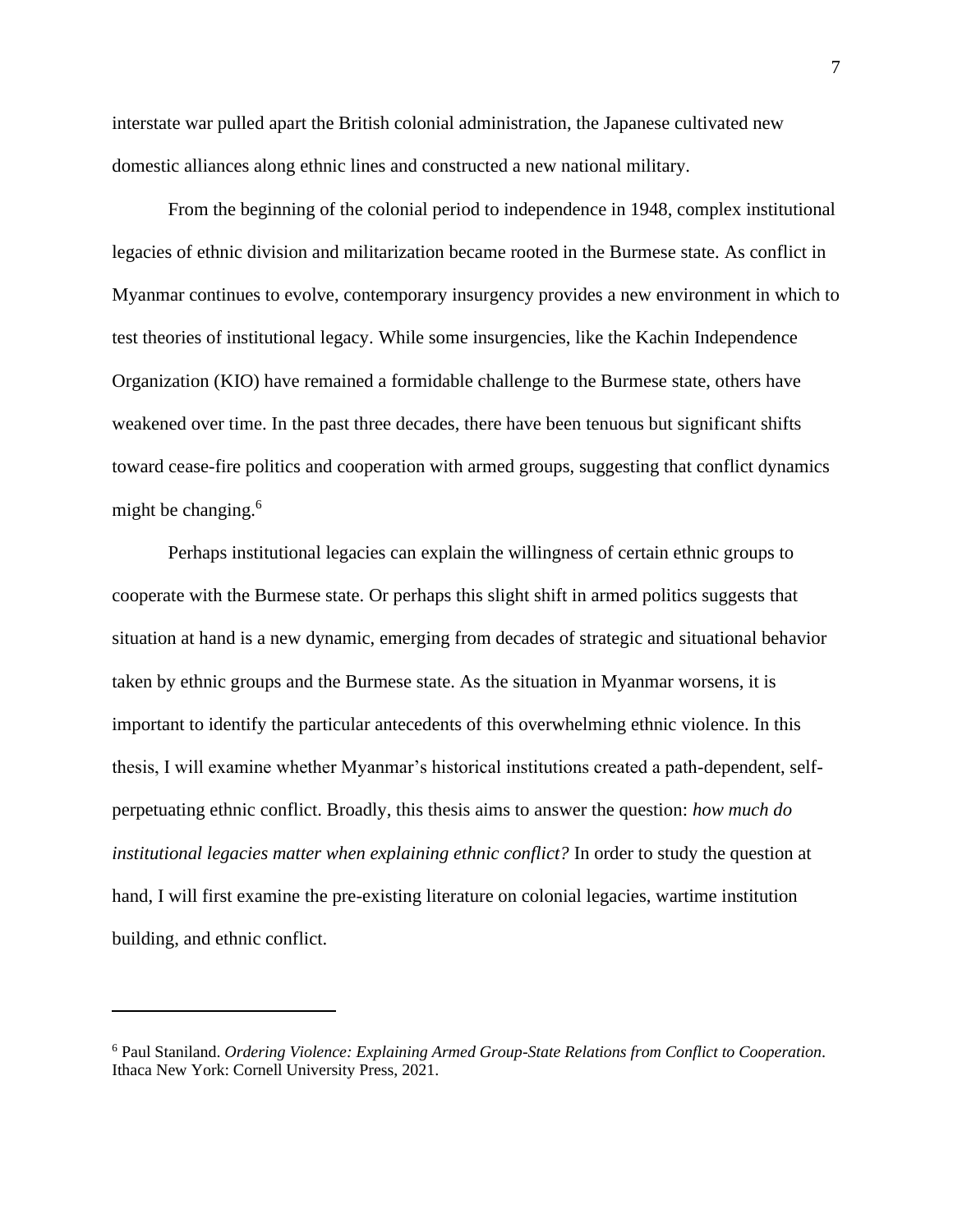interstate war pulled apart the British colonial administration, the Japanese cultivated new domestic alliances along ethnic lines and constructed a new national military.

From the beginning of the colonial period to independence in 1948, complex institutional legacies of ethnic division and militarization became rooted in the Burmese state. As conflict in Myanmar continues to evolve, contemporary insurgency provides a new environment in which to test theories of institutional legacy. While some insurgencies, like the Kachin Independence Organization (KIO) have remained a formidable challenge to the Burmese state, others have weakened over time. In the past three decades, there have been tenuous but significant shifts toward cease-fire politics and cooperation with armed groups, suggesting that conflict dynamics might be changing. $6$ 

Perhaps institutional legacies can explain the willingness of certain ethnic groups to cooperate with the Burmese state. Or perhaps this slight shift in armed politics suggests that situation at hand is a new dynamic, emerging from decades of strategic and situational behavior taken by ethnic groups and the Burmese state. As the situation in Myanmar worsens, it is important to identify the particular antecedents of this overwhelming ethnic violence. In this thesis, I will examine whether Myanmar's historical institutions created a path-dependent, selfperpetuating ethnic conflict. Broadly, this thesis aims to answer the question: *how much do institutional legacies matter when explaining ethnic conflict?* In order to study the question at hand, I will first examine the pre-existing literature on colonial legacies, wartime institution building, and ethnic conflict.

<sup>6</sup> Paul Staniland. *Ordering Violence: Explaining Armed Group-State Relations from Conflict to Cooperation*. Ithaca New York: Cornell University Press, 2021.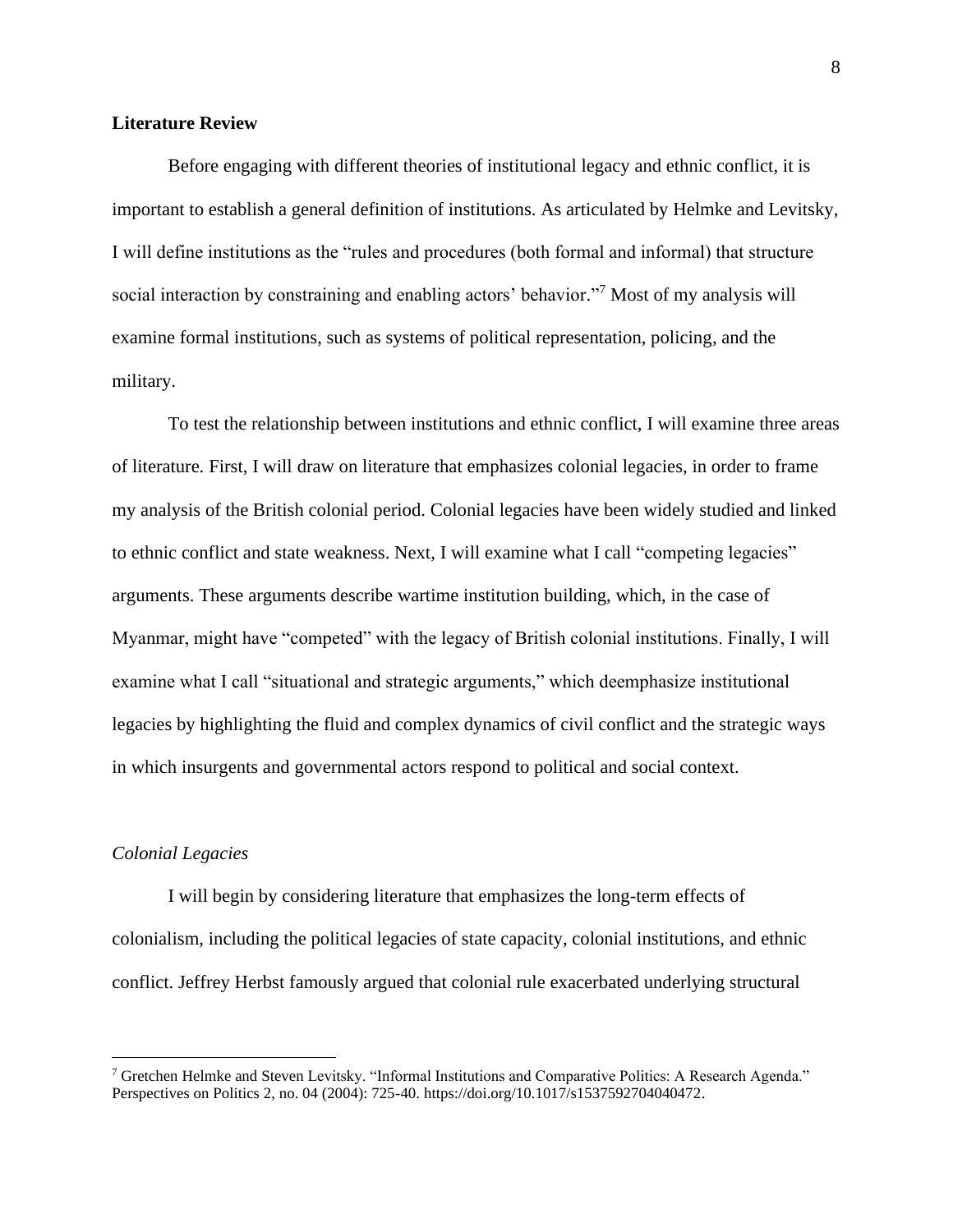#### **Literature Review**

Before engaging with different theories of institutional legacy and ethnic conflict, it is important to establish a general definition of institutions. As articulated by Helmke and Levitsky, I will define institutions as the "rules and procedures (both formal and informal) that structure social interaction by constraining and enabling actors' behavior."<sup>7</sup> Most of my analysis will examine formal institutions, such as systems of political representation, policing, and the military.

To test the relationship between institutions and ethnic conflict, I will examine three areas of literature. First, I will draw on literature that emphasizes colonial legacies, in order to frame my analysis of the British colonial period. Colonial legacies have been widely studied and linked to ethnic conflict and state weakness. Next, I will examine what I call "competing legacies" arguments. These arguments describe wartime institution building, which, in the case of Myanmar, might have "competed" with the legacy of British colonial institutions. Finally, I will examine what I call "situational and strategic arguments," which deemphasize institutional legacies by highlighting the fluid and complex dynamics of civil conflict and the strategic ways in which insurgents and governmental actors respond to political and social context.

#### *Colonial Legacies*

I will begin by considering literature that emphasizes the long-term effects of colonialism, including the political legacies of state capacity, colonial institutions, and ethnic conflict. Jeffrey Herbst famously argued that colonial rule exacerbated underlying structural

<sup>7</sup> Gretchen Helmke and Steven Levitsky. "Informal Institutions and Comparative Politics: A Research Agenda." Perspectives on Politics 2, no. 04 (2004): 725-40. [https://doi.org/10.1017/s1537592704040472.](https://doi.org/10.1017/s1537592704040472)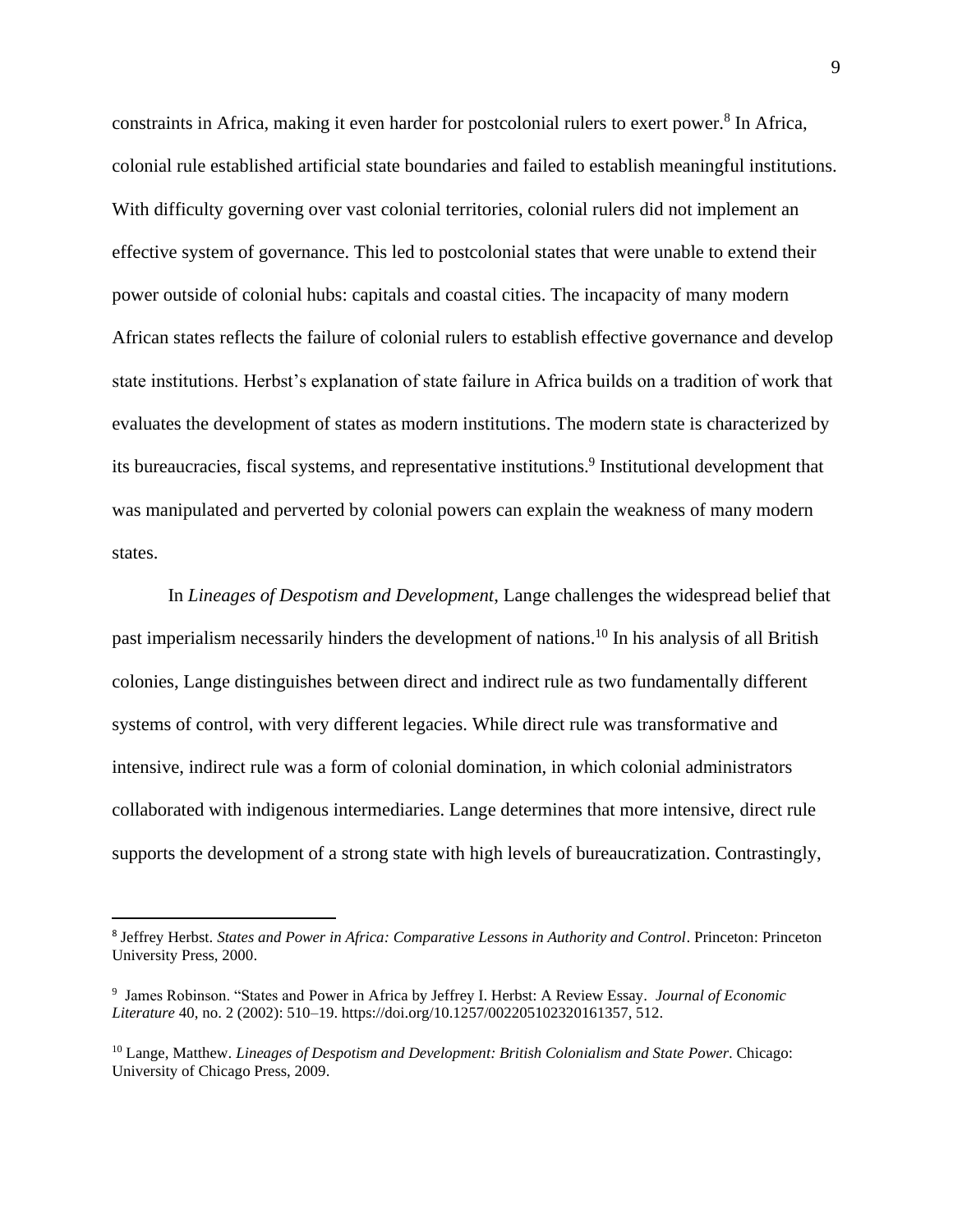constraints in Africa, making it even harder for postcolonial rulers to exert power. 8 In Africa, colonial rule established artificial state boundaries and failed to establish meaningful institutions. With difficulty governing over vast colonial territories, colonial rulers did not implement an effective system of governance. This led to postcolonial states that were unable to extend their power outside of colonial hubs: capitals and coastal cities. The incapacity of many modern African states reflects the failure of colonial rulers to establish effective governance and develop state institutions. Herbst's explanation of state failure in Africa builds on a tradition of work that evaluates the development of states as modern institutions. The modern state is characterized by its bureaucracies, fiscal systems, and representative institutions.<sup>9</sup> Institutional development that was manipulated and perverted by colonial powers can explain the weakness of many modern states.

In *Lineages of Despotism and Development*, Lange challenges the widespread belief that past imperialism necessarily hinders the development of nations.<sup>10</sup> In his analysis of all British colonies, Lange distinguishes between direct and indirect rule as two fundamentally different systems of control, with very different legacies. While direct rule was transformative and intensive, indirect rule was a form of colonial domination, in which colonial administrators collaborated with indigenous intermediaries. Lange determines that more intensive, direct rule supports the development of a strong state with high levels of bureaucratization. Contrastingly,

<sup>8</sup> Jeffrey Herbst. *States and Power in Africa: Comparative Lessons in Authority and Control*. Princeton: Princeton University Press, 2000.

<sup>9</sup> James Robinson. "States and Power in Africa by Jeffrey I. Herbst: A Review Essay. *Journal of Economic Literature* 40, no. 2 (2002): 510–19. https://doi.org/10.1257/002205102320161357, 512.

<sup>10</sup> Lange, Matthew. *Lineages of Despotism and Development: British Colonialism and State Power*. Chicago: University of Chicago Press, 2009.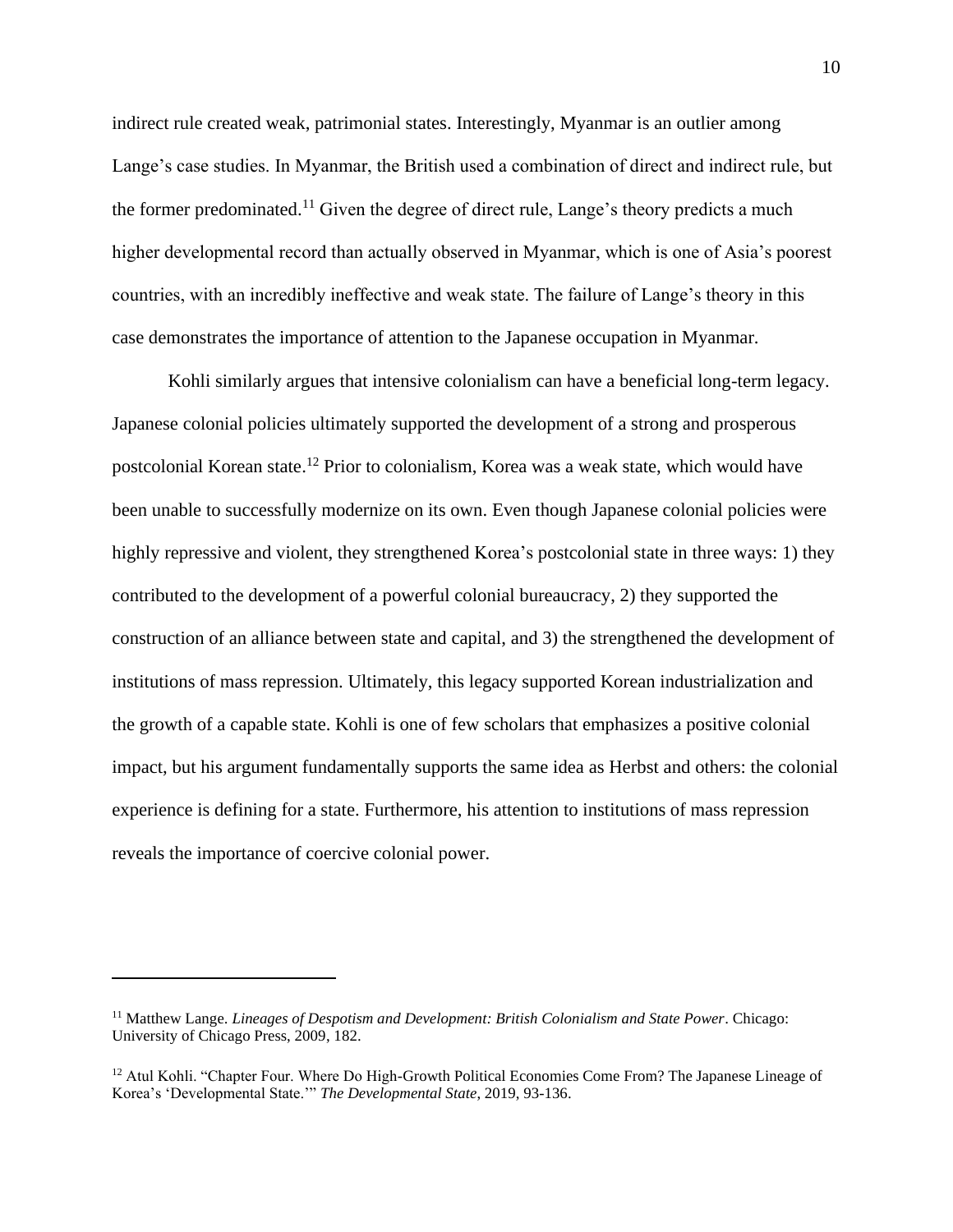indirect rule created weak, patrimonial states. Interestingly, Myanmar is an outlier among Lange's case studies. In Myanmar, the British used a combination of direct and indirect rule, but the former predominated.<sup>11</sup> Given the degree of direct rule, Lange's theory predicts a much higher developmental record than actually observed in Myanmar, which is one of Asia's poorest countries, with an incredibly ineffective and weak state. The failure of Lange's theory in this case demonstrates the importance of attention to the Japanese occupation in Myanmar.

Kohli similarly argues that intensive colonialism can have a beneficial long-term legacy. Japanese colonial policies ultimately supported the development of a strong and prosperous postcolonial Korean state. <sup>12</sup> Prior to colonialism, Korea was a weak state, which would have been unable to successfully modernize on its own. Even though Japanese colonial policies were highly repressive and violent, they strengthened Korea's postcolonial state in three ways: 1) they contributed to the development of a powerful colonial bureaucracy, 2) they supported the construction of an alliance between state and capital, and 3) the strengthened the development of institutions of mass repression. Ultimately, this legacy supported Korean industrialization and the growth of a capable state. Kohli is one of few scholars that emphasizes a positive colonial impact, but his argument fundamentally supports the same idea as Herbst and others: the colonial experience is defining for a state. Furthermore, his attention to institutions of mass repression reveals the importance of coercive colonial power.

<sup>11</sup> Matthew Lange. *Lineages of Despotism and Development: British Colonialism and State Power*. Chicago: University of Chicago Press, 2009, 182.

<sup>&</sup>lt;sup>12</sup> Atul Kohli. "Chapter Four. Where Do High-Growth Political Economies Come From? The Japanese Lineage of Korea's 'Developmental State.'" *The Developmental State*, 2019, 93-136.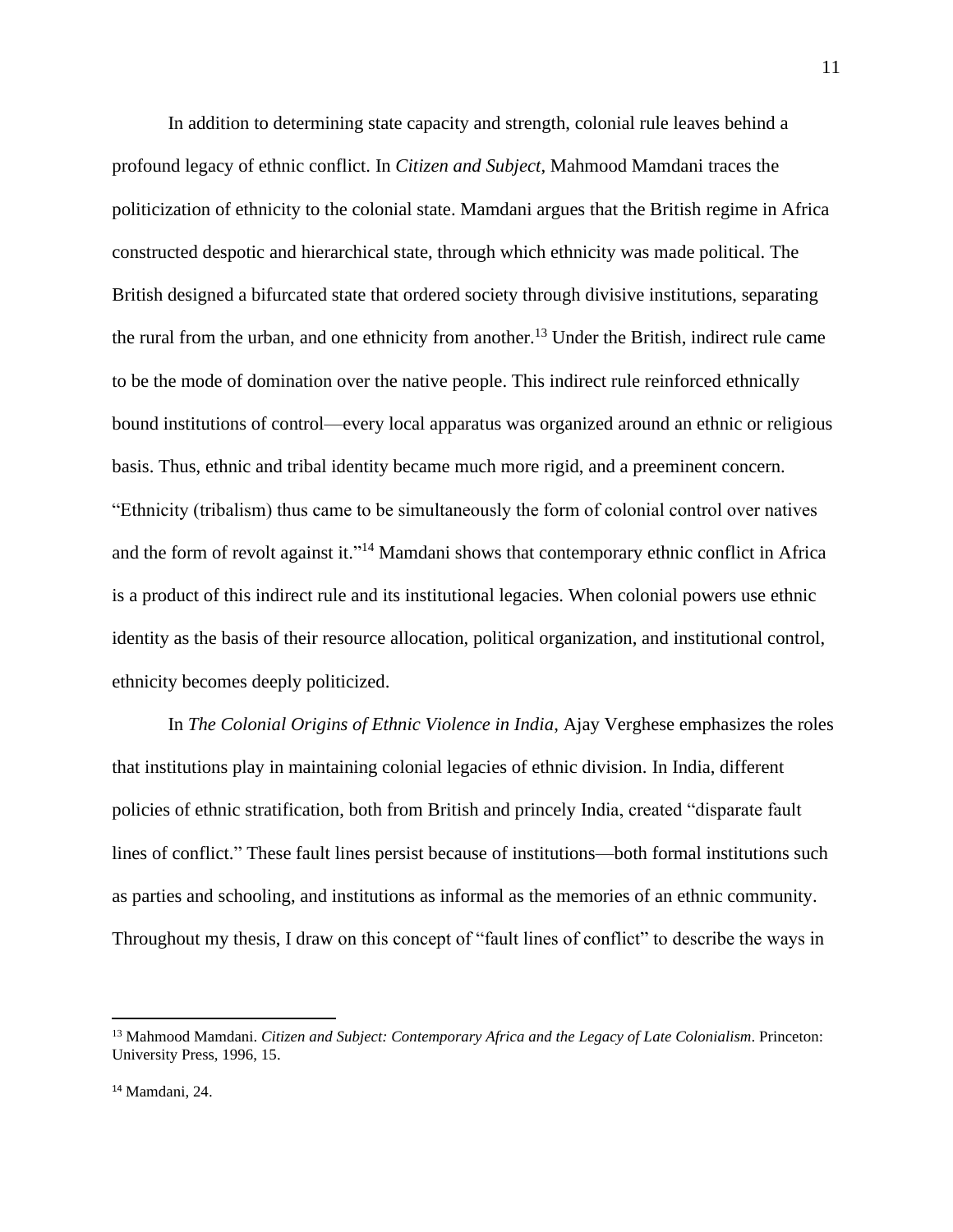In addition to determining state capacity and strength, colonial rule leaves behind a profound legacy of ethnic conflict. In *Citizen and Subject*, Mahmood Mamdani traces the politicization of ethnicity to the colonial state. Mamdani argues that the British regime in Africa constructed despotic and hierarchical state, through which ethnicity was made political. The British designed a bifurcated state that ordered society through divisive institutions, separating the rural from the urban, and one ethnicity from another.<sup>13</sup> Under the British, indirect rule came to be the mode of domination over the native people. This indirect rule reinforced ethnically bound institutions of control—every local apparatus was organized around an ethnic or religious basis. Thus, ethnic and tribal identity became much more rigid, and a preeminent concern. "Ethnicity (tribalism) thus came to be simultaneously the form of colonial control over natives and the form of revolt against it."<sup>14</sup> Mamdani shows that contemporary ethnic conflict in Africa is a product of this indirect rule and its institutional legacies. When colonial powers use ethnic identity as the basis of their resource allocation, political organization, and institutional control, ethnicity becomes deeply politicized.

In *The Colonial Origins of Ethnic Violence in India*, Ajay Verghese emphasizes the roles that institutions play in maintaining colonial legacies of ethnic division. In India, different policies of ethnic stratification, both from British and princely India, created "disparate fault lines of conflict." These fault lines persist because of institutions—both formal institutions such as parties and schooling, and institutions as informal as the memories of an ethnic community. Throughout my thesis, I draw on this concept of "fault lines of conflict" to describe the ways in

<sup>13</sup> Mahmood Mamdani. *Citizen and Subject: Contemporary Africa and the Legacy of Late Colonialism*. Princeton: University Press, 1996, 15.

<sup>14</sup> Mamdani, 24.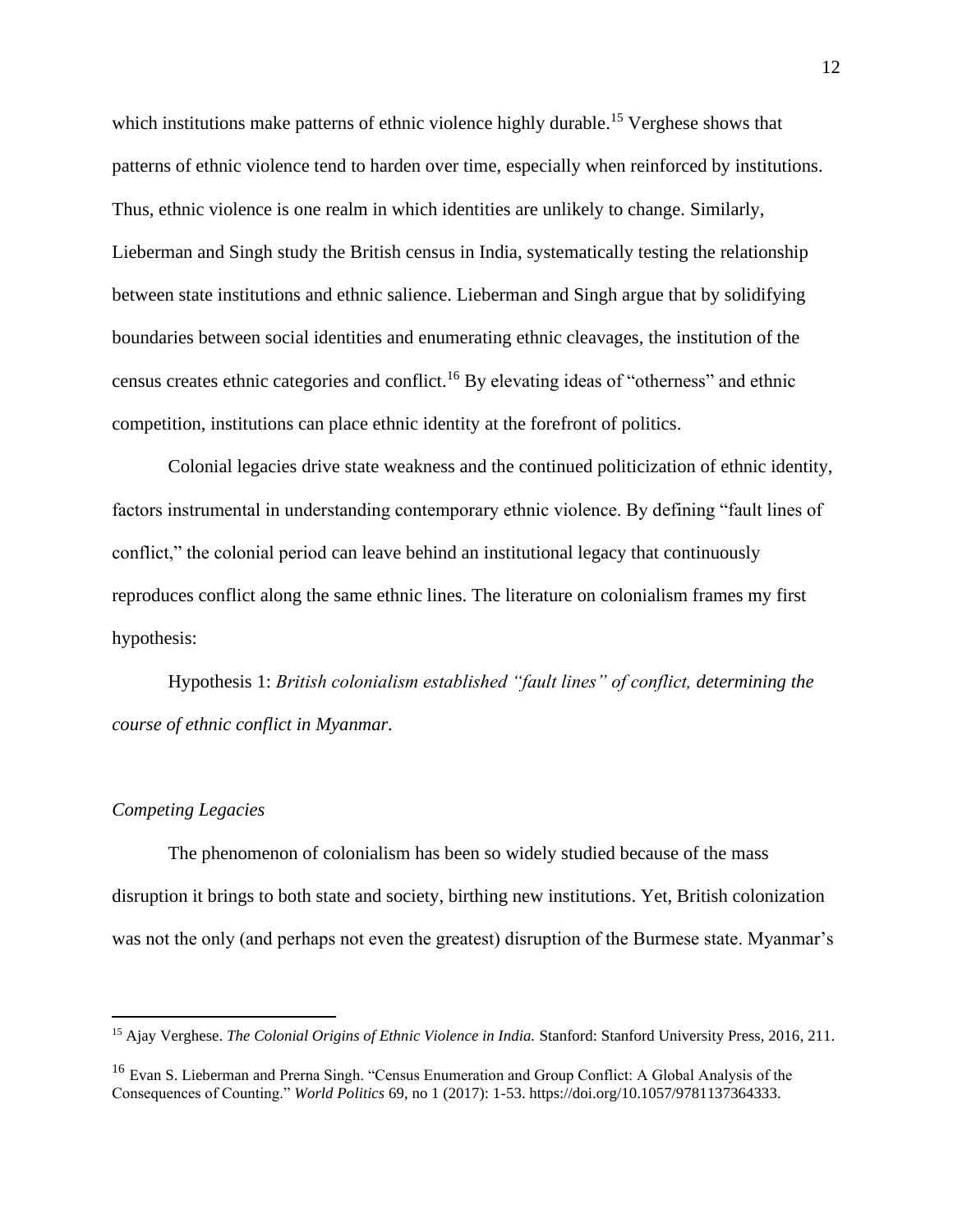which institutions make patterns of ethnic violence highly durable.<sup>15</sup> Verghese shows that patterns of ethnic violence tend to harden over time, especially when reinforced by institutions. Thus, ethnic violence is one realm in which identities are unlikely to change. Similarly, Lieberman and Singh study the British census in India, systematically testing the relationship between state institutions and ethnic salience. Lieberman and Singh argue that by solidifying boundaries between social identities and enumerating ethnic cleavages, the institution of the census creates ethnic categories and conflict.<sup>16</sup> By elevating ideas of "otherness" and ethnic competition, institutions can place ethnic identity at the forefront of politics.

Colonial legacies drive state weakness and the continued politicization of ethnic identity, factors instrumental in understanding contemporary ethnic violence. By defining "fault lines of conflict," the colonial period can leave behind an institutional legacy that continuously reproduces conflict along the same ethnic lines. The literature on colonialism frames my first hypothesis:

Hypothesis 1: *British colonialism established "fault lines" of conflict, determining the course of ethnic conflict in Myanmar.*

#### *Competing Legacies*

The phenomenon of colonialism has been so widely studied because of the mass disruption it brings to both state and society, birthing new institutions. Yet, British colonization was not the only (and perhaps not even the greatest) disruption of the Burmese state. Myanmar's

<sup>15</sup> Ajay Verghese. *The Colonial Origins of Ethnic Violence in India.* Stanford: Stanford University Press, 2016, 211.

<sup>&</sup>lt;sup>16</sup> Evan S. Lieberman and Prerna Singh. "Census Enumeration and Group Conflict: A Global Analysis of the Consequences of Counting." *World Politics* 69, no 1 (2017): 1-53. https://doi.org/10.1057/9781137364333.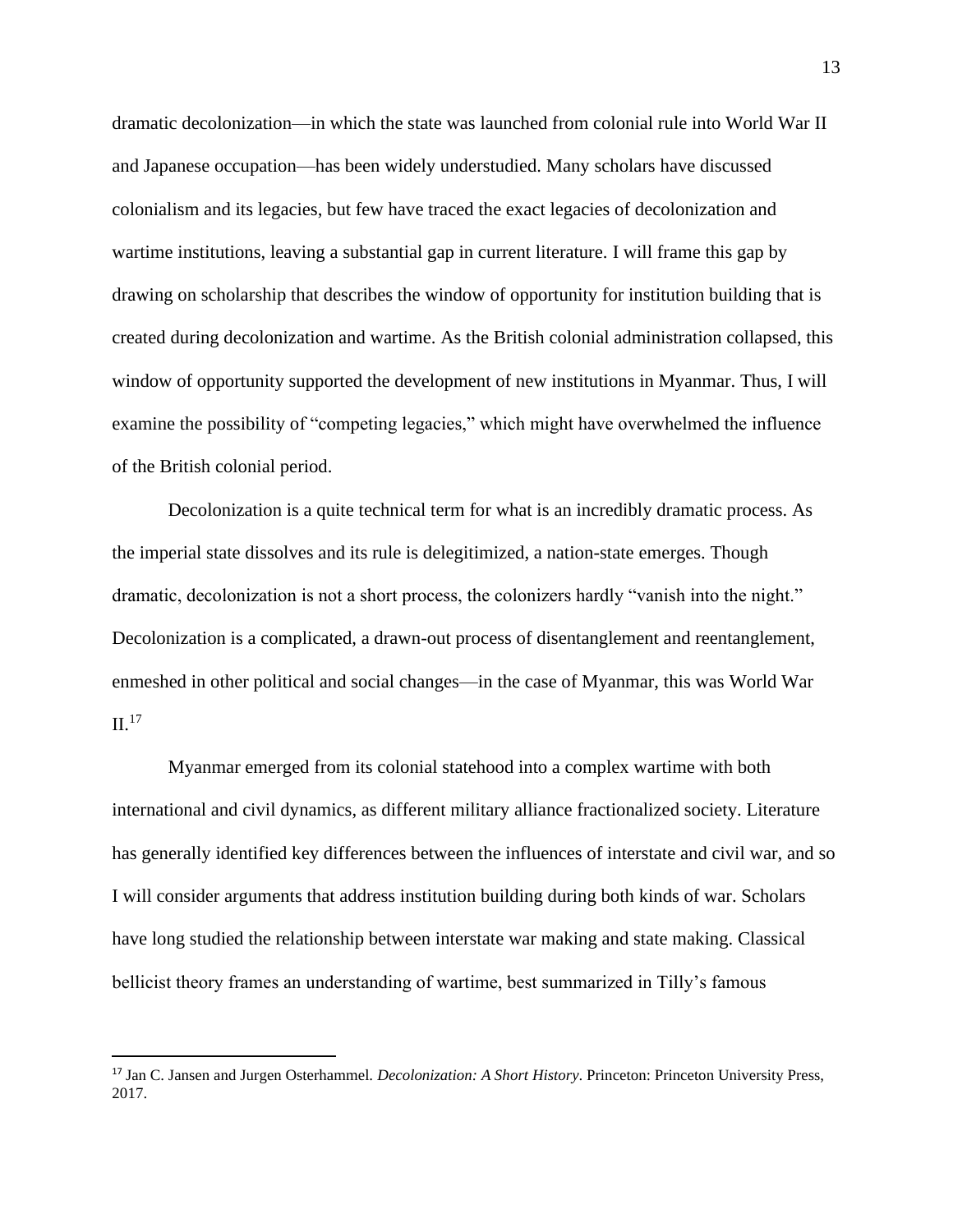dramatic decolonization—in which the state was launched from colonial rule into World War II and Japanese occupation—has been widely understudied. Many scholars have discussed colonialism and its legacies, but few have traced the exact legacies of decolonization and wartime institutions, leaving a substantial gap in current literature. I will frame this gap by drawing on scholarship that describes the window of opportunity for institution building that is created during decolonization and wartime. As the British colonial administration collapsed, this window of opportunity supported the development of new institutions in Myanmar. Thus, I will examine the possibility of "competing legacies," which might have overwhelmed the influence of the British colonial period.

Decolonization is a quite technical term for what is an incredibly dramatic process. As the imperial state dissolves and its rule is delegitimized, a nation-state emerges. Though dramatic, decolonization is not a short process, the colonizers hardly "vanish into the night." Decolonization is a complicated, a drawn-out process of disentanglement and reentanglement, enmeshed in other political and social changes—in the case of Myanmar, this was World War  $II.<sup>17</sup>$ 

Myanmar emerged from its colonial statehood into a complex wartime with both international and civil dynamics, as different military alliance fractionalized society. Literature has generally identified key differences between the influences of interstate and civil war, and so I will consider arguments that address institution building during both kinds of war. Scholars have long studied the relationship between interstate war making and state making. Classical bellicist theory frames an understanding of wartime, best summarized in Tilly's famous

<sup>17</sup> Jan C. Jansen and Jurgen Osterhammel. *Decolonization: A Short History*. Princeton: Princeton University Press, 2017.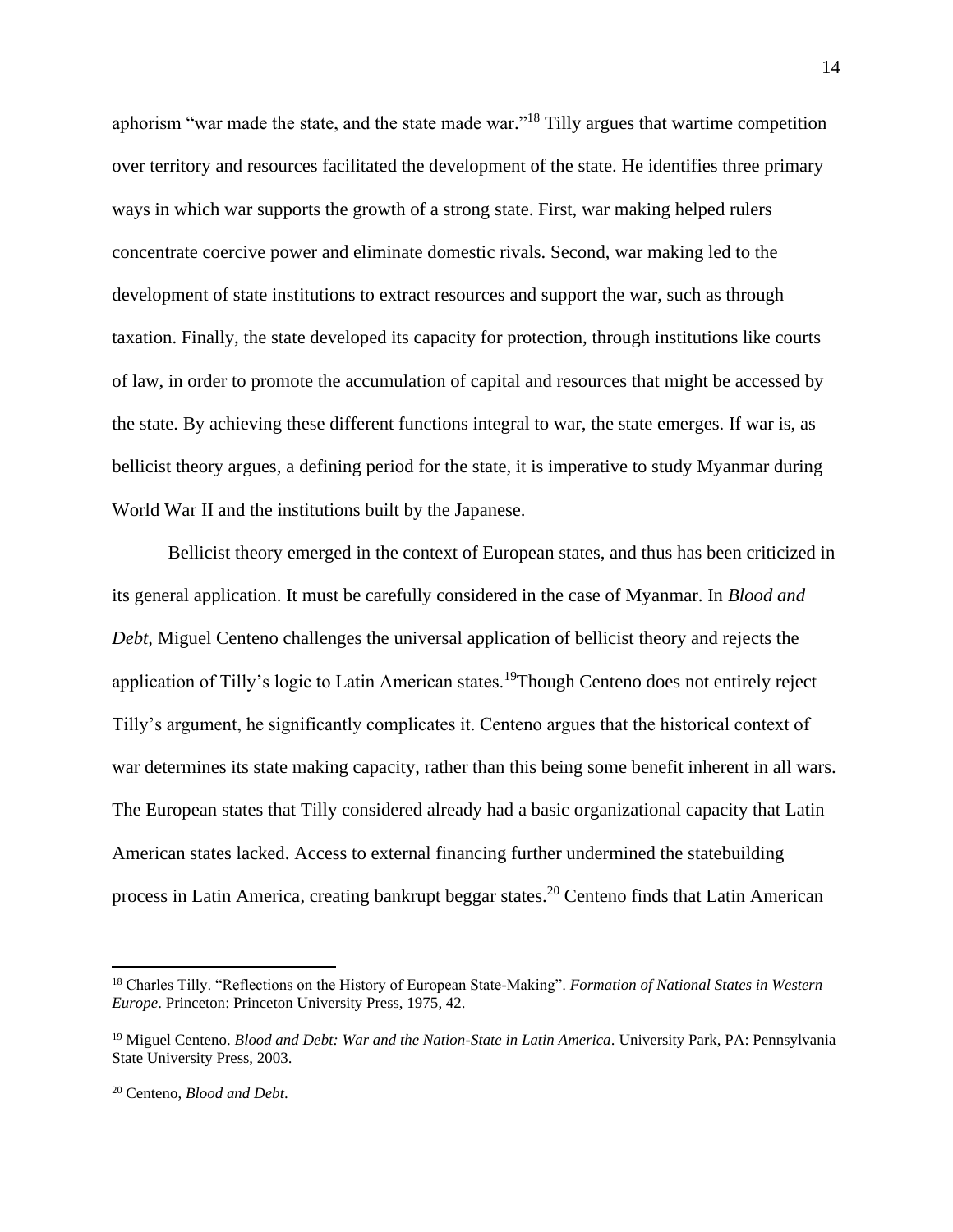aphorism "war made the state, and the state made war."<sup>18</sup> Tilly argues that wartime competition over territory and resources facilitated the development of the state. He identifies three primary ways in which war supports the growth of a strong state. First, war making helped rulers concentrate coercive power and eliminate domestic rivals. Second, war making led to the development of state institutions to extract resources and support the war, such as through taxation. Finally, the state developed its capacity for protection, through institutions like courts of law, in order to promote the accumulation of capital and resources that might be accessed by the state. By achieving these different functions integral to war, the state emerges. If war is, as bellicist theory argues, a defining period for the state, it is imperative to study Myanmar during World War II and the institutions built by the Japanese.

Bellicist theory emerged in the context of European states, and thus has been criticized in its general application. It must be carefully considered in the case of Myanmar. In *Blood and Debt,* Miguel Centeno challenges the universal application of bellicist theory and rejects the application of Tilly's logic to Latin American states.<sup>19</sup>Though Centeno does not entirely reject Tilly's argument, he significantly complicates it. Centeno argues that the historical context of war determines its state making capacity, rather than this being some benefit inherent in all wars. The European states that Tilly considered already had a basic organizational capacity that Latin American states lacked. Access to external financing further undermined the statebuilding process in Latin America, creating bankrupt beggar states.<sup>20</sup> Centeno finds that Latin American

<sup>18</sup> Charles Tilly. "Reflections on the History of European State-Making". *Formation of National States in Western Europe*. Princeton: Princeton University Press, 1975, 42.

<sup>19</sup> Miguel Centeno. *Blood and Debt: War and the Nation-State in Latin America*. University Park, PA: Pennsylvania State University Press, 2003.

<sup>20</sup> Centeno, *Blood and Debt*.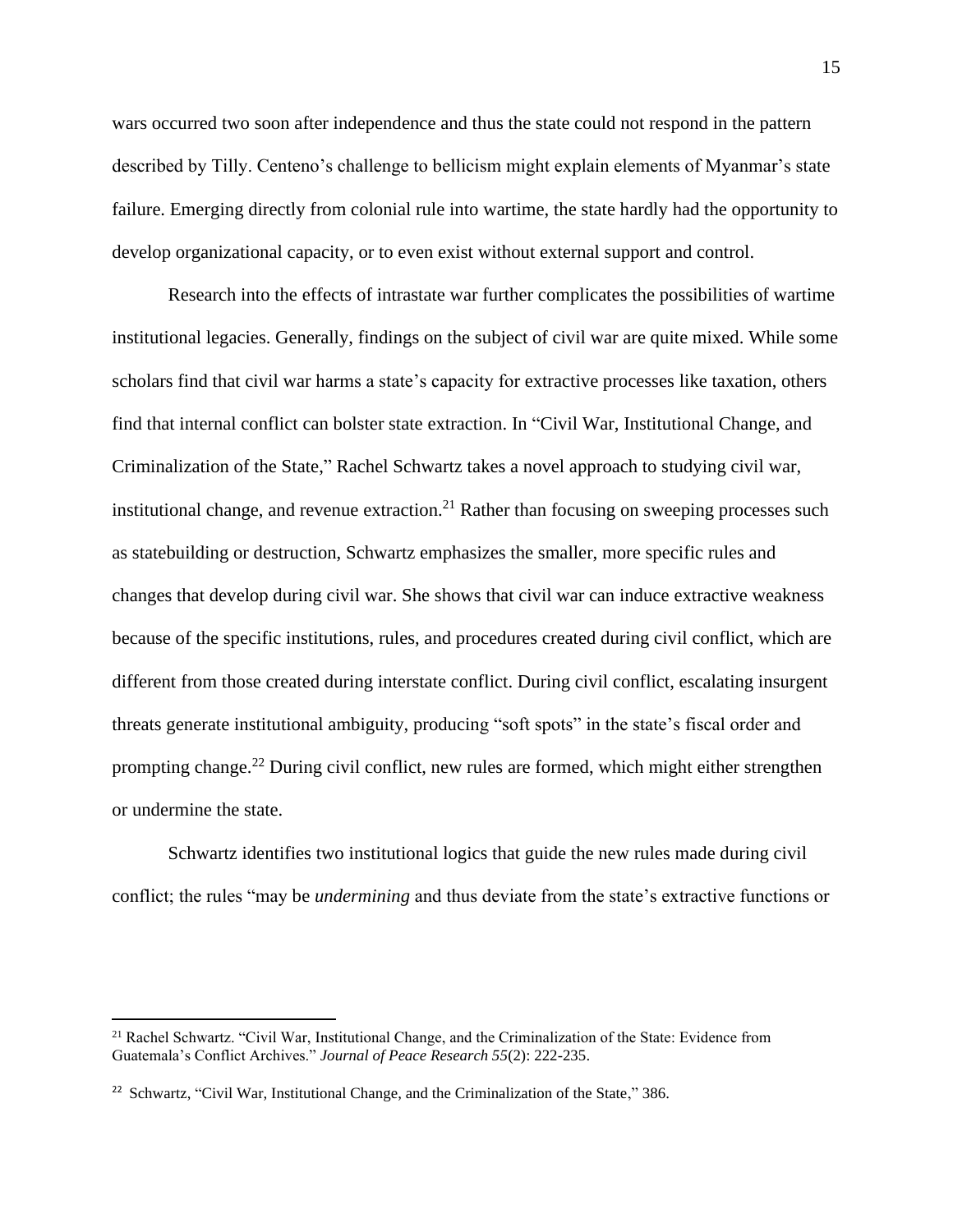wars occurred two soon after independence and thus the state could not respond in the pattern described by Tilly. Centeno's challenge to bellicism might explain elements of Myanmar's state failure. Emerging directly from colonial rule into wartime, the state hardly had the opportunity to develop organizational capacity, or to even exist without external support and control.

Research into the effects of intrastate war further complicates the possibilities of wartime institutional legacies. Generally, findings on the subject of civil war are quite mixed. While some scholars find that civil war harms a state's capacity for extractive processes like taxation, others find that internal conflict can bolster state extraction. In "Civil War, Institutional Change, and Criminalization of the State," Rachel Schwartz takes a novel approach to studying civil war, institutional change, and revenue extraction.<sup>21</sup> Rather than focusing on sweeping processes such as statebuilding or destruction, Schwartz emphasizes the smaller, more specific rules and changes that develop during civil war. She shows that civil war can induce extractive weakness because of the specific institutions, rules, and procedures created during civil conflict, which are different from those created during interstate conflict. During civil conflict, escalating insurgent threats generate institutional ambiguity, producing "soft spots" in the state's fiscal order and prompting change.<sup>22</sup> During civil conflict, new rules are formed, which might either strengthen or undermine the state.

Schwartz identifies two institutional logics that guide the new rules made during civil conflict; the rules "may be *undermining* and thus deviate from the state's extractive functions or

<sup>21</sup> Rachel Schwartz. "Civil War, Institutional Change, and the Criminalization of the State: Evidence from Guatemala's Conflict Archives." *Journal of Peace Research 55*(2): 222-235.

<sup>&</sup>lt;sup>22</sup> Schwartz, "Civil War, Institutional Change, and the Criminalization of the State," 386.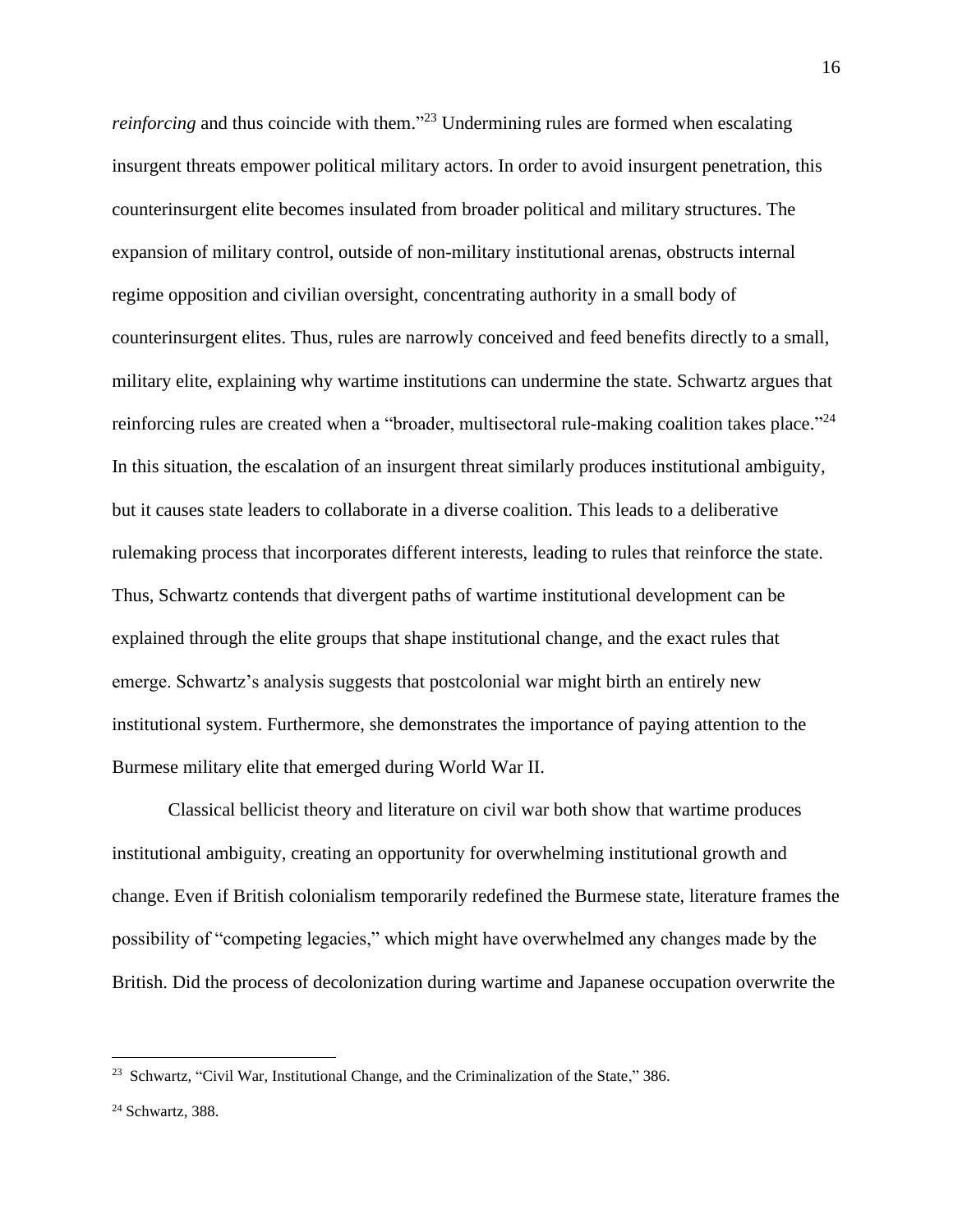*reinforcing* and thus coincide with them."<sup>23</sup> Undermining rules are formed when escalating insurgent threats empower political military actors. In order to avoid insurgent penetration, this counterinsurgent elite becomes insulated from broader political and military structures. The expansion of military control, outside of non-military institutional arenas, obstructs internal regime opposition and civilian oversight, concentrating authority in a small body of counterinsurgent elites. Thus, rules are narrowly conceived and feed benefits directly to a small, military elite, explaining why wartime institutions can undermine the state. Schwartz argues that reinforcing rules are created when a "broader, multisectoral rule-making coalition takes place."<sup>24</sup> In this situation, the escalation of an insurgent threat similarly produces institutional ambiguity, but it causes state leaders to collaborate in a diverse coalition. This leads to a deliberative rulemaking process that incorporates different interests, leading to rules that reinforce the state. Thus, Schwartz contends that divergent paths of wartime institutional development can be explained through the elite groups that shape institutional change, and the exact rules that emerge. Schwartz's analysis suggests that postcolonial war might birth an entirely new institutional system. Furthermore, she demonstrates the importance of paying attention to the Burmese military elite that emerged during World War II.

Classical bellicist theory and literature on civil war both show that wartime produces institutional ambiguity, creating an opportunity for overwhelming institutional growth and change. Even if British colonialism temporarily redefined the Burmese state, literature frames the possibility of "competing legacies," which might have overwhelmed any changes made by the British. Did the process of decolonization during wartime and Japanese occupation overwrite the

<sup>&</sup>lt;sup>23</sup> Schwartz, "Civil War, Institutional Change, and the Criminalization of the State," 386.

<sup>24</sup> Schwartz, 388.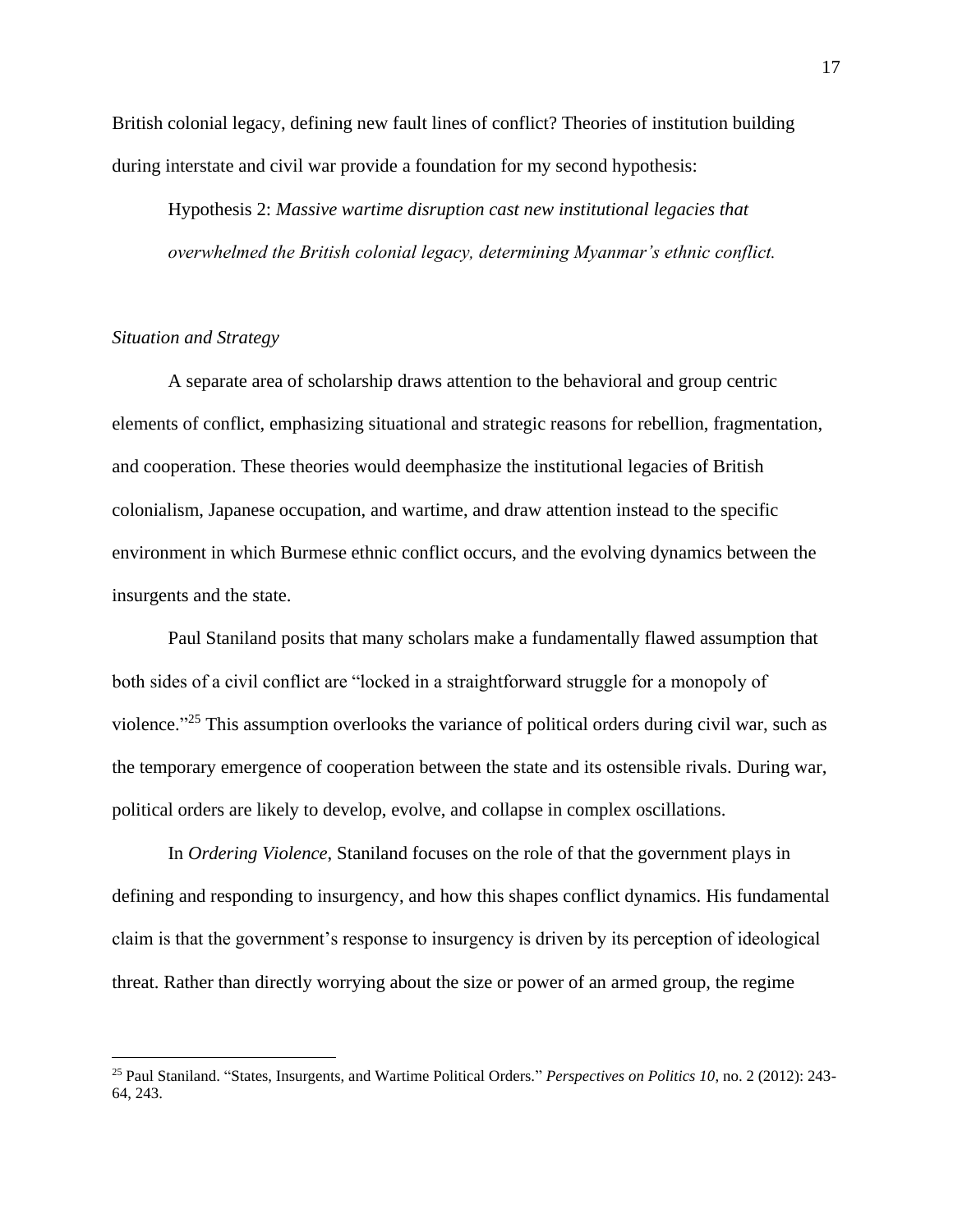British colonial legacy, defining new fault lines of conflict? Theories of institution building during interstate and civil war provide a foundation for my second hypothesis:

Hypothesis 2: *Massive wartime disruption cast new institutional legacies that overwhelmed the British colonial legacy, determining Myanmar's ethnic conflict.* 

#### *Situation and Strategy*

A separate area of scholarship draws attention to the behavioral and group centric elements of conflict, emphasizing situational and strategic reasons for rebellion, fragmentation, and cooperation. These theories would deemphasize the institutional legacies of British colonialism, Japanese occupation, and wartime, and draw attention instead to the specific environment in which Burmese ethnic conflict occurs, and the evolving dynamics between the insurgents and the state.

Paul Staniland posits that many scholars make a fundamentally flawed assumption that both sides of a civil conflict are "locked in a straightforward struggle for a monopoly of violence."<sup>25</sup> This assumption overlooks the variance of political orders during civil war, such as the temporary emergence of cooperation between the state and its ostensible rivals. During war, political orders are likely to develop, evolve, and collapse in complex oscillations.

In *Ordering Violence*, Staniland focuses on the role of that the government plays in defining and responding to insurgency, and how this shapes conflict dynamics. His fundamental claim is that the government's response to insurgency is driven by its perception of ideological threat. Rather than directly worrying about the size or power of an armed group, the regime

<sup>25</sup> Paul Staniland. "States, Insurgents, and Wartime Political Orders." *Perspectives on Politics 10*, no. 2 (2012): 243- 64, 243.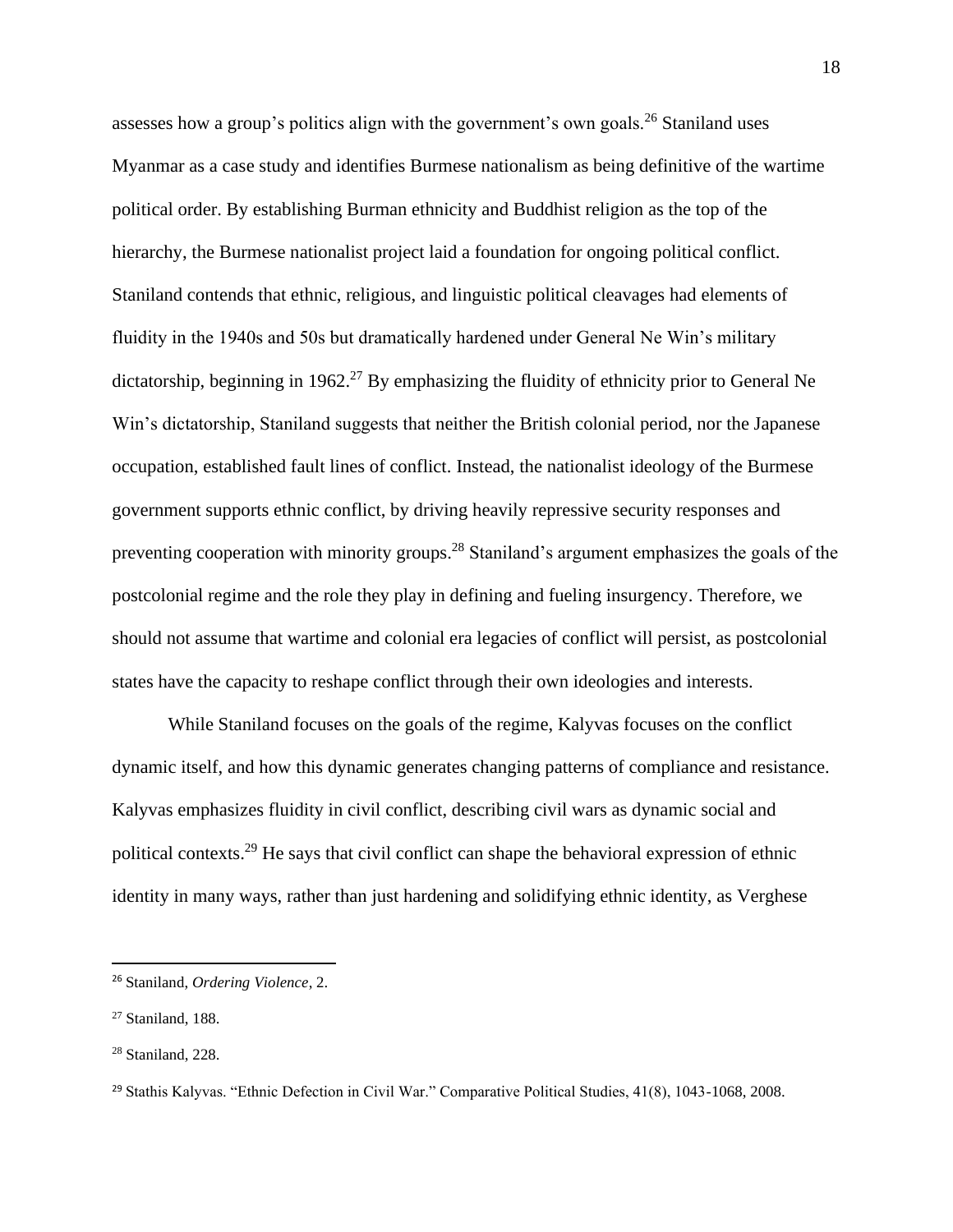assesses how a group's politics align with the government's own goals.<sup>26</sup> Staniland uses Myanmar as a case study and identifies Burmese nationalism as being definitive of the wartime political order. By establishing Burman ethnicity and Buddhist religion as the top of the hierarchy, the Burmese nationalist project laid a foundation for ongoing political conflict. Staniland contends that ethnic, religious, and linguistic political cleavages had elements of fluidity in the 1940s and 50s but dramatically hardened under General Ne Win's military dictatorship, beginning in 1962.<sup>27</sup> By emphasizing the fluidity of ethnicity prior to General Ne Win's dictatorship, Staniland suggests that neither the British colonial period, nor the Japanese occupation, established fault lines of conflict. Instead, the nationalist ideology of the Burmese government supports ethnic conflict, by driving heavily repressive security responses and preventing cooperation with minority groups.<sup>28</sup> Staniland's argument emphasizes the goals of the postcolonial regime and the role they play in defining and fueling insurgency. Therefore, we should not assume that wartime and colonial era legacies of conflict will persist, as postcolonial states have the capacity to reshape conflict through their own ideologies and interests.

While Staniland focuses on the goals of the regime, Kalyvas focuses on the conflict dynamic itself, and how this dynamic generates changing patterns of compliance and resistance. Kalyvas emphasizes fluidity in civil conflict, describing civil wars as dynamic social and political contexts.<sup>29</sup> He says that civil conflict can shape the behavioral expression of ethnic identity in many ways, rather than just hardening and solidifying ethnic identity, as Verghese

<sup>26</sup> Staniland, *Ordering Violence*, 2.

<sup>27</sup> Staniland, 188.

<sup>28</sup> Staniland, 228.

<sup>29</sup> Stathis Kalyvas. "Ethnic Defection in Civil War." Comparative Political Studies, 41(8), 1043-1068, 2008.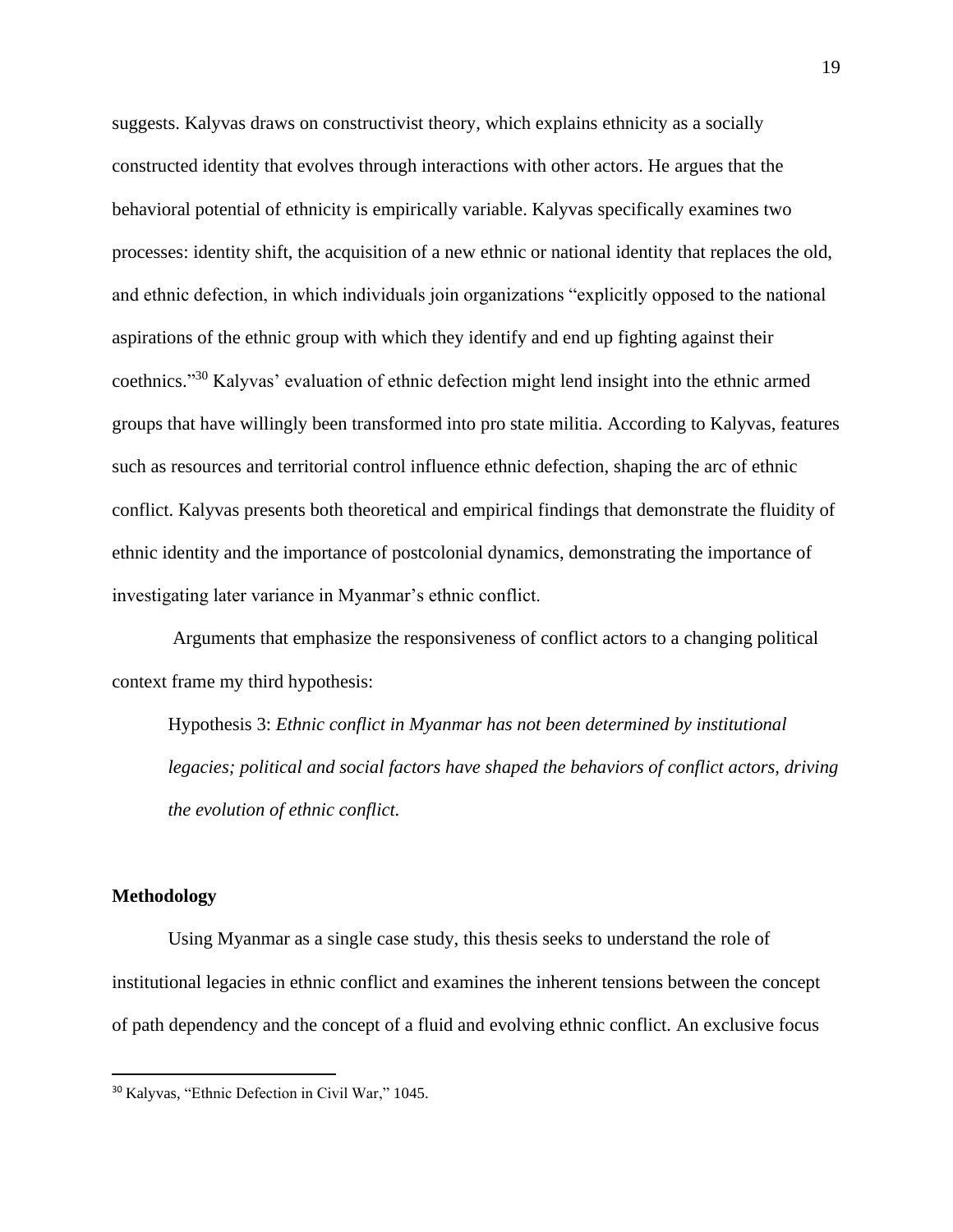suggests. Kalyvas draws on constructivist theory, which explains ethnicity as a socially constructed identity that evolves through interactions with other actors. He argues that the behavioral potential of ethnicity is empirically variable. Kalyvas specifically examines two processes: identity shift, the acquisition of a new ethnic or national identity that replaces the old, and ethnic defection, in which individuals join organizations "explicitly opposed to the national aspirations of the ethnic group with which they identify and end up fighting against their coethnics."<sup>30</sup> Kalyvas' evaluation of ethnic defection might lend insight into the ethnic armed groups that have willingly been transformed into pro state militia. According to Kalyvas, features such as resources and territorial control influence ethnic defection, shaping the arc of ethnic conflict. Kalyvas presents both theoretical and empirical findings that demonstrate the fluidity of ethnic identity and the importance of postcolonial dynamics, demonstrating the importance of investigating later variance in Myanmar's ethnic conflict.

Arguments that emphasize the responsiveness of conflict actors to a changing political context frame my third hypothesis:

Hypothesis 3: *Ethnic conflict in Myanmar has not been determined by institutional legacies; political and social factors have shaped the behaviors of conflict actors, driving the evolution of ethnic conflict.*

#### **Methodology**

Using Myanmar as a single case study, this thesis seeks to understand the role of institutional legacies in ethnic conflict and examines the inherent tensions between the concept of path dependency and the concept of a fluid and evolving ethnic conflict. An exclusive focus

<sup>30</sup> Kalyvas, "Ethnic Defection in Civil War," 1045.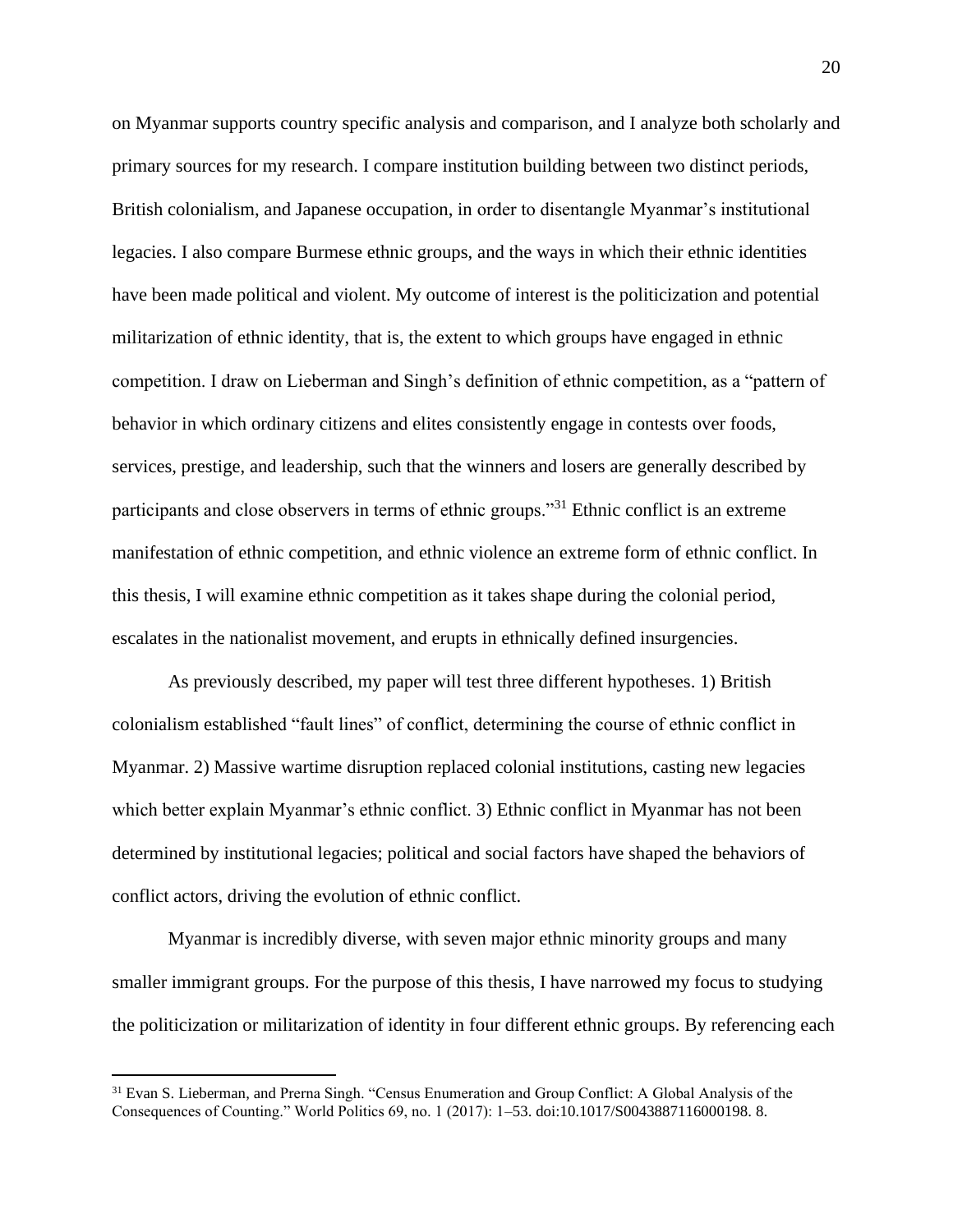on Myanmar supports country specific analysis and comparison, and I analyze both scholarly and primary sources for my research. I compare institution building between two distinct periods, British colonialism, and Japanese occupation, in order to disentangle Myanmar's institutional legacies. I also compare Burmese ethnic groups, and the ways in which their ethnic identities have been made political and violent. My outcome of interest is the politicization and potential militarization of ethnic identity, that is, the extent to which groups have engaged in ethnic competition. I draw on Lieberman and Singh's definition of ethnic competition, as a "pattern of behavior in which ordinary citizens and elites consistently engage in contests over foods, services, prestige, and leadership, such that the winners and losers are generally described by participants and close observers in terms of ethnic groups."<sup>31</sup> Ethnic conflict is an extreme manifestation of ethnic competition, and ethnic violence an extreme form of ethnic conflict. In this thesis, I will examine ethnic competition as it takes shape during the colonial period, escalates in the nationalist movement, and erupts in ethnically defined insurgencies.

As previously described, my paper will test three different hypotheses. 1) British colonialism established "fault lines" of conflict, determining the course of ethnic conflict in Myanmar. 2) Massive wartime disruption replaced colonial institutions, casting new legacies which better explain Myanmar's ethnic conflict. 3) Ethnic conflict in Myanmar has not been determined by institutional legacies; political and social factors have shaped the behaviors of conflict actors, driving the evolution of ethnic conflict.

Myanmar is incredibly diverse, with seven major ethnic minority groups and many smaller immigrant groups. For the purpose of this thesis, I have narrowed my focus to studying the politicization or militarization of identity in four different ethnic groups. By referencing each

<sup>&</sup>lt;sup>31</sup> Evan S. Lieberman, and Prerna Singh. "Census Enumeration and Group Conflict: A Global Analysis of the Consequences of Counting." World Politics 69, no. 1 (2017): 1–53. doi:10.1017/S0043887116000198. 8.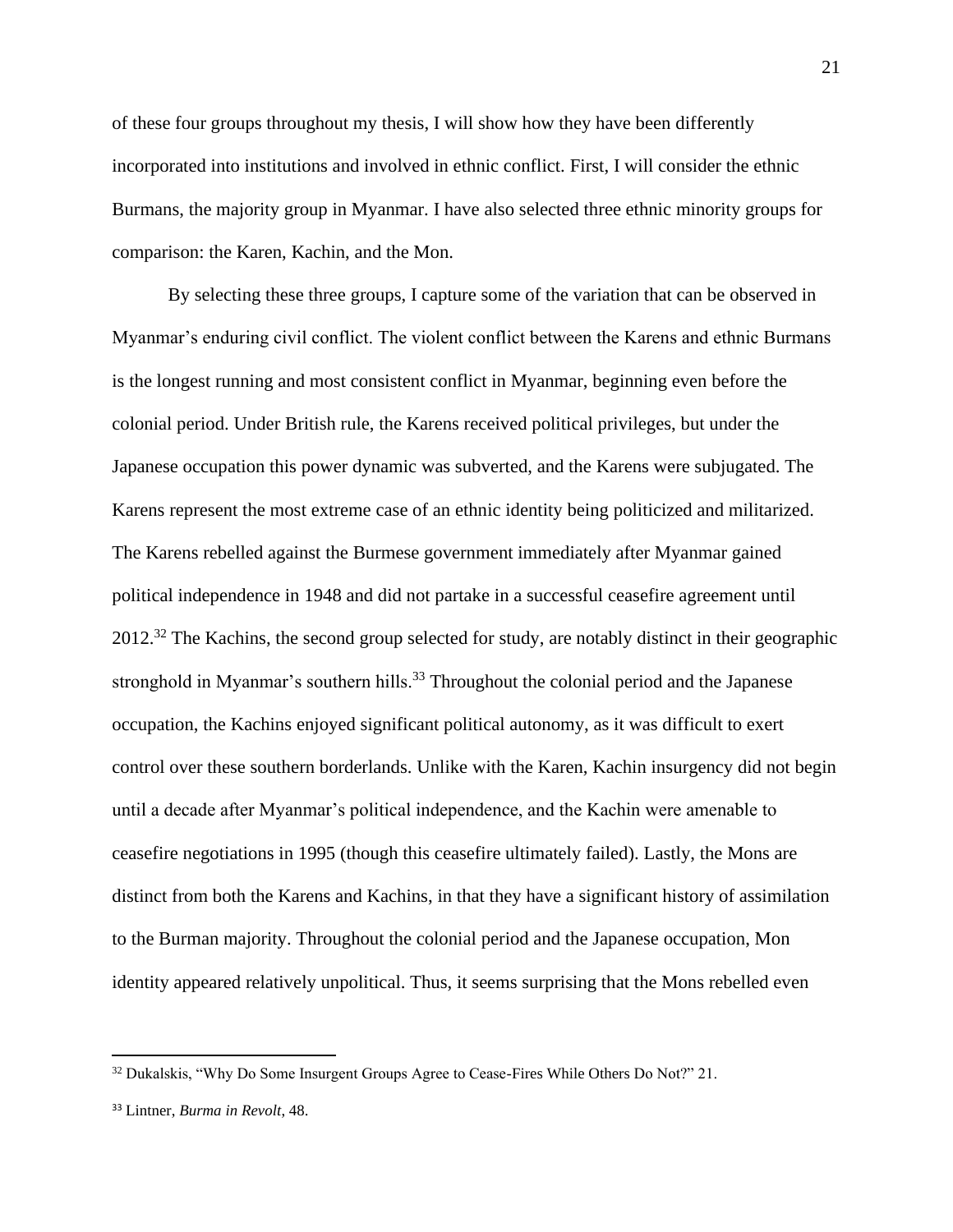of these four groups throughout my thesis, I will show how they have been differently incorporated into institutions and involved in ethnic conflict. First, I will consider the ethnic Burmans, the majority group in Myanmar. I have also selected three ethnic minority groups for comparison: the Karen, Kachin, and the Mon.

By selecting these three groups, I capture some of the variation that can be observed in Myanmar's enduring civil conflict. The violent conflict between the Karens and ethnic Burmans is the longest running and most consistent conflict in Myanmar, beginning even before the colonial period. Under British rule, the Karens received political privileges, but under the Japanese occupation this power dynamic was subverted, and the Karens were subjugated. The Karens represent the most extreme case of an ethnic identity being politicized and militarized. The Karens rebelled against the Burmese government immediately after Myanmar gained political independence in 1948 and did not partake in a successful ceasefire agreement until 2012.<sup>32</sup> The Kachins, the second group selected for study, are notably distinct in their geographic stronghold in Myanmar's southern hills.<sup>33</sup> Throughout the colonial period and the Japanese occupation, the Kachins enjoyed significant political autonomy, as it was difficult to exert control over these southern borderlands. Unlike with the Karen, Kachin insurgency did not begin until a decade after Myanmar's political independence, and the Kachin were amenable to ceasefire negotiations in 1995 (though this ceasefire ultimately failed). Lastly, the Mons are distinct from both the Karens and Kachins, in that they have a significant history of assimilation to the Burman majority. Throughout the colonial period and the Japanese occupation, Mon identity appeared relatively unpolitical. Thus, it seems surprising that the Mons rebelled even

<sup>&</sup>lt;sup>32</sup> Dukalskis, "Why Do Some Insurgent Groups Agree to Cease-Fires While Others Do Not?" 21.

<sup>33</sup> Lintner, *Burma in Revolt*, 48.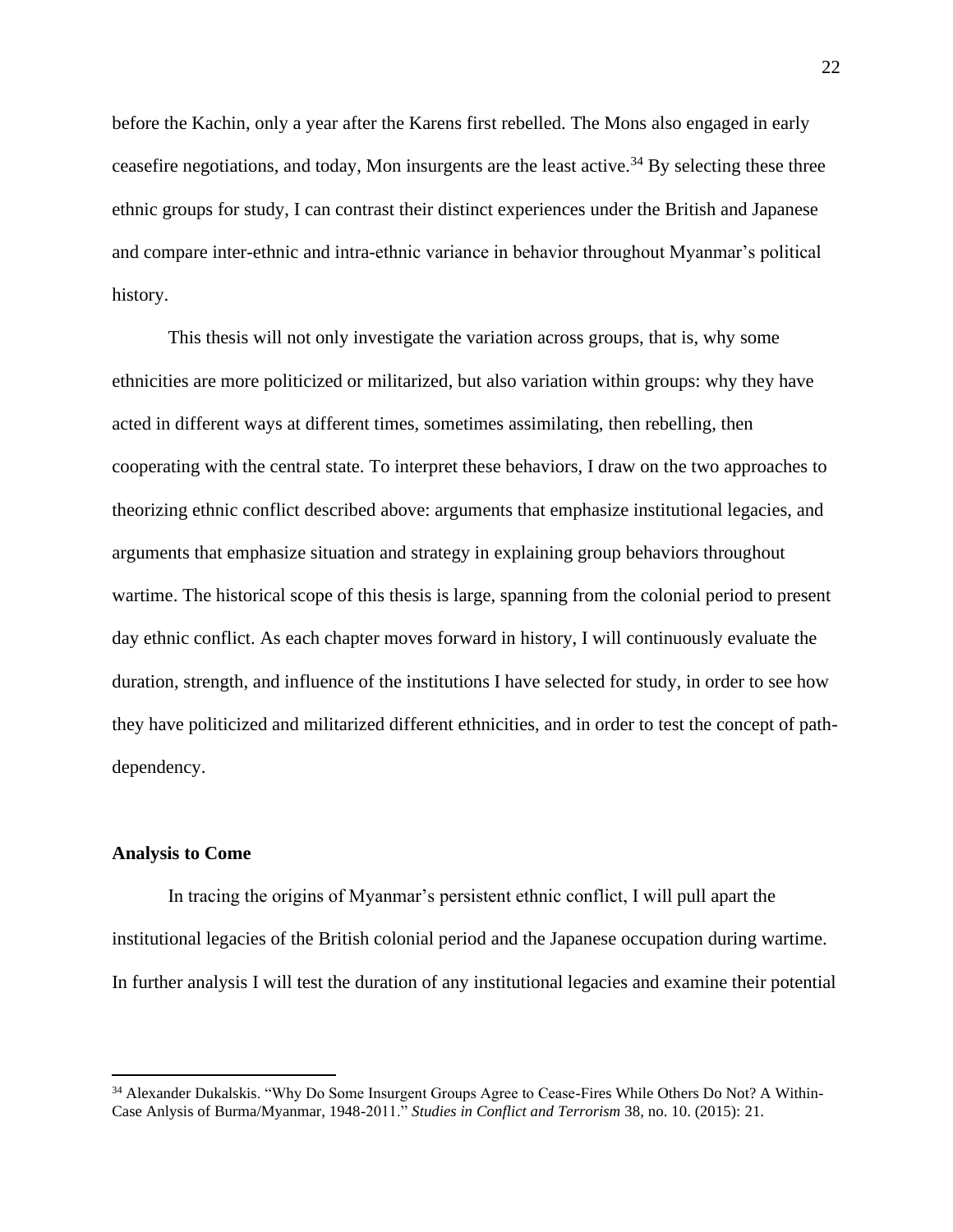before the Kachin, only a year after the Karens first rebelled. The Mons also engaged in early ceasefire negotiations, and today, Mon insurgents are the least active.<sup>34</sup> By selecting these three ethnic groups for study, I can contrast their distinct experiences under the British and Japanese and compare inter-ethnic and intra-ethnic variance in behavior throughout Myanmar's political history.

This thesis will not only investigate the variation across groups, that is, why some ethnicities are more politicized or militarized, but also variation within groups: why they have acted in different ways at different times, sometimes assimilating, then rebelling, then cooperating with the central state. To interpret these behaviors, I draw on the two approaches to theorizing ethnic conflict described above: arguments that emphasize institutional legacies, and arguments that emphasize situation and strategy in explaining group behaviors throughout wartime. The historical scope of this thesis is large, spanning from the colonial period to present day ethnic conflict. As each chapter moves forward in history, I will continuously evaluate the duration, strength, and influence of the institutions I have selected for study, in order to see how they have politicized and militarized different ethnicities, and in order to test the concept of pathdependency.

#### **Analysis to Come**

In tracing the origins of Myanmar's persistent ethnic conflict, I will pull apart the institutional legacies of the British colonial period and the Japanese occupation during wartime. In further analysis I will test the duration of any institutional legacies and examine their potential

<sup>&</sup>lt;sup>34</sup> Alexander Dukalskis. "Why Do Some Insurgent Groups Agree to Cease-Fires While Others Do Not? A Within-Case Anlysis of Burma/Myanmar, 1948-2011." *Studies in Conflict and Terrorism* 38, no. 10. (2015): 21.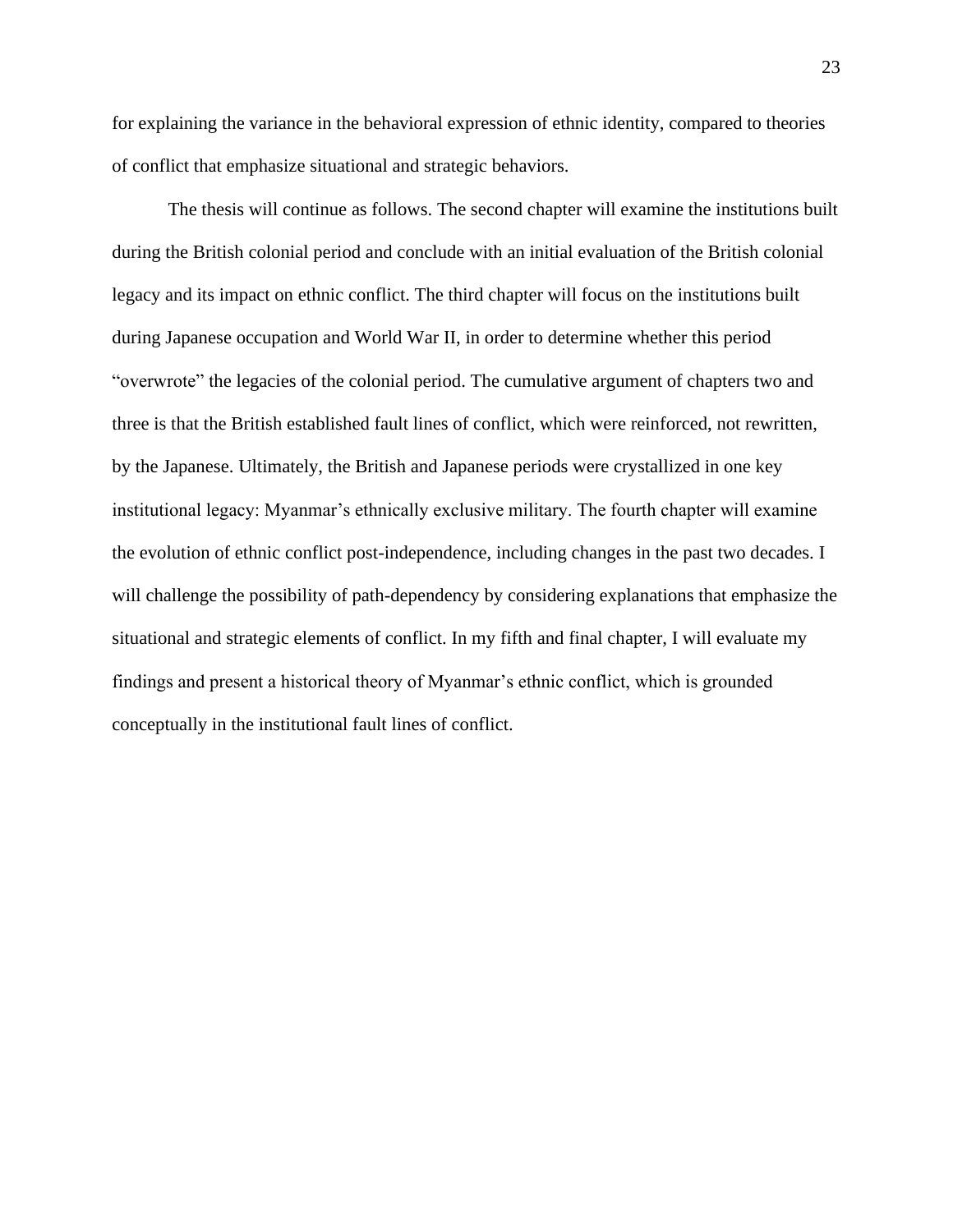for explaining the variance in the behavioral expression of ethnic identity, compared to theories of conflict that emphasize situational and strategic behaviors.

The thesis will continue as follows. The second chapter will examine the institutions built during the British colonial period and conclude with an initial evaluation of the British colonial legacy and its impact on ethnic conflict. The third chapter will focus on the institutions built during Japanese occupation and World War II, in order to determine whether this period "overwrote" the legacies of the colonial period. The cumulative argument of chapters two and three is that the British established fault lines of conflict, which were reinforced, not rewritten, by the Japanese. Ultimately, the British and Japanese periods were crystallized in one key institutional legacy: Myanmar's ethnically exclusive military. The fourth chapter will examine the evolution of ethnic conflict post-independence, including changes in the past two decades. I will challenge the possibility of path-dependency by considering explanations that emphasize the situational and strategic elements of conflict. In my fifth and final chapter, I will evaluate my findings and present a historical theory of Myanmar's ethnic conflict, which is grounded conceptually in the institutional fault lines of conflict.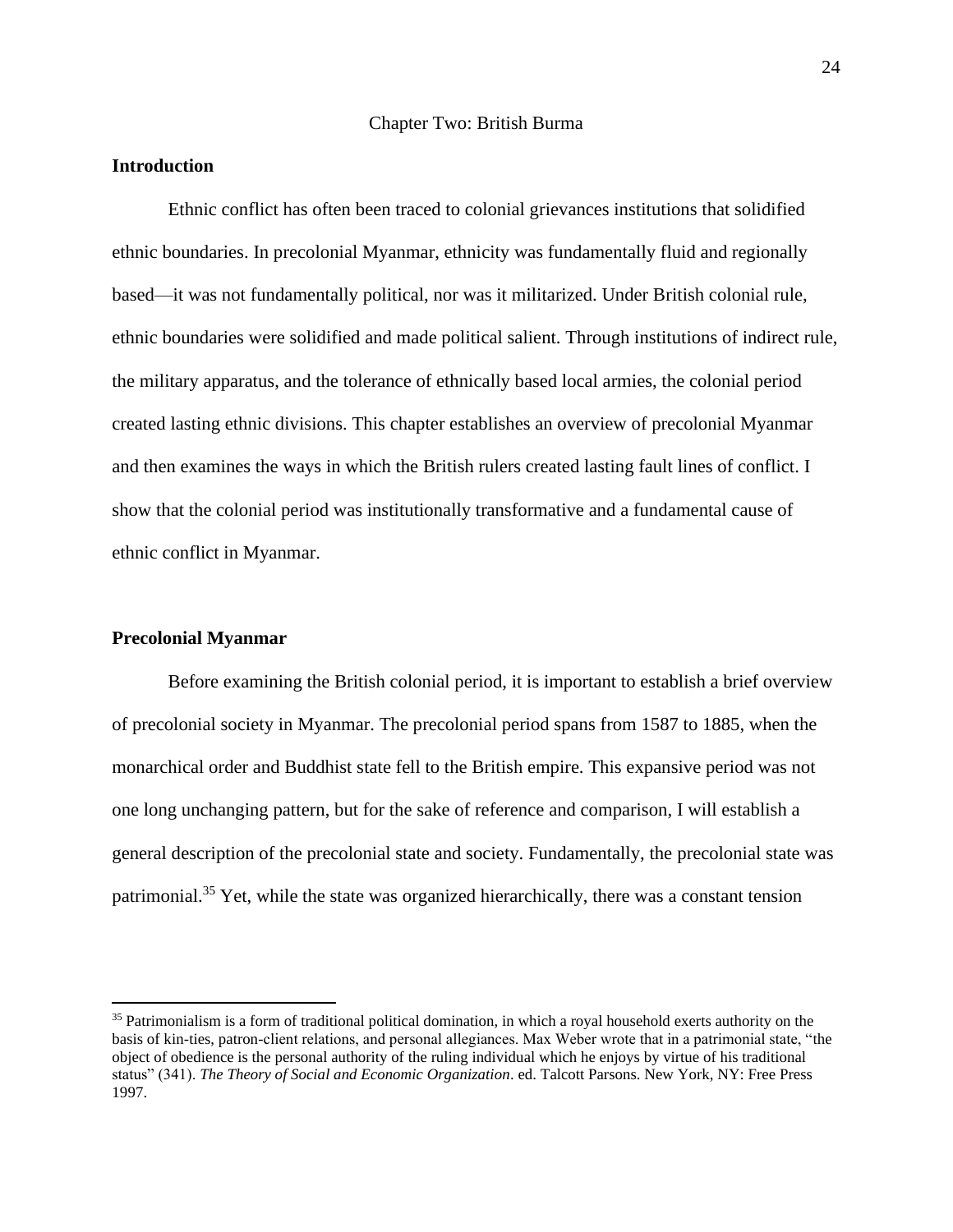#### Chapter Two: British Burma

#### **Introduction**

Ethnic conflict has often been traced to colonial grievances institutions that solidified ethnic boundaries. In precolonial Myanmar, ethnicity was fundamentally fluid and regionally based—it was not fundamentally political, nor was it militarized. Under British colonial rule, ethnic boundaries were solidified and made political salient. Through institutions of indirect rule, the military apparatus, and the tolerance of ethnically based local armies, the colonial period created lasting ethnic divisions. This chapter establishes an overview of precolonial Myanmar and then examines the ways in which the British rulers created lasting fault lines of conflict. I show that the colonial period was institutionally transformative and a fundamental cause of ethnic conflict in Myanmar.

#### **Precolonial Myanmar**

Before examining the British colonial period, it is important to establish a brief overview of precolonial society in Myanmar. The precolonial period spans from 1587 to 1885, when the monarchical order and Buddhist state fell to the British empire. This expansive period was not one long unchanging pattern, but for the sake of reference and comparison, I will establish a general description of the precolonial state and society. Fundamentally, the precolonial state was patrimonial.<sup>35</sup> Yet, while the state was organized hierarchically, there was a constant tension

<sup>&</sup>lt;sup>35</sup> Patrimonialism is a form of traditional political domination, in which a royal household exerts authority on the basis of kin-ties, patron-client relations, and personal allegiances. Max Weber wrote that in a patrimonial state, "the object of obedience is the personal authority of the ruling individual which he enjoys by virtue of his traditional status" (341). *The Theory of Social and Economic Organization*. ed. Talcott Parsons. New York, NY: Free Press 1997.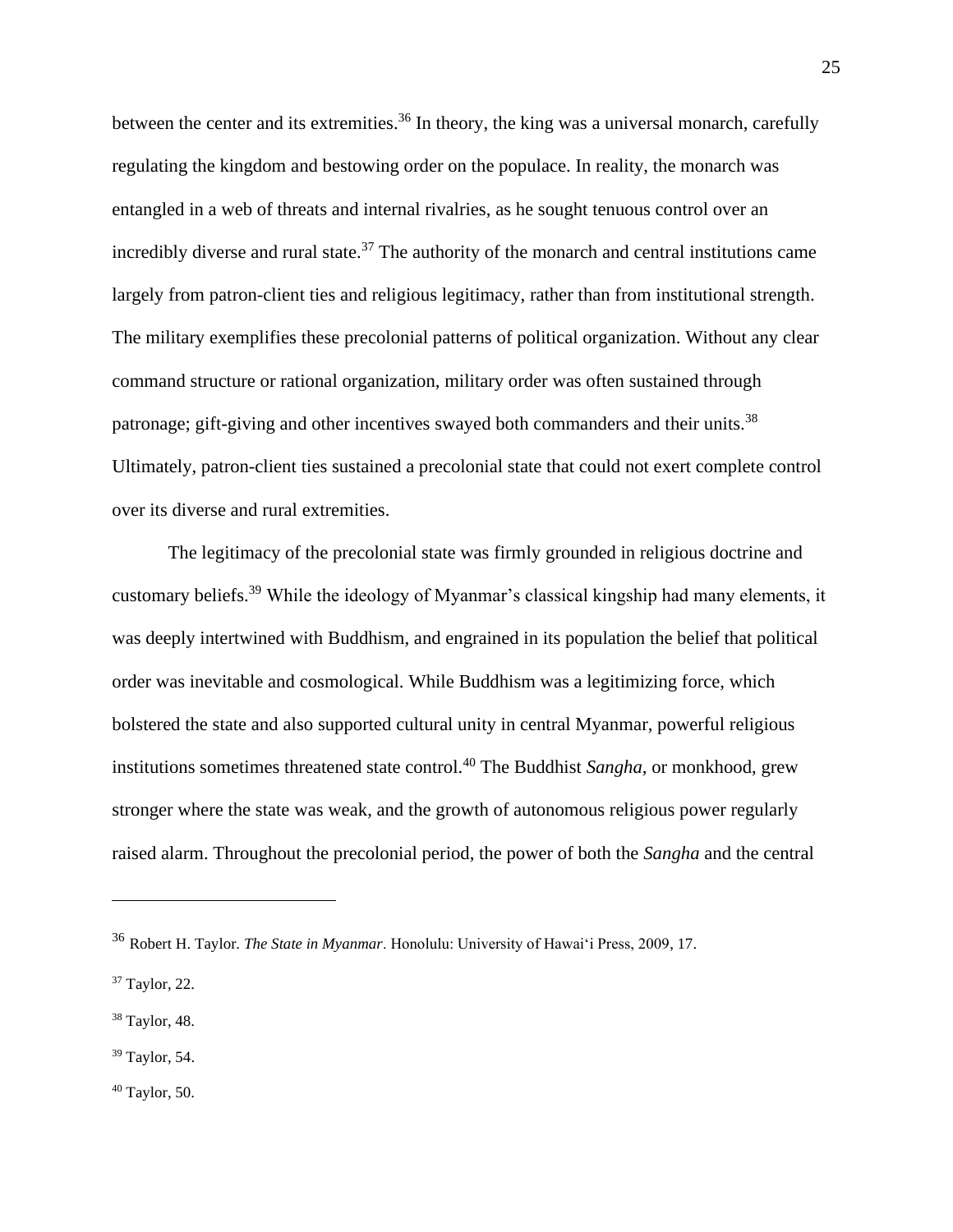between the center and its extremities.<sup>36</sup> In theory, the king was a universal monarch, carefully regulating the kingdom and bestowing order on the populace. In reality, the monarch was entangled in a web of threats and internal rivalries, as he sought tenuous control over an incredibly diverse and rural state.<sup>37</sup> The authority of the monarch and central institutions came largely from patron-client ties and religious legitimacy, rather than from institutional strength. The military exemplifies these precolonial patterns of political organization. Without any clear command structure or rational organization, military order was often sustained through patronage; gift-giving and other incentives swayed both commanders and their units.<sup>38</sup> Ultimately, patron-client ties sustained a precolonial state that could not exert complete control over its diverse and rural extremities.

The legitimacy of the precolonial state was firmly grounded in religious doctrine and customary beliefs.<sup>39</sup> While the ideology of Myanmar's classical kingship had many elements, it was deeply intertwined with Buddhism, and engrained in its population the belief that political order was inevitable and cosmological. While Buddhism was a legitimizing force, which bolstered the state and also supported cultural unity in central Myanmar, powerful religious institutions sometimes threatened state control.<sup>40</sup> The Buddhist *Sangha*, or monkhood, grew stronger where the state was weak, and the growth of autonomous religious power regularly raised alarm. Throughout the precolonial period, the power of both the *Sangha* and the central

<sup>38</sup> Taylor, 48.

<sup>39</sup> Taylor*,* 54.

<sup>40</sup> Taylor, 50.

<sup>36</sup> Robert H. Taylor. *The State in Myanmar*. Honolulu: University of Hawaiʻi Press, 2009, 17.

<sup>37</sup> Taylor, 22.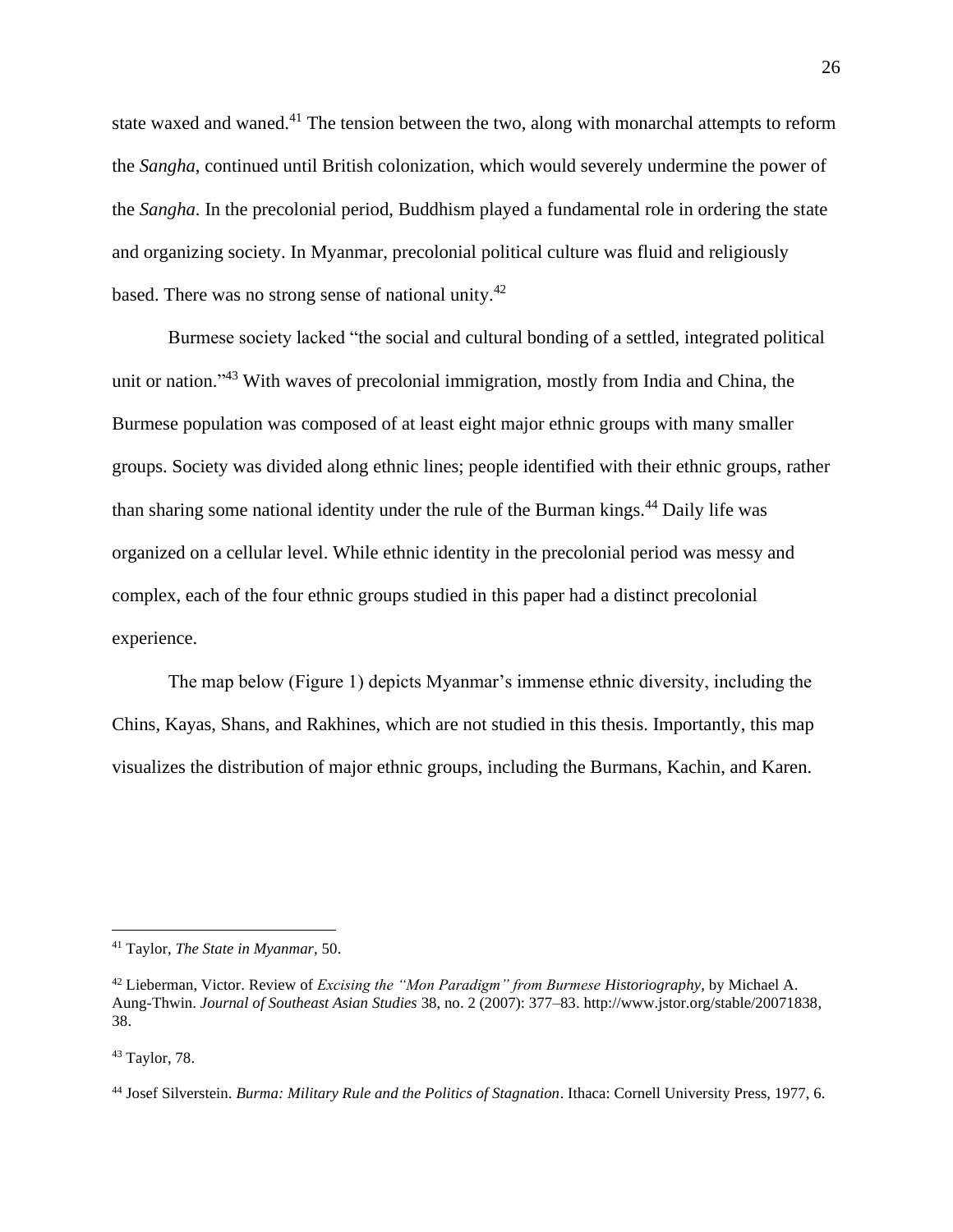state waxed and waned.<sup>41</sup> The tension between the two, along with monarchal attempts to reform the *Sangha*, continued until British colonization, which would severely undermine the power of the *Sangha*. In the precolonial period, Buddhism played a fundamental role in ordering the state and organizing society. In Myanmar, precolonial political culture was fluid and religiously based. There was no strong sense of national unity.<sup>42</sup>

Burmese society lacked "the social and cultural bonding of a settled, integrated political unit or nation."<sup>43</sup> With waves of precolonial immigration, mostly from India and China, the Burmese population was composed of at least eight major ethnic groups with many smaller groups. Society was divided along ethnic lines; people identified with their ethnic groups, rather than sharing some national identity under the rule of the Burman kings.<sup>44</sup> Daily life was organized on a cellular level. While ethnic identity in the precolonial period was messy and complex, each of the four ethnic groups studied in this paper had a distinct precolonial experience.

The map below (Figure 1) depicts Myanmar's immense ethnic diversity, including the Chins, Kayas, Shans, and Rakhines, which are not studied in this thesis. Importantly, this map visualizes the distribution of major ethnic groups, including the Burmans, Kachin, and Karen.

<sup>41</sup> Taylor, *The State in Myanmar*, 50.

<sup>42</sup> Lieberman, Victor. Review of *Excising the "Mon Paradigm" from Burmese Historiography*, by Michael A. Aung-Thwin. *Journal of Southeast Asian Studies* 38, no. 2 (2007): 377–83. http://www.jstor.org/stable/20071838, 38.

<sup>43</sup> Taylor, 78.

<sup>44</sup> Josef Silverstein. *Burma: Military Rule and the Politics of Stagnation*. Ithaca: Cornell University Press, 1977, 6.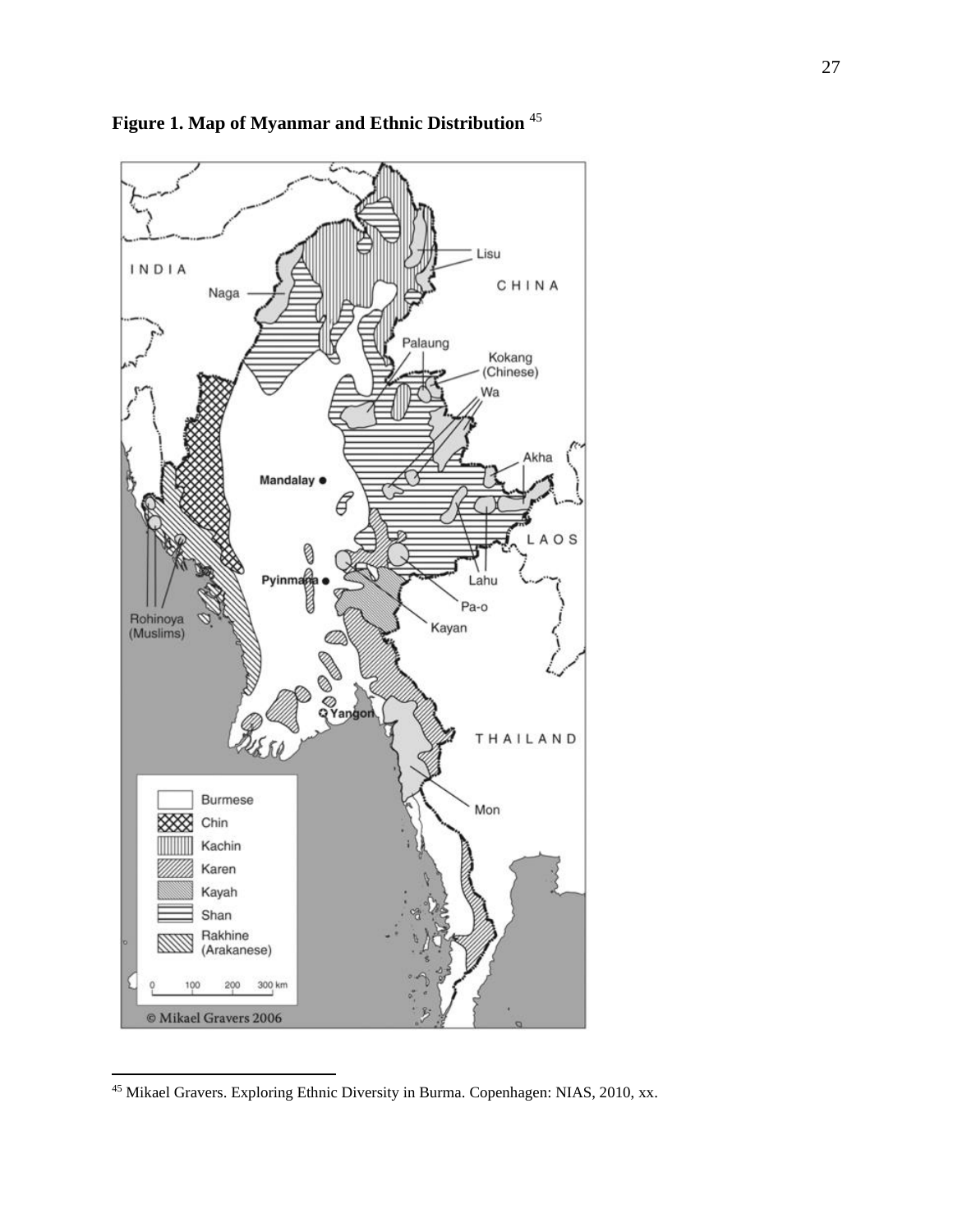

**Figure 1. Map of Myanmar and Ethnic Distribution** <sup>45</sup>

Mikael Gravers. Exploring Ethnic Diversity in Burma. Copenhagen: NIAS, 2010, xx.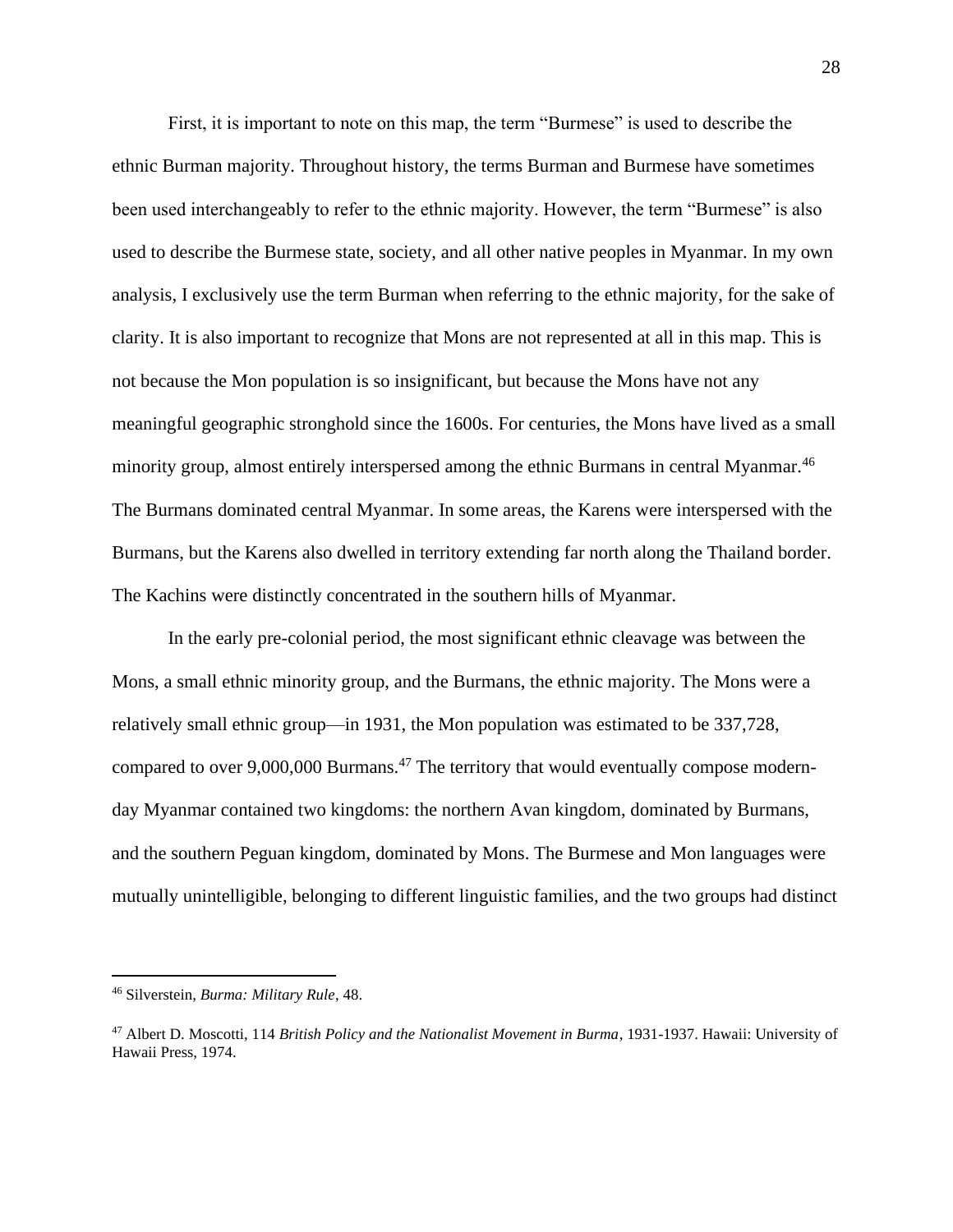First, it is important to note on this map, the term "Burmese" is used to describe the ethnic Burman majority. Throughout history, the terms Burman and Burmese have sometimes been used interchangeably to refer to the ethnic majority. However, the term "Burmese" is also used to describe the Burmese state, society, and all other native peoples in Myanmar. In my own analysis, I exclusively use the term Burman when referring to the ethnic majority, for the sake of clarity. It is also important to recognize that Mons are not represented at all in this map. This is not because the Mon population is so insignificant, but because the Mons have not any meaningful geographic stronghold since the 1600s. For centuries, the Mons have lived as a small minority group, almost entirely interspersed among the ethnic Burmans in central Myanmar.<sup>46</sup> The Burmans dominated central Myanmar. In some areas, the Karens were interspersed with the Burmans, but the Karens also dwelled in territory extending far north along the Thailand border. The Kachins were distinctly concentrated in the southern hills of Myanmar.

In the early pre-colonial period, the most significant ethnic cleavage was between the Mons, a small ethnic minority group, and the Burmans, the ethnic majority. The Mons were a relatively small ethnic group—in 1931, the Mon population was estimated to be 337,728, compared to over 9,000,000 Burmans.<sup>47</sup> The territory that would eventually compose modernday Myanmar contained two kingdoms: the northern Avan kingdom, dominated by Burmans, and the southern Peguan kingdom, dominated by Mons. The Burmese and Mon languages were mutually unintelligible, belonging to different linguistic families, and the two groups had distinct

<sup>46</sup> Silverstein, *Burma: Military Rule*, 48.

<sup>47</sup> Albert D. Moscotti, 114 *British Policy and the Nationalist Movement in Burma*, 1931-1937. Hawaii: University of Hawaii Press, 1974.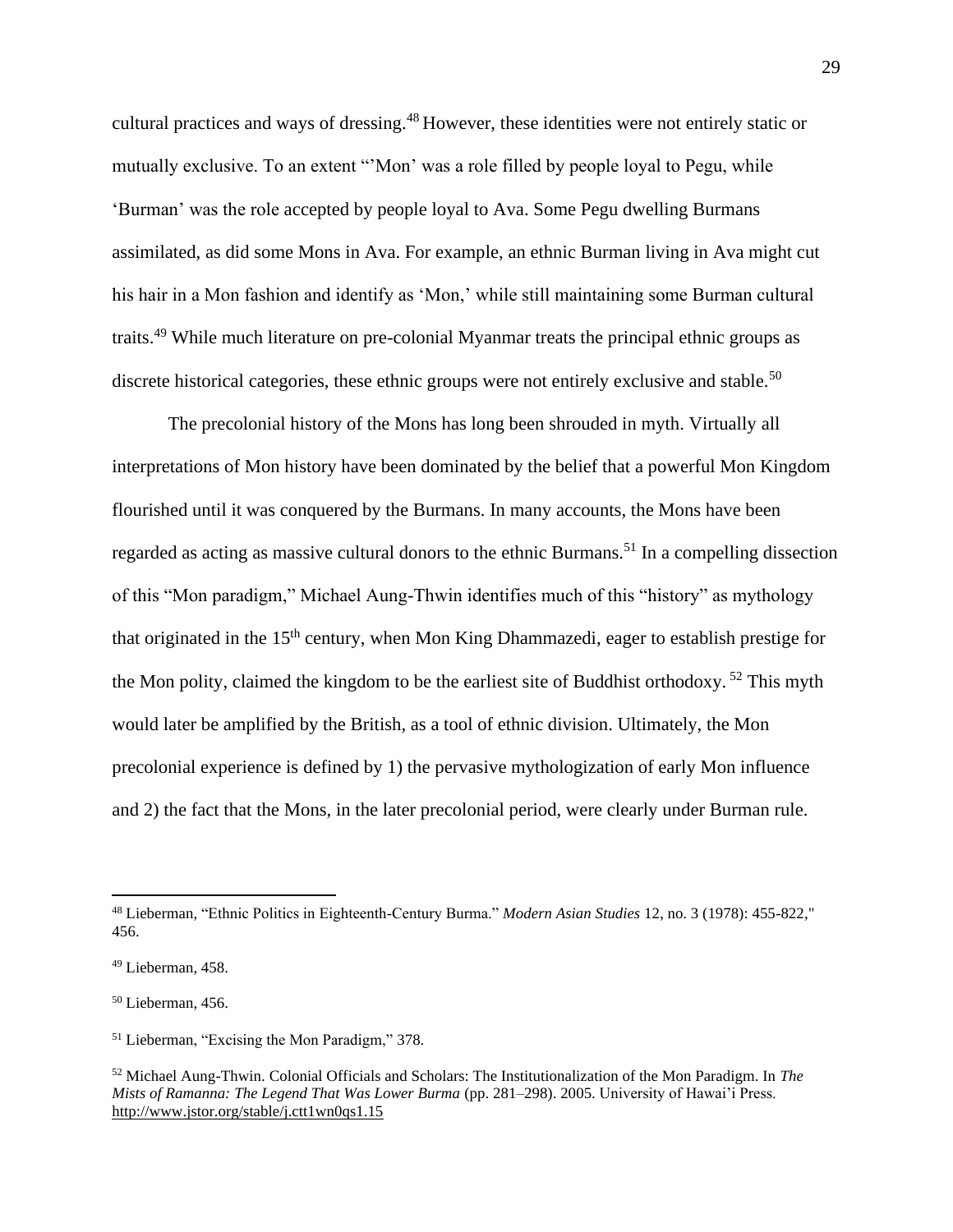cultural practices and ways of dressing.<sup>48</sup> However, these identities were not entirely static or mutually exclusive. To an extent "'Mon' was a role filled by people loyal to Pegu, while 'Burman' was the role accepted by people loyal to Ava. Some Pegu dwelling Burmans assimilated, as did some Mons in Ava. For example, an ethnic Burman living in Ava might cut his hair in a Mon fashion and identify as 'Mon,' while still maintaining some Burman cultural traits.<sup>49</sup> While much literature on pre-colonial Myanmar treats the principal ethnic groups as discrete historical categories, these ethnic groups were not entirely exclusive and stable.<sup>50</sup>

The precolonial history of the Mons has long been shrouded in myth. Virtually all interpretations of Mon history have been dominated by the belief that a powerful Mon Kingdom flourished until it was conquered by the Burmans. In many accounts, the Mons have been regarded as acting as massive cultural donors to the ethnic Burmans.<sup>51</sup> In a compelling dissection of this "Mon paradigm," Michael Aung-Thwin identifies much of this "history" as mythology that originated in the 15th century, when Mon King Dhammazedi, eager to establish prestige for the Mon polity, claimed the kingdom to be the earliest site of Buddhist orthodoxy. <sup>52</sup> This myth would later be amplified by the British, as a tool of ethnic division. Ultimately, the Mon precolonial experience is defined by 1) the pervasive mythologization of early Mon influence and 2) the fact that the Mons, in the later precolonial period, were clearly under Burman rule.

<sup>48</sup> Lieberman, "Ethnic Politics in Eighteenth-Century Burma." *Modern Asian Studies* 12, no. 3 (1978): 455-822," 456.

<sup>49</sup> Lieberman, 458.

<sup>50</sup> Lieberman, 456.

<sup>51</sup> Lieberman, "Excising the Mon Paradigm," 378.

<sup>52</sup> Michael Aung-Thwin. Colonial Officials and Scholars: The Institutionalization of the Mon Paradigm. In *The Mists of Ramanna: The Legend That Was Lower Burma* (pp. 281–298). 2005. University of Hawai'i Press. <http://www.jstor.org/stable/j.ctt1wn0qs1.15>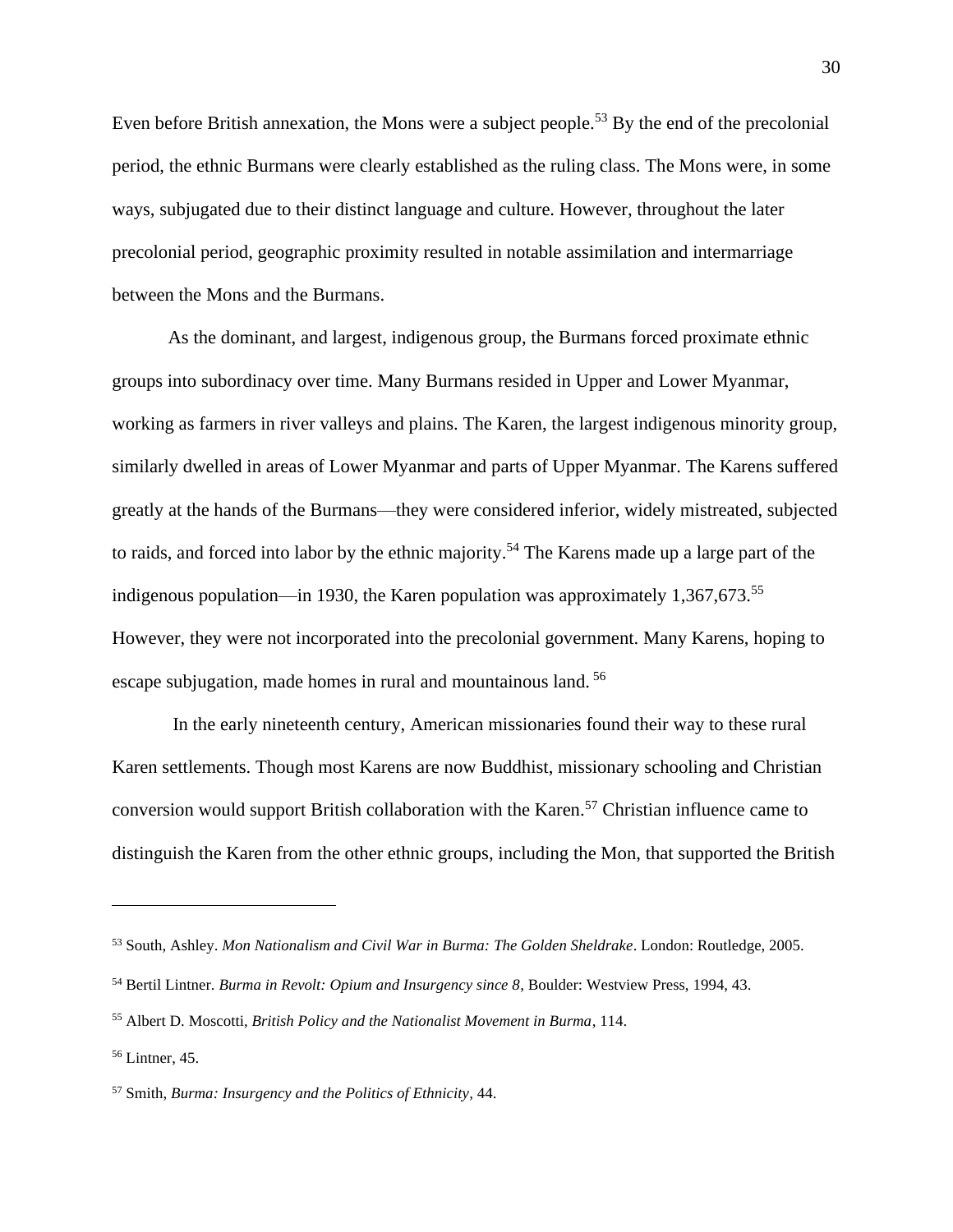Even before British annexation, the Mons were a subject people.<sup>53</sup> By the end of the precolonial period, the ethnic Burmans were clearly established as the ruling class. The Mons were, in some ways, subjugated due to their distinct language and culture. However, throughout the later precolonial period, geographic proximity resulted in notable assimilation and intermarriage between the Mons and the Burmans.

As the dominant, and largest, indigenous group, the Burmans forced proximate ethnic groups into subordinacy over time. Many Burmans resided in Upper and Lower Myanmar, working as farmers in river valleys and plains. The Karen, the largest indigenous minority group, similarly dwelled in areas of Lower Myanmar and parts of Upper Myanmar. The Karens suffered greatly at the hands of the Burmans—they were considered inferior, widely mistreated, subjected to raids, and forced into labor by the ethnic majority.<sup>54</sup> The Karens made up a large part of the indigenous population—in 1930, the Karen population was approximately 1,367,673.<sup>55</sup> However, they were not incorporated into the precolonial government. Many Karens, hoping to escape subjugation, made homes in rural and mountainous land. <sup>56</sup>

In the early nineteenth century, American missionaries found their way to these rural Karen settlements. Though most Karens are now Buddhist, missionary schooling and Christian conversion would support British collaboration with the Karen.<sup>57</sup> Christian influence came to distinguish the Karen from the other ethnic groups, including the Mon, that supported the British

<sup>53</sup> South, Ashley. *Mon Nationalism and Civil War in Burma: The Golden Sheldrake*. London: Routledge, 2005.

<sup>54</sup> Bertil Lintner. *Burma in Revolt: Opium and Insurgency since 8*, Boulder: Westview Press, 1994, 43.

<sup>55</sup> Albert D. Moscotti, *British Policy and the Nationalist Movement in Burma*, 114.

<sup>56</sup> Lintner, 45.

<sup>57</sup> Smith, *Burma: Insurgency and the Politics of Ethnicity,* 44.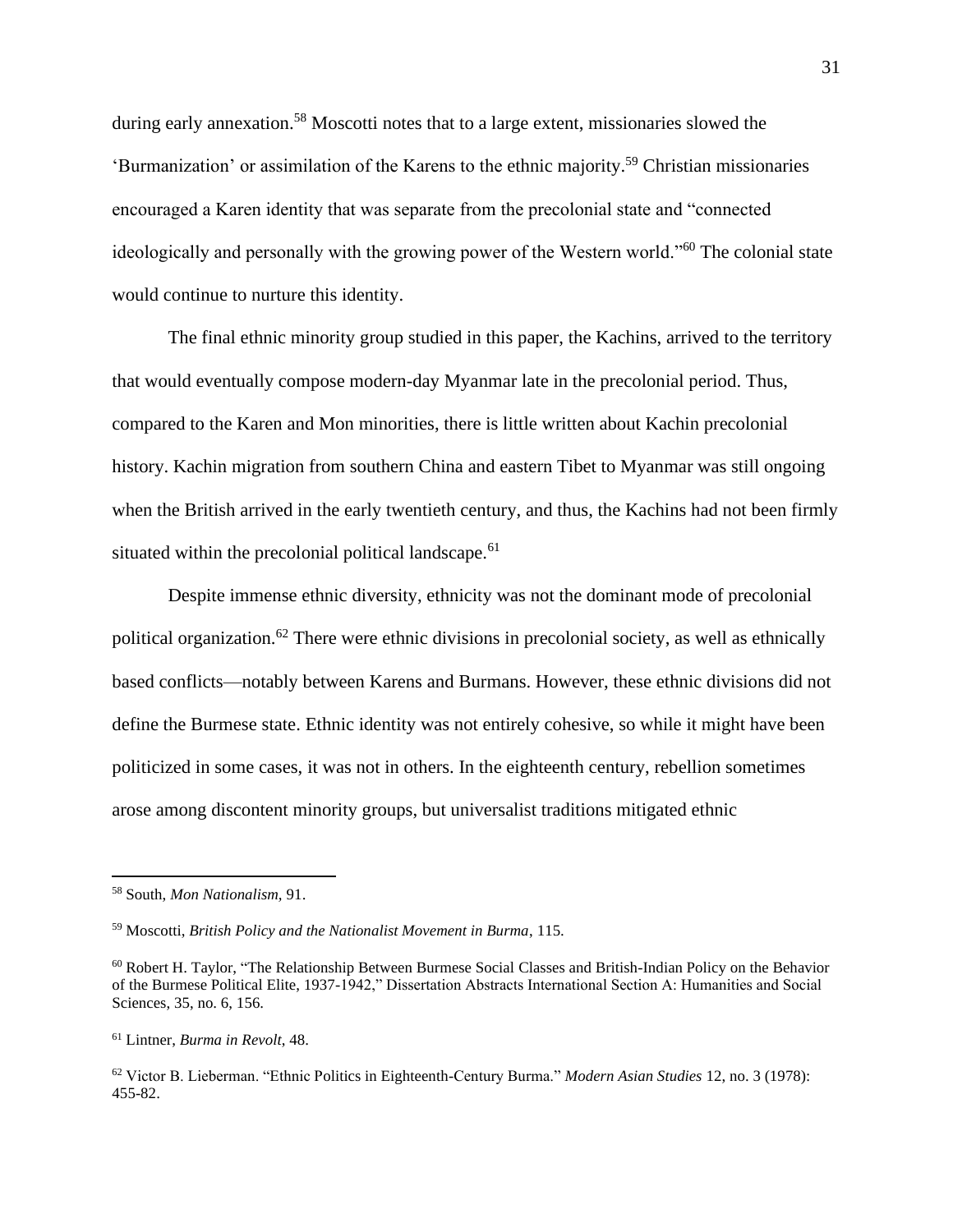during early annexation.<sup>58</sup> Moscotti notes that to a large extent, missionaries slowed the 'Burmanization' or assimilation of the Karens to the ethnic majority.<sup>59</sup> Christian missionaries encouraged a Karen identity that was separate from the precolonial state and "connected ideologically and personally with the growing power of the Western world."<sup>60</sup> The colonial state would continue to nurture this identity.

The final ethnic minority group studied in this paper, the Kachins, arrived to the territory that would eventually compose modern-day Myanmar late in the precolonial period. Thus, compared to the Karen and Mon minorities, there is little written about Kachin precolonial history. Kachin migration from southern China and eastern Tibet to Myanmar was still ongoing when the British arrived in the early twentieth century, and thus, the Kachins had not been firmly situated within the precolonial political landscape.<sup>61</sup>

Despite immense ethnic diversity, ethnicity was not the dominant mode of precolonial political organization.<sup>62</sup> There were ethnic divisions in precolonial society, as well as ethnically based conflicts—notably between Karens and Burmans. However, these ethnic divisions did not define the Burmese state. Ethnic identity was not entirely cohesive, so while it might have been politicized in some cases, it was not in others. In the eighteenth century, rebellion sometimes arose among discontent minority groups, but universalist traditions mitigated ethnic

<sup>61</sup> Lintner, *Burma in Revolt*, 48.

<sup>58</sup> South, *Mon Nationalism,* 91.

<sup>59</sup> Moscotti, *British Policy and the Nationalist Movement in Burma*, 115.

<sup>60</sup> Robert H. Taylor, "The Relationship Between Burmese Social Classes and British-Indian Policy on the Behavior of the Burmese Political Elite, 1937-1942," Dissertation Abstracts International Section A: Humanities and Social Sciences, 35, no. 6, 156.

<sup>62</sup> Victor B. Lieberman. "Ethnic Politics in Eighteenth-Century Burma." *Modern Asian Studies* 12, no. 3 (1978): 455-82.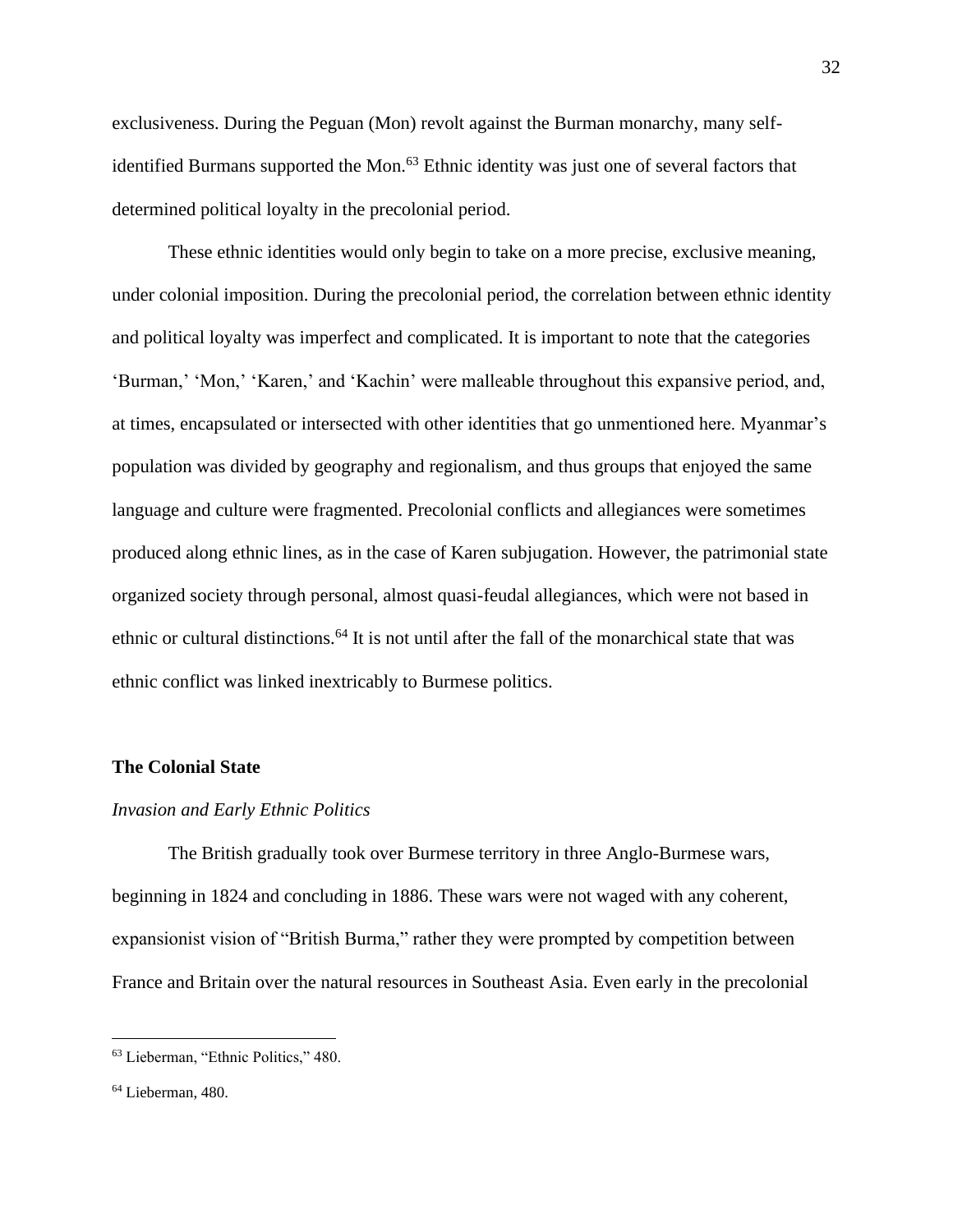exclusiveness. During the Peguan (Mon) revolt against the Burman monarchy, many selfidentified Burmans supported the Mon.<sup>63</sup> Ethnic identity was just one of several factors that determined political loyalty in the precolonial period.

These ethnic identities would only begin to take on a more precise, exclusive meaning, under colonial imposition. During the precolonial period, the correlation between ethnic identity and political loyalty was imperfect and complicated. It is important to note that the categories 'Burman,' 'Mon,' 'Karen,' and 'Kachin' were malleable throughout this expansive period, and, at times, encapsulated or intersected with other identities that go unmentioned here. Myanmar's population was divided by geography and regionalism, and thus groups that enjoyed the same language and culture were fragmented. Precolonial conflicts and allegiances were sometimes produced along ethnic lines, as in the case of Karen subjugation. However, the patrimonial state organized society through personal, almost quasi-feudal allegiances, which were not based in ethnic or cultural distinctions.<sup>64</sup> It is not until after the fall of the monarchical state that was ethnic conflict was linked inextricably to Burmese politics.

#### **The Colonial State**

#### *Invasion and Early Ethnic Politics*

The British gradually took over Burmese territory in three Anglo-Burmese wars, beginning in 1824 and concluding in 1886. These wars were not waged with any coherent, expansionist vision of "British Burma," rather they were prompted by competition between France and Britain over the natural resources in Southeast Asia. Even early in the precolonial

<sup>63</sup> Lieberman, "Ethnic Politics," 480.

<sup>64</sup> Lieberman, 480.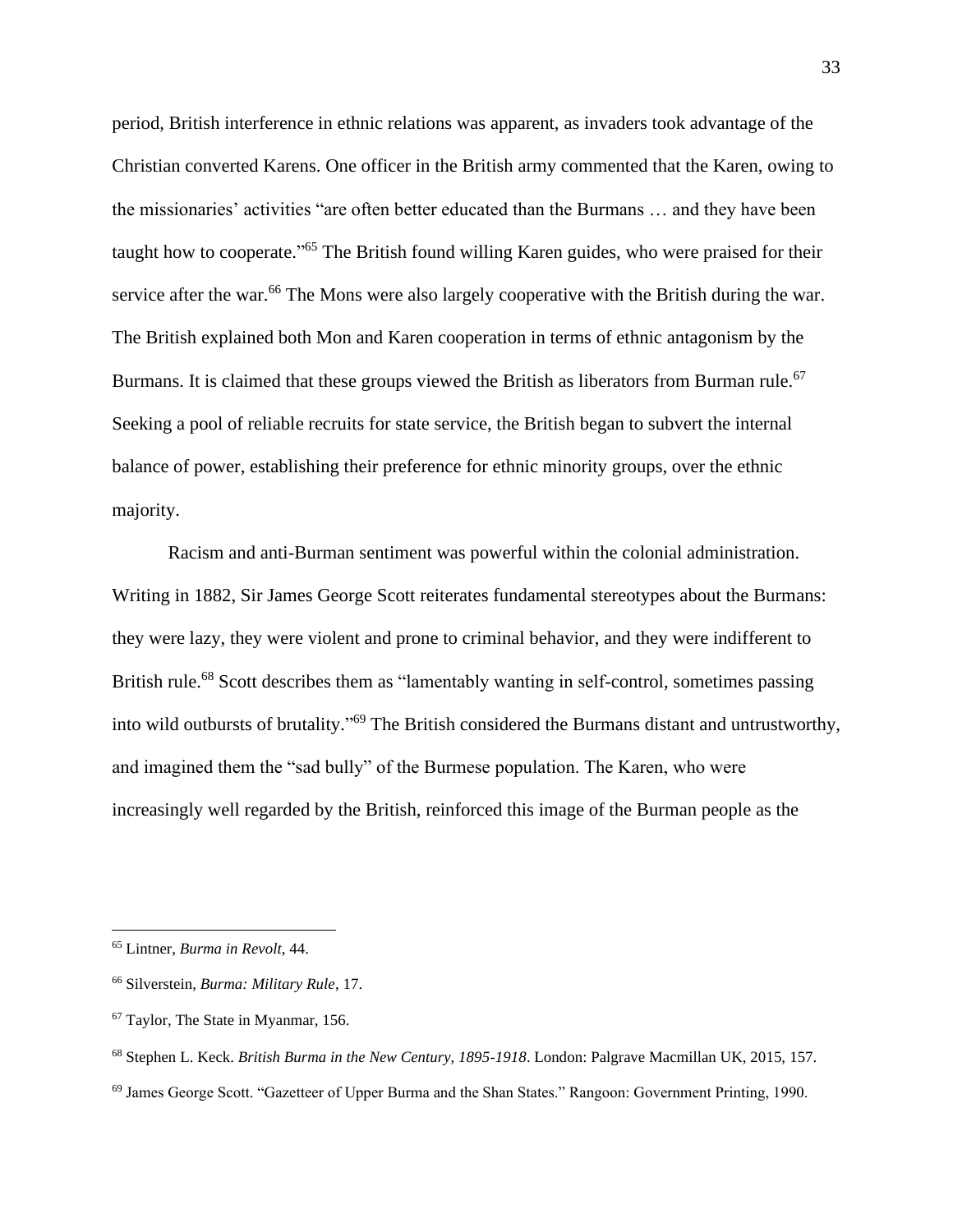period, British interference in ethnic relations was apparent, as invaders took advantage of the Christian converted Karens. One officer in the British army commented that the Karen, owing to the missionaries' activities "are often better educated than the Burmans … and they have been taught how to cooperate."<sup>65</sup> The British found willing Karen guides, who were praised for their service after the war.<sup>66</sup> The Mons were also largely cooperative with the British during the war. The British explained both Mon and Karen cooperation in terms of ethnic antagonism by the Burmans. It is claimed that these groups viewed the British as liberators from Burman rule.<sup>67</sup> Seeking a pool of reliable recruits for state service, the British began to subvert the internal balance of power, establishing their preference for ethnic minority groups, over the ethnic majority.

Racism and anti-Burman sentiment was powerful within the colonial administration. Writing in 1882, Sir James George Scott reiterates fundamental stereotypes about the Burmans: they were lazy, they were violent and prone to criminal behavior, and they were indifferent to British rule.<sup>68</sup> Scott describes them as "lamentably wanting in self-control, sometimes passing into wild outbursts of brutality."<sup>69</sup> The British considered the Burmans distant and untrustworthy, and imagined them the "sad bully" of the Burmese population. The Karen, who were increasingly well regarded by the British, reinforced this image of the Burman people as the

<sup>65</sup> Lintner, *Burma in Revolt*, 44.

<sup>66</sup> Silverstein, *Burma: Military Rule*, 17.

<sup>67</sup> Taylor, The State in Myanmar, 156.

<sup>68</sup> Stephen L. Keck. *British Burma in the New Century, 1895-1918*. London: Palgrave Macmillan UK, 2015, 157.

<sup>69</sup> James George Scott. "Gazetteer of Upper Burma and the Shan States." Rangoon: Government Printing, 1990.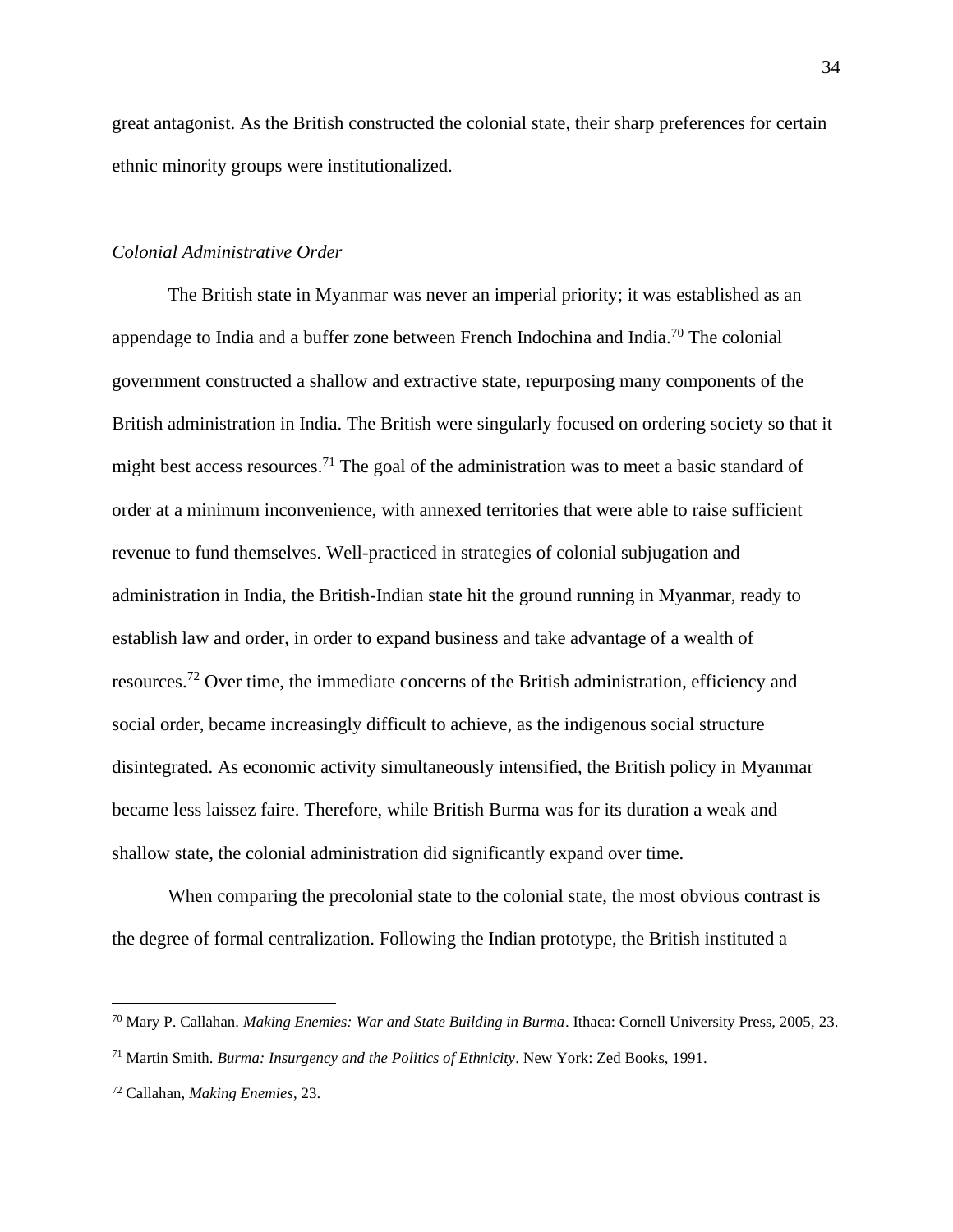great antagonist. As the British constructed the colonial state, their sharp preferences for certain ethnic minority groups were institutionalized.

#### *Colonial Administrative Order*

The British state in Myanmar was never an imperial priority; it was established as an appendage to India and a buffer zone between French Indochina and India.<sup>70</sup> The colonial government constructed a shallow and extractive state, repurposing many components of the British administration in India. The British were singularly focused on ordering society so that it might best access resources.<sup>71</sup> The goal of the administration was to meet a basic standard of order at a minimum inconvenience, with annexed territories that were able to raise sufficient revenue to fund themselves. Well-practiced in strategies of colonial subjugation and administration in India, the British-Indian state hit the ground running in Myanmar, ready to establish law and order, in order to expand business and take advantage of a wealth of resources.<sup>72</sup> Over time, the immediate concerns of the British administration, efficiency and social order, became increasingly difficult to achieve, as the indigenous social structure disintegrated. As economic activity simultaneously intensified, the British policy in Myanmar became less laissez faire. Therefore, while British Burma was for its duration a weak and shallow state, the colonial administration did significantly expand over time.

When comparing the precolonial state to the colonial state, the most obvious contrast is the degree of formal centralization. Following the Indian prototype, the British instituted a

<sup>70</sup> Mary P. Callahan. *Making Enemies: War and State Building in Burma*. Ithaca: Cornell University Press, 2005, 23.

<sup>71</sup> Martin Smith. *Burma: Insurgency and the Politics of Ethnicity*. New York: Zed Books, 1991.

<sup>72</sup> Callahan, *Making Enemies*, 23.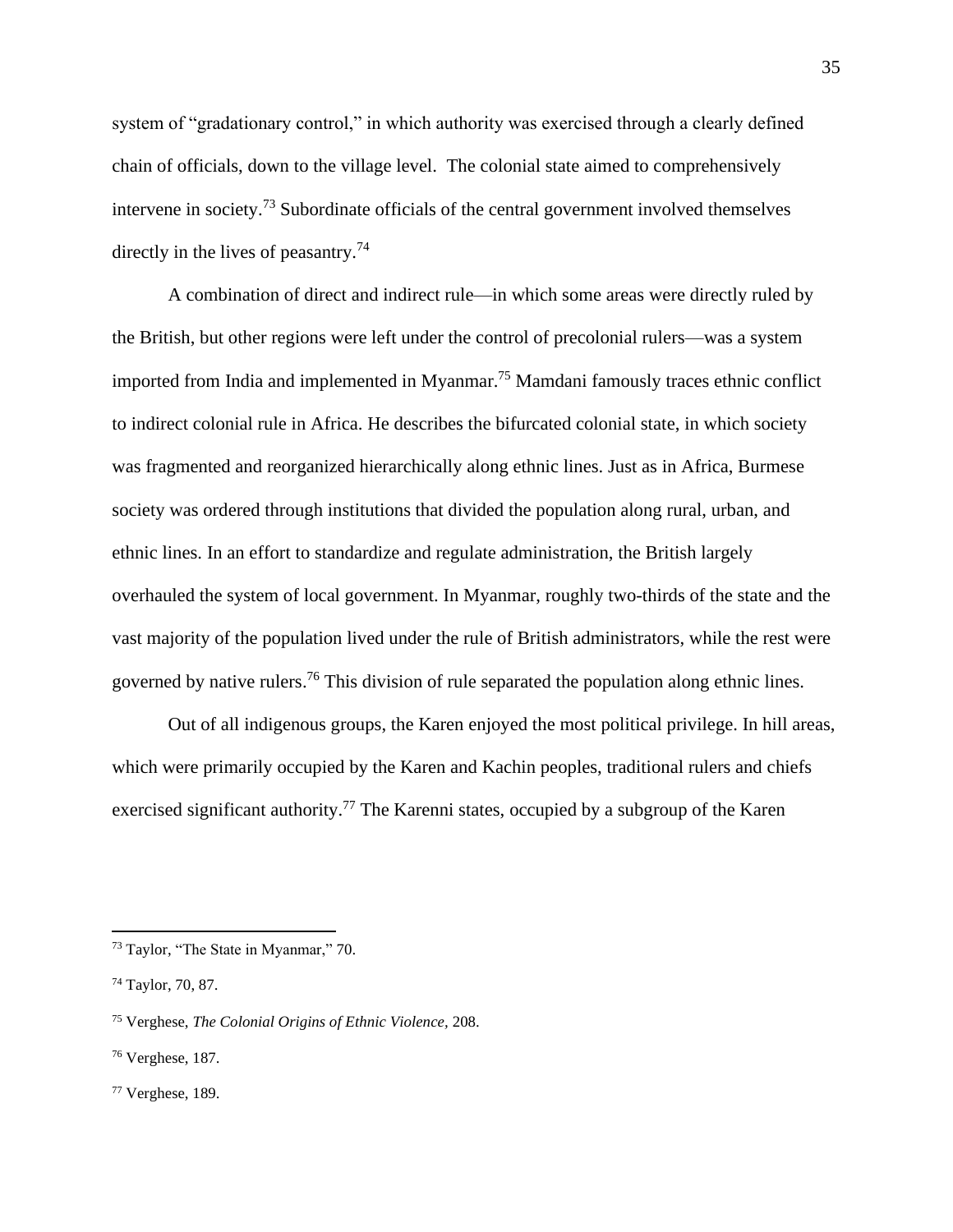system of "gradationary control," in which authority was exercised through a clearly defined chain of officials, down to the village level. The colonial state aimed to comprehensively intervene in society.<sup>73</sup> Subordinate officials of the central government involved themselves directly in the lives of peasantry.<sup>74</sup>

A combination of direct and indirect rule—in which some areas were directly ruled by the British, but other regions were left under the control of precolonial rulers—was a system imported from India and implemented in Myanmar. <sup>75</sup> Mamdani famously traces ethnic conflict to indirect colonial rule in Africa. He describes the bifurcated colonial state, in which society was fragmented and reorganized hierarchically along ethnic lines. Just as in Africa, Burmese society was ordered through institutions that divided the population along rural, urban, and ethnic lines. In an effort to standardize and regulate administration, the British largely overhauled the system of local government. In Myanmar, roughly two-thirds of the state and the vast majority of the population lived under the rule of British administrators, while the rest were governed by native rulers.<sup>76</sup> This division of rule separated the population along ethnic lines.

Out of all indigenous groups, the Karen enjoyed the most political privilege. In hill areas, which were primarily occupied by the Karen and Kachin peoples, traditional rulers and chiefs exercised significant authority.<sup>77</sup> The Karenni states, occupied by a subgroup of the Karen

<sup>73</sup> Taylor, "The State in Myanmar," 70.

<sup>74</sup> Taylor, 70, 87.

<sup>75</sup> Verghese, *The Colonial Origins of Ethnic Violence,* 208.

<sup>76</sup> Verghese, 187.

 $77$  Verghese, 189.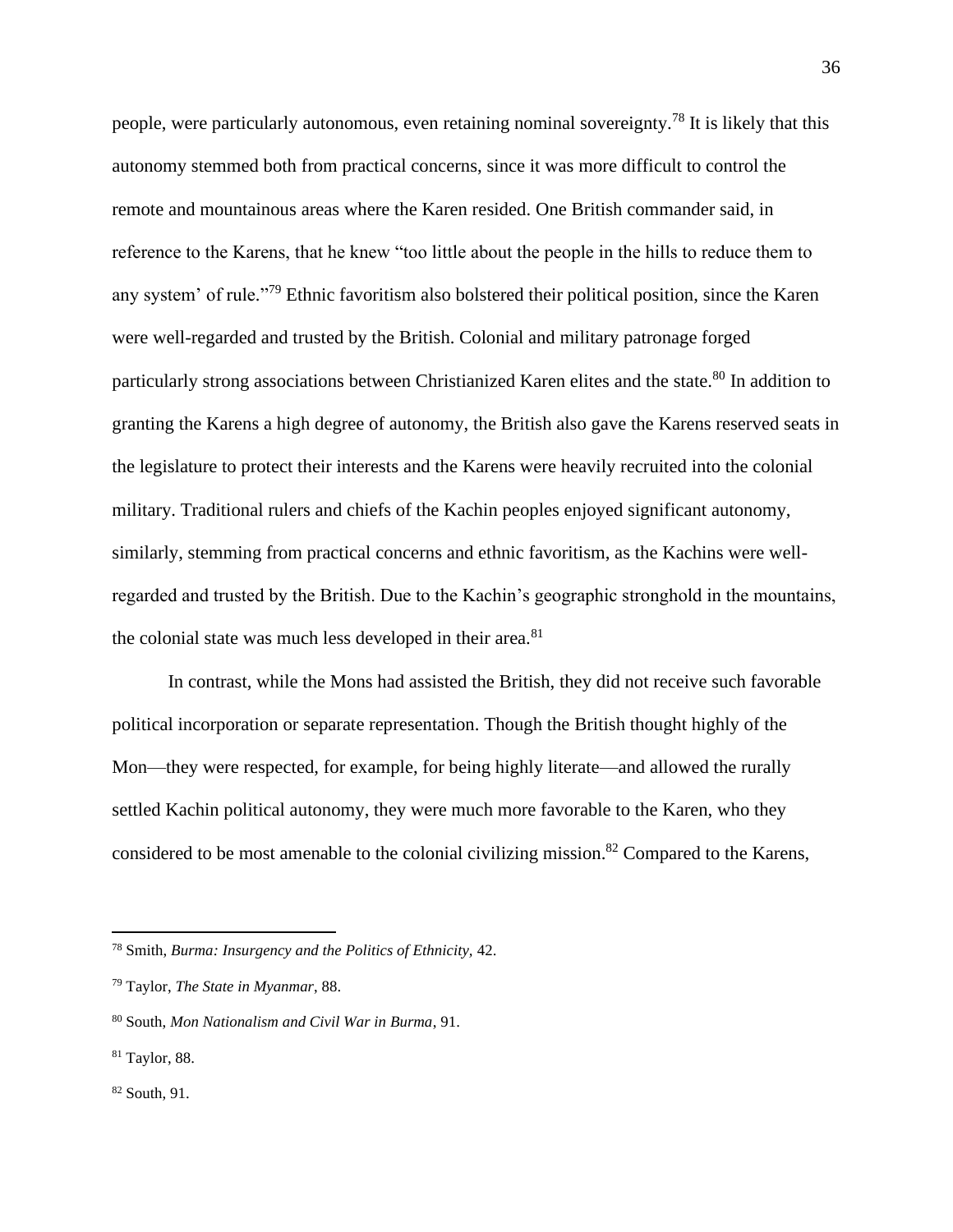people, were particularly autonomous, even retaining nominal sovereignty.<sup>78</sup> It is likely that this autonomy stemmed both from practical concerns, since it was more difficult to control the remote and mountainous areas where the Karen resided. One British commander said, in reference to the Karens, that he knew "too little about the people in the hills to reduce them to any system' of rule."<sup>79</sup> Ethnic favoritism also bolstered their political position, since the Karen were well-regarded and trusted by the British. Colonial and military patronage forged particularly strong associations between Christianized Karen elites and the state.<sup>80</sup> In addition to granting the Karens a high degree of autonomy, the British also gave the Karens reserved seats in the legislature to protect their interests and the Karens were heavily recruited into the colonial military. Traditional rulers and chiefs of the Kachin peoples enjoyed significant autonomy, similarly, stemming from practical concerns and ethnic favoritism, as the Kachins were wellregarded and trusted by the British. Due to the Kachin's geographic stronghold in the mountains, the colonial state was much less developed in their area.<sup>81</sup>

In contrast, while the Mons had assisted the British, they did not receive such favorable political incorporation or separate representation. Though the British thought highly of the Mon—they were respected, for example, for being highly literate—and allowed the rurally settled Kachin political autonomy, they were much more favorable to the Karen, who they considered to be most amenable to the colonial civilizing mission.<sup>82</sup> Compared to the Karens,

<sup>78</sup> Smith, *Burma: Insurgency and the Politics of Ethnicity,* 42.

<sup>79</sup> Taylor, *The State in Myanmar*, 88.

<sup>80</sup> South, *Mon Nationalism and Civil War in Burma*, 91.

<sup>81</sup> Taylor, 88.

<sup>82</sup> South, 91.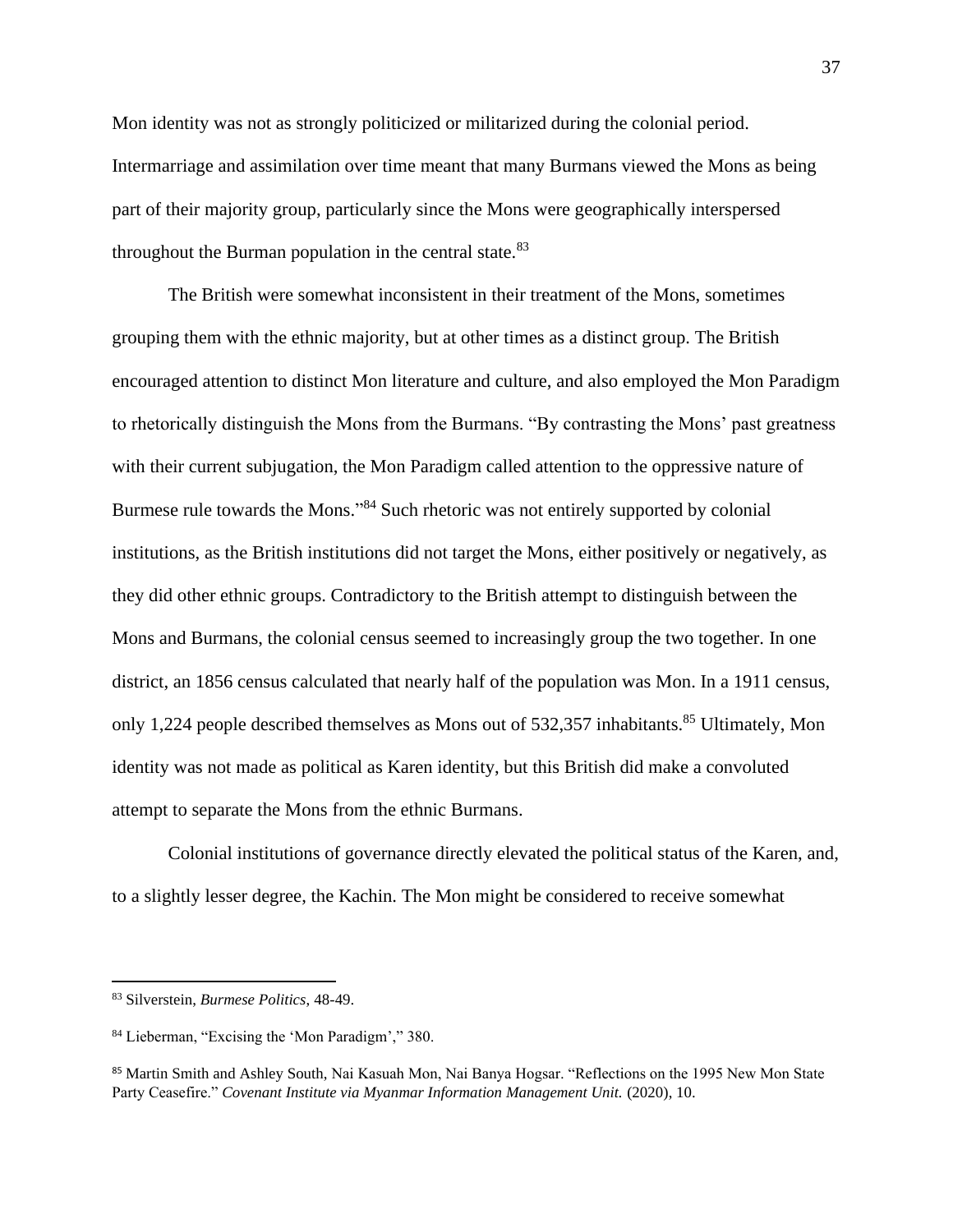Mon identity was not as strongly politicized or militarized during the colonial period. Intermarriage and assimilation over time meant that many Burmans viewed the Mons as being part of their majority group, particularly since the Mons were geographically interspersed throughout the Burman population in the central state. $83$ 

The British were somewhat inconsistent in their treatment of the Mons, sometimes grouping them with the ethnic majority, but at other times as a distinct group. The British encouraged attention to distinct Mon literature and culture, and also employed the Mon Paradigm to rhetorically distinguish the Mons from the Burmans. "By contrasting the Mons' past greatness with their current subjugation, the Mon Paradigm called attention to the oppressive nature of Burmese rule towards the Mons."<sup>84</sup> Such rhetoric was not entirely supported by colonial institutions, as the British institutions did not target the Mons, either positively or negatively, as they did other ethnic groups. Contradictory to the British attempt to distinguish between the Mons and Burmans, the colonial census seemed to increasingly group the two together. In one district, an 1856 census calculated that nearly half of the population was Mon. In a 1911 census, only 1,224 people described themselves as Mons out of 532,357 inhabitants.<sup>85</sup> Ultimately, Mon identity was not made as political as Karen identity, but this British did make a convoluted attempt to separate the Mons from the ethnic Burmans.

Colonial institutions of governance directly elevated the political status of the Karen, and, to a slightly lesser degree, the Kachin. The Mon might be considered to receive somewhat

<sup>83</sup> Silverstein, *Burmese Politics*, 48-49.

<sup>84</sup> Lieberman, "Excising the 'Mon Paradigm'," 380.

<sup>85</sup> Martin Smith and Ashley South, Nai Kasuah Mon, Nai Banya Hogsar. "Reflections on the 1995 New Mon State Party Ceasefire." *Covenant Institute via Myanmar Information Management Unit.* (2020), 10.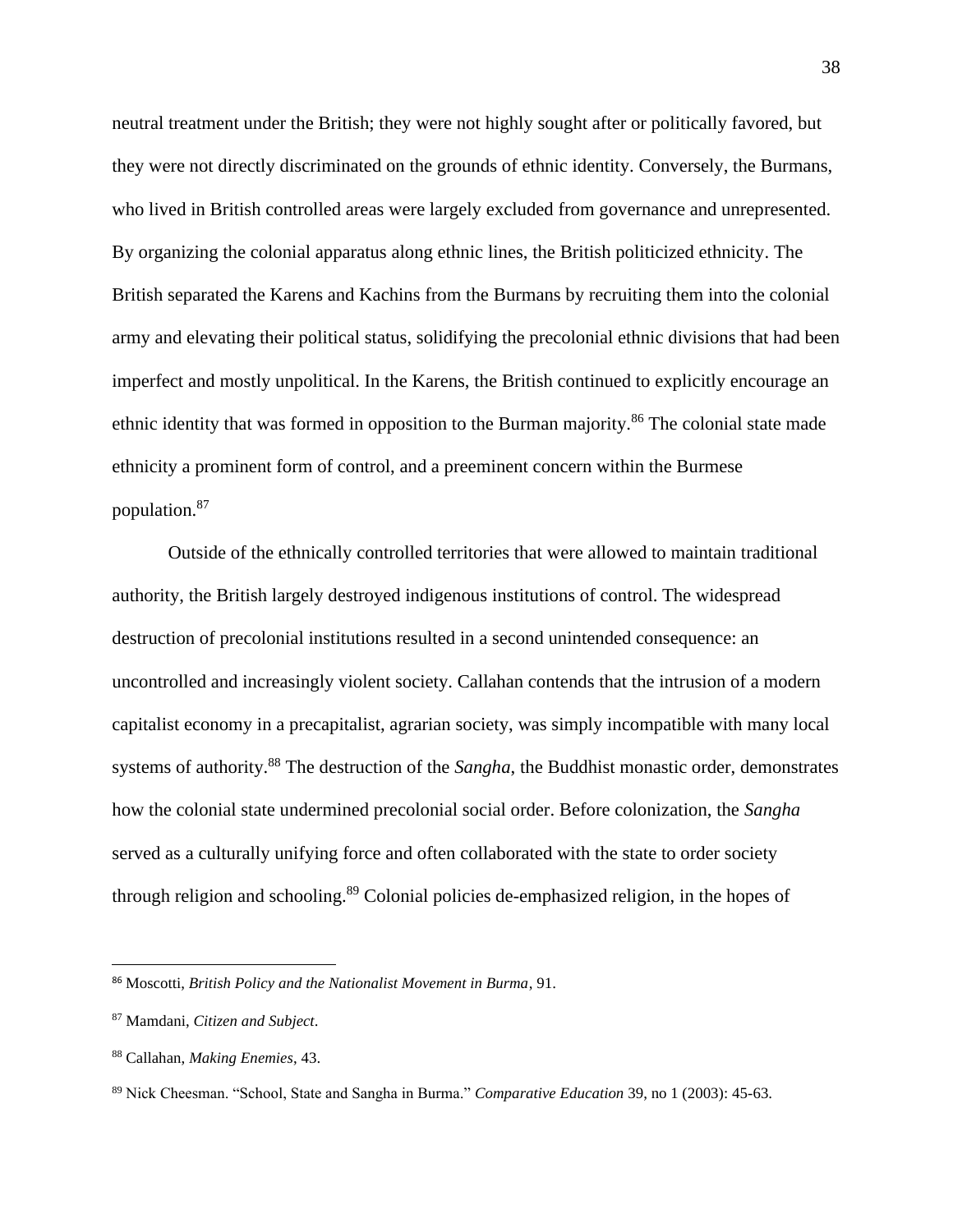neutral treatment under the British; they were not highly sought after or politically favored, but they were not directly discriminated on the grounds of ethnic identity. Conversely, the Burmans, who lived in British controlled areas were largely excluded from governance and unrepresented. By organizing the colonial apparatus along ethnic lines, the British politicized ethnicity. The British separated the Karens and Kachins from the Burmans by recruiting them into the colonial army and elevating their political status, solidifying the precolonial ethnic divisions that had been imperfect and mostly unpolitical. In the Karens, the British continued to explicitly encourage an ethnic identity that was formed in opposition to the Burman majority.<sup>86</sup> The colonial state made ethnicity a prominent form of control, and a preeminent concern within the Burmese population.<sup>87</sup>

Outside of the ethnically controlled territories that were allowed to maintain traditional authority, the British largely destroyed indigenous institutions of control. The widespread destruction of precolonial institutions resulted in a second unintended consequence: an uncontrolled and increasingly violent society. Callahan contends that the intrusion of a modern capitalist economy in a precapitalist, agrarian society, was simply incompatible with many local systems of authority.<sup>88</sup> The destruction of the *Sangha*, the Buddhist monastic order, demonstrates how the colonial state undermined precolonial social order. Before colonization, the *Sangha* served as a culturally unifying force and often collaborated with the state to order society through religion and schooling.<sup>89</sup> Colonial policies de-emphasized religion, in the hopes of

<sup>86</sup> Moscotti, *British Policy and the Nationalist Movement in Burma*, 91.

<sup>87</sup> Mamdani, *Citizen and Subject*.

<sup>88</sup> Callahan, *Making Enemies*, 43.

<sup>89</sup> Nick Cheesman. "School, State and Sangha in Burma." *Comparative Education* 39, no 1 (2003): 45-63.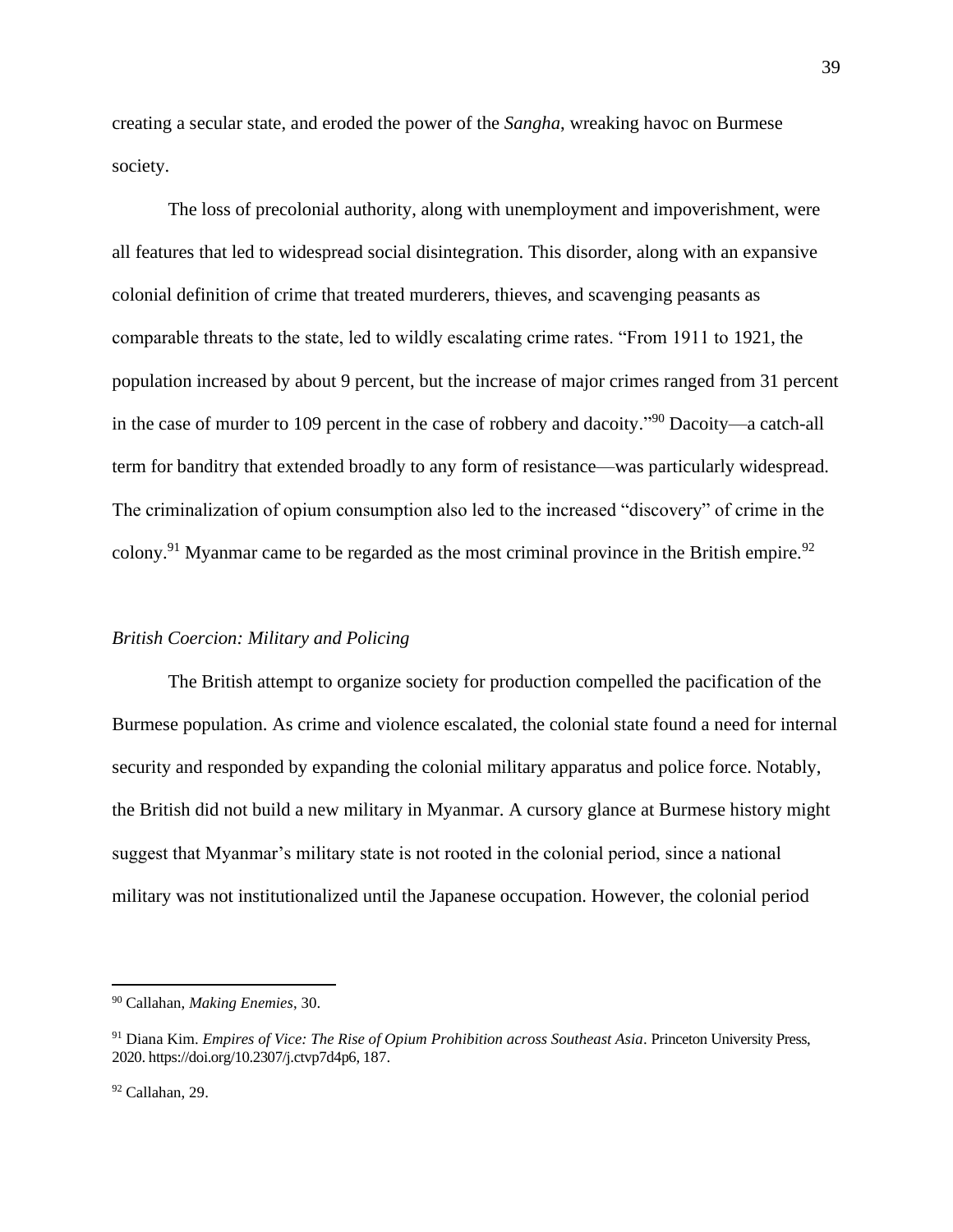creating a secular state, and eroded the power of the *Sangha*, wreaking havoc on Burmese society.

The loss of precolonial authority, along with unemployment and impoverishment, were all features that led to widespread social disintegration. This disorder, along with an expansive colonial definition of crime that treated murderers, thieves, and scavenging peasants as comparable threats to the state, led to wildly escalating crime rates. "From 1911 to 1921, the population increased by about 9 percent, but the increase of major crimes ranged from 31 percent in the case of murder to 109 percent in the case of robbery and dacoity."<sup>90</sup> Dacoity—a catch-all term for banditry that extended broadly to any form of resistance—was particularly widespread. The criminalization of opium consumption also led to the increased "discovery" of crime in the colony.<sup>91</sup> Myanmar came to be regarded as the most criminal province in the British empire.<sup>92</sup>

## *British Coercion: Military and Policing*

The British attempt to organize society for production compelled the pacification of the Burmese population. As crime and violence escalated, the colonial state found a need for internal security and responded by expanding the colonial military apparatus and police force. Notably, the British did not build a new military in Myanmar. A cursory glance at Burmese history might suggest that Myanmar's military state is not rooted in the colonial period, since a national military was not institutionalized until the Japanese occupation. However, the colonial period

<sup>90</sup> Callahan, *Making Enemies*, 30.

<sup>91</sup> Diana Kim. *Empires of Vice: The Rise of Opium Prohibition across Southeast Asia*. Princeton University Press, 2020. https://doi.org/10.2307/j.ctvp7d4p6, 187.

<sup>92</sup> Callahan, 29.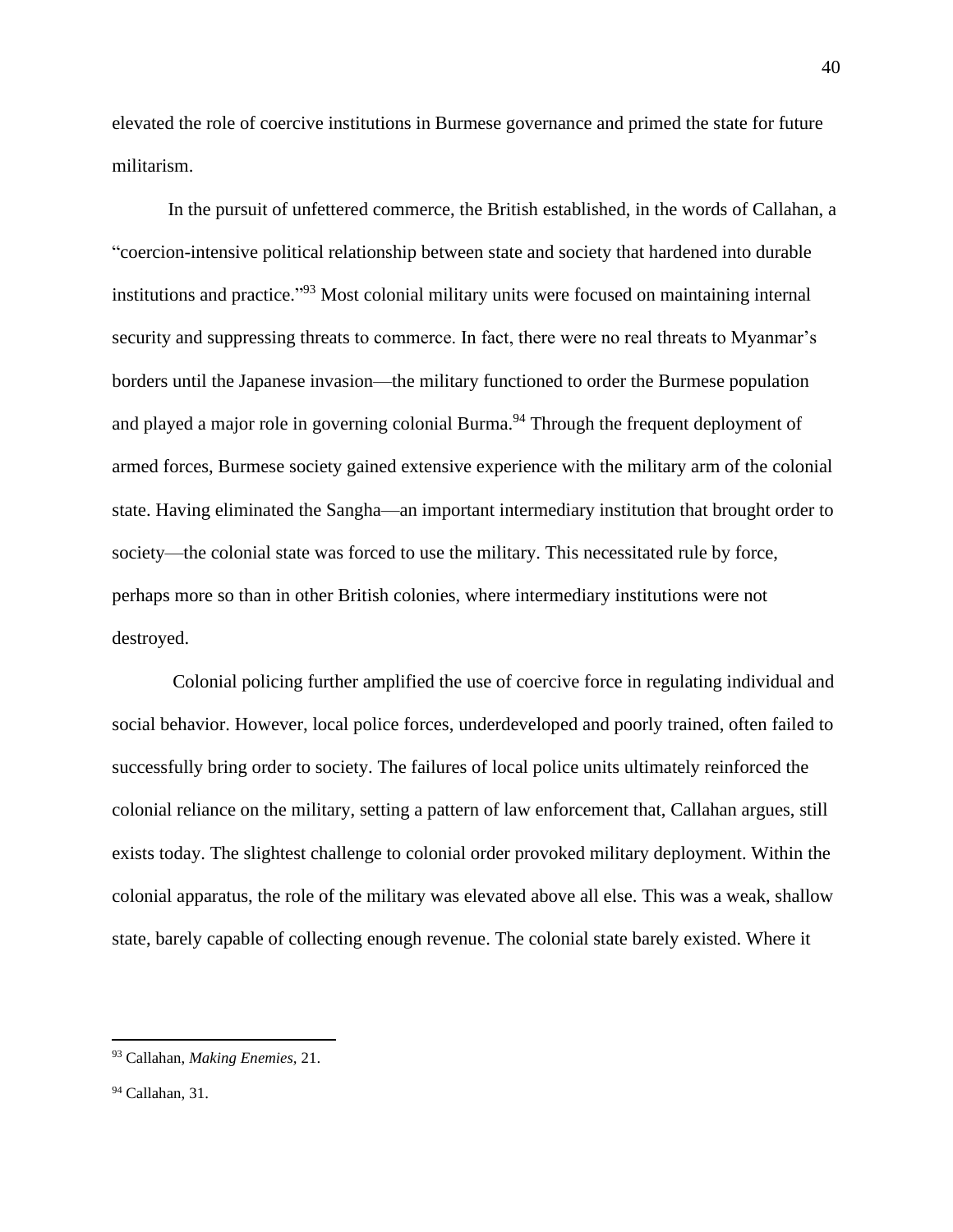elevated the role of coercive institutions in Burmese governance and primed the state for future militarism.

In the pursuit of unfettered commerce, the British established, in the words of Callahan, a "coercion-intensive political relationship between state and society that hardened into durable institutions and practice." <sup>93</sup> Most colonial military units were focused on maintaining internal security and suppressing threats to commerce. In fact, there were no real threats to Myanmar's borders until the Japanese invasion—the military functioned to order the Burmese population and played a major role in governing colonial Burma.<sup>94</sup> Through the frequent deployment of armed forces, Burmese society gained extensive experience with the military arm of the colonial state. Having eliminated the Sangha—an important intermediary institution that brought order to society—the colonial state was forced to use the military. This necessitated rule by force, perhaps more so than in other British colonies, where intermediary institutions were not destroyed.

Colonial policing further amplified the use of coercive force in regulating individual and social behavior. However, local police forces, underdeveloped and poorly trained, often failed to successfully bring order to society. The failures of local police units ultimately reinforced the colonial reliance on the military, setting a pattern of law enforcement that, Callahan argues, still exists today. The slightest challenge to colonial order provoked military deployment. Within the colonial apparatus, the role of the military was elevated above all else. This was a weak, shallow state, barely capable of collecting enough revenue. The colonial state barely existed. Where it

<sup>93</sup> Callahan, *Making Enemies,* 21.

 $94$  Callahan, 31.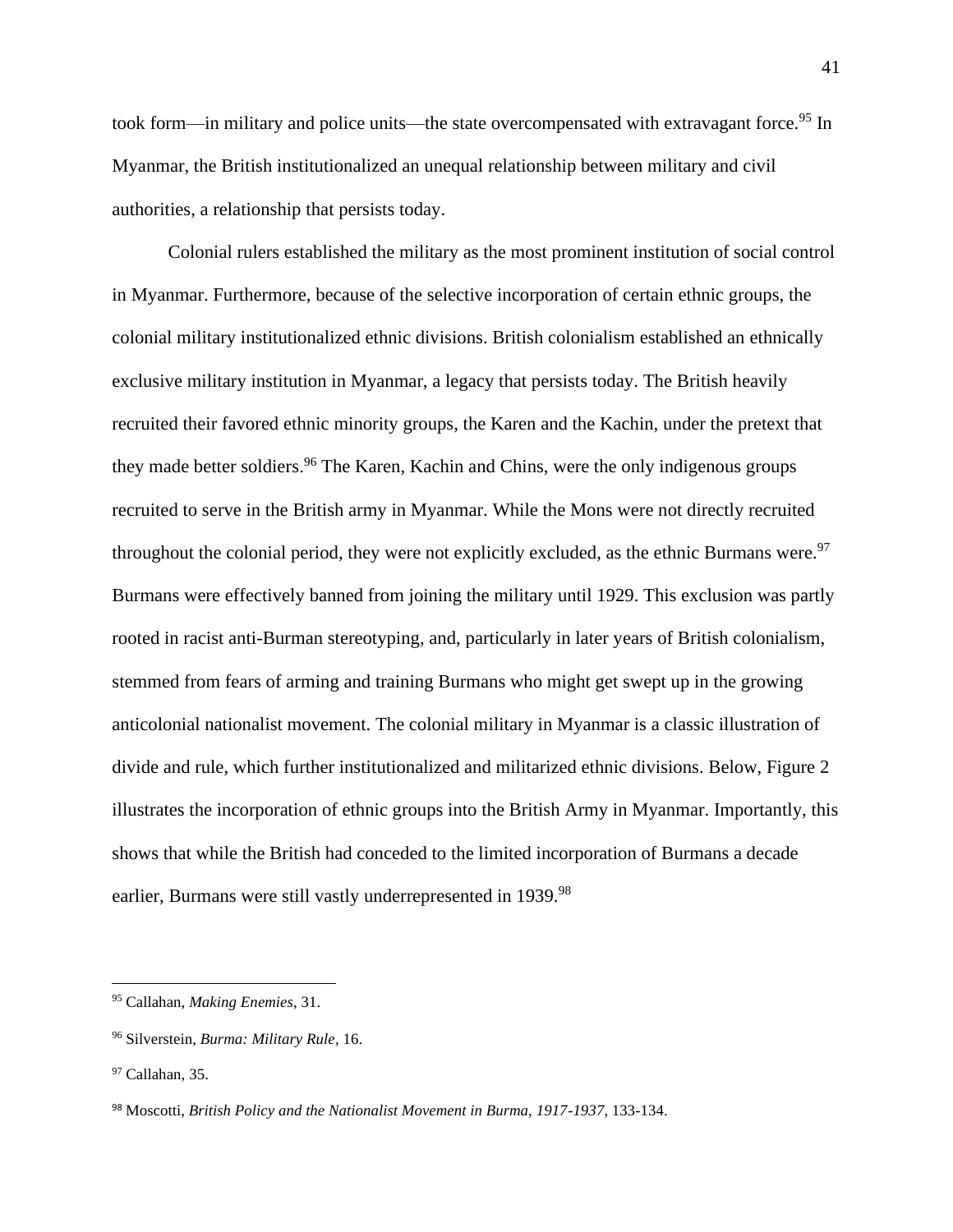took form—in military and police units—the state overcompensated with extravagant force.<sup>95</sup> In Myanmar, the British institutionalized an unequal relationship between military and civil authorities, a relationship that persists today.

Colonial rulers established the military as the most prominent institution of social control in Myanmar. Furthermore, because of the selective incorporation of certain ethnic groups, the colonial military institutionalized ethnic divisions. British colonialism established an ethnically exclusive military institution in Myanmar, a legacy that persists today. The British heavily recruited their favored ethnic minority groups, the Karen and the Kachin, under the pretext that they made better soldiers.<sup>96</sup> The Karen, Kachin and Chins, were the only indigenous groups recruited to serve in the British army in Myanmar. While the Mons were not directly recruited throughout the colonial period, they were not explicitly excluded, as the ethnic Burmans were.<sup>97</sup> Burmans were effectively banned from joining the military until 1929. This exclusion was partly rooted in racist anti-Burman stereotyping, and, particularly in later years of British colonialism, stemmed from fears of arming and training Burmans who might get swept up in the growing anticolonial nationalist movement. The colonial military in Myanmar is a classic illustration of divide and rule, which further institutionalized and militarized ethnic divisions. Below, Figure 2 illustrates the incorporation of ethnic groups into the British Army in Myanmar. Importantly, this shows that while the British had conceded to the limited incorporation of Burmans a decade earlier, Burmans were still vastly underrepresented in 1939.<sup>98</sup>

<sup>95</sup> Callahan, *Making Enemies*, 31.

<sup>96</sup> Silverstein, *Burma: Military Rule,* 16.

<sup>&</sup>lt;sup>97</sup> Callahan, 35.

<sup>98</sup> Moscotti, *British Policy and the Nationalist Movement in Burma, 1917-1937*, 133-134.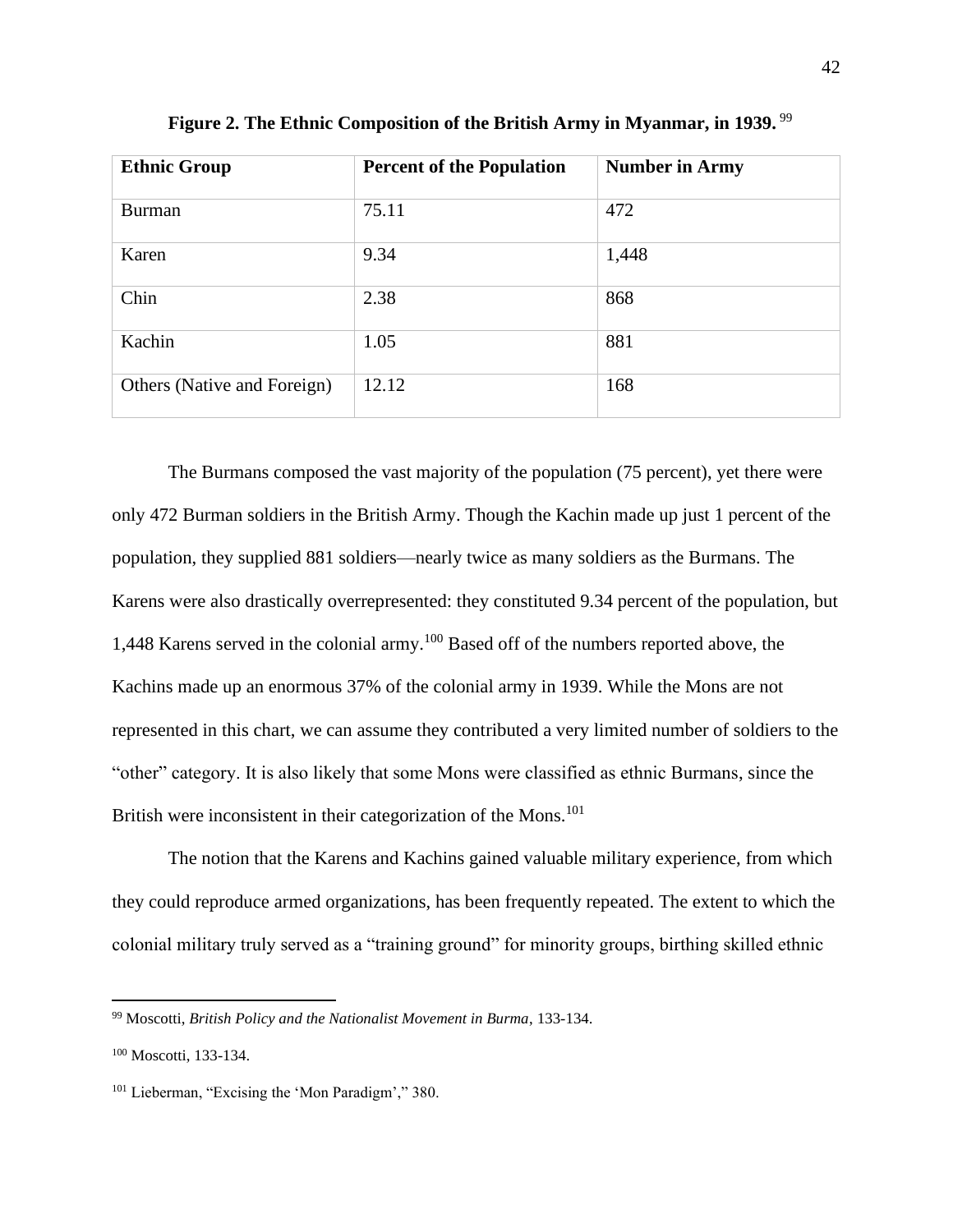| <b>Ethnic Group</b>         | <b>Percent of the Population</b> | <b>Number in Army</b> |
|-----------------------------|----------------------------------|-----------------------|
| <b>Burman</b>               | 75.11                            | 472                   |
| Karen                       | 9.34                             | 1,448                 |
| Chin                        | 2.38                             | 868                   |
| Kachin                      | 1.05                             | 881                   |
| Others (Native and Foreign) | 12.12                            | 168                   |

Figure 2. The Ethnic Composition of the British Army in Myanmar, in 1939.<sup>99</sup>

The Burmans composed the vast majority of the population (75 percent), yet there were only 472 Burman soldiers in the British Army. Though the Kachin made up just 1 percent of the population, they supplied 881 soldiers—nearly twice as many soldiers as the Burmans. The Karens were also drastically overrepresented: they constituted 9.34 percent of the population, but 1,448 Karens served in the colonial army.<sup>100</sup> Based off of the numbers reported above, the Kachins made up an enormous 37% of the colonial army in 1939. While the Mons are not represented in this chart, we can assume they contributed a very limited number of soldiers to the "other" category. It is also likely that some Mons were classified as ethnic Burmans, since the British were inconsistent in their categorization of the Mons.<sup>101</sup>

The notion that the Karens and Kachins gained valuable military experience, from which they could reproduce armed organizations, has been frequently repeated. The extent to which the colonial military truly served as a "training ground" for minority groups, birthing skilled ethnic

<sup>99</sup> Moscotti, *British Policy and the Nationalist Movement in Burma*, 133-134.

<sup>100</sup> Moscotti, 133-134.

<sup>101</sup> Lieberman, "Excising the 'Mon Paradigm'," 380.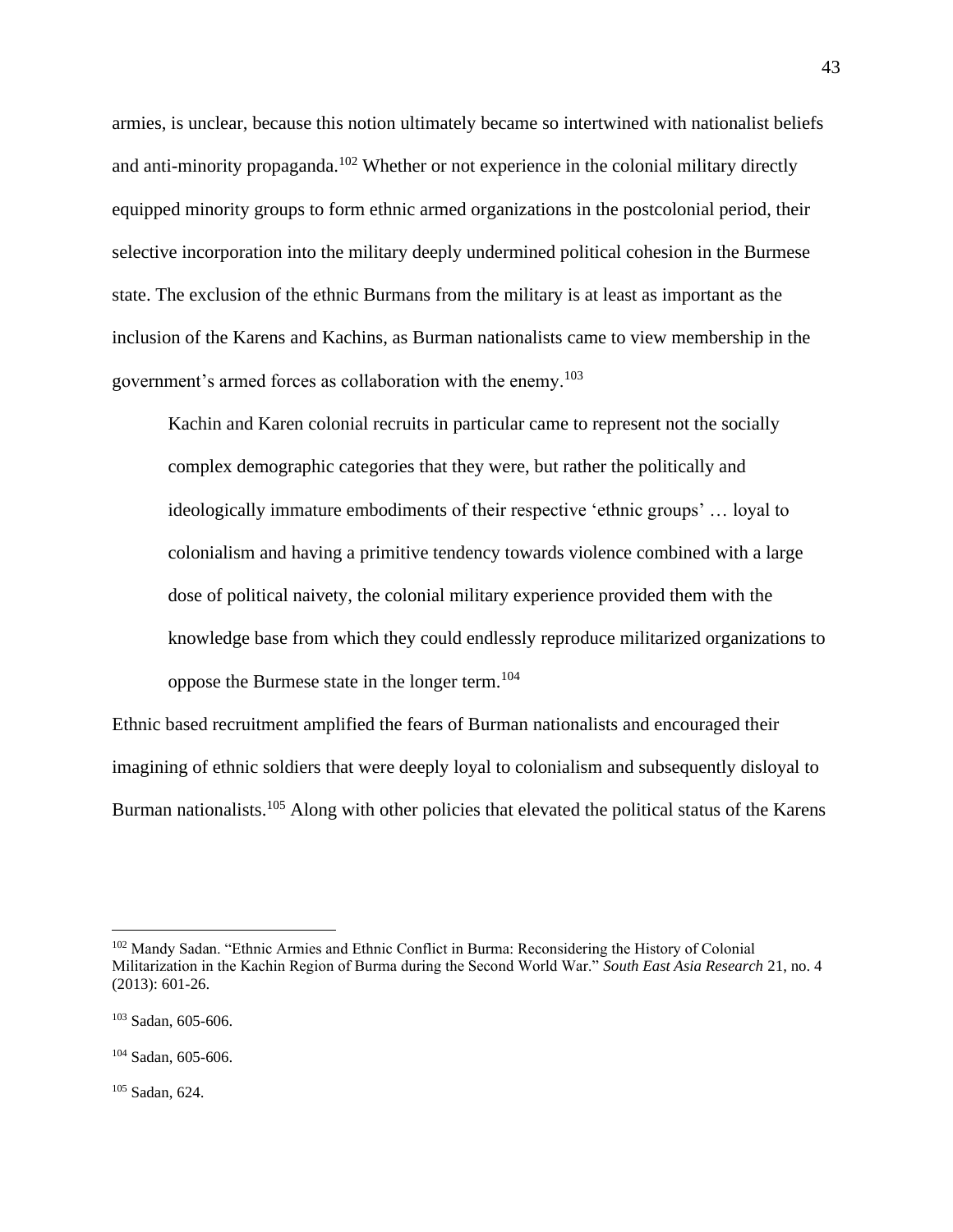armies, is unclear, because this notion ultimately became so intertwined with nationalist beliefs and anti-minority propaganda.<sup>102</sup> Whether or not experience in the colonial military directly equipped minority groups to form ethnic armed organizations in the postcolonial period, their selective incorporation into the military deeply undermined political cohesion in the Burmese state. The exclusion of the ethnic Burmans from the military is at least as important as the inclusion of the Karens and Kachins, as Burman nationalists came to view membership in the government's armed forces as collaboration with the enemy.<sup>103</sup>

Kachin and Karen colonial recruits in particular came to represent not the socially complex demographic categories that they were, but rather the politically and ideologically immature embodiments of their respective 'ethnic groups' … loyal to colonialism and having a primitive tendency towards violence combined with a large dose of political naivety, the colonial military experience provided them with the knowledge base from which they could endlessly reproduce militarized organizations to oppose the Burmese state in the longer term. 104

Ethnic based recruitment amplified the fears of Burman nationalists and encouraged their imagining of ethnic soldiers that were deeply loyal to colonialism and subsequently disloyal to Burman nationalists.<sup>105</sup> Along with other policies that elevated the political status of the Karens

<sup>105</sup> Sadan, 624.

<sup>102</sup> Mandy Sadan. "Ethnic Armies and Ethnic Conflict in Burma: Reconsidering the History of Colonial Militarization in the Kachin Region of Burma during the Second World War." *South East Asia Research* 21, no. 4 (2013): 601-26.

<sup>103</sup> Sadan, 605-606.

 $104$  Sadan, 605-606.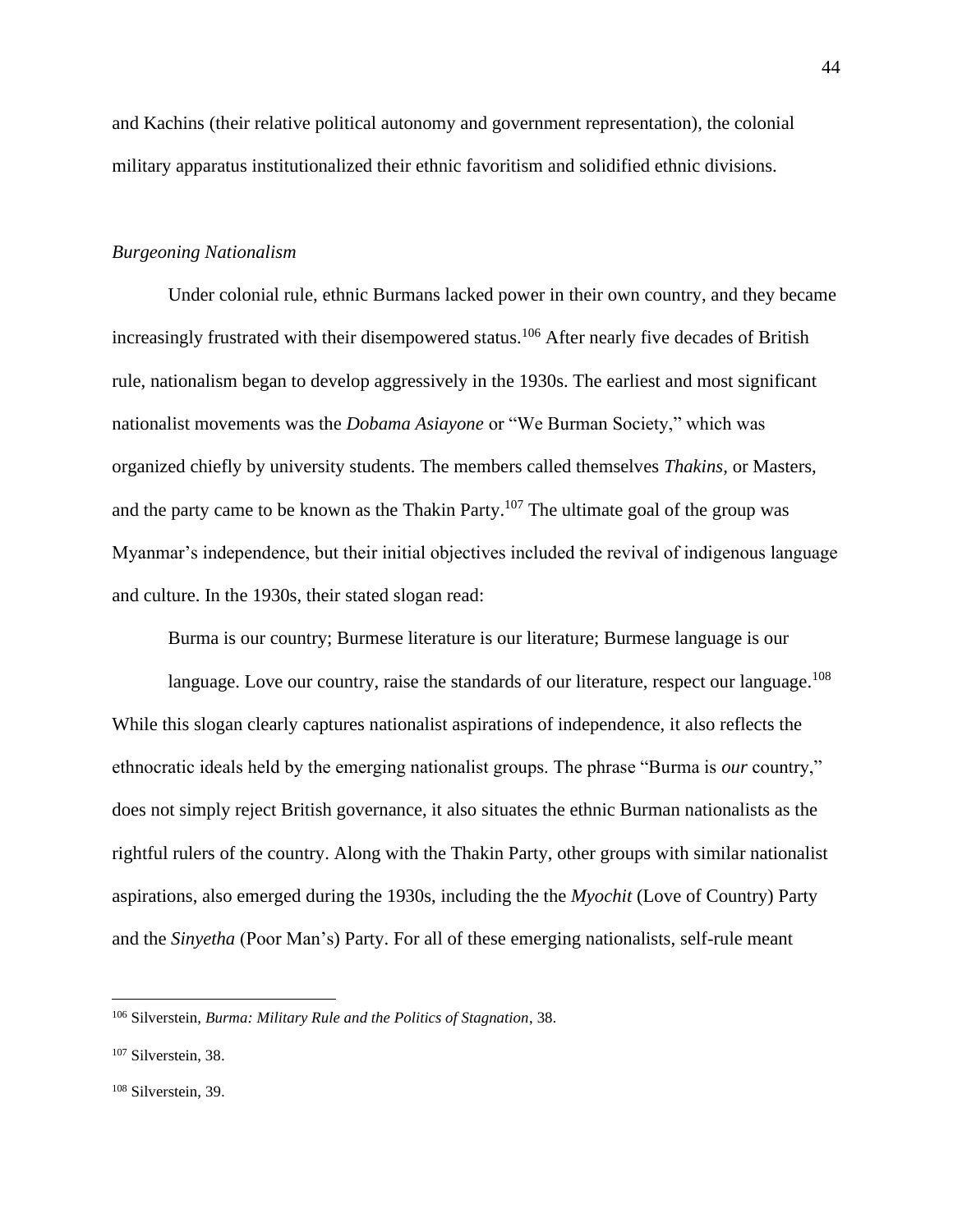and Kachins (their relative political autonomy and government representation), the colonial military apparatus institutionalized their ethnic favoritism and solidified ethnic divisions.

# *Burgeoning Nationalism*

Under colonial rule, ethnic Burmans lacked power in their own country, and they became increasingly frustrated with their disempowered status.<sup>106</sup> After nearly five decades of British rule, nationalism began to develop aggressively in the 1930s. The earliest and most significant nationalist movements was the *Dobama Asiayone* or "We Burman Society," which was organized chiefly by university students. The members called themselves *Thakins*, or Masters, and the party came to be known as the Thakin Party.<sup>107</sup> The ultimate goal of the group was Myanmar's independence, but their initial objectives included the revival of indigenous language and culture. In the 1930s, their stated slogan read:

Burma is our country; Burmese literature is our literature; Burmese language is our

language. Love our country, raise the standards of our literature, respect our language.<sup>108</sup> While this slogan clearly captures nationalist aspirations of independence, it also reflects the ethnocratic ideals held by the emerging nationalist groups. The phrase "Burma is *our* country," does not simply reject British governance, it also situates the ethnic Burman nationalists as the rightful rulers of the country. Along with the Thakin Party, other groups with similar nationalist aspirations, also emerged during the 1930s, including the the *Myochit* (Love of Country) Party and the *Sinyetha* (Poor Man's) Party. For all of these emerging nationalists, self-rule meant

<sup>106</sup> Silverstein, *Burma: Military Rule and the Politics of Stagnation*, 38.

<sup>107</sup> Silverstein, 38.

<sup>108</sup> Silverstein, 39.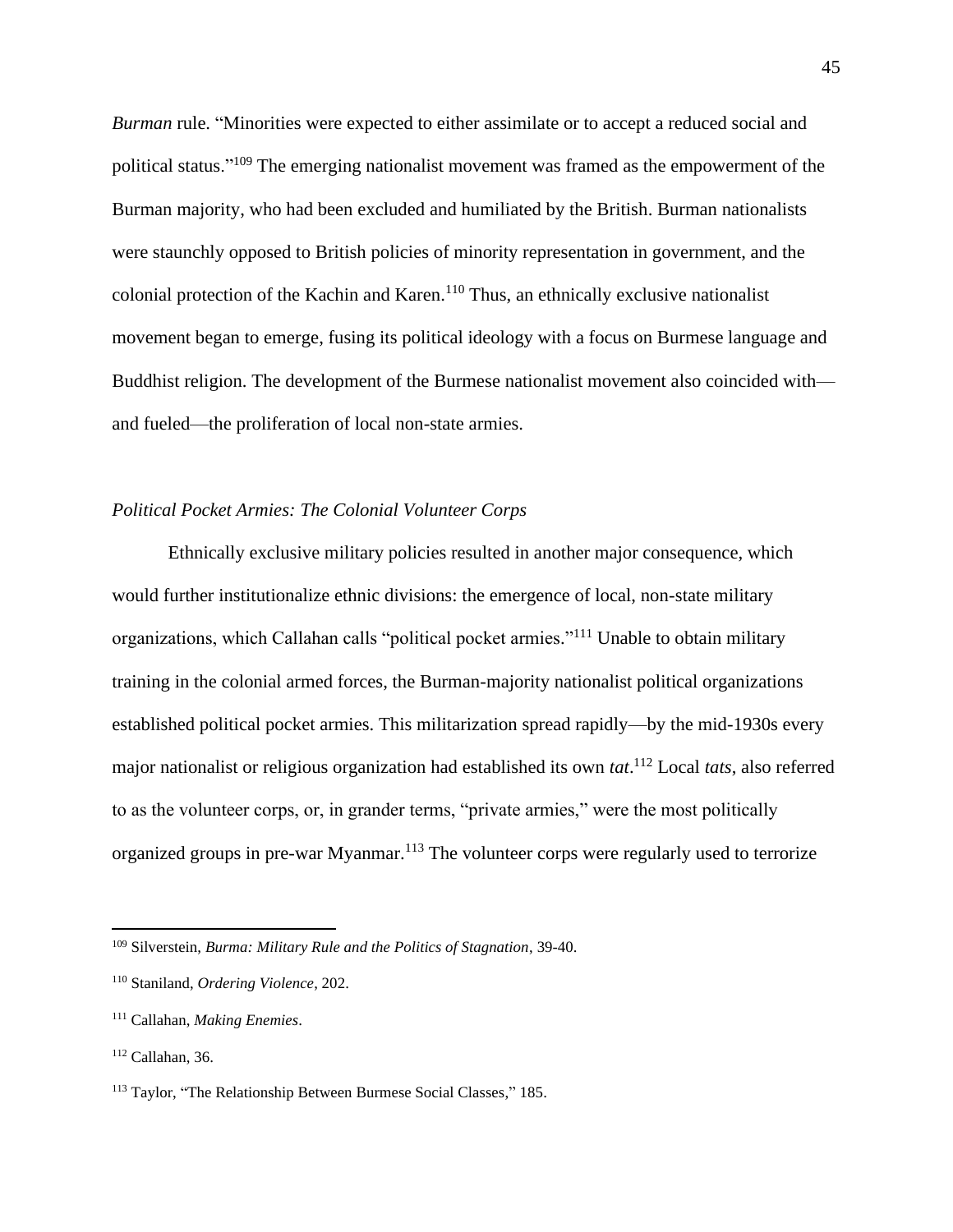*Burman* rule. "Minorities were expected to either assimilate or to accept a reduced social and political status."<sup>109</sup> The emerging nationalist movement was framed as the empowerment of the Burman majority, who had been excluded and humiliated by the British. Burman nationalists were staunchly opposed to British policies of minority representation in government, and the colonial protection of the Kachin and Karen.<sup>110</sup> Thus, an ethnically exclusive nationalist movement began to emerge, fusing its political ideology with a focus on Burmese language and Buddhist religion. The development of the Burmese nationalist movement also coincided with and fueled—the proliferation of local non-state armies.

# *Political Pocket Armies: The Colonial Volunteer Corps*

Ethnically exclusive military policies resulted in another major consequence, which would further institutionalize ethnic divisions: the emergence of local, non-state military organizations, which Callahan calls "political pocket armies."<sup>111</sup> Unable to obtain military training in the colonial armed forces, the Burman-majority nationalist political organizations established political pocket armies. This militarization spread rapidly—by the mid-1930s every major nationalist or religious organization had established its own *tat*. <sup>112</sup> Local *tats*, also referred to as the volunteer corps, or, in grander terms, "private armies," were the most politically organized groups in pre-war Myanmar.<sup>113</sup> The volunteer corps were regularly used to terrorize

<sup>109</sup> Silverstein, *Burma: Military Rule and the Politics of Stagnation*, 39-40.

<sup>110</sup> Staniland, *Ordering Violence*, 202.

<sup>111</sup> Callahan, *Making Enemies*.

 $112$  Callahan, 36.

<sup>113</sup> Taylor, "The Relationship Between Burmese Social Classes," 185.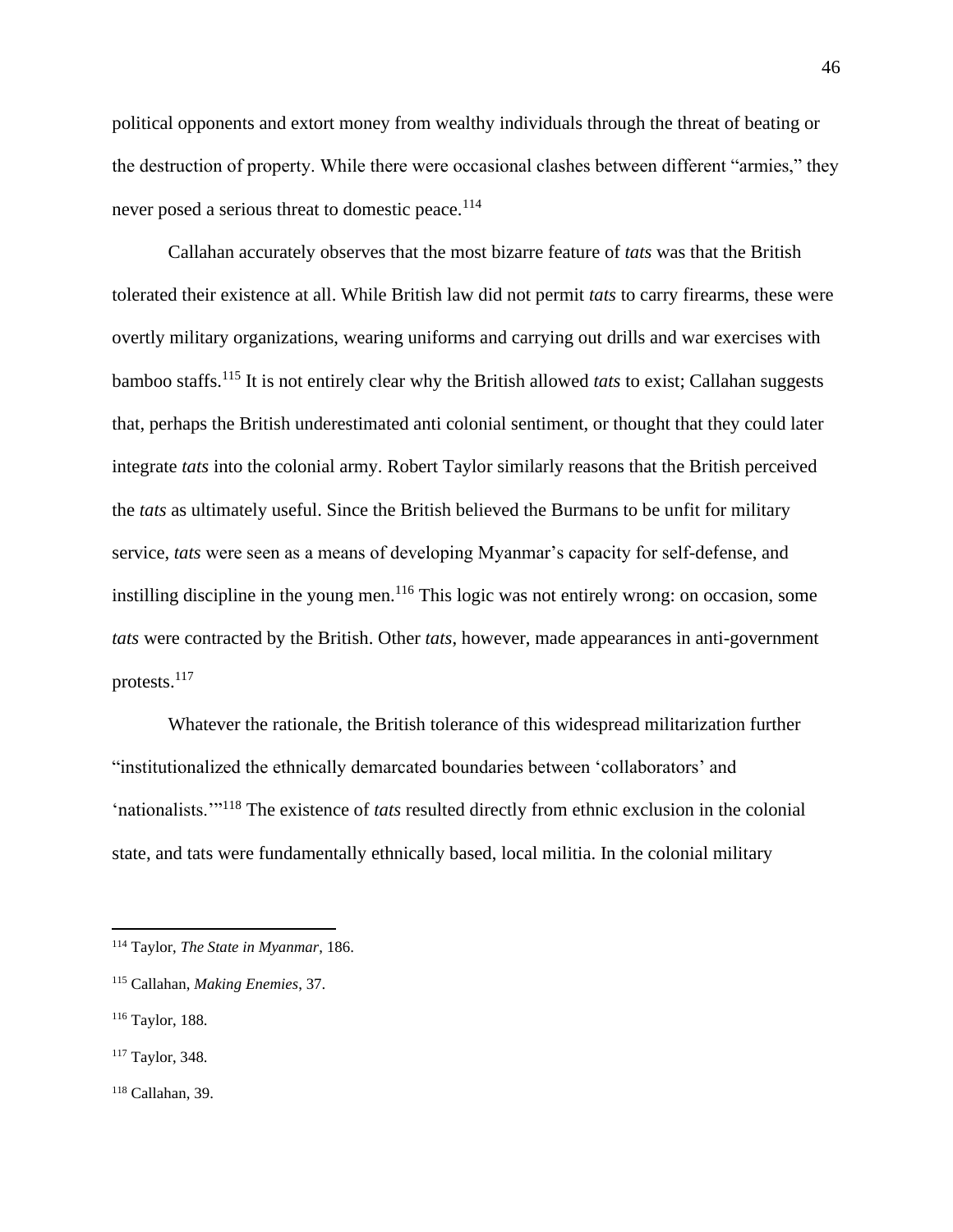political opponents and extort money from wealthy individuals through the threat of beating or the destruction of property. While there were occasional clashes between different "armies," they never posed a serious threat to domestic peace.<sup>114</sup>

Callahan accurately observes that the most bizarre feature of *tats* was that the British tolerated their existence at all. While British law did not permit *tats* to carry firearms, these were overtly military organizations, wearing uniforms and carrying out drills and war exercises with bamboo staffs.<sup>115</sup> It is not entirely clear why the British allowed *tats* to exist; Callahan suggests that, perhaps the British underestimated anti colonial sentiment, or thought that they could later integrate *tats* into the colonial army. Robert Taylor similarly reasons that the British perceived the *tats* as ultimately useful. Since the British believed the Burmans to be unfit for military service, *tats* were seen as a means of developing Myanmar's capacity for self-defense, and instilling discipline in the young men.<sup>116</sup> This logic was not entirely wrong: on occasion, some *tats* were contracted by the British. Other *tats*, however, made appearances in anti-government protests.<sup>117</sup>

Whatever the rationale, the British tolerance of this widespread militarization further "institutionalized the ethnically demarcated boundaries between 'collaborators' and 'nationalists.'"<sup>118</sup> The existence of *tats* resulted directly from ethnic exclusion in the colonial state, and tats were fundamentally ethnically based, local militia. In the colonial military

<sup>114</sup> Taylor, *The State in Myanmar*, 186.

<sup>115</sup> Callahan, *Making Enemies*, 37.

<sup>116</sup> Taylor, 188.

<sup>117</sup> Taylor, 348.

 $118$  Callahan, 39.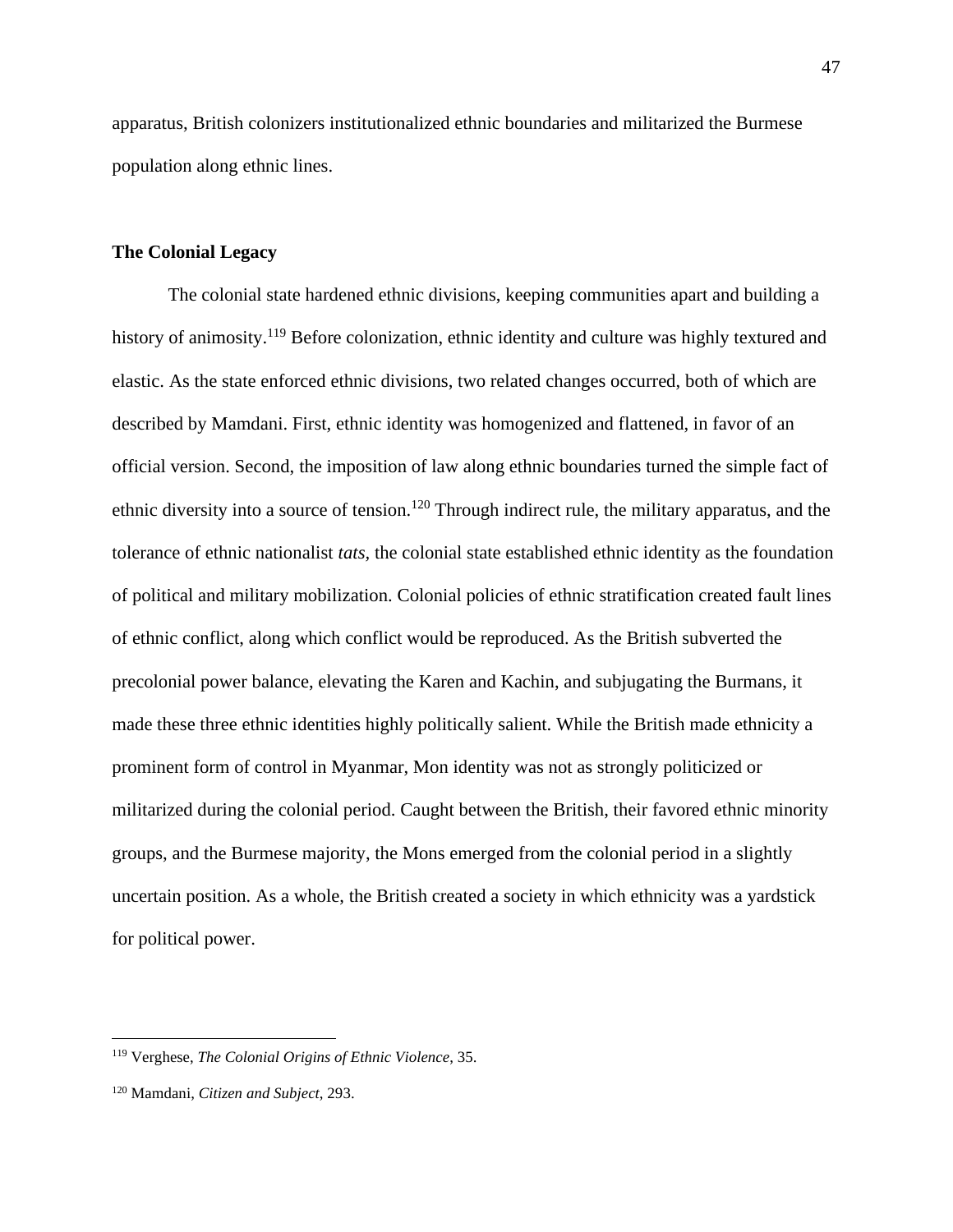apparatus, British colonizers institutionalized ethnic boundaries and militarized the Burmese population along ethnic lines.

# **The Colonial Legacy**

The colonial state hardened ethnic divisions, keeping communities apart and building a history of animosity.<sup>119</sup> Before colonization, ethnic identity and culture was highly textured and elastic. As the state enforced ethnic divisions, two related changes occurred, both of which are described by Mamdani. First, ethnic identity was homogenized and flattened, in favor of an official version. Second, the imposition of law along ethnic boundaries turned the simple fact of ethnic diversity into a source of tension.<sup>120</sup> Through indirect rule, the military apparatus, and the tolerance of ethnic nationalist *tats,* the colonial state established ethnic identity as the foundation of political and military mobilization. Colonial policies of ethnic stratification created fault lines of ethnic conflict, along which conflict would be reproduced. As the British subverted the precolonial power balance, elevating the Karen and Kachin, and subjugating the Burmans, it made these three ethnic identities highly politically salient. While the British made ethnicity a prominent form of control in Myanmar, Mon identity was not as strongly politicized or militarized during the colonial period. Caught between the British, their favored ethnic minority groups, and the Burmese majority, the Mons emerged from the colonial period in a slightly uncertain position. As a whole, the British created a society in which ethnicity was a yardstick for political power.

<sup>119</sup> Verghese, *The Colonial Origins of Ethnic Violence*, 35.

<sup>120</sup> Mamdani, *Citizen and Subject*, 293.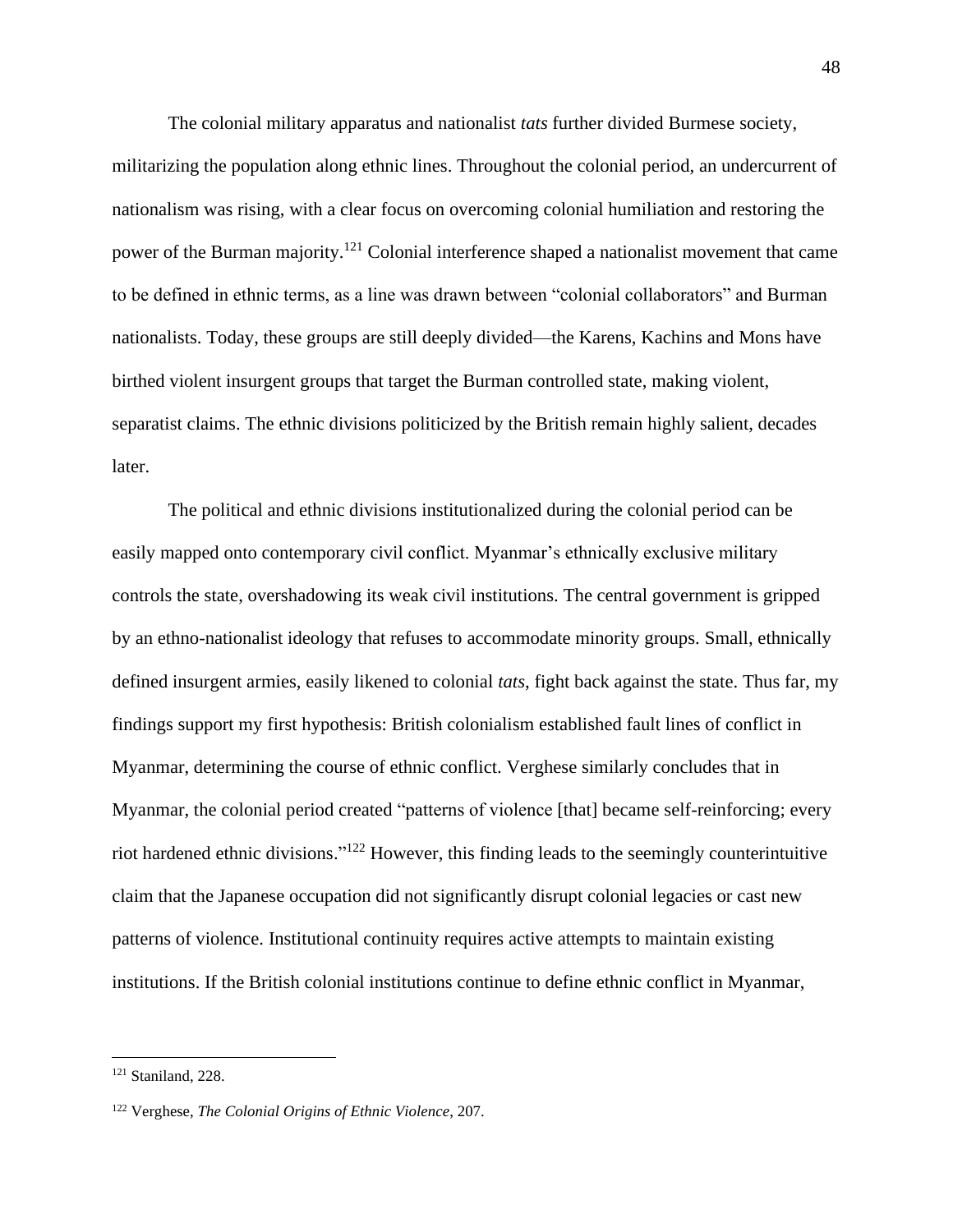The colonial military apparatus and nationalist *tats* further divided Burmese society, militarizing the population along ethnic lines. Throughout the colonial period, an undercurrent of nationalism was rising, with a clear focus on overcoming colonial humiliation and restoring the power of the Burman majority.<sup>121</sup> Colonial interference shaped a nationalist movement that came to be defined in ethnic terms, as a line was drawn between "colonial collaborators" and Burman nationalists. Today, these groups are still deeply divided—the Karens, Kachins and Mons have birthed violent insurgent groups that target the Burman controlled state, making violent, separatist claims. The ethnic divisions politicized by the British remain highly salient, decades later.

The political and ethnic divisions institutionalized during the colonial period can be easily mapped onto contemporary civil conflict. Myanmar's ethnically exclusive military controls the state, overshadowing its weak civil institutions. The central government is gripped by an ethno-nationalist ideology that refuses to accommodate minority groups. Small, ethnically defined insurgent armies, easily likened to colonial *tats*, fight back against the state. Thus far, my findings support my first hypothesis: British colonialism established fault lines of conflict in Myanmar, determining the course of ethnic conflict. Verghese similarly concludes that in Myanmar, the colonial period created "patterns of violence [that] became self-reinforcing; every riot hardened ethnic divisions."<sup>122</sup> However, this finding leads to the seemingly counterintuitive claim that the Japanese occupation did not significantly disrupt colonial legacies or cast new patterns of violence. Institutional continuity requires active attempts to maintain existing institutions. If the British colonial institutions continue to define ethnic conflict in Myanmar,

<sup>121</sup> Staniland, 228.

<sup>122</sup> Verghese, *The Colonial Origins of Ethnic Violence*, 207.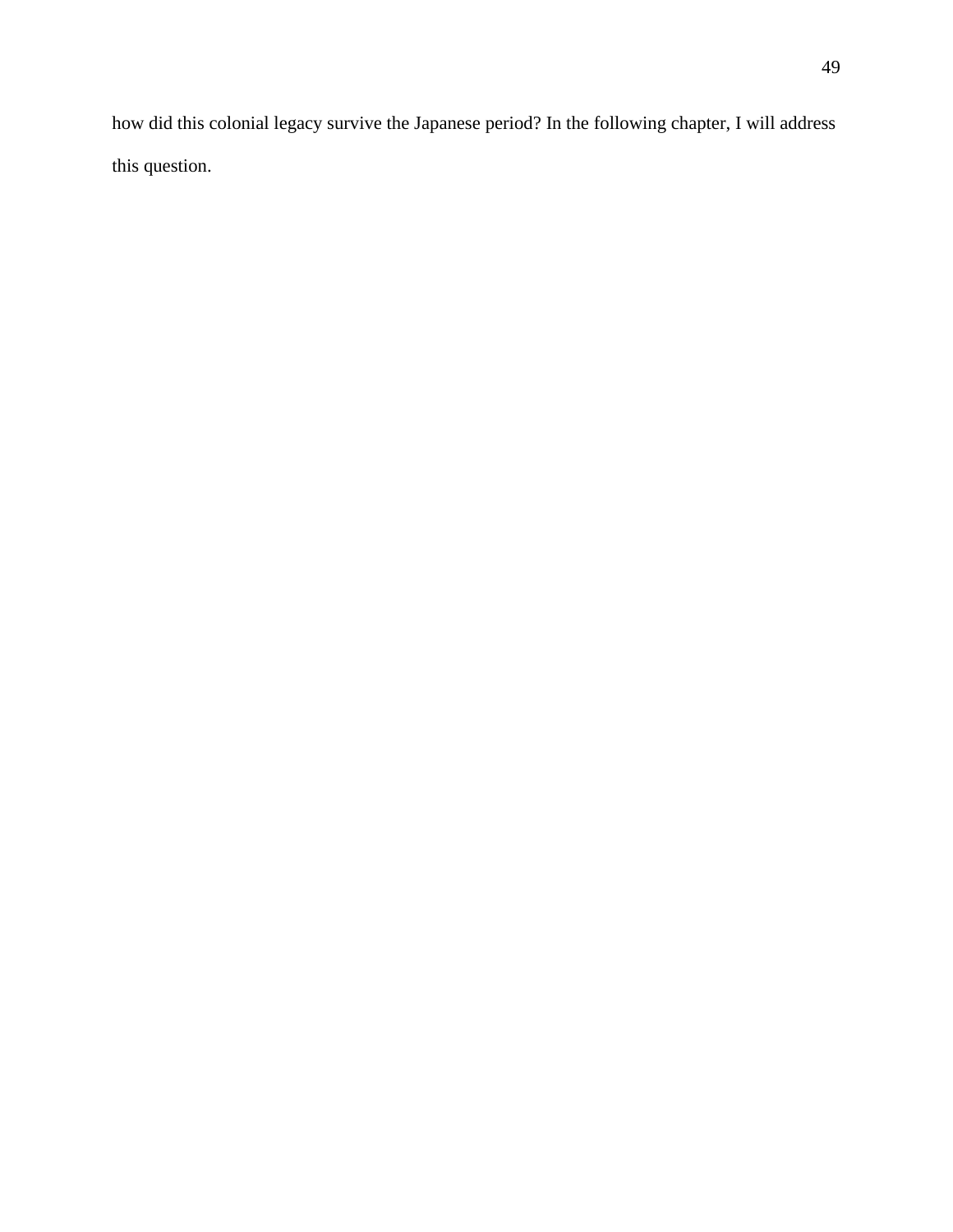how did this colonial legacy survive the Japanese period? In the following chapter, I will address this question.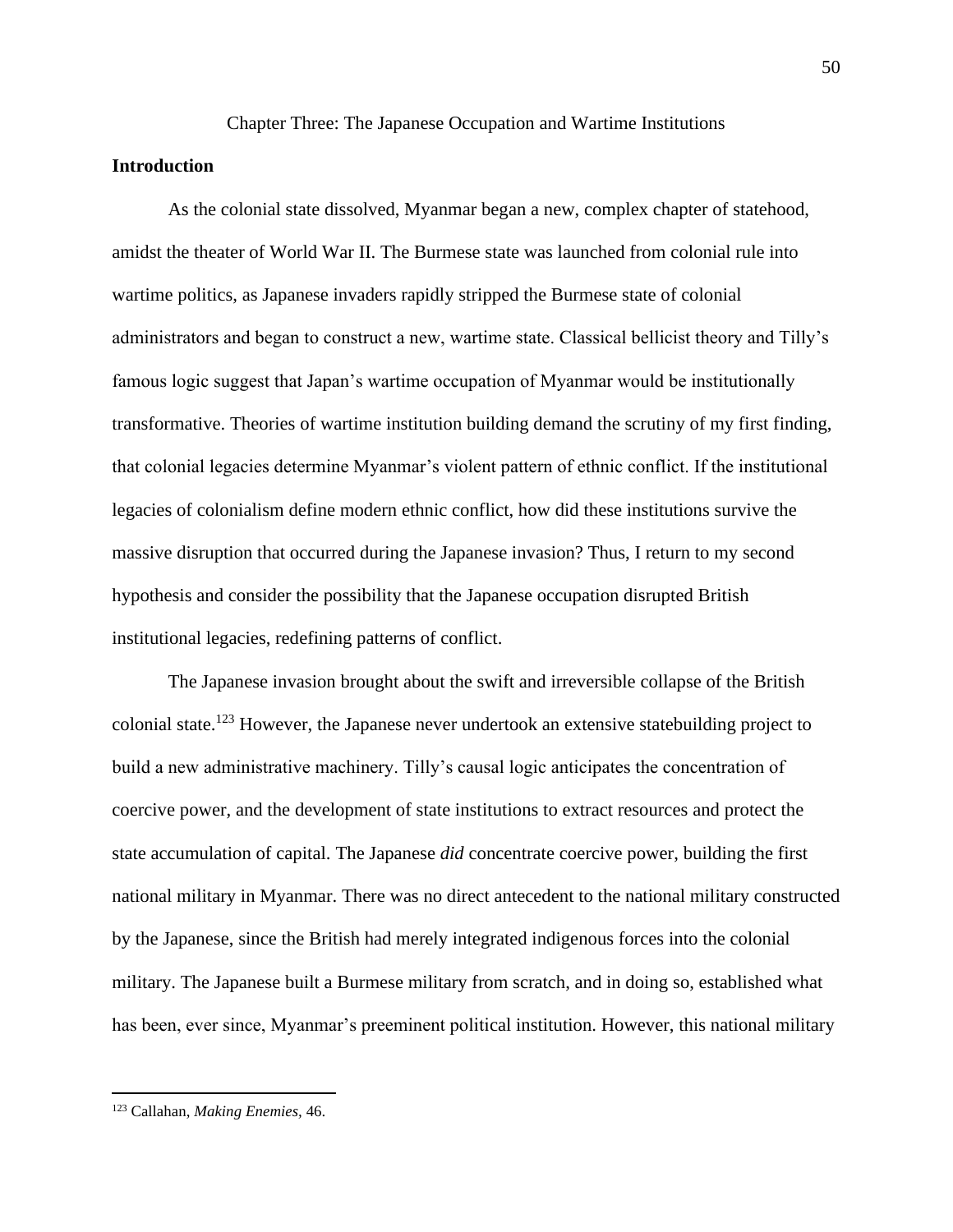## Chapter Three: The Japanese Occupation and Wartime Institutions

## **Introduction**

As the colonial state dissolved, Myanmar began a new, complex chapter of statehood, amidst the theater of World War II. The Burmese state was launched from colonial rule into wartime politics, as Japanese invaders rapidly stripped the Burmese state of colonial administrators and began to construct a new, wartime state. Classical bellicist theory and Tilly's famous logic suggest that Japan's wartime occupation of Myanmar would be institutionally transformative. Theories of wartime institution building demand the scrutiny of my first finding, that colonial legacies determine Myanmar's violent pattern of ethnic conflict. If the institutional legacies of colonialism define modern ethnic conflict, how did these institutions survive the massive disruption that occurred during the Japanese invasion? Thus, I return to my second hypothesis and consider the possibility that the Japanese occupation disrupted British institutional legacies, redefining patterns of conflict.

The Japanese invasion brought about the swift and irreversible collapse of the British colonial state.<sup>123</sup> However, the Japanese never undertook an extensive statebuilding project to build a new administrative machinery. Tilly's causal logic anticipates the concentration of coercive power, and the development of state institutions to extract resources and protect the state accumulation of capital. The Japanese *did* concentrate coercive power, building the first national military in Myanmar. There was no direct antecedent to the national military constructed by the Japanese, since the British had merely integrated indigenous forces into the colonial military. The Japanese built a Burmese military from scratch, and in doing so, established what has been, ever since, Myanmar's preeminent political institution. However, this national military

<sup>123</sup> Callahan, *Making Enemies,* 46.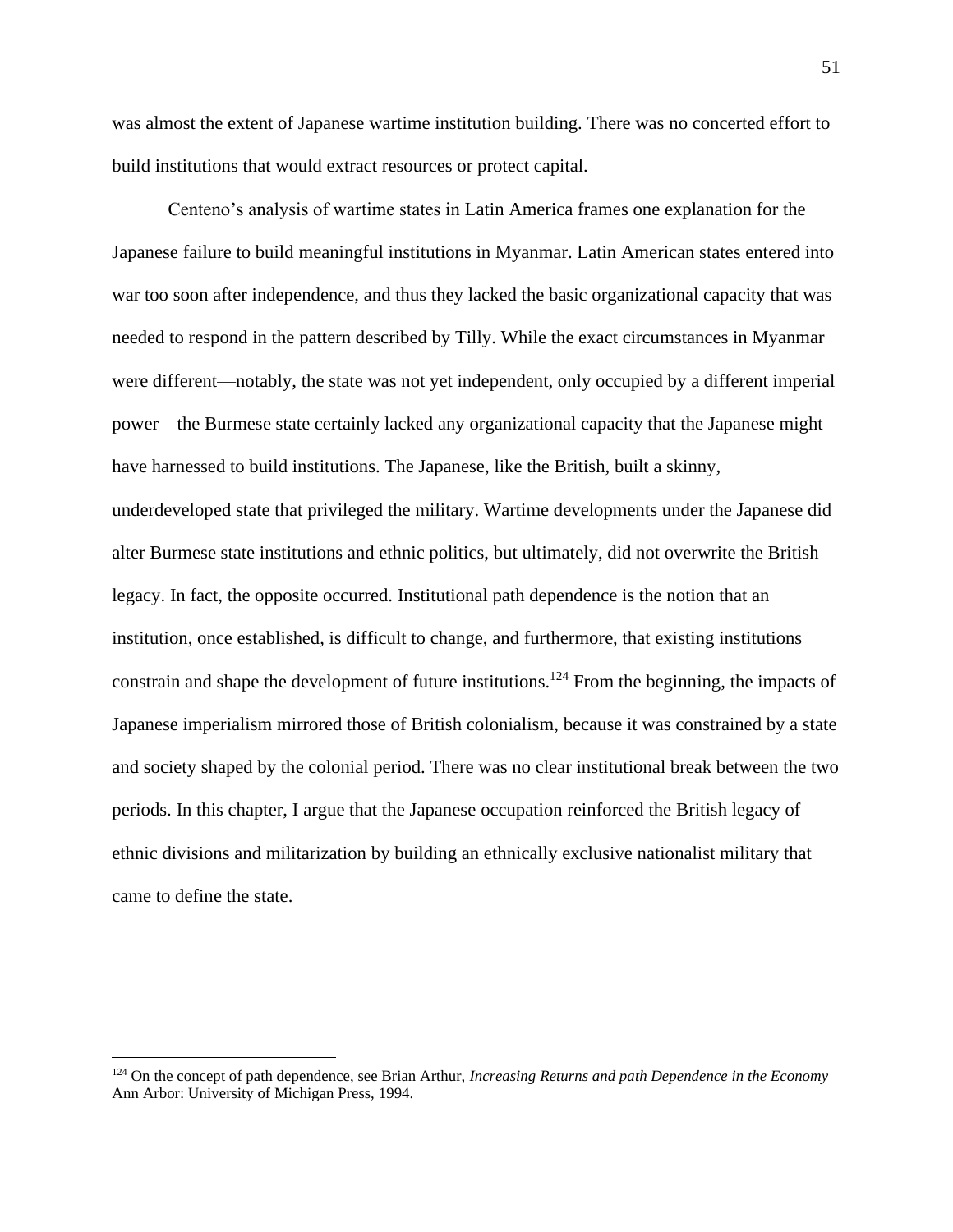was almost the extent of Japanese wartime institution building. There was no concerted effort to build institutions that would extract resources or protect capital.

Centeno's analysis of wartime states in Latin America frames one explanation for the Japanese failure to build meaningful institutions in Myanmar. Latin American states entered into war too soon after independence, and thus they lacked the basic organizational capacity that was needed to respond in the pattern described by Tilly. While the exact circumstances in Myanmar were different—notably, the state was not yet independent, only occupied by a different imperial power—the Burmese state certainly lacked any organizational capacity that the Japanese might have harnessed to build institutions. The Japanese, like the British, built a skinny, underdeveloped state that privileged the military. Wartime developments under the Japanese did alter Burmese state institutions and ethnic politics, but ultimately, did not overwrite the British legacy. In fact, the opposite occurred. Institutional path dependence is the notion that an institution, once established, is difficult to change, and furthermore, that existing institutions constrain and shape the development of future institutions.<sup>124</sup> From the beginning, the impacts of Japanese imperialism mirrored those of British colonialism, because it was constrained by a state and society shaped by the colonial period. There was no clear institutional break between the two periods. In this chapter, I argue that the Japanese occupation reinforced the British legacy of ethnic divisions and militarization by building an ethnically exclusive nationalist military that came to define the state.

<sup>124</sup> On the concept of path dependence, see Brian Arthur, *Increasing Returns and path Dependence in the Economy*  Ann Arbor: University of Michigan Press, 1994.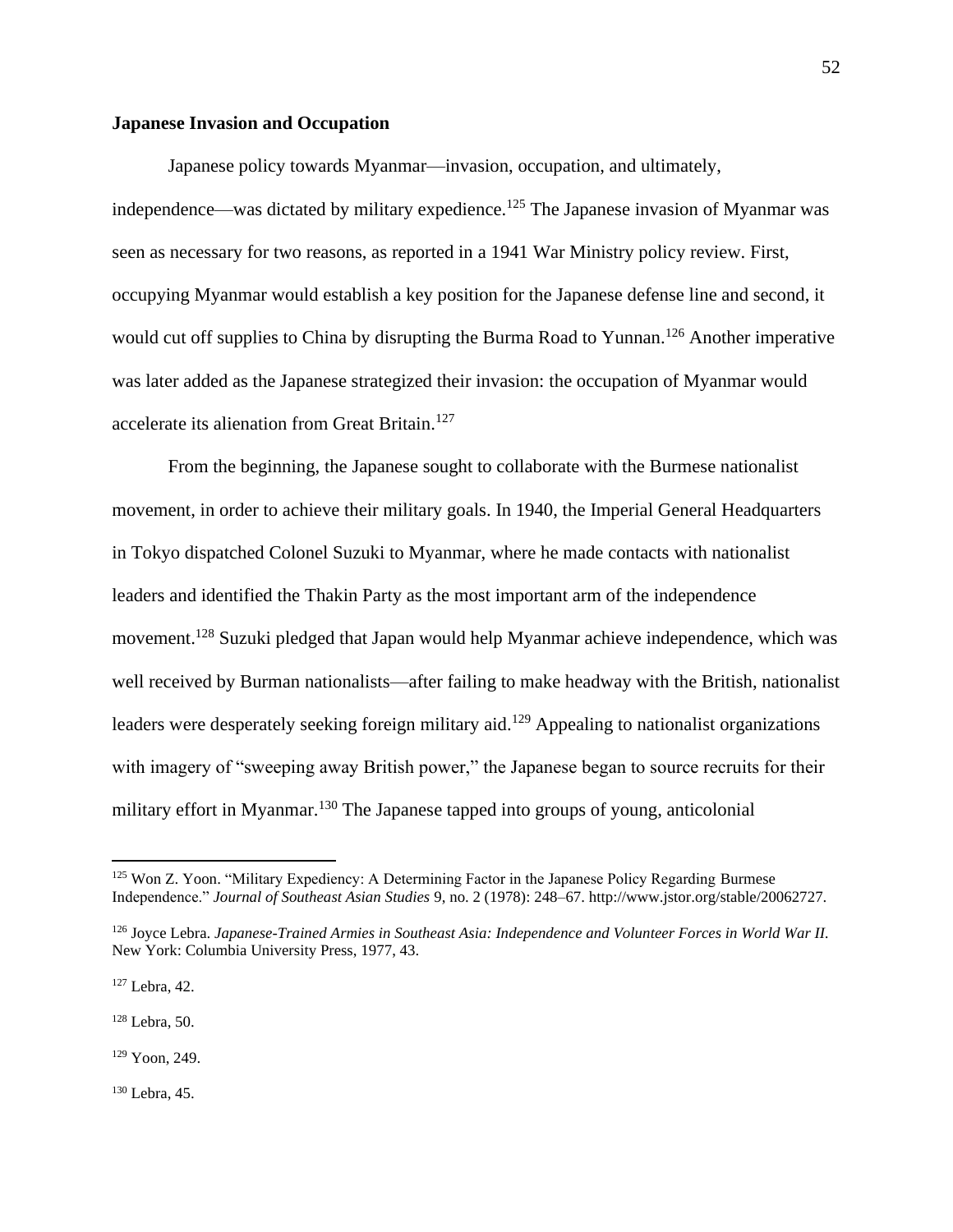# **Japanese Invasion and Occupation**

Japanese policy towards Myanmar—invasion, occupation, and ultimately, independence—was dictated by military expedience.<sup>125</sup> The Japanese invasion of Myanmar was seen as necessary for two reasons, as reported in a 1941 War Ministry policy review. First, occupying Myanmar would establish a key position for the Japanese defense line and second, it would cut off supplies to China by disrupting the Burma Road to Yunnan.<sup>126</sup> Another imperative was later added as the Japanese strategized their invasion: the occupation of Myanmar would accelerate its alienation from Great Britain.<sup>127</sup>

From the beginning, the Japanese sought to collaborate with the Burmese nationalist movement, in order to achieve their military goals. In 1940, the Imperial General Headquarters in Tokyo dispatched Colonel Suzuki to Myanmar, where he made contacts with nationalist leaders and identified the Thakin Party as the most important arm of the independence movement.<sup>128</sup> Suzuki pledged that Japan would help Myanmar achieve independence, which was well received by Burman nationalists—after failing to make headway with the British, nationalist leaders were desperately seeking foreign military aid.<sup>129</sup> Appealing to nationalist organizations with imagery of "sweeping away British power," the Japanese began to source recruits for their military effort in Myanmar.<sup>130</sup> The Japanese tapped into groups of young, anticolonial

<sup>128</sup> Lebra, 50.

<sup>129</sup> Yoon, 249.

<sup>130</sup> Lebra, 45.

<sup>&</sup>lt;sup>125</sup> Won Z. Yoon. "Military Expediency: A Determining Factor in the Japanese Policy Regarding Burmese Independence." *Journal of Southeast Asian Studies* 9, no. 2 (1978): 248–67. http://www.jstor.org/stable/20062727.

<sup>126</sup> Joyce Lebra. *Japanese-Trained Armies in Southeast Asia: Independence and Volunteer Forces in World War II.* New York: Columbia University Press, 1977, 43.

<sup>127</sup> Lebra, 42.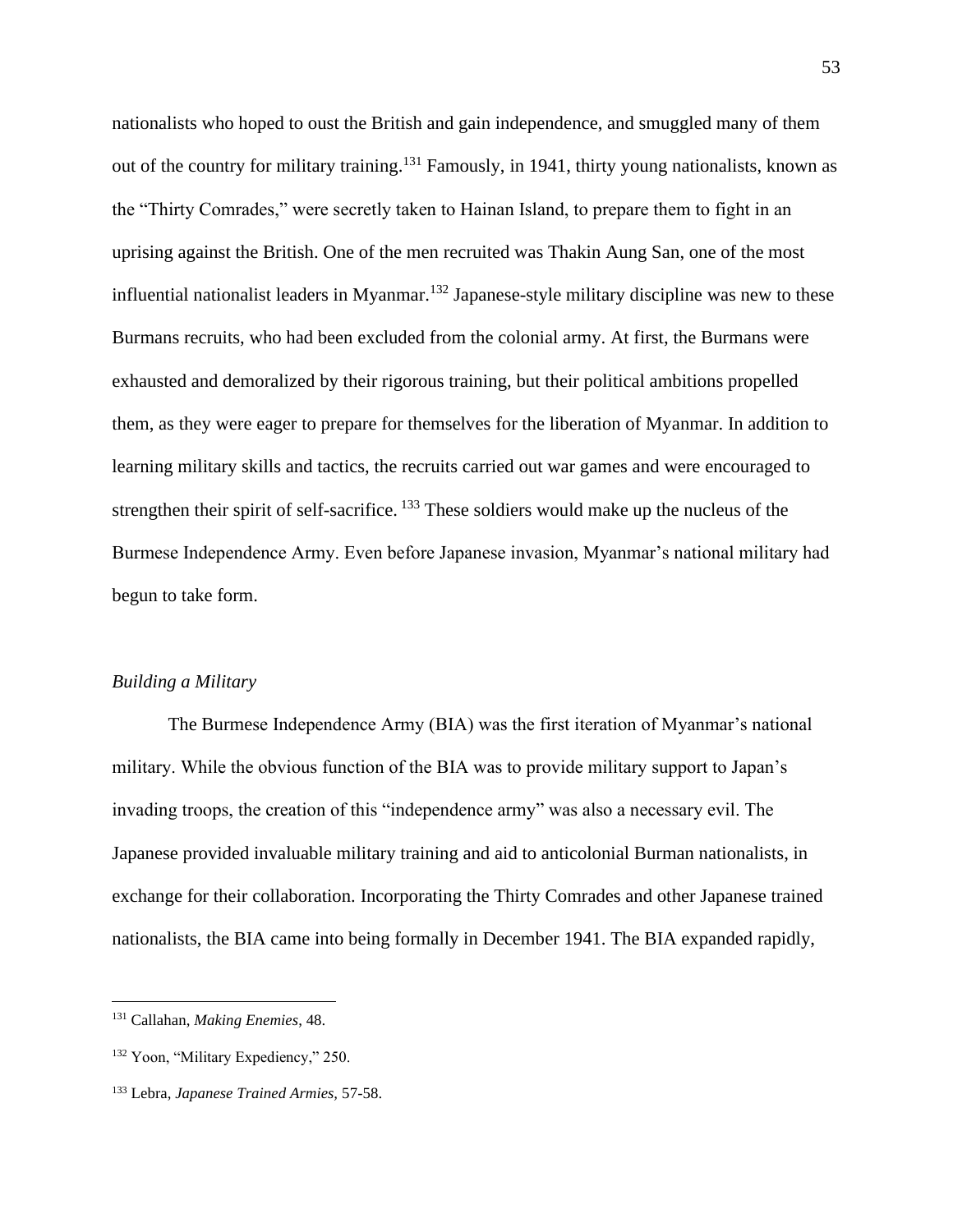nationalists who hoped to oust the British and gain independence, and smuggled many of them out of the country for military training.<sup>131</sup> Famously, in 1941, thirty young nationalists, known as the "Thirty Comrades," were secretly taken to Hainan Island, to prepare them to fight in an uprising against the British. One of the men recruited was Thakin Aung San, one of the most influential nationalist leaders in Myanmar.<sup>132</sup> Japanese-style military discipline was new to these Burmans recruits, who had been excluded from the colonial army. At first, the Burmans were exhausted and demoralized by their rigorous training, but their political ambitions propelled them, as they were eager to prepare for themselves for the liberation of Myanmar. In addition to learning military skills and tactics, the recruits carried out war games and were encouraged to strengthen their spirit of self-sacrifice. <sup>133</sup> These soldiers would make up the nucleus of the Burmese Independence Army. Even before Japanese invasion, Myanmar's national military had begun to take form.

# *Building a Military*

The Burmese Independence Army (BIA) was the first iteration of Myanmar's national military. While the obvious function of the BIA was to provide military support to Japan's invading troops, the creation of this "independence army" was also a necessary evil. The Japanese provided invaluable military training and aid to anticolonial Burman nationalists, in exchange for their collaboration. Incorporating the Thirty Comrades and other Japanese trained nationalists, the BIA came into being formally in December 1941. The BIA expanded rapidly,

<sup>131</sup> Callahan, *Making Enemies*, 48.

<sup>&</sup>lt;sup>132</sup> Yoon, "Military Expediency," 250.

<sup>133</sup> Lebra, *Japanese Trained Armies,* 57-58.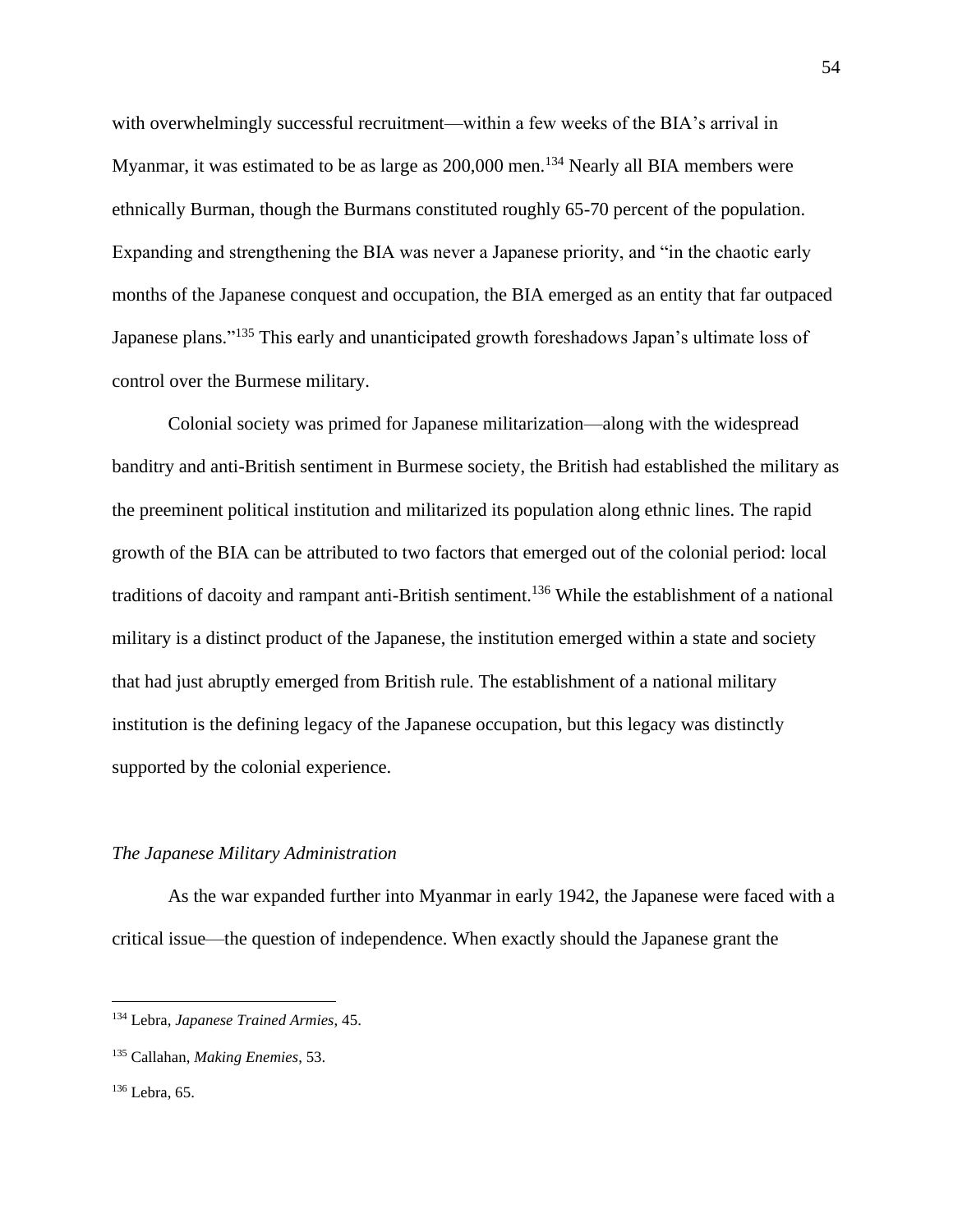with overwhelmingly successful recruitment—within a few weeks of the BIA's arrival in Myanmar, it was estimated to be as large as  $200,000$  men.<sup>134</sup> Nearly all BIA members were ethnically Burman, though the Burmans constituted roughly 65-70 percent of the population. Expanding and strengthening the BIA was never a Japanese priority, and "in the chaotic early months of the Japanese conquest and occupation, the BIA emerged as an entity that far outpaced Japanese plans."<sup>135</sup> This early and unanticipated growth foreshadows Japan's ultimate loss of control over the Burmese military.

Colonial society was primed for Japanese militarization—along with the widespread banditry and anti-British sentiment in Burmese society, the British had established the military as the preeminent political institution and militarized its population along ethnic lines. The rapid growth of the BIA can be attributed to two factors that emerged out of the colonial period: local traditions of dacoity and rampant anti-British sentiment.<sup>136</sup> While the establishment of a national military is a distinct product of the Japanese, the institution emerged within a state and society that had just abruptly emerged from British rule. The establishment of a national military institution is the defining legacy of the Japanese occupation, but this legacy was distinctly supported by the colonial experience.

#### *The Japanese Military Administration*

As the war expanded further into Myanmar in early 1942, the Japanese were faced with a critical issue—the question of independence. When exactly should the Japanese grant the

<sup>134</sup> Lebra*, Japanese Trained Armies*, 45.

<sup>135</sup> Callahan, *Making Enemies*, 53.

<sup>136</sup> Lebra, 65.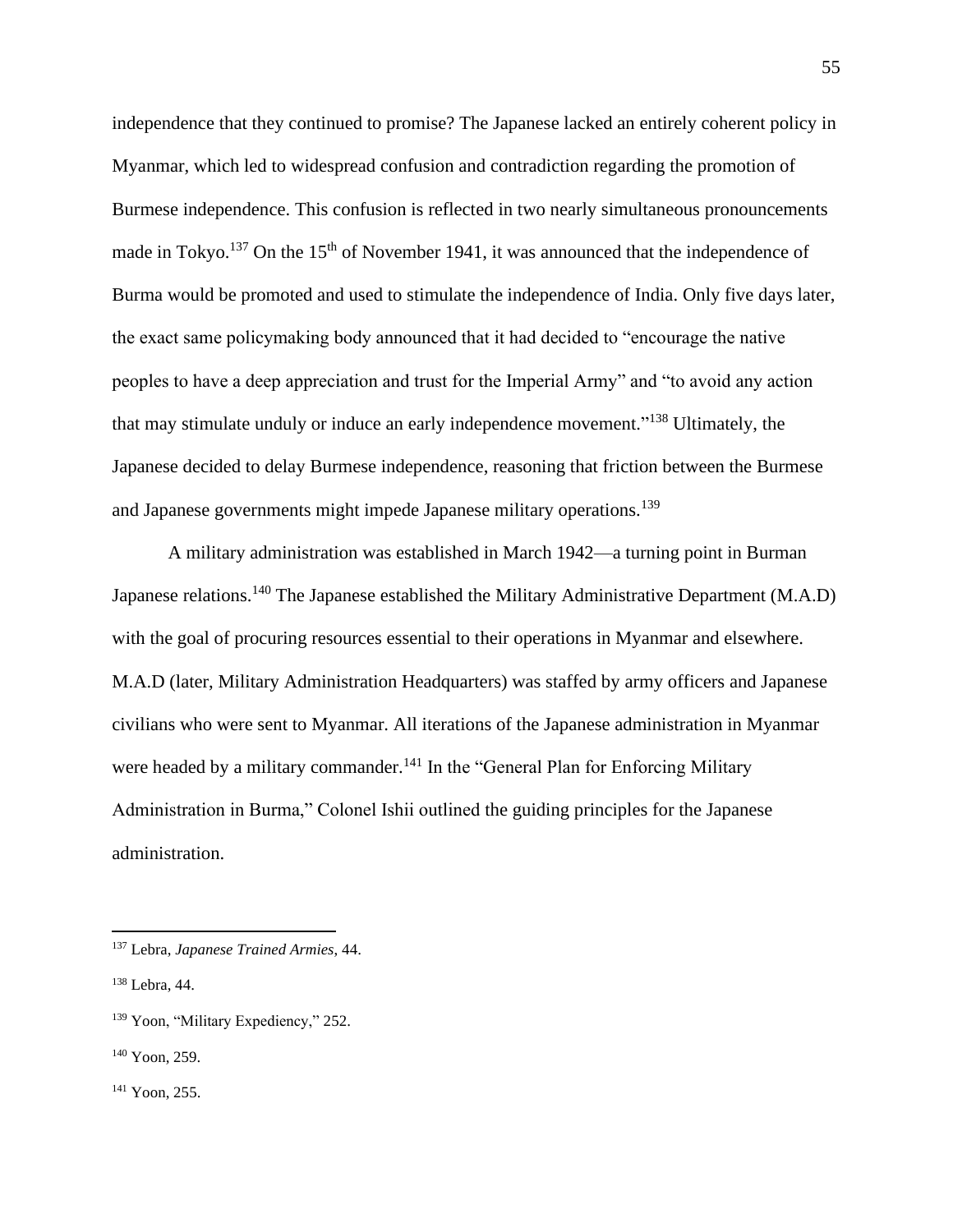independence that they continued to promise? The Japanese lacked an entirely coherent policy in Myanmar, which led to widespread confusion and contradiction regarding the promotion of Burmese independence. This confusion is reflected in two nearly simultaneous pronouncements made in Tokyo.<sup>137</sup> On the 15<sup>th</sup> of November 1941, it was announced that the independence of Burma would be promoted and used to stimulate the independence of India. Only five days later, the exact same policymaking body announced that it had decided to "encourage the native peoples to have a deep appreciation and trust for the Imperial Army" and "to avoid any action that may stimulate unduly or induce an early independence movement."<sup>138</sup> Ultimately, the Japanese decided to delay Burmese independence, reasoning that friction between the Burmese and Japanese governments might impede Japanese military operations.<sup>139</sup>

A military administration was established in March 1942—a turning point in Burman Japanese relations.<sup>140</sup> The Japanese established the Military Administrative Department (M.A.D) with the goal of procuring resources essential to their operations in Myanmar and elsewhere. M.A.D (later, Military Administration Headquarters) was staffed by army officers and Japanese civilians who were sent to Myanmar. All iterations of the Japanese administration in Myanmar were headed by a military commander.<sup>141</sup> In the "General Plan for Enforcing Military Administration in Burma," Colonel Ishii outlined the guiding principles for the Japanese administration.

<sup>137</sup> Lebra, *Japanese Trained Armies*, 44.

<sup>138</sup> Lebra, 44.

<sup>&</sup>lt;sup>139</sup> Yoon, "Military Expediency," 252.

<sup>140</sup> Yoon, 259.

<sup>141</sup> Yoon, 255.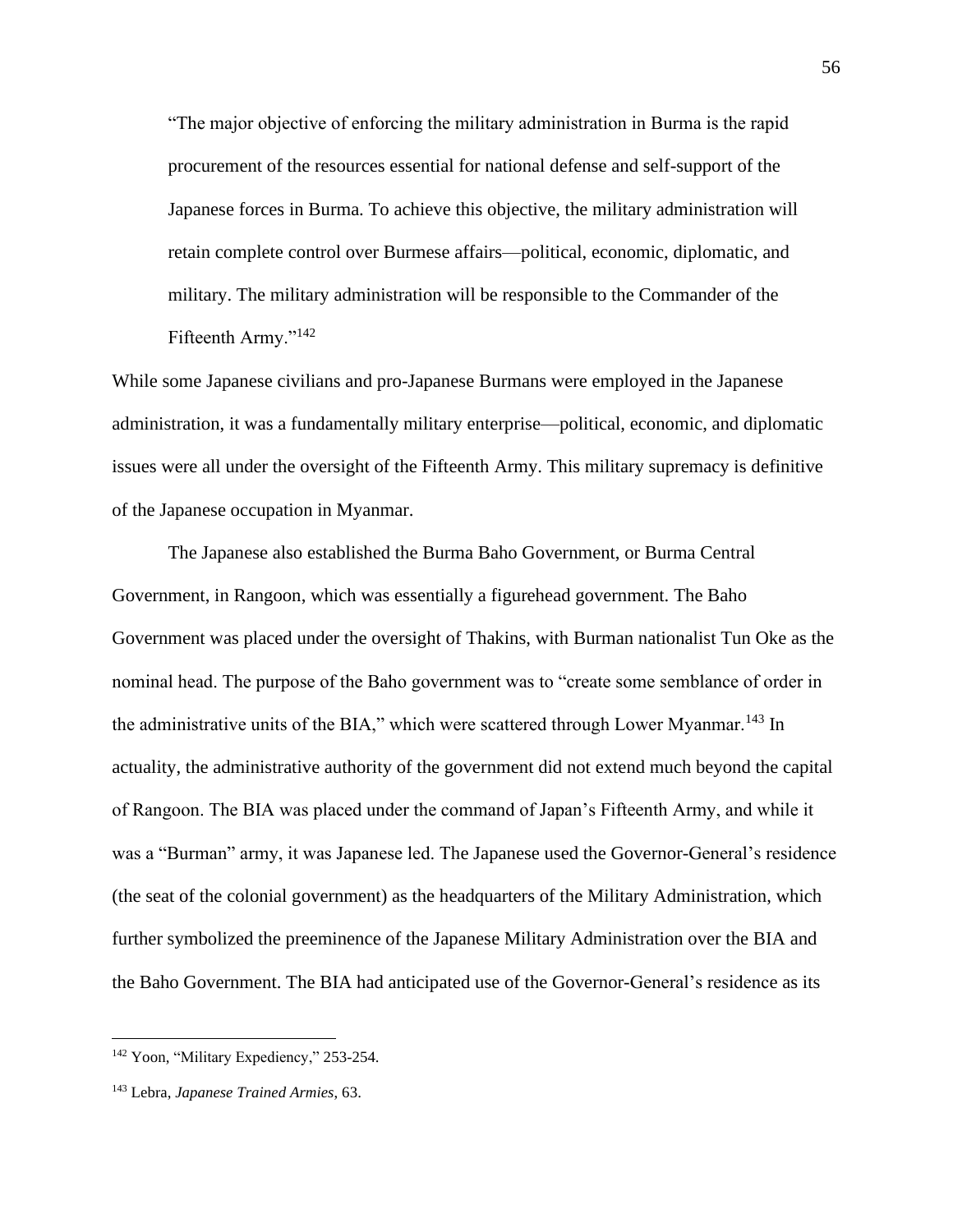"The major objective of enforcing the military administration in Burma is the rapid procurement of the resources essential for national defense and self-support of the Japanese forces in Burma. To achieve this objective, the military administration will retain complete control over Burmese affairs—political, economic, diplomatic, and military. The military administration will be responsible to the Commander of the Fifteenth Army."<sup>142</sup>

While some Japanese civilians and pro-Japanese Burmans were employed in the Japanese administration, it was a fundamentally military enterprise—political, economic, and diplomatic issues were all under the oversight of the Fifteenth Army. This military supremacy is definitive of the Japanese occupation in Myanmar.

The Japanese also established the Burma Baho Government, or Burma Central Government, in Rangoon, which was essentially a figurehead government. The Baho Government was placed under the oversight of Thakins, with Burman nationalist Tun Oke as the nominal head. The purpose of the Baho government was to "create some semblance of order in the administrative units of the BIA," which were scattered through Lower Myanmar.<sup>143</sup> In actuality, the administrative authority of the government did not extend much beyond the capital of Rangoon. The BIA was placed under the command of Japan's Fifteenth Army, and while it was a "Burman" army, it was Japanese led. The Japanese used the Governor-General's residence (the seat of the colonial government) as the headquarters of the Military Administration, which further symbolized the preeminence of the Japanese Military Administration over the BIA and the Baho Government. The BIA had anticipated use of the Governor-General's residence as its

<sup>&</sup>lt;sup>142</sup> Yoon, "Military Expediency," 253-254.

<sup>143</sup> Lebra, *Japanese Trained Armies*, 63.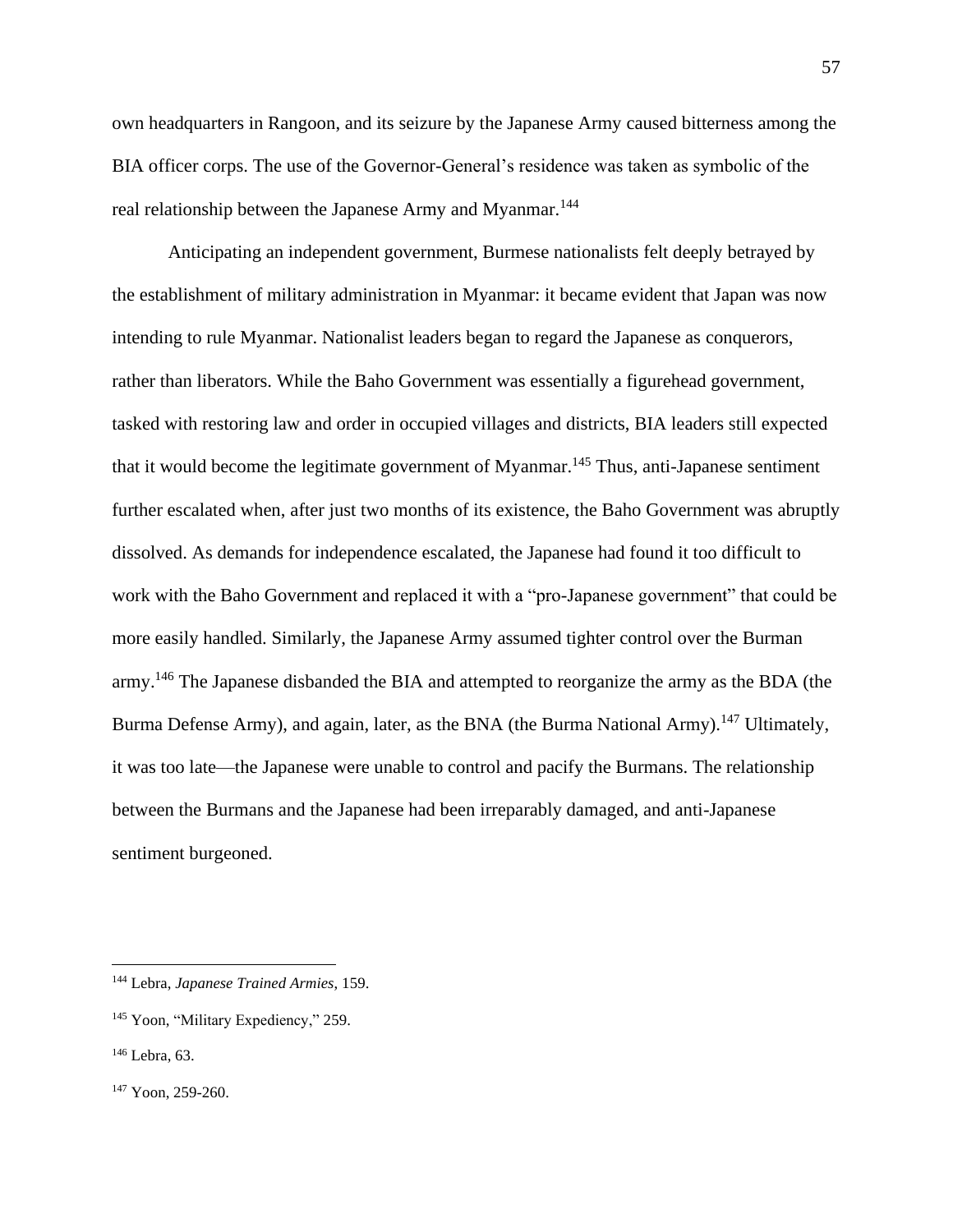own headquarters in Rangoon, and its seizure by the Japanese Army caused bitterness among the BIA officer corps. The use of the Governor-General's residence was taken as symbolic of the real relationship between the Japanese Army and Myanmar.<sup>144</sup>

Anticipating an independent government, Burmese nationalists felt deeply betrayed by the establishment of military administration in Myanmar: it became evident that Japan was now intending to rule Myanmar. Nationalist leaders began to regard the Japanese as conquerors, rather than liberators. While the Baho Government was essentially a figurehead government, tasked with restoring law and order in occupied villages and districts, BIA leaders still expected that it would become the legitimate government of Myanmar.<sup>145</sup> Thus, anti-Japanese sentiment further escalated when, after just two months of its existence, the Baho Government was abruptly dissolved. As demands for independence escalated, the Japanese had found it too difficult to work with the Baho Government and replaced it with a "pro-Japanese government" that could be more easily handled. Similarly, the Japanese Army assumed tighter control over the Burman army.<sup>146</sup> The Japanese disbanded the BIA and attempted to reorganize the army as the BDA (the Burma Defense Army), and again, later, as the BNA (the Burma National Army).<sup>147</sup> Ultimately, it was too late—the Japanese were unable to control and pacify the Burmans. The relationship between the Burmans and the Japanese had been irreparably damaged, and anti-Japanese sentiment burgeoned.

<sup>144</sup> Lebra, *Japanese Trained Armies*, 159.

<sup>&</sup>lt;sup>145</sup> Yoon, "Military Expediency," 259.

<sup>146</sup> Lebra, 63.

<sup>147</sup> Yoon, 259-260.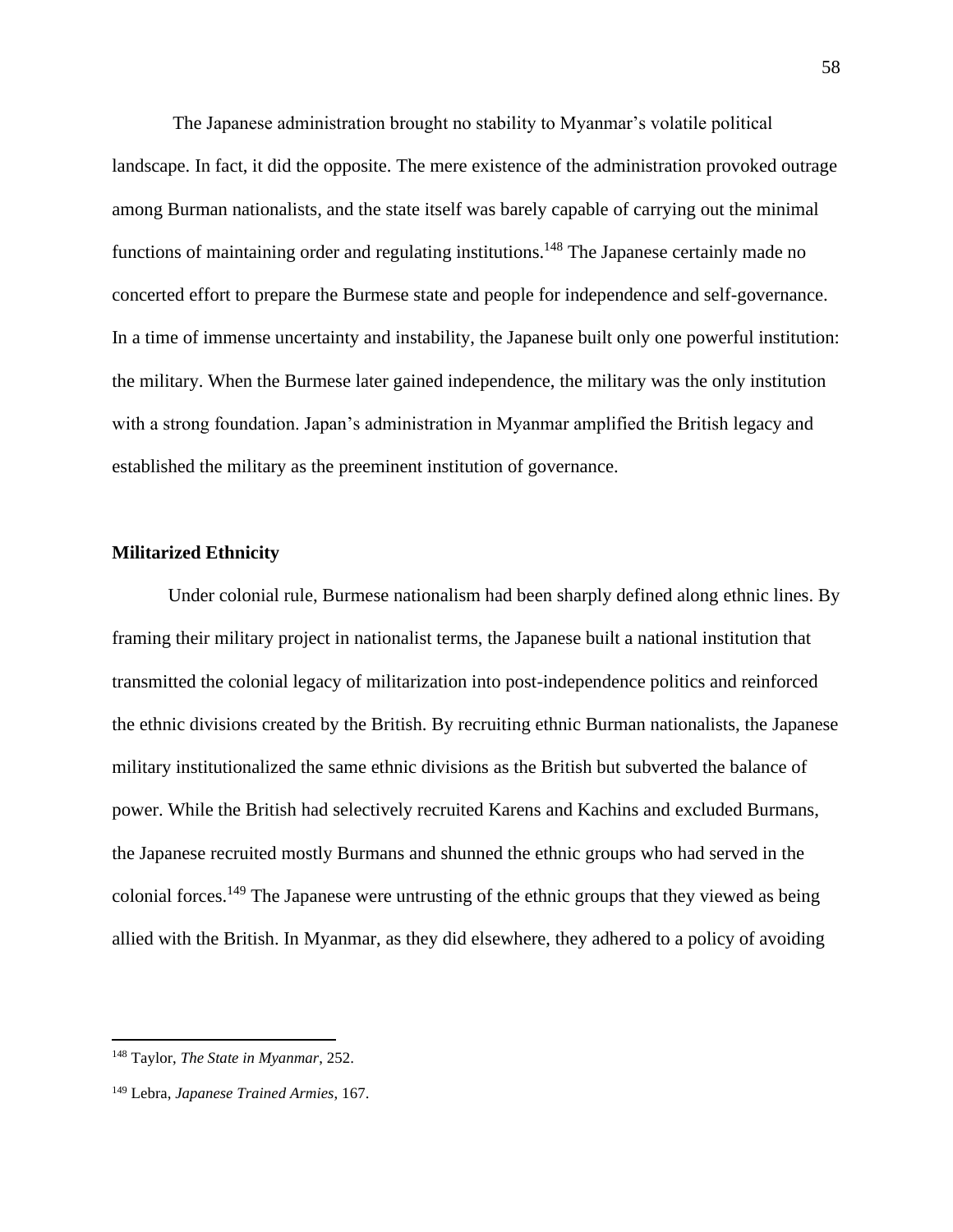The Japanese administration brought no stability to Myanmar's volatile political landscape. In fact, it did the opposite. The mere existence of the administration provoked outrage among Burman nationalists, and the state itself was barely capable of carrying out the minimal functions of maintaining order and regulating institutions.<sup>148</sup> The Japanese certainly made no concerted effort to prepare the Burmese state and people for independence and self-governance. In a time of immense uncertainty and instability, the Japanese built only one powerful institution: the military. When the Burmese later gained independence, the military was the only institution with a strong foundation. Japan's administration in Myanmar amplified the British legacy and established the military as the preeminent institution of governance.

## **Militarized Ethnicity**

Under colonial rule, Burmese nationalism had been sharply defined along ethnic lines. By framing their military project in nationalist terms, the Japanese built a national institution that transmitted the colonial legacy of militarization into post-independence politics and reinforced the ethnic divisions created by the British. By recruiting ethnic Burman nationalists, the Japanese military institutionalized the same ethnic divisions as the British but subverted the balance of power. While the British had selectively recruited Karens and Kachins and excluded Burmans, the Japanese recruited mostly Burmans and shunned the ethnic groups who had served in the colonial forces.<sup>149</sup> The Japanese were untrusting of the ethnic groups that they viewed as being allied with the British. In Myanmar, as they did elsewhere, they adhered to a policy of avoiding

<sup>148</sup> Taylor, *The State in Myanmar*, 252.

<sup>149</sup> Lebra, *Japanese Trained Armies*, 167.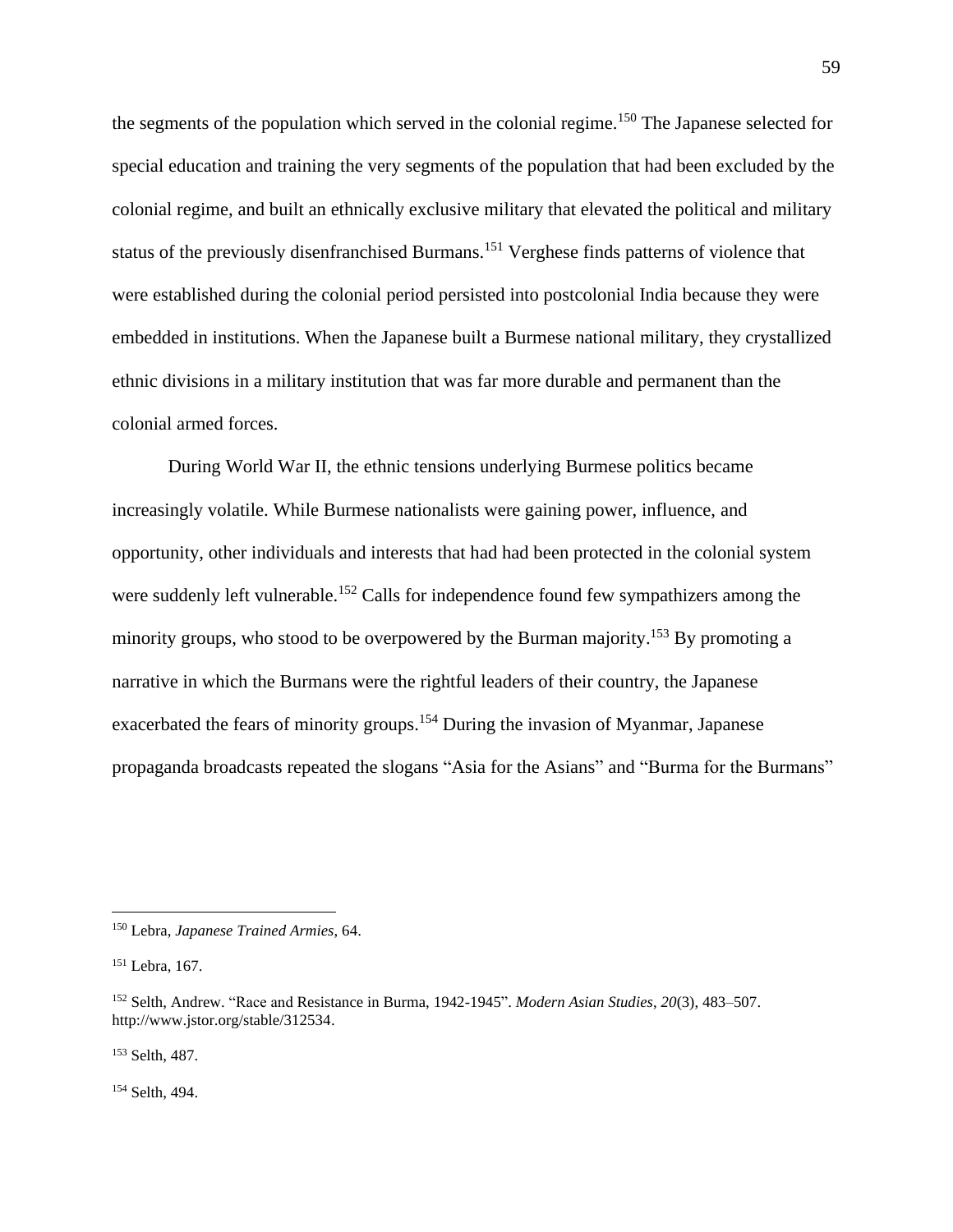the segments of the population which served in the colonial regime.<sup>150</sup> The Japanese selected for special education and training the very segments of the population that had been excluded by the colonial regime, and built an ethnically exclusive military that elevated the political and military status of the previously disenfranchised Burmans.<sup>151</sup> Verghese finds patterns of violence that were established during the colonial period persisted into postcolonial India because they were embedded in institutions. When the Japanese built a Burmese national military, they crystallized ethnic divisions in a military institution that was far more durable and permanent than the colonial armed forces.

During World War II, the ethnic tensions underlying Burmese politics became increasingly volatile. While Burmese nationalists were gaining power, influence, and opportunity, other individuals and interests that had had been protected in the colonial system were suddenly left vulnerable.<sup>152</sup> Calls for independence found few sympathizers among the minority groups, who stood to be overpowered by the Burman majority.<sup>153</sup> By promoting a narrative in which the Burmans were the rightful leaders of their country, the Japanese exacerbated the fears of minority groups.<sup>154</sup> During the invasion of Myanmar, Japanese propaganda broadcasts repeated the slogans "Asia for the Asians" and "Burma for the Burmans"

<sup>153</sup> Selth, 487.

<sup>154</sup> Selth, 494.

<sup>150</sup> Lebra, *Japanese Trained Armies*, 64.

<sup>151</sup> Lebra, 167.

<sup>152</sup> Selth, Andrew. "Race and Resistance in Burma, 1942-1945". *Modern Asian Studies*, *20*(3), 483–507. http://www.jstor.org/stable/312534.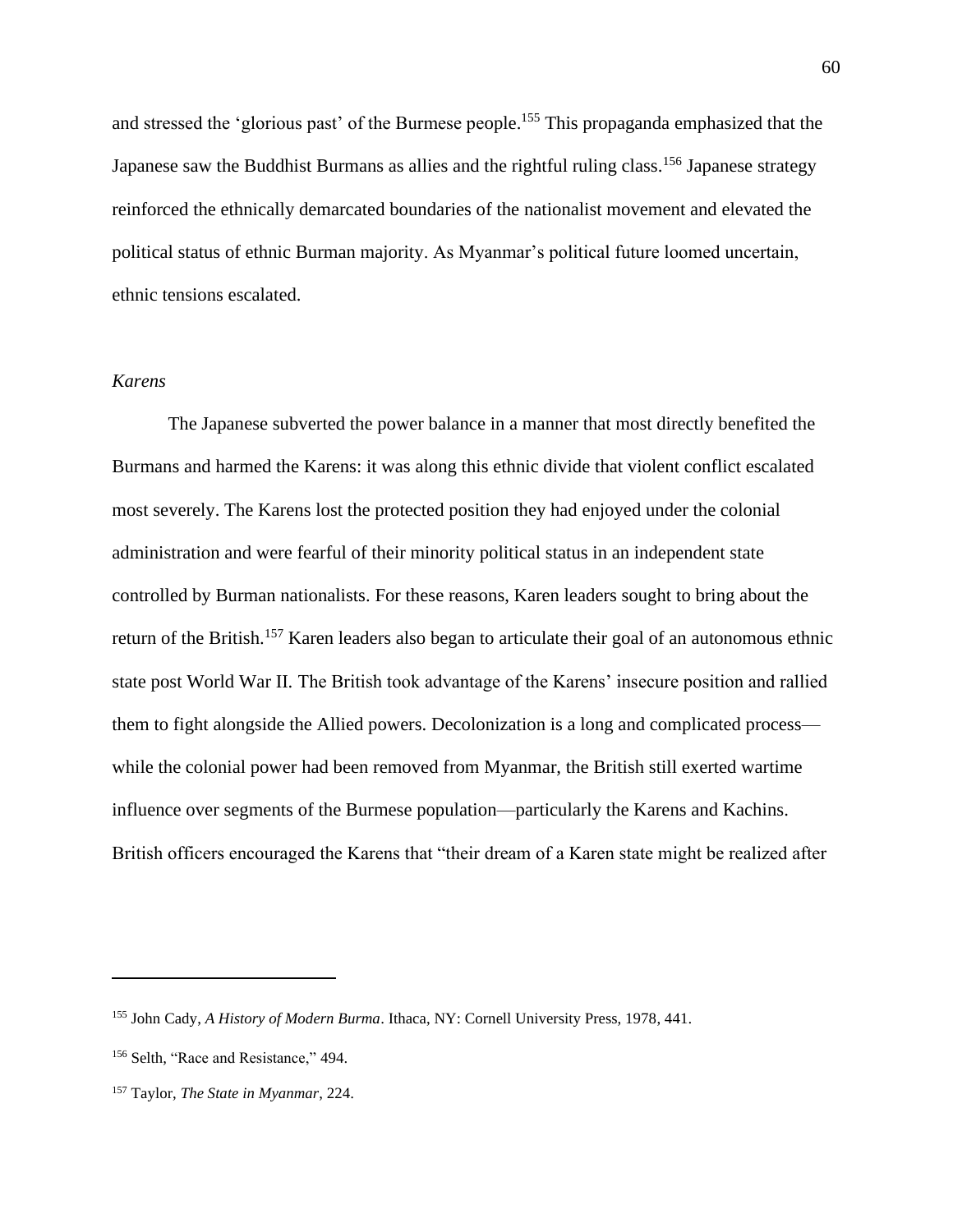and stressed the 'glorious past' of the Burmese people.<sup>155</sup> This propaganda emphasized that the Japanese saw the Buddhist Burmans as allies and the rightful ruling class.<sup>156</sup> Japanese strategy reinforced the ethnically demarcated boundaries of the nationalist movement and elevated the political status of ethnic Burman majority. As Myanmar's political future loomed uncertain, ethnic tensions escalated.

## *Karens*

The Japanese subverted the power balance in a manner that most directly benefited the Burmans and harmed the Karens: it was along this ethnic divide that violent conflict escalated most severely. The Karens lost the protected position they had enjoyed under the colonial administration and were fearful of their minority political status in an independent state controlled by Burman nationalists. For these reasons, Karen leaders sought to bring about the return of the British.<sup>157</sup> Karen leaders also began to articulate their goal of an autonomous ethnic state post World War II. The British took advantage of the Karens' insecure position and rallied them to fight alongside the Allied powers. Decolonization is a long and complicated process while the colonial power had been removed from Myanmar, the British still exerted wartime influence over segments of the Burmese population—particularly the Karens and Kachins. British officers encouraged the Karens that "their dream of a Karen state might be realized after

<sup>155</sup> John Cady, *A History of Modern Burma*. Ithaca, NY: Cornell University Press, 1978, 441.

<sup>&</sup>lt;sup>156</sup> Selth, "Race and Resistance," 494.

<sup>157</sup> Taylor, *The State in Myanmar*, 224.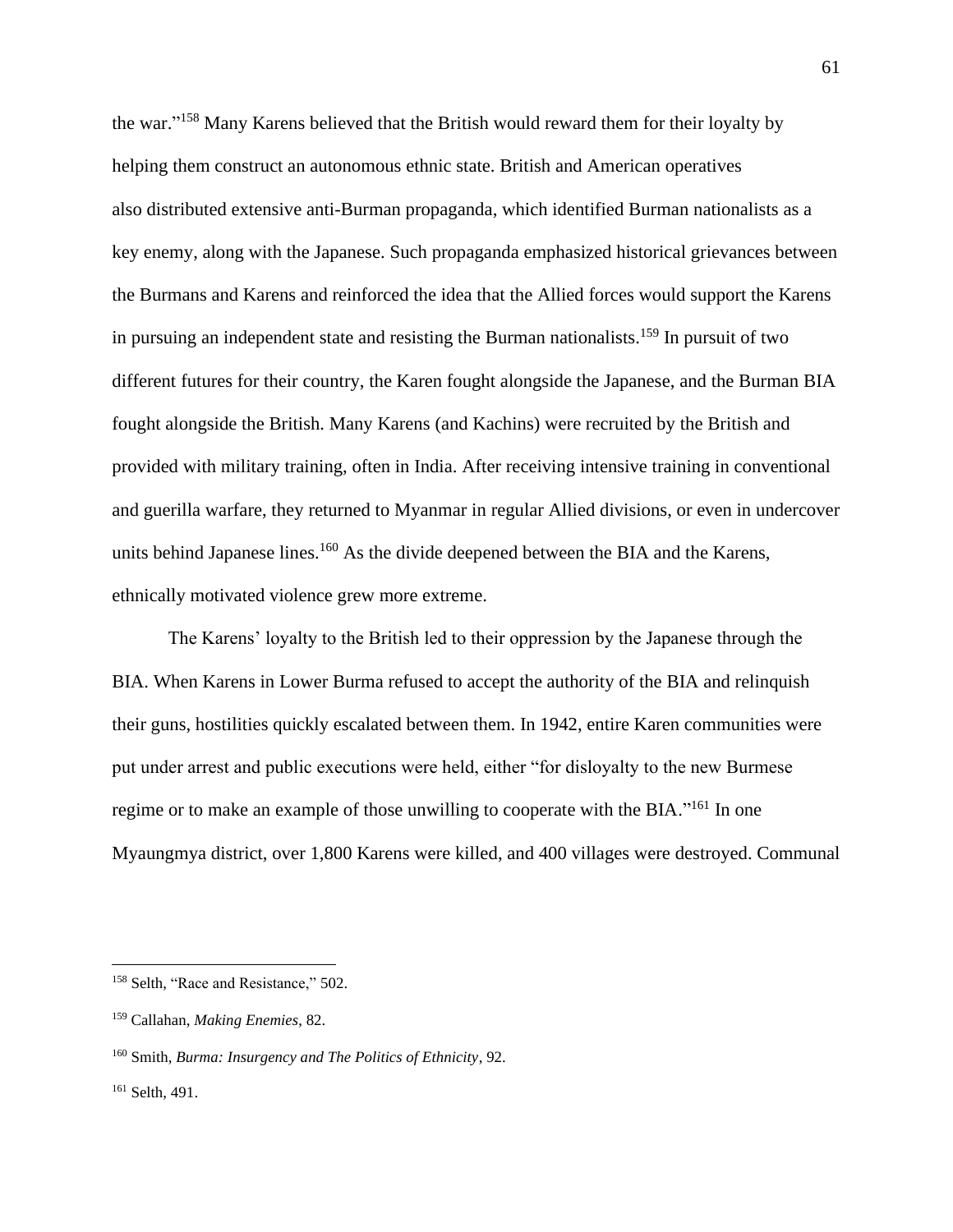the war."<sup>158</sup> Many Karens believed that the British would reward them for their loyalty by helping them construct an autonomous ethnic state. British and American operatives also distributed extensive anti-Burman propaganda, which identified Burman nationalists as a key enemy, along with the Japanese. Such propaganda emphasized historical grievances between the Burmans and Karens and reinforced the idea that the Allied forces would support the Karens in pursuing an independent state and resisting the Burman nationalists.<sup>159</sup> In pursuit of two different futures for their country, the Karen fought alongside the Japanese, and the Burman BIA fought alongside the British. Many Karens (and Kachins) were recruited by the British and provided with military training, often in India. After receiving intensive training in conventional and guerilla warfare, they returned to Myanmar in regular Allied divisions, or even in undercover units behind Japanese lines.<sup>160</sup> As the divide deepened between the BIA and the Karens, ethnically motivated violence grew more extreme.

The Karens' loyalty to the British led to their oppression by the Japanese through the BIA. When Karens in Lower Burma refused to accept the authority of the BIA and relinquish their guns, hostilities quickly escalated between them. In 1942, entire Karen communities were put under arrest and public executions were held, either "for disloyalty to the new Burmese regime or to make an example of those unwilling to cooperate with the BIA."<sup>161</sup> In one Myaungmya district, over 1,800 Karens were killed, and 400 villages were destroyed. Communal

<sup>158</sup> Selth, "Race and Resistance," 502.

<sup>159</sup> Callahan, *Making Enemies*, 82.

<sup>160</sup> Smith, *Burma: Insurgency and The Politics of Ethnicity*, 92.

<sup>161</sup> Selth, 491.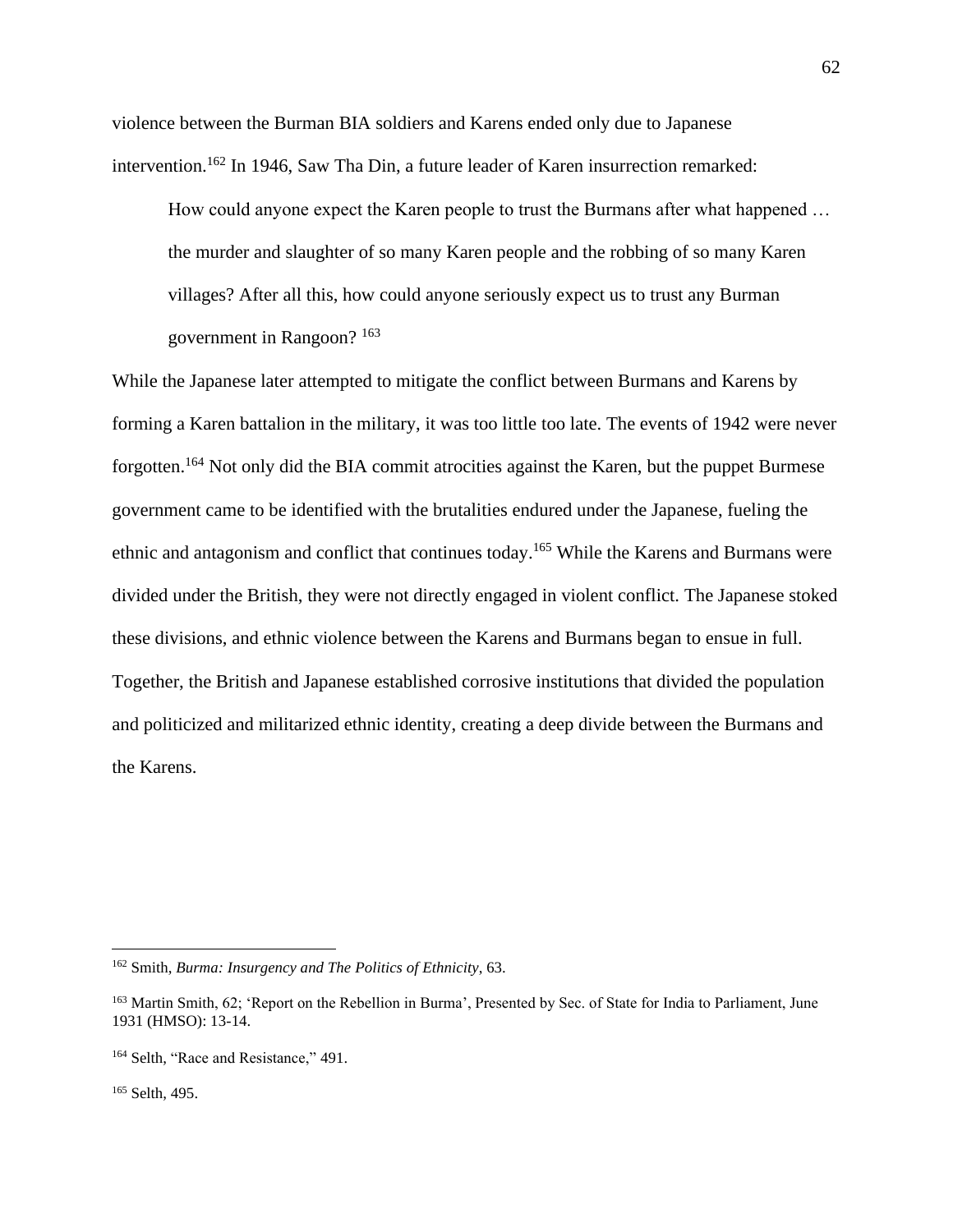violence between the Burman BIA soldiers and Karens ended only due to Japanese intervention.<sup>162</sup> In 1946, Saw Tha Din, a future leader of Karen insurrection remarked:

How could anyone expect the Karen people to trust the Burmans after what happened … the murder and slaughter of so many Karen people and the robbing of so many Karen villages? After all this, how could anyone seriously expect us to trust any Burman government in Rangoon? <sup>163</sup>

While the Japanese later attempted to mitigate the conflict between Burmans and Karens by forming a Karen battalion in the military, it was too little too late. The events of 1942 were never forgotten.<sup>164</sup> Not only did the BIA commit atrocities against the Karen, but the puppet Burmese government came to be identified with the brutalities endured under the Japanese, fueling the ethnic and antagonism and conflict that continues today.<sup>165</sup> While the Karens and Burmans were divided under the British, they were not directly engaged in violent conflict. The Japanese stoked these divisions, and ethnic violence between the Karens and Burmans began to ensue in full. Together, the British and Japanese established corrosive institutions that divided the population and politicized and militarized ethnic identity, creating a deep divide between the Burmans and the Karens.

<sup>165</sup> Selth, 495.

<sup>162</sup> Smith, *Burma: Insurgency and The Politics of Ethnicity*, 63.

<sup>&</sup>lt;sup>163</sup> Martin Smith, 62: 'Report on the Rebellion in Burma', Presented by Sec. of State for India to Parliament, June 1931 (HMSO): 13-14.

<sup>&</sup>lt;sup>164</sup> Selth, "Race and Resistance," 491.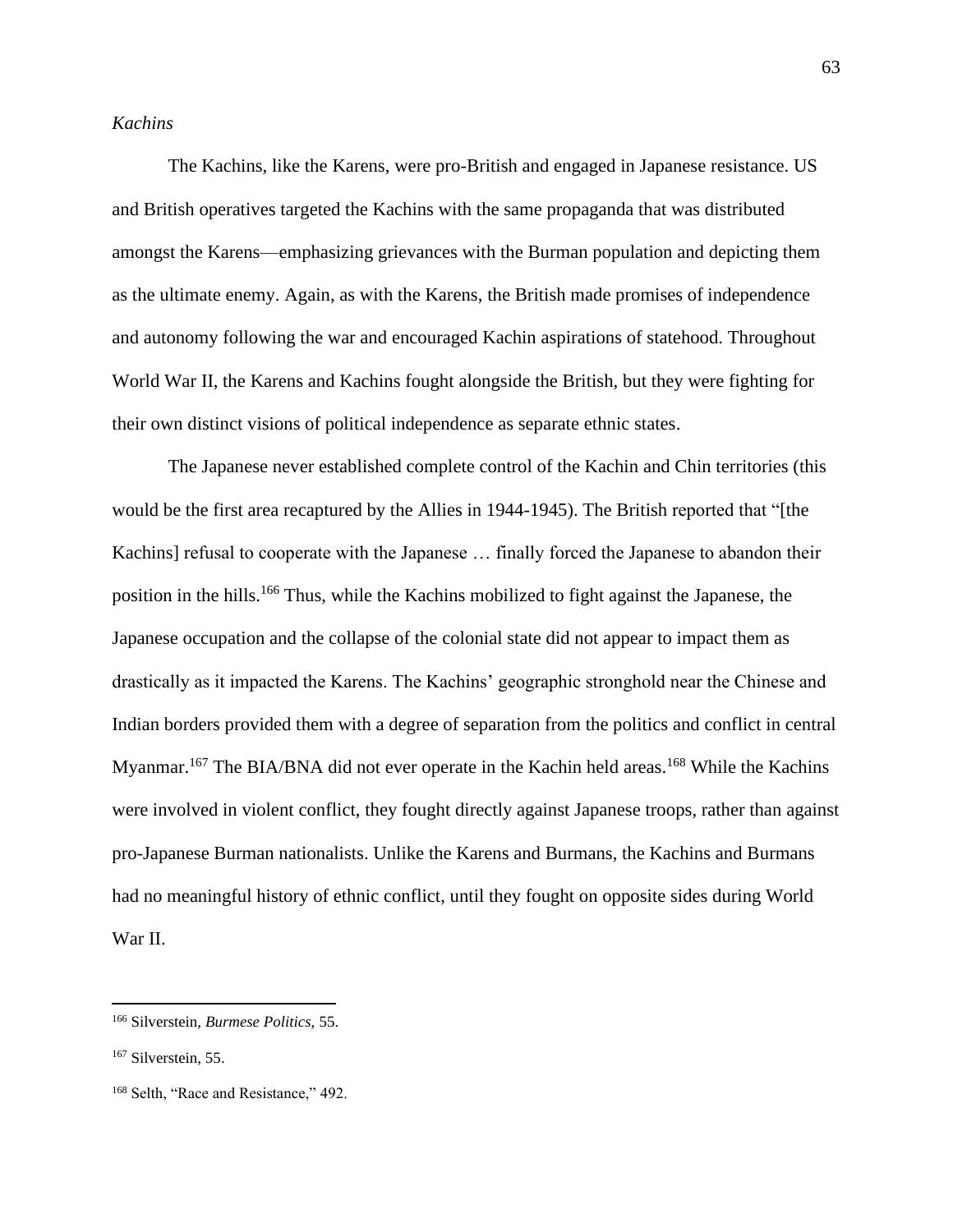# *Kachins*

The Kachins, like the Karens, were pro-British and engaged in Japanese resistance. US and British operatives targeted the Kachins with the same propaganda that was distributed amongst the Karens—emphasizing grievances with the Burman population and depicting them as the ultimate enemy. Again, as with the Karens, the British made promises of independence and autonomy following the war and encouraged Kachin aspirations of statehood. Throughout World War II, the Karens and Kachins fought alongside the British, but they were fighting for their own distinct visions of political independence as separate ethnic states.

The Japanese never established complete control of the Kachin and Chin territories (this would be the first area recaptured by the Allies in 1944-1945). The British reported that "[the Kachins] refusal to cooperate with the Japanese … finally forced the Japanese to abandon their position in the hills.<sup>166</sup> Thus, while the Kachins mobilized to fight against the Japanese, the Japanese occupation and the collapse of the colonial state did not appear to impact them as drastically as it impacted the Karens. The Kachins' geographic stronghold near the Chinese and Indian borders provided them with a degree of separation from the politics and conflict in central Myanmar.<sup>167</sup> The BIA/BNA did not ever operate in the Kachin held areas.<sup>168</sup> While the Kachins were involved in violent conflict, they fought directly against Japanese troops, rather than against pro-Japanese Burman nationalists. Unlike the Karens and Burmans, the Kachins and Burmans had no meaningful history of ethnic conflict, until they fought on opposite sides during World War II.

<sup>166</sup> Silverstein, *Burmese Politics*, 55.

<sup>&</sup>lt;sup>167</sup> Silverstein, 55.

<sup>&</sup>lt;sup>168</sup> Selth, "Race and Resistance," 492.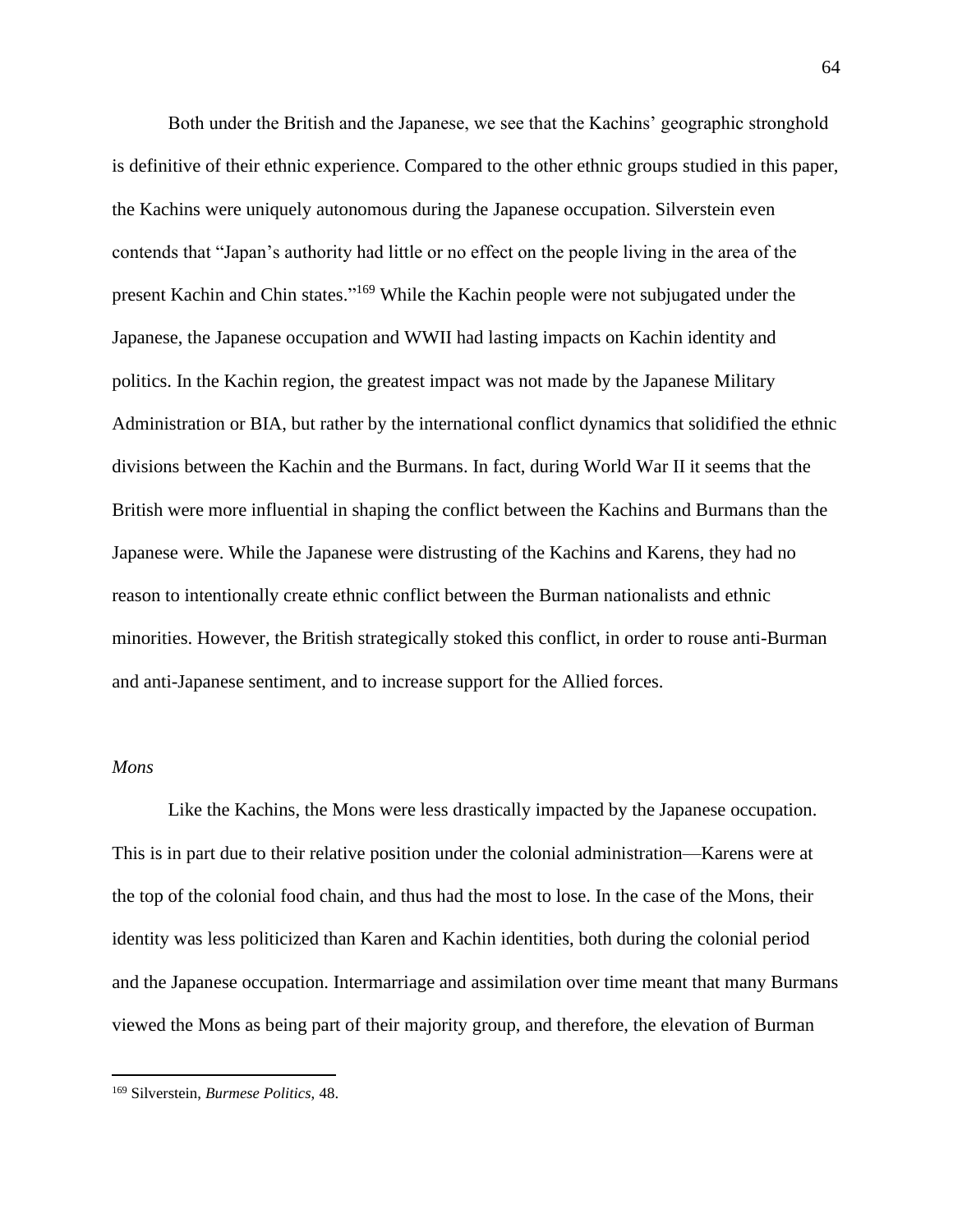Both under the British and the Japanese, we see that the Kachins' geographic stronghold is definitive of their ethnic experience. Compared to the other ethnic groups studied in this paper, the Kachins were uniquely autonomous during the Japanese occupation. Silverstein even contends that "Japan's authority had little or no effect on the people living in the area of the present Kachin and Chin states."<sup>169</sup> While the Kachin people were not subjugated under the Japanese, the Japanese occupation and WWII had lasting impacts on Kachin identity and politics. In the Kachin region, the greatest impact was not made by the Japanese Military Administration or BIA, but rather by the international conflict dynamics that solidified the ethnic divisions between the Kachin and the Burmans. In fact, during World War II it seems that the British were more influential in shaping the conflict between the Kachins and Burmans than the Japanese were. While the Japanese were distrusting of the Kachins and Karens, they had no reason to intentionally create ethnic conflict between the Burman nationalists and ethnic minorities. However, the British strategically stoked this conflict, in order to rouse anti-Burman and anti-Japanese sentiment, and to increase support for the Allied forces.

#### *Mons*

Like the Kachins, the Mons were less drastically impacted by the Japanese occupation. This is in part due to their relative position under the colonial administration—Karens were at the top of the colonial food chain, and thus had the most to lose. In the case of the Mons, their identity was less politicized than Karen and Kachin identities, both during the colonial period and the Japanese occupation. Intermarriage and assimilation over time meant that many Burmans viewed the Mons as being part of their majority group, and therefore, the elevation of Burman

<sup>169</sup> Silverstein, *Burmese Politics*, 48.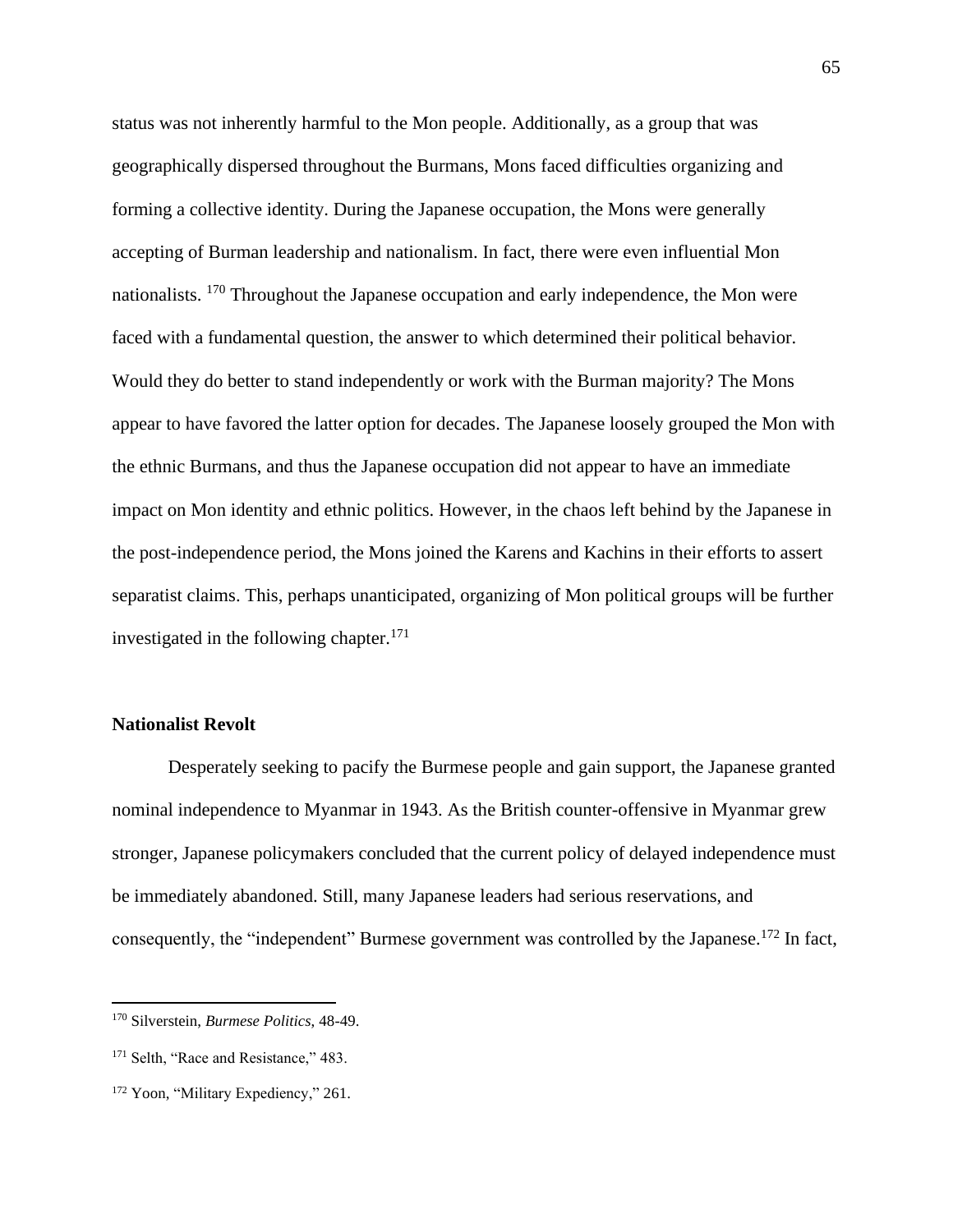status was not inherently harmful to the Mon people. Additionally, as a group that was geographically dispersed throughout the Burmans, Mons faced difficulties organizing and forming a collective identity. During the Japanese occupation, the Mons were generally accepting of Burman leadership and nationalism. In fact, there were even influential Mon nationalists. <sup>170</sup> Throughout the Japanese occupation and early independence, the Mon were faced with a fundamental question, the answer to which determined their political behavior. Would they do better to stand independently or work with the Burman majority? The Mons appear to have favored the latter option for decades. The Japanese loosely grouped the Mon with the ethnic Burmans, and thus the Japanese occupation did not appear to have an immediate impact on Mon identity and ethnic politics. However, in the chaos left behind by the Japanese in the post-independence period, the Mons joined the Karens and Kachins in their efforts to assert separatist claims. This, perhaps unanticipated, organizing of Mon political groups will be further investigated in the following chapter. $171$ 

## **Nationalist Revolt**

Desperately seeking to pacify the Burmese people and gain support, the Japanese granted nominal independence to Myanmar in 1943. As the British counter-offensive in Myanmar grew stronger, Japanese policymakers concluded that the current policy of delayed independence must be immediately abandoned. Still, many Japanese leaders had serious reservations, and consequently, the "independent" Burmese government was controlled by the Japanese.<sup>172</sup> In fact,

<sup>170</sup> Silverstein, *Burmese Politics*, 48-49.

<sup>&</sup>lt;sup>171</sup> Selth, "Race and Resistance," 483.

<sup>&</sup>lt;sup>172</sup> Yoon, "Military Expediency," 261.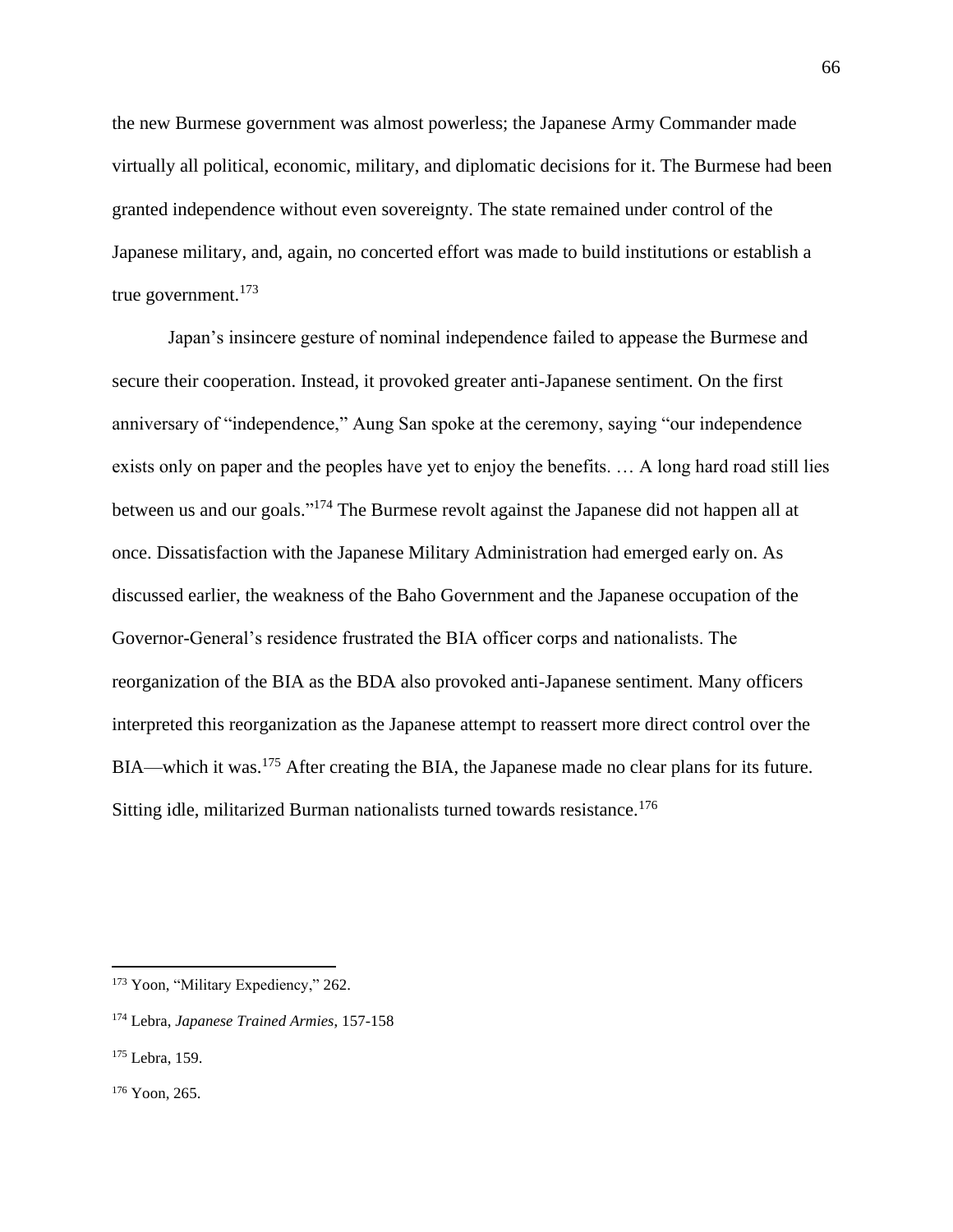the new Burmese government was almost powerless; the Japanese Army Commander made virtually all political, economic, military, and diplomatic decisions for it. The Burmese had been granted independence without even sovereignty. The state remained under control of the Japanese military, and, again, no concerted effort was made to build institutions or establish a true government.<sup>173</sup>

Japan's insincere gesture of nominal independence failed to appease the Burmese and secure their cooperation. Instead, it provoked greater anti-Japanese sentiment. On the first anniversary of "independence," Aung San spoke at the ceremony, saying "our independence exists only on paper and the peoples have yet to enjoy the benefits. … A long hard road still lies between us and our goals."<sup>174</sup> The Burmese revolt against the Japanese did not happen all at once. Dissatisfaction with the Japanese Military Administration had emerged early on. As discussed earlier, the weakness of the Baho Government and the Japanese occupation of the Governor-General's residence frustrated the BIA officer corps and nationalists. The reorganization of the BIA as the BDA also provoked anti-Japanese sentiment. Many officers interpreted this reorganization as the Japanese attempt to reassert more direct control over the BIA—which it was.<sup>175</sup> After creating the BIA, the Japanese made no clear plans for its future. Sitting idle, militarized Burman nationalists turned towards resistance.<sup>176</sup>

<sup>&</sup>lt;sup>173</sup> Yoon, "Military Expediency," 262.

<sup>174</sup> Lebra, *Japanese Trained Armies*, 157-158

<sup>&</sup>lt;sup>175</sup> Lebra, 159.

<sup>176</sup> Yoon, 265.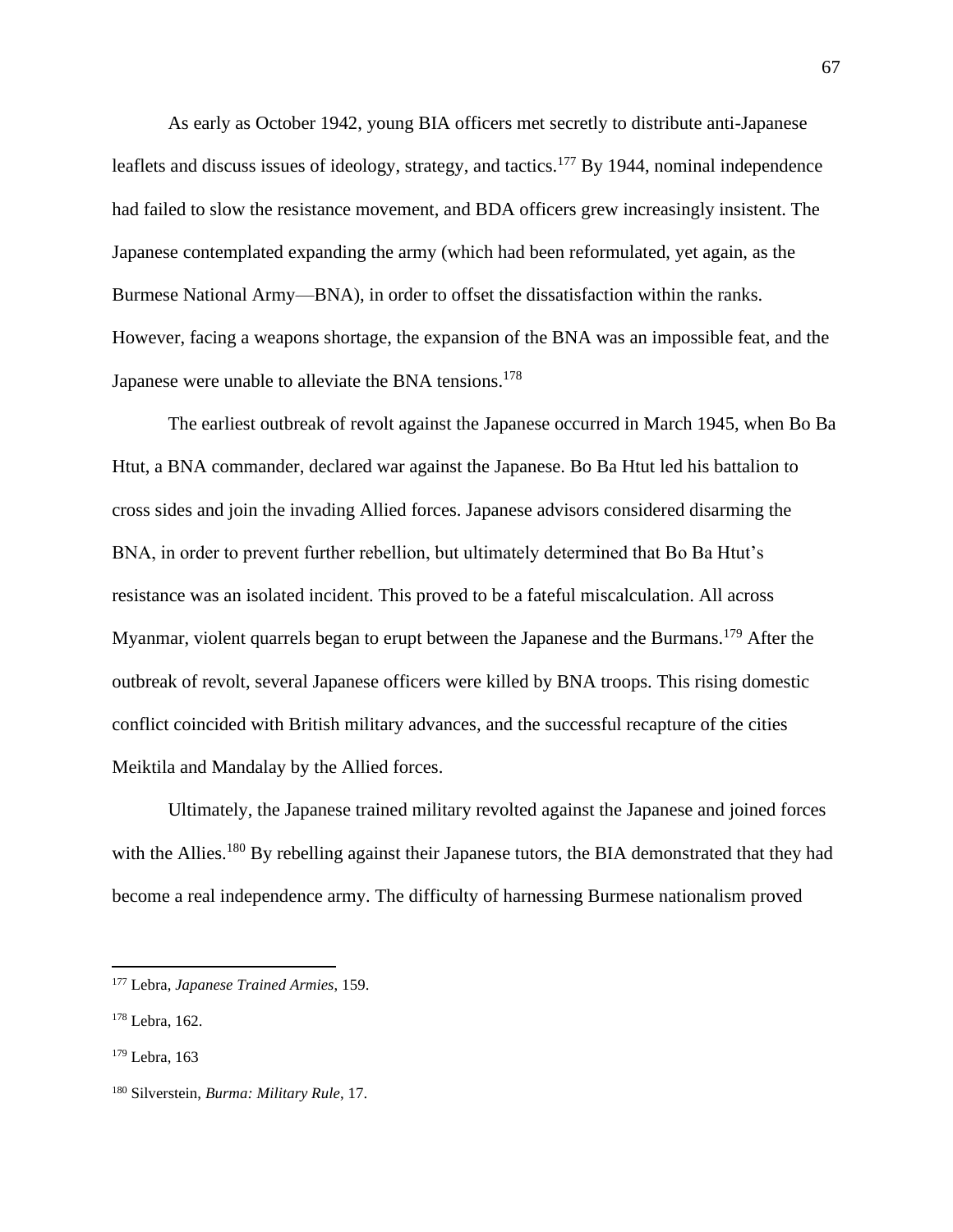As early as October 1942, young BIA officers met secretly to distribute anti-Japanese leaflets and discuss issues of ideology, strategy, and tactics.<sup>177</sup> By 1944, nominal independence had failed to slow the resistance movement, and BDA officers grew increasingly insistent. The Japanese contemplated expanding the army (which had been reformulated, yet again, as the Burmese National Army—BNA), in order to offset the dissatisfaction within the ranks. However, facing a weapons shortage, the expansion of the BNA was an impossible feat, and the Japanese were unable to alleviate the BNA tensions.<sup>178</sup>

The earliest outbreak of revolt against the Japanese occurred in March 1945, when Bo Ba Htut, a BNA commander, declared war against the Japanese. Bo Ba Htut led his battalion to cross sides and join the invading Allied forces. Japanese advisors considered disarming the BNA, in order to prevent further rebellion, but ultimately determined that Bo Ba Htut's resistance was an isolated incident. This proved to be a fateful miscalculation. All across Myanmar, violent quarrels began to erupt between the Japanese and the Burmans.<sup>179</sup> After the outbreak of revolt, several Japanese officers were killed by BNA troops. This rising domestic conflict coincided with British military advances, and the successful recapture of the cities Meiktila and Mandalay by the Allied forces.

Ultimately, the Japanese trained military revolted against the Japanese and joined forces with the Allies.<sup>180</sup> By rebelling against their Japanese tutors, the BIA demonstrated that they had become a real independence army. The difficulty of harnessing Burmese nationalism proved

<sup>177</sup> Lebra, *Japanese Trained Armies*, 159.

<sup>178</sup> Lebra, 162.

<sup>179</sup> Lebra, 163

<sup>180</sup> Silverstein, *Burma: Military Rule*, 17.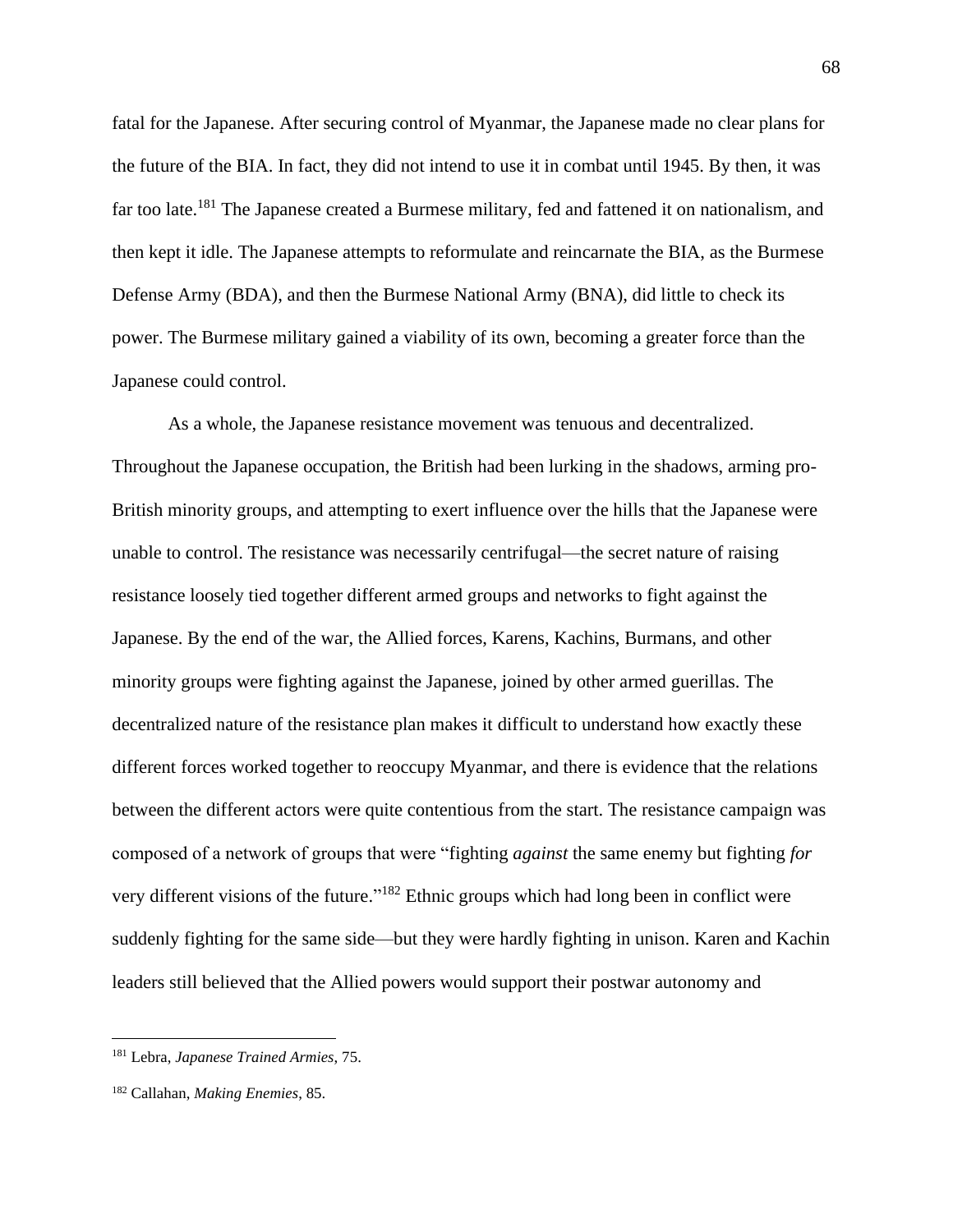fatal for the Japanese. After securing control of Myanmar, the Japanese made no clear plans for the future of the BIA. In fact, they did not intend to use it in combat until 1945. By then, it was far too late.<sup>181</sup> The Japanese created a Burmese military, fed and fattened it on nationalism, and then kept it idle. The Japanese attempts to reformulate and reincarnate the BIA, as the Burmese Defense Army (BDA), and then the Burmese National Army (BNA), did little to check its power. The Burmese military gained a viability of its own, becoming a greater force than the Japanese could control.

As a whole, the Japanese resistance movement was tenuous and decentralized. Throughout the Japanese occupation, the British had been lurking in the shadows, arming pro-British minority groups, and attempting to exert influence over the hills that the Japanese were unable to control. The resistance was necessarily centrifugal—the secret nature of raising resistance loosely tied together different armed groups and networks to fight against the Japanese. By the end of the war, the Allied forces, Karens, Kachins, Burmans, and other minority groups were fighting against the Japanese, joined by other armed guerillas. The decentralized nature of the resistance plan makes it difficult to understand how exactly these different forces worked together to reoccupy Myanmar, and there is evidence that the relations between the different actors were quite contentious from the start. The resistance campaign was composed of a network of groups that were "fighting *against* the same enemy but fighting *for* very different visions of the future."<sup>182</sup> Ethnic groups which had long been in conflict were suddenly fighting for the same side—but they were hardly fighting in unison. Karen and Kachin leaders still believed that the Allied powers would support their postwar autonomy and

<sup>181</sup> Lebra, *Japanese Trained Armies*, 75.

<sup>182</sup> Callahan, *Making Enemies*, 85.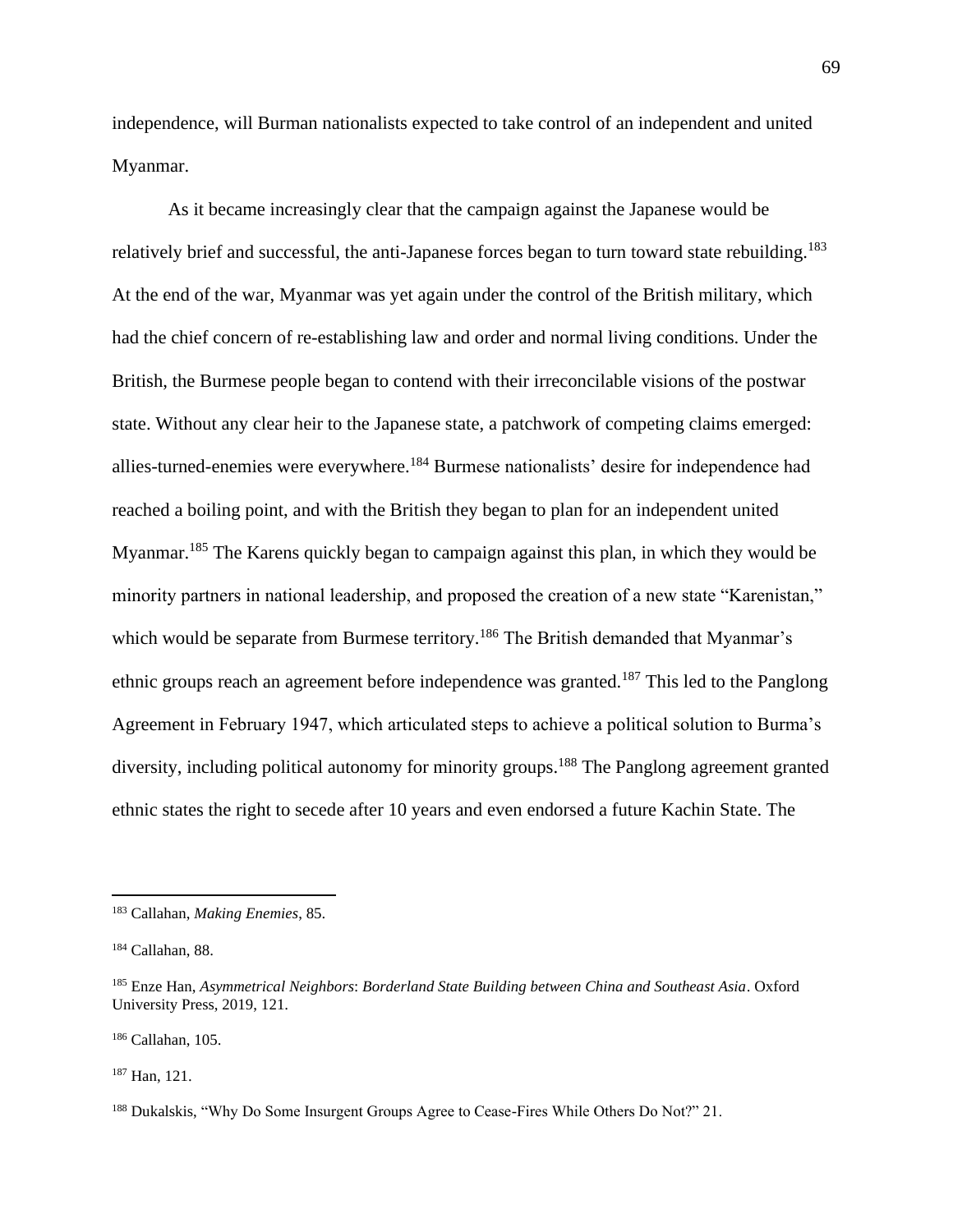independence, will Burman nationalists expected to take control of an independent and united Myanmar.

As it became increasingly clear that the campaign against the Japanese would be relatively brief and successful, the anti-Japanese forces began to turn toward state rebuilding.<sup>183</sup> At the end of the war, Myanmar was yet again under the control of the British military, which had the chief concern of re-establishing law and order and normal living conditions. Under the British, the Burmese people began to contend with their irreconcilable visions of the postwar state. Without any clear heir to the Japanese state, a patchwork of competing claims emerged: allies-turned-enemies were everywhere.<sup>184</sup> Burmese nationalists' desire for independence had reached a boiling point, and with the British they began to plan for an independent united Myanmar.<sup>185</sup> The Karens quickly began to campaign against this plan, in which they would be minority partners in national leadership, and proposed the creation of a new state "Karenistan," which would be separate from Burmese territory.<sup>186</sup> The British demanded that Myanmar's ethnic groups reach an agreement before independence was granted.<sup>187</sup> This led to the Panglong Agreement in February 1947, which articulated steps to achieve a political solution to Burma's diversity, including political autonomy for minority groups.<sup>188</sup> The Panglong agreement granted ethnic states the right to secede after 10 years and even endorsed a future Kachin State. The

<sup>187</sup> Han, 121.

<sup>183</sup> Callahan, *Making Enemies*, 85.

<sup>184</sup> Callahan, 88.

<sup>185</sup> Enze Han, *Asymmetrical Neighbors*: *Borderland State Building between China and Southeast Asia*. Oxford University Press, 2019, 121.

<sup>186</sup> Callahan, 105.

<sup>188</sup> Dukalskis, "Why Do Some Insurgent Groups Agree to Cease-Fires While Others Do Not?" 21.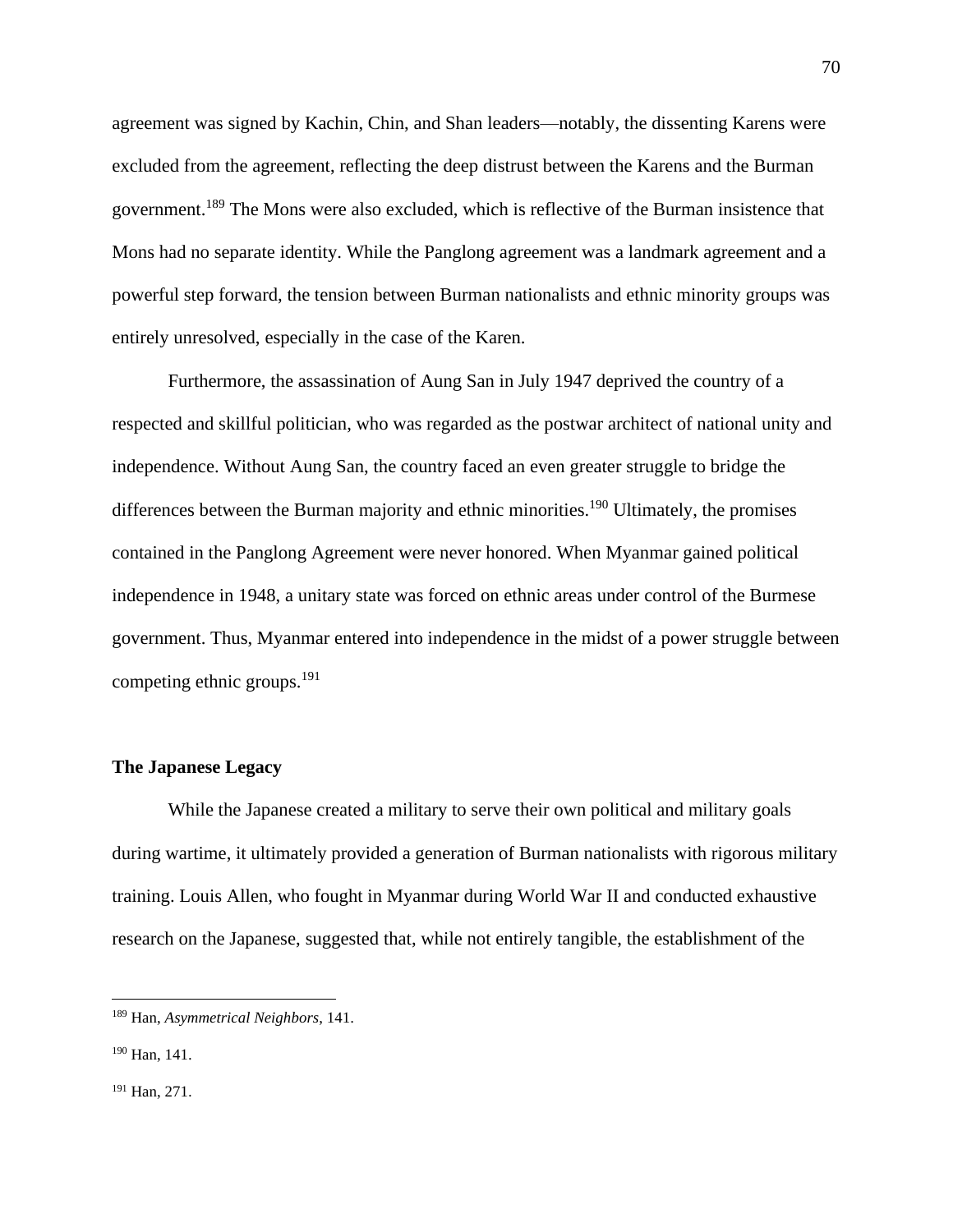agreement was signed by Kachin, Chin, and Shan leaders—notably, the dissenting Karens were excluded from the agreement, reflecting the deep distrust between the Karens and the Burman government.<sup>189</sup> The Mons were also excluded, which is reflective of the Burman insistence that Mons had no separate identity. While the Panglong agreement was a landmark agreement and a powerful step forward, the tension between Burman nationalists and ethnic minority groups was entirely unresolved, especially in the case of the Karen.

Furthermore, the assassination of Aung San in July 1947 deprived the country of a respected and skillful politician, who was regarded as the postwar architect of national unity and independence. Without Aung San, the country faced an even greater struggle to bridge the differences between the Burman majority and ethnic minorities.<sup>190</sup> Ultimately, the promises contained in the Panglong Agreement were never honored. When Myanmar gained political independence in 1948, a unitary state was forced on ethnic areas under control of the Burmese government. Thus, Myanmar entered into independence in the midst of a power struggle between competing ethnic groups.<sup>191</sup>

#### **The Japanese Legacy**

While the Japanese created a military to serve their own political and military goals during wartime, it ultimately provided a generation of Burman nationalists with rigorous military training. Louis Allen, who fought in Myanmar during World War II and conducted exhaustive research on the Japanese, suggested that, while not entirely tangible, the establishment of the

<sup>189</sup> Han, *Asymmetrical Neighbors*, 141.

<sup>190</sup> Han, 141.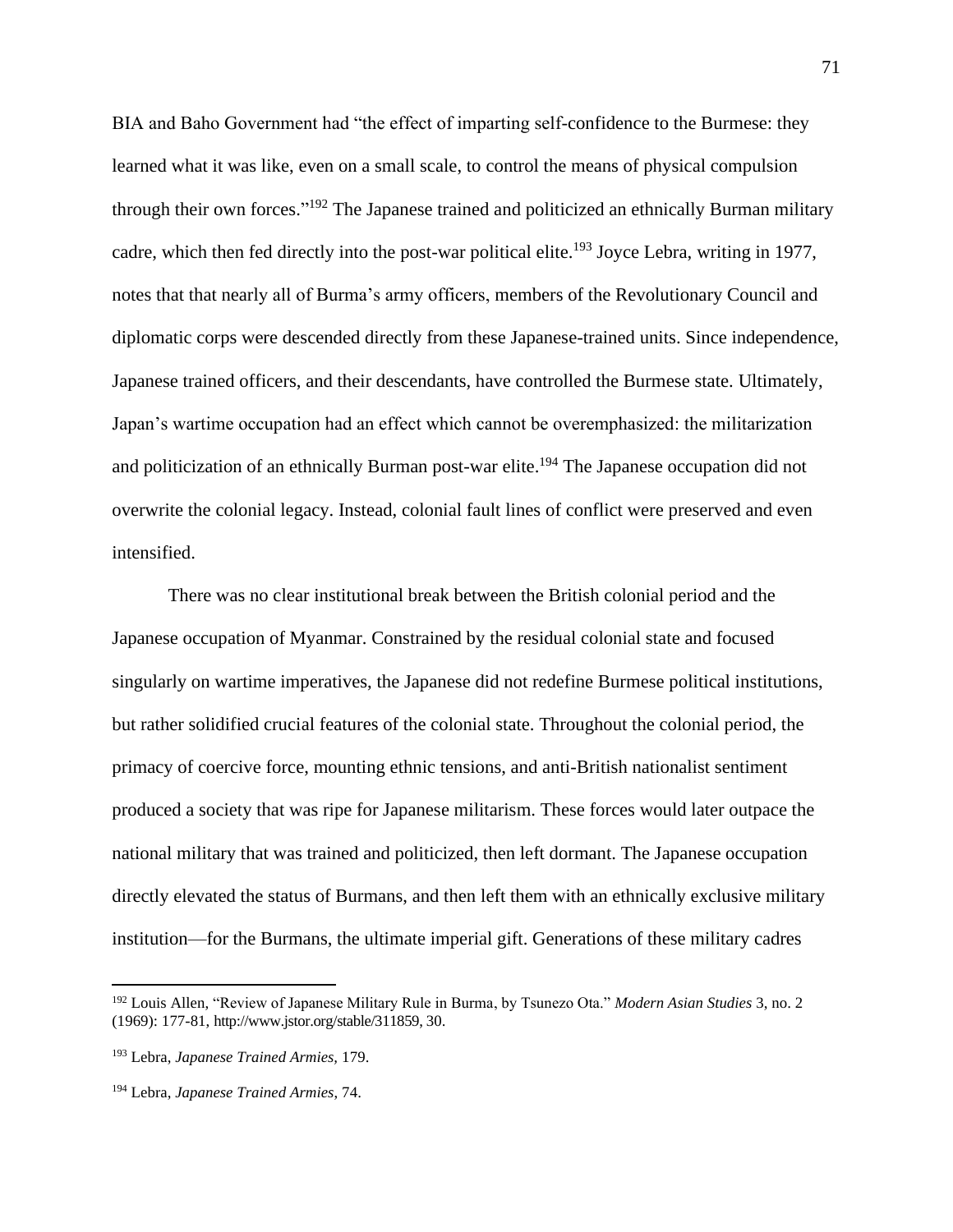BIA and Baho Government had "the effect of imparting self-confidence to the Burmese: they learned what it was like, even on a small scale, to control the means of physical compulsion through their own forces."<sup>192</sup> The Japanese trained and politicized an ethnically Burman military cadre, which then fed directly into the post-war political elite.<sup>193</sup> Joyce Lebra, writing in 1977, notes that that nearly all of Burma's army officers, members of the Revolutionary Council and diplomatic corps were descended directly from these Japanese-trained units. Since independence, Japanese trained officers, and their descendants, have controlled the Burmese state. Ultimately, Japan's wartime occupation had an effect which cannot be overemphasized: the militarization and politicization of an ethnically Burman post-war elite.<sup>194</sup> The Japanese occupation did not overwrite the colonial legacy. Instead, colonial fault lines of conflict were preserved and even intensified.

There was no clear institutional break between the British colonial period and the Japanese occupation of Myanmar. Constrained by the residual colonial state and focused singularly on wartime imperatives, the Japanese did not redefine Burmese political institutions, but rather solidified crucial features of the colonial state. Throughout the colonial period, the primacy of coercive force, mounting ethnic tensions, and anti-British nationalist sentiment produced a society that was ripe for Japanese militarism. These forces would later outpace the national military that was trained and politicized, then left dormant. The Japanese occupation directly elevated the status of Burmans, and then left them with an ethnically exclusive military institution—for the Burmans, the ultimate imperial gift. Generations of these military cadres

<sup>192</sup> Louis Allen, "Review of Japanese Military Rule in Burma, by Tsunezo Ota." *Modern Asian Studies* 3, no. 2 (1969): 177-81, http://www.jstor.org/stable/311859, 30.

<sup>193</sup> Lebra, *Japanese Trained Armies,* 179.

<sup>194</sup> Lebra, *Japanese Trained Armies*, 74.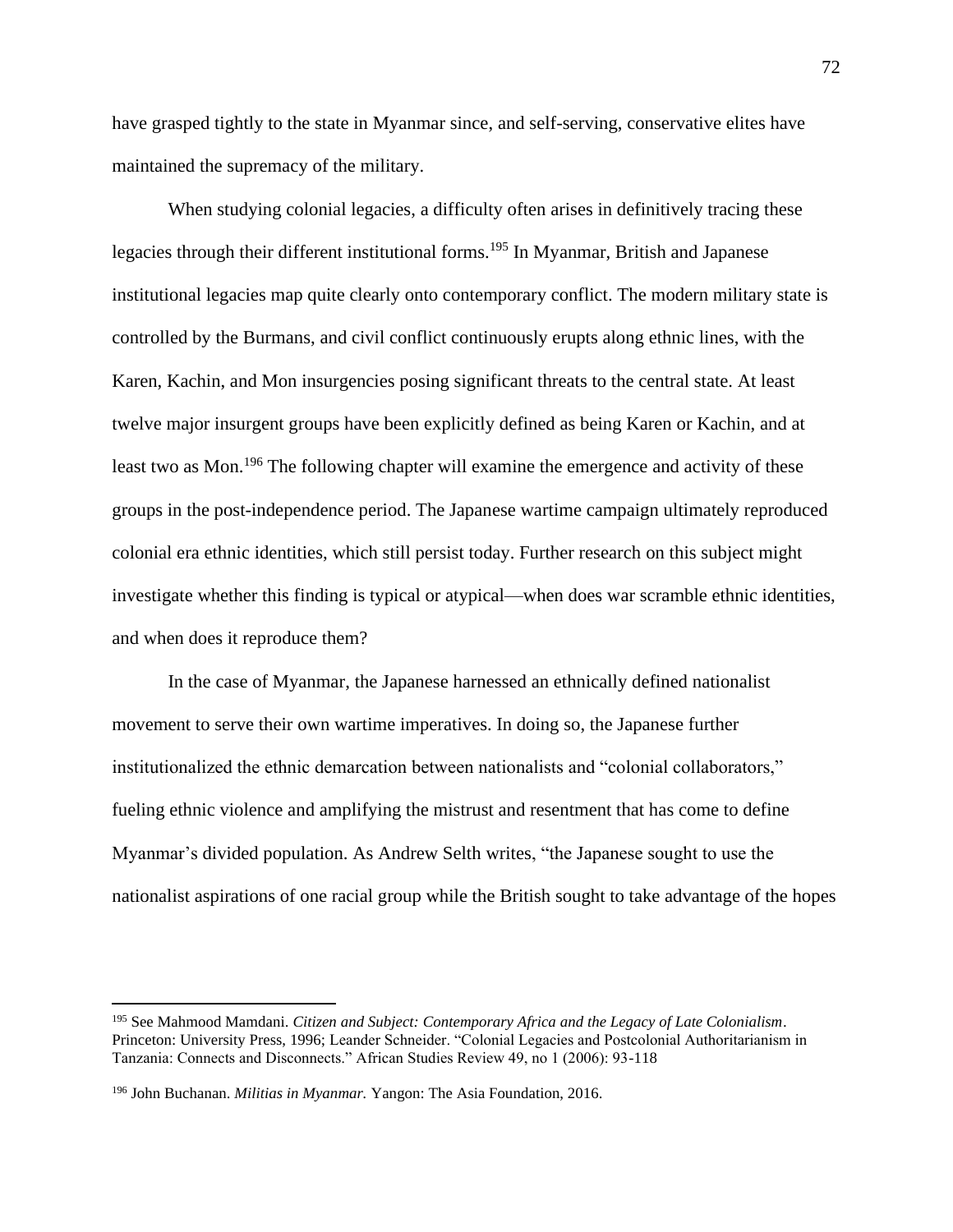have grasped tightly to the state in Myanmar since, and self-serving, conservative elites have maintained the supremacy of the military.

When studying colonial legacies, a difficulty often arises in definitively tracing these legacies through their different institutional forms.<sup>195</sup> In Myanmar, British and Japanese institutional legacies map quite clearly onto contemporary conflict. The modern military state is controlled by the Burmans, and civil conflict continuously erupts along ethnic lines, with the Karen, Kachin, and Mon insurgencies posing significant threats to the central state. At least twelve major insurgent groups have been explicitly defined as being Karen or Kachin, and at least two as Mon.<sup>196</sup> The following chapter will examine the emergence and activity of these groups in the post-independence period. The Japanese wartime campaign ultimately reproduced colonial era ethnic identities, which still persist today. Further research on this subject might investigate whether this finding is typical or atypical—when does war scramble ethnic identities, and when does it reproduce them?

In the case of Myanmar, the Japanese harnessed an ethnically defined nationalist movement to serve their own wartime imperatives. In doing so, the Japanese further institutionalized the ethnic demarcation between nationalists and "colonial collaborators," fueling ethnic violence and amplifying the mistrust and resentment that has come to define Myanmar's divided population. As Andrew Selth writes, "the Japanese sought to use the nationalist aspirations of one racial group while the British sought to take advantage of the hopes

<sup>195</sup> See Mahmood Mamdani. *Citizen and Subject: Contemporary Africa and the Legacy of Late Colonialism*. Princeton: University Press, 1996; Leander Schneider. "Colonial Legacies and Postcolonial Authoritarianism in Tanzania: Connects and Disconnects." African Studies Review 49, no 1 (2006): 93-118

<sup>196</sup> John Buchanan. *Militias in Myanmar.* Yangon: The Asia Foundation, 2016.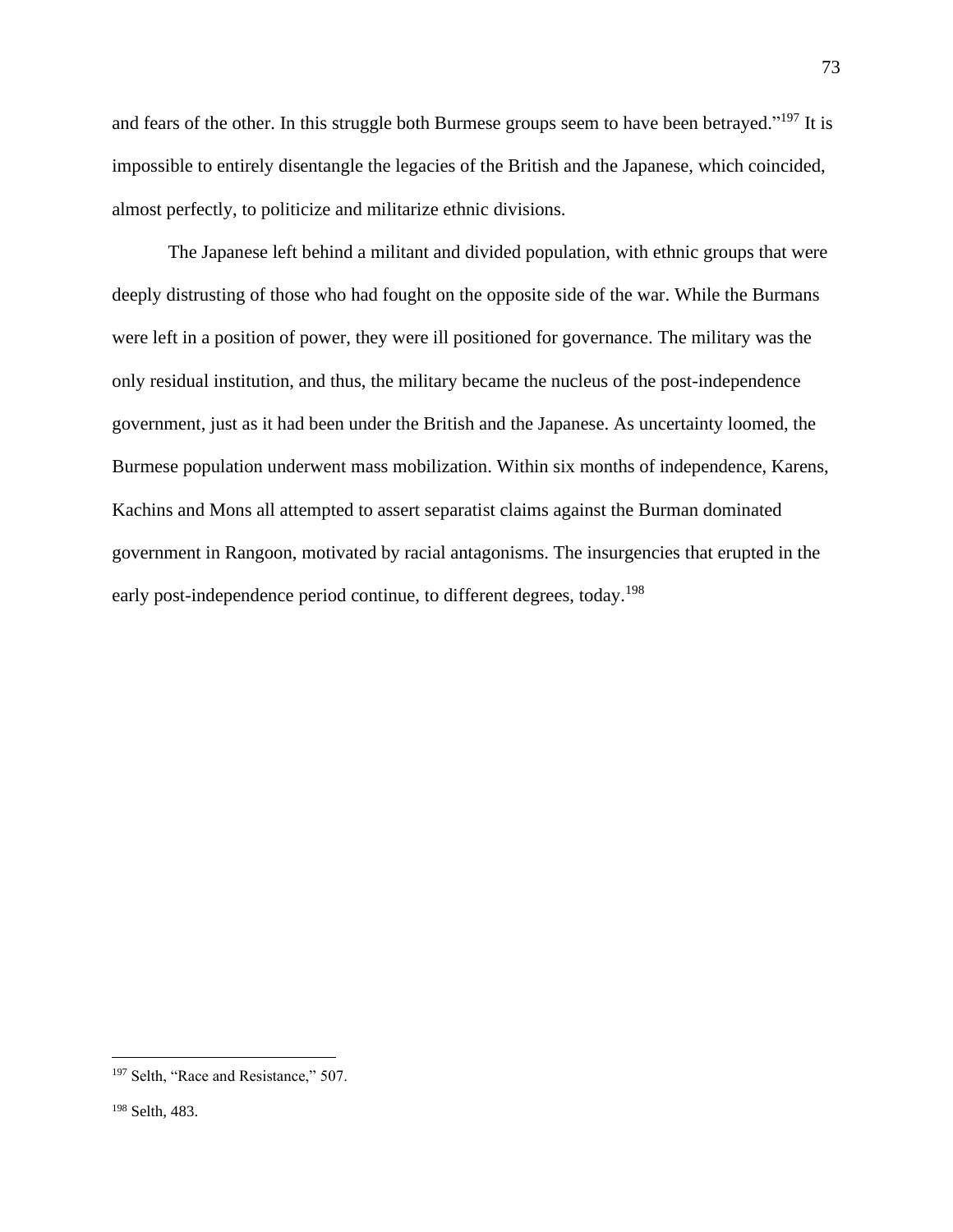and fears of the other. In this struggle both Burmese groups seem to have been betrayed."<sup>197</sup> It is impossible to entirely disentangle the legacies of the British and the Japanese, which coincided, almost perfectly, to politicize and militarize ethnic divisions.

The Japanese left behind a militant and divided population, with ethnic groups that were deeply distrusting of those who had fought on the opposite side of the war. While the Burmans were left in a position of power, they were ill positioned for governance. The military was the only residual institution, and thus, the military became the nucleus of the post-independence government, just as it had been under the British and the Japanese. As uncertainty loomed, the Burmese population underwent mass mobilization. Within six months of independence, Karens, Kachins and Mons all attempted to assert separatist claims against the Burman dominated government in Rangoon, motivated by racial antagonisms. The insurgencies that erupted in the early post-independence period continue, to different degrees, today.<sup>198</sup>

<sup>&</sup>lt;sup>197</sup> Selth, "Race and Resistance," 507.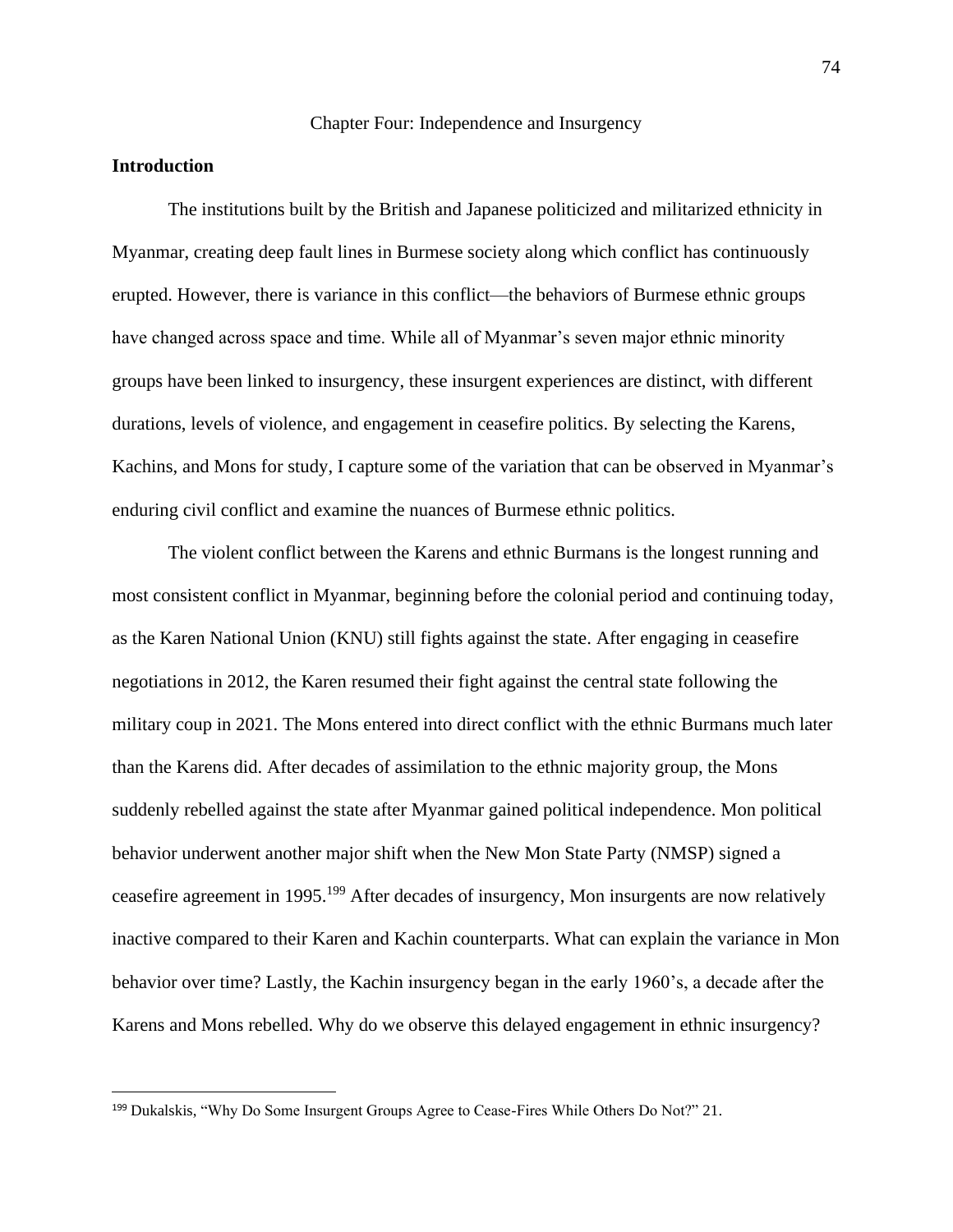## Chapter Four: Independence and Insurgency

## **Introduction**

The institutions built by the British and Japanese politicized and militarized ethnicity in Myanmar, creating deep fault lines in Burmese society along which conflict has continuously erupted. However, there is variance in this conflict—the behaviors of Burmese ethnic groups have changed across space and time. While all of Myanmar's seven major ethnic minority groups have been linked to insurgency, these insurgent experiences are distinct, with different durations, levels of violence, and engagement in ceasefire politics. By selecting the Karens, Kachins, and Mons for study, I capture some of the variation that can be observed in Myanmar's enduring civil conflict and examine the nuances of Burmese ethnic politics.

The violent conflict between the Karens and ethnic Burmans is the longest running and most consistent conflict in Myanmar, beginning before the colonial period and continuing today, as the Karen National Union (KNU) still fights against the state. After engaging in ceasefire negotiations in 2012, the Karen resumed their fight against the central state following the military coup in 2021. The Mons entered into direct conflict with the ethnic Burmans much later than the Karens did. After decades of assimilation to the ethnic majority group, the Mons suddenly rebelled against the state after Myanmar gained political independence. Mon political behavior underwent another major shift when the New Mon State Party (NMSP) signed a ceasefire agreement in 1995.<sup>199</sup> After decades of insurgency, Mon insurgents are now relatively inactive compared to their Karen and Kachin counterparts. What can explain the variance in Mon behavior over time? Lastly, the Kachin insurgency began in the early 1960's, a decade after the Karens and Mons rebelled. Why do we observe this delayed engagement in ethnic insurgency?

<sup>&</sup>lt;sup>199</sup> Dukalskis, "Why Do Some Insurgent Groups Agree to Cease-Fires While Others Do Not?" 21.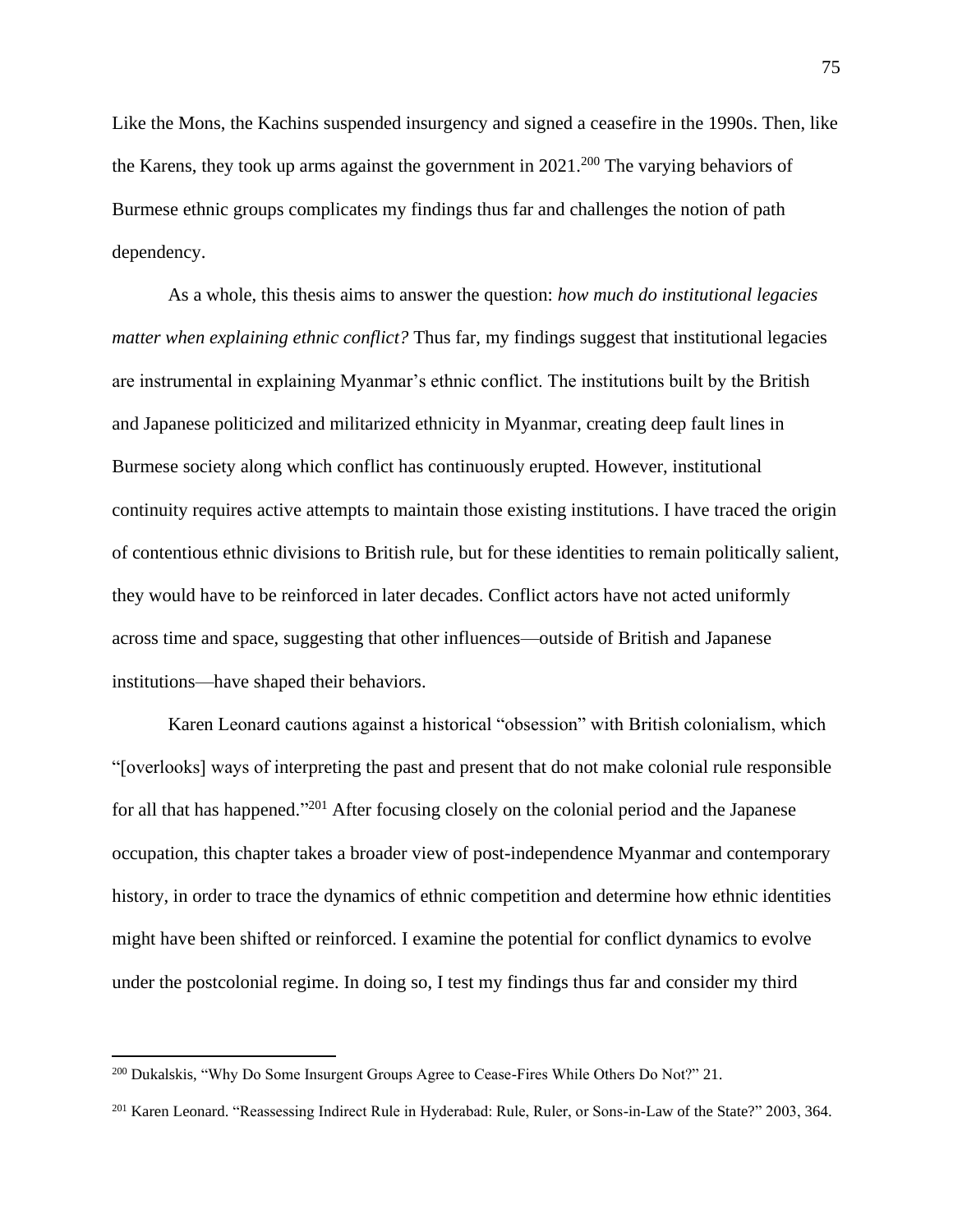Like the Mons, the Kachins suspended insurgency and signed a ceasefire in the 1990s. Then, like the Karens, they took up arms against the government in  $2021$ <sup>200</sup> The varying behaviors of Burmese ethnic groups complicates my findings thus far and challenges the notion of path dependency.

As a whole, this thesis aims to answer the question: *how much do institutional legacies matter when explaining ethnic conflict?* Thus far, my findings suggest that institutional legacies are instrumental in explaining Myanmar's ethnic conflict. The institutions built by the British and Japanese politicized and militarized ethnicity in Myanmar, creating deep fault lines in Burmese society along which conflict has continuously erupted. However, institutional continuity requires active attempts to maintain those existing institutions. I have traced the origin of contentious ethnic divisions to British rule, but for these identities to remain politically salient, they would have to be reinforced in later decades. Conflict actors have not acted uniformly across time and space, suggesting that other influences—outside of British and Japanese institutions—have shaped their behaviors.

Karen Leonard cautions against a historical "obsession" with British colonialism, which "[overlooks] ways of interpreting the past and present that do not make colonial rule responsible for all that has happened."<sup>201</sup> After focusing closely on the colonial period and the Japanese occupation, this chapter takes a broader view of post-independence Myanmar and contemporary history, in order to trace the dynamics of ethnic competition and determine how ethnic identities might have been shifted or reinforced. I examine the potential for conflict dynamics to evolve under the postcolonial regime. In doing so, I test my findings thus far and consider my third

<sup>200</sup> Dukalskis, "Why Do Some Insurgent Groups Agree to Cease-Fires While Others Do Not?" 21.

<sup>&</sup>lt;sup>201</sup> Karen Leonard. "Reassessing Indirect Rule in Hyderabad: Rule, Ruler, or Sons-in-Law of the State?" 2003, 364.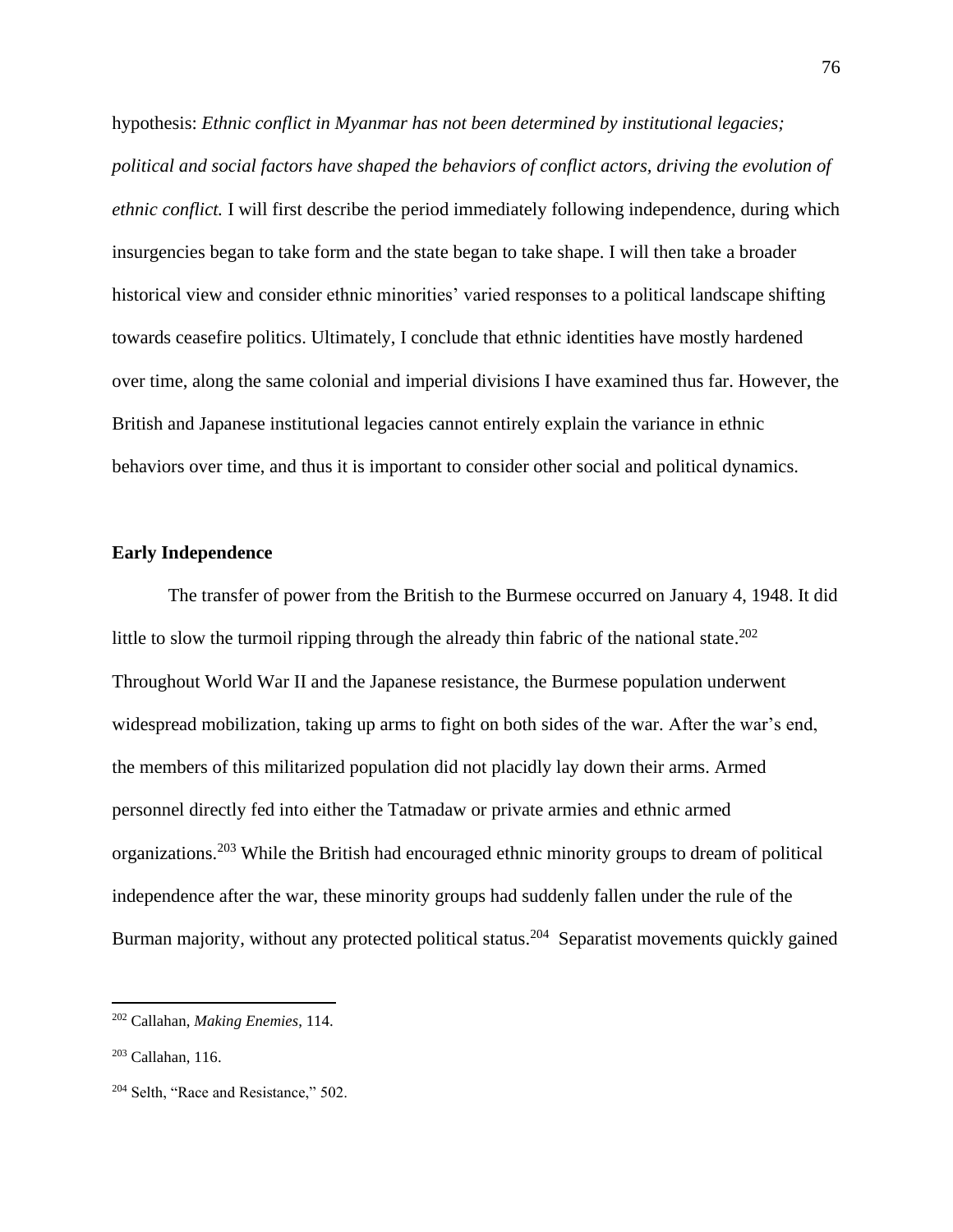hypothesis: *Ethnic conflict in Myanmar has not been determined by institutional legacies; political and social factors have shaped the behaviors of conflict actors, driving the evolution of ethnic conflict.* I will first describe the period immediately following independence, during which insurgencies began to take form and the state began to take shape. I will then take a broader historical view and consider ethnic minorities' varied responses to a political landscape shifting towards ceasefire politics. Ultimately, I conclude that ethnic identities have mostly hardened over time, along the same colonial and imperial divisions I have examined thus far. However, the British and Japanese institutional legacies cannot entirely explain the variance in ethnic behaviors over time, and thus it is important to consider other social and political dynamics.

# **Early Independence**

The transfer of power from the British to the Burmese occurred on January 4, 1948. It did little to slow the turmoil ripping through the already thin fabric of the national state.<sup>202</sup> Throughout World War II and the Japanese resistance, the Burmese population underwent widespread mobilization, taking up arms to fight on both sides of the war. After the war's end, the members of this militarized population did not placidly lay down their arms. Armed personnel directly fed into either the Tatmadaw or private armies and ethnic armed organizations.<sup>203</sup> While the British had encouraged ethnic minority groups to dream of political independence after the war, these minority groups had suddenly fallen under the rule of the Burman majority, without any protected political status.<sup>204</sup> Separatist movements quickly gained

<sup>202</sup> Callahan, *Making Enemies*, 114.

 $203$  Callahan, 116.

<sup>&</sup>lt;sup>204</sup> Selth, "Race and Resistance," 502.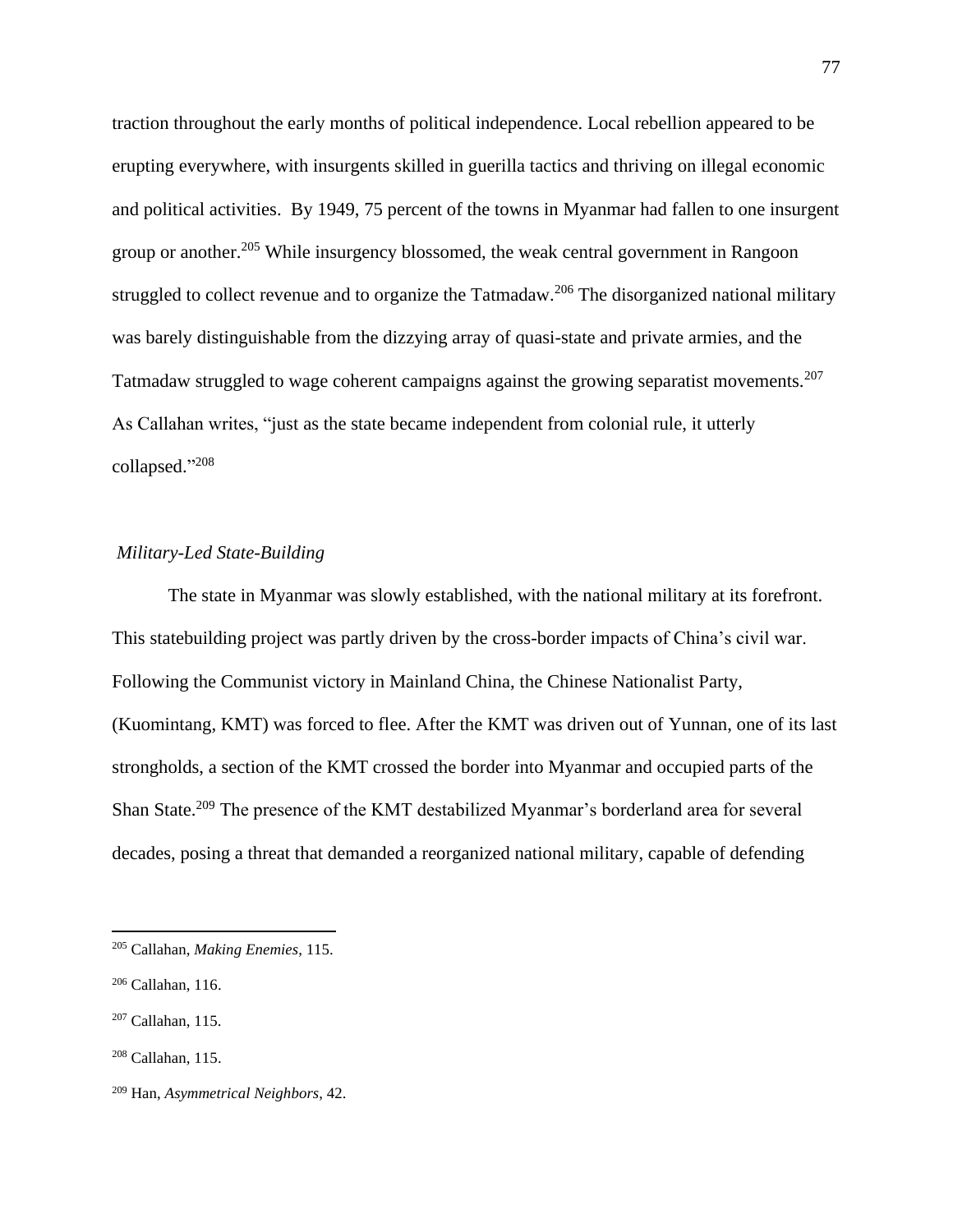traction throughout the early months of political independence. Local rebellion appeared to be erupting everywhere, with insurgents skilled in guerilla tactics and thriving on illegal economic and political activities. By 1949, 75 percent of the towns in Myanmar had fallen to one insurgent group or another.<sup>205</sup> While insurgency blossomed, the weak central government in Rangoon struggled to collect revenue and to organize the Tatmadaw.<sup>206</sup> The disorganized national military was barely distinguishable from the dizzying array of quasi-state and private armies, and the Tatmadaw struggled to wage coherent campaigns against the growing separatist movements.<sup>207</sup> As Callahan writes, "just as the state became independent from colonial rule, it utterly collapsed." 208

# *Military-Led State-Building*

The state in Myanmar was slowly established, with the national military at its forefront. This statebuilding project was partly driven by the cross-border impacts of China's civil war. Following the Communist victory in Mainland China, the Chinese Nationalist Party, (Kuomintang, KMT) was forced to flee. After the KMT was driven out of Yunnan, one of its last strongholds, a section of the KMT crossed the border into Myanmar and occupied parts of the Shan State.<sup>209</sup> The presence of the KMT destabilized Myanmar's borderland area for several decades, posing a threat that demanded a reorganized national military, capable of defending

<sup>205</sup> Callahan, *Making Enemies*, 115.

<sup>206</sup> Callahan, 116.

<sup>207</sup> Callahan, 115.

 $208$  Callahan, 115.

<sup>209</sup> Han, *Asymmetrical Neighbors*, 42.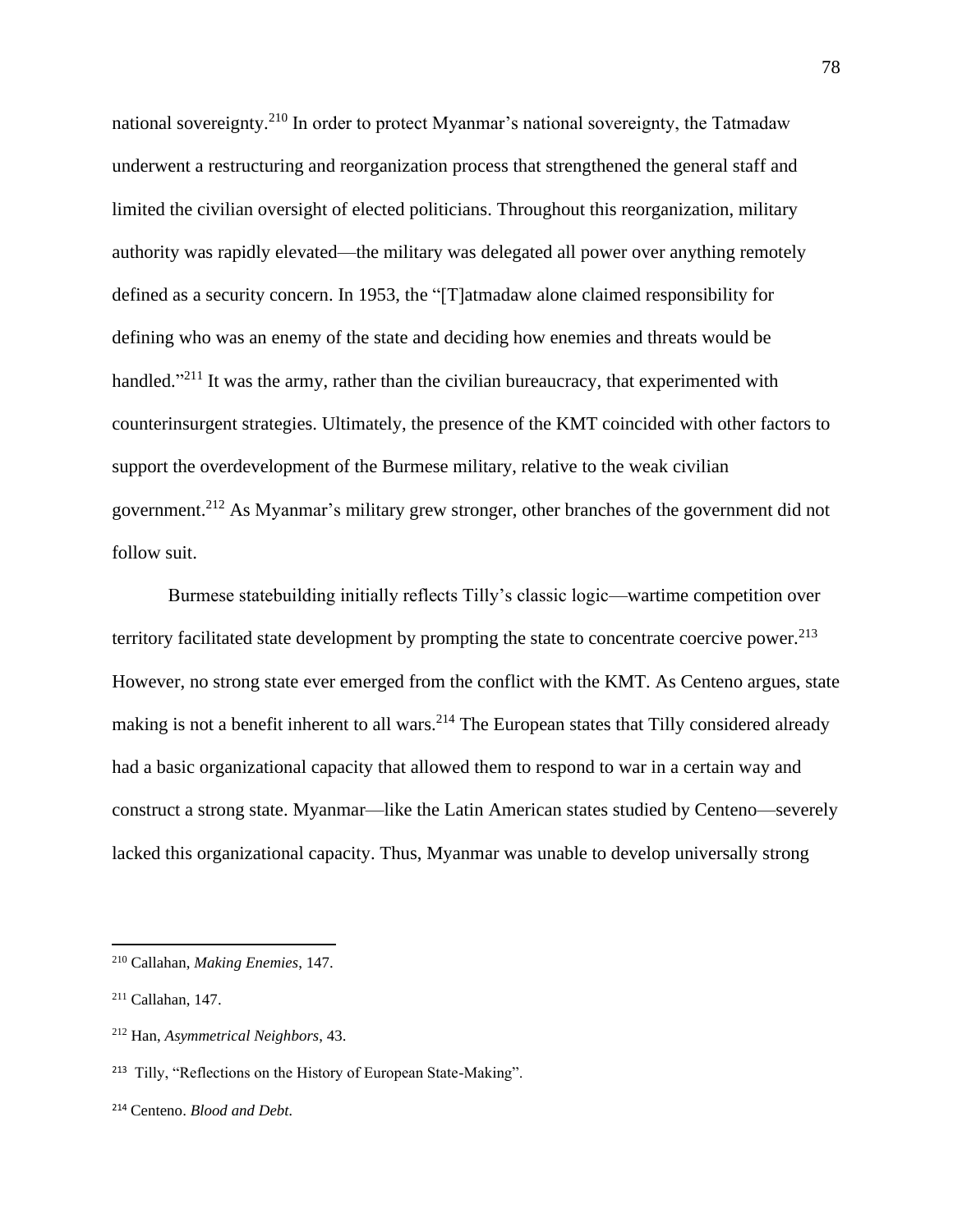national sovereignty.<sup>210</sup> In order to protect Myanmar's national sovereignty, the Tatmadaw underwent a restructuring and reorganization process that strengthened the general staff and limited the civilian oversight of elected politicians. Throughout this reorganization, military authority was rapidly elevated—the military was delegated all power over anything remotely defined as a security concern. In 1953, the "[T]atmadaw alone claimed responsibility for defining who was an enemy of the state and deciding how enemies and threats would be handled."<sup>211</sup> It was the army, rather than the civilian bureaucracy, that experimented with counterinsurgent strategies. Ultimately, the presence of the KMT coincided with other factors to support the overdevelopment of the Burmese military, relative to the weak civilian government.<sup>212</sup> As Myanmar's military grew stronger, other branches of the government did not follow suit.

Burmese statebuilding initially reflects Tilly's classic logic—wartime competition over territory facilitated state development by prompting the state to concentrate coercive power.<sup>213</sup> However, no strong state ever emerged from the conflict with the KMT. As Centeno argues, state making is not a benefit inherent to all wars.<sup>214</sup> The European states that Tilly considered already had a basic organizational capacity that allowed them to respond to war in a certain way and construct a strong state. Myanmar—like the Latin American states studied by Centeno—severely lacked this organizational capacity. Thus, Myanmar was unable to develop universally strong

<sup>210</sup> Callahan, *Making Enemies*, 147.

<sup>211</sup> Callahan, 147.

<sup>212</sup> Han, *Asymmetrical Neighbors*, 43.

<sup>213</sup> Tilly, "Reflections on the History of European State-Making".

<sup>214</sup> Centeno. *Blood and Debt.*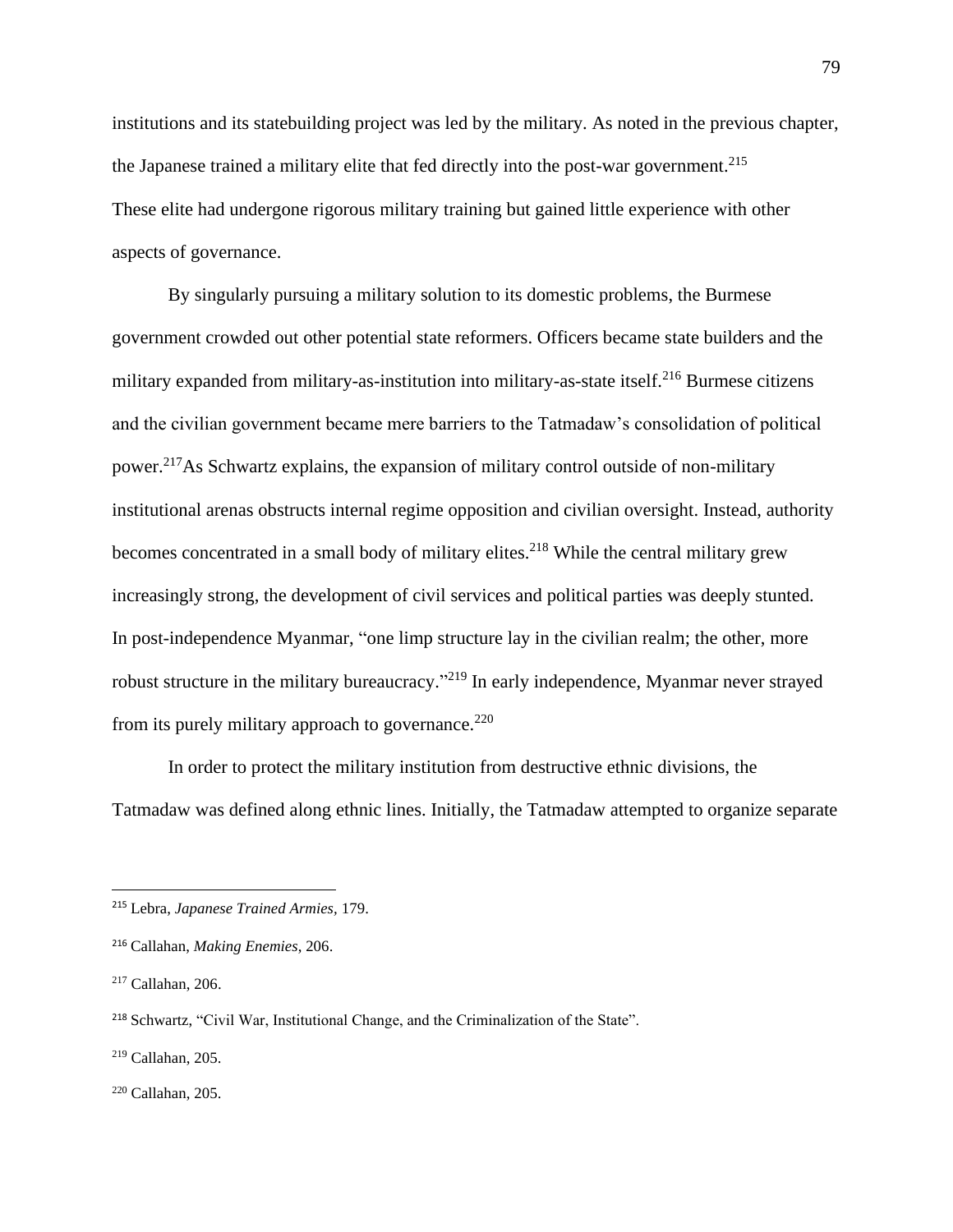institutions and its statebuilding project was led by the military. As noted in the previous chapter, the Japanese trained a military elite that fed directly into the post-war government.<sup>215</sup> These elite had undergone rigorous military training but gained little experience with other aspects of governance.

By singularly pursuing a military solution to its domestic problems, the Burmese government crowded out other potential state reformers. Officers became state builders and the military expanded from military-as-institution into military-as-state itself.<sup>216</sup> Burmese citizens and the civilian government became mere barriers to the Tatmadaw's consolidation of political power.<sup>217</sup>As Schwartz explains, the expansion of military control outside of non-military institutional arenas obstructs internal regime opposition and civilian oversight. Instead, authority becomes concentrated in a small body of military elites.<sup>218</sup> While the central military grew increasingly strong, the development of civil services and political parties was deeply stunted. In post-independence Myanmar, "one limp structure lay in the civilian realm; the other, more robust structure in the military bureaucracy."<sup>219</sup> In early independence, Myanmar never strayed from its purely military approach to governance.<sup>220</sup>

In order to protect the military institution from destructive ethnic divisions, the Tatmadaw was defined along ethnic lines. Initially, the Tatmadaw attempted to organize separate

<sup>215</sup> Lebra, *Japanese Trained Armies,* 179.

<sup>216</sup> Callahan, *Making Enemies*, 206.

<sup>217</sup> Callahan, 206.

<sup>218</sup> Schwartz, "Civil War, Institutional Change, and the Criminalization of the State".

<sup>219</sup> Callahan, 205.

<sup>220</sup> Callahan, 205.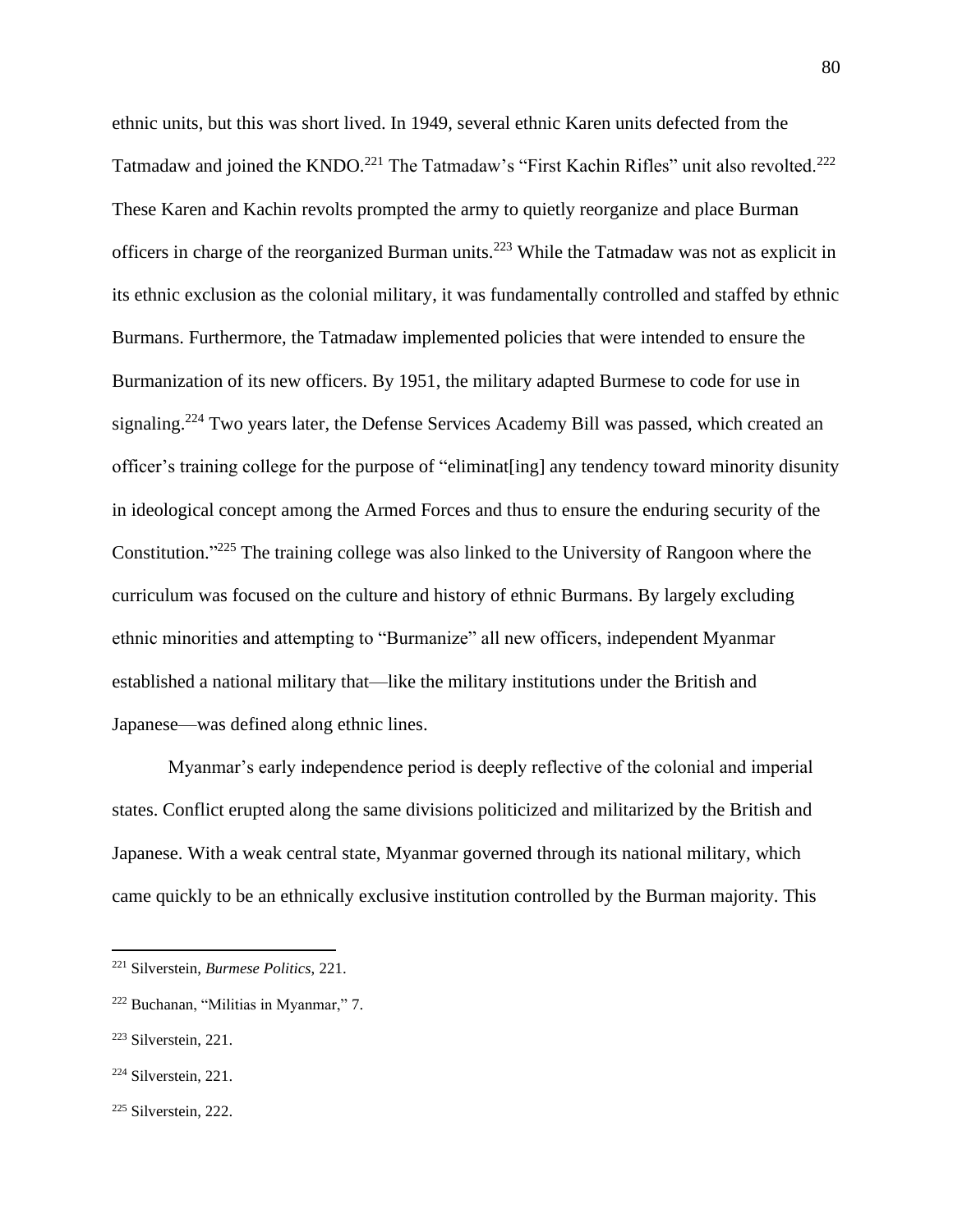ethnic units, but this was short lived. In 1949, several ethnic Karen units defected from the Tatmadaw and joined the KNDO.<sup>221</sup> The Tatmadaw's "First Kachin Rifles" unit also revolted.<sup>222</sup> These Karen and Kachin revolts prompted the army to quietly reorganize and place Burman officers in charge of the reorganized Burman units.<sup>223</sup> While the Tatmadaw was not as explicit in its ethnic exclusion as the colonial military, it was fundamentally controlled and staffed by ethnic Burmans. Furthermore, the Tatmadaw implemented policies that were intended to ensure the Burmanization of its new officers. By 1951, the military adapted Burmese to code for use in signaling.<sup>224</sup> Two years later, the Defense Services Academy Bill was passed, which created an officer's training college for the purpose of "eliminat[ing] any tendency toward minority disunity in ideological concept among the Armed Forces and thus to ensure the enduring security of the Constitution."<sup>225</sup> The training college was also linked to the University of Rangoon where the curriculum was focused on the culture and history of ethnic Burmans. By largely excluding ethnic minorities and attempting to "Burmanize" all new officers, independent Myanmar established a national military that—like the military institutions under the British and Japanese—was defined along ethnic lines.

Myanmar's early independence period is deeply reflective of the colonial and imperial states. Conflict erupted along the same divisions politicized and militarized by the British and Japanese. With a weak central state, Myanmar governed through its national military, which came quickly to be an ethnically exclusive institution controlled by the Burman majority. This

<sup>221</sup> Silverstein, *Burmese Politics*, 221.

<sup>222</sup> Buchanan, "Militias in Myanmar," 7.

<sup>223</sup> Silverstein, 221.

<sup>224</sup> Silverstein, 221.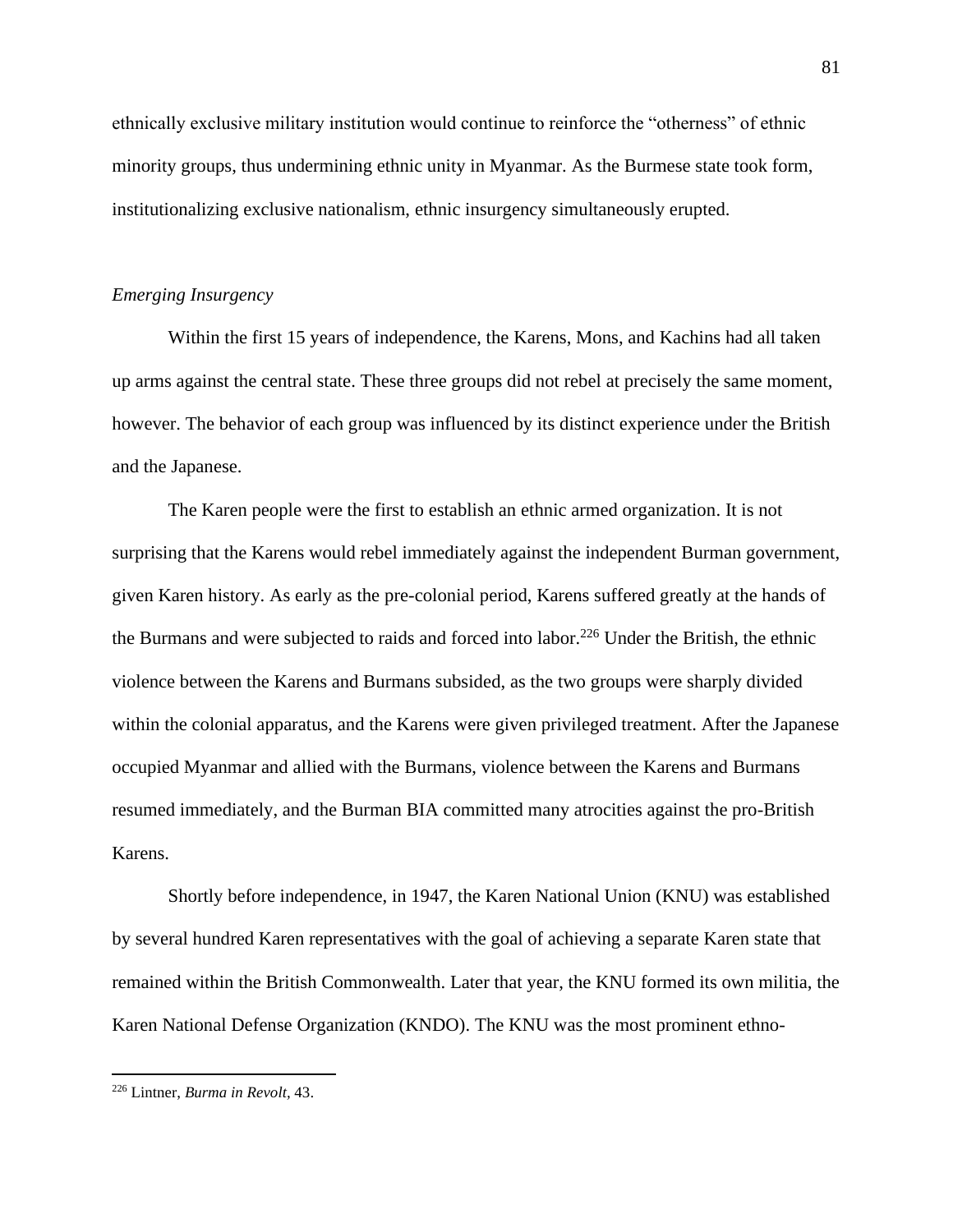ethnically exclusive military institution would continue to reinforce the "otherness" of ethnic minority groups, thus undermining ethnic unity in Myanmar. As the Burmese state took form, institutionalizing exclusive nationalism, ethnic insurgency simultaneously erupted.

#### *Emerging Insurgency*

Within the first 15 years of independence, the Karens, Mons, and Kachins had all taken up arms against the central state. These three groups did not rebel at precisely the same moment, however. The behavior of each group was influenced by its distinct experience under the British and the Japanese.

The Karen people were the first to establish an ethnic armed organization. It is not surprising that the Karens would rebel immediately against the independent Burman government, given Karen history. As early as the pre-colonial period, Karens suffered greatly at the hands of the Burmans and were subjected to raids and forced into labor.<sup>226</sup> Under the British, the ethnic violence between the Karens and Burmans subsided, as the two groups were sharply divided within the colonial apparatus, and the Karens were given privileged treatment. After the Japanese occupied Myanmar and allied with the Burmans, violence between the Karens and Burmans resumed immediately, and the Burman BIA committed many atrocities against the pro-British Karens.

Shortly before independence, in 1947, the Karen National Union (KNU) was established by several hundred Karen representatives with the goal of achieving a separate Karen state that remained within the British Commonwealth. Later that year, the KNU formed its own militia, the Karen National Defense Organization (KNDO). The KNU was the most prominent ethno-

<sup>226</sup> Lintner, *Burma in Revolt,* 43.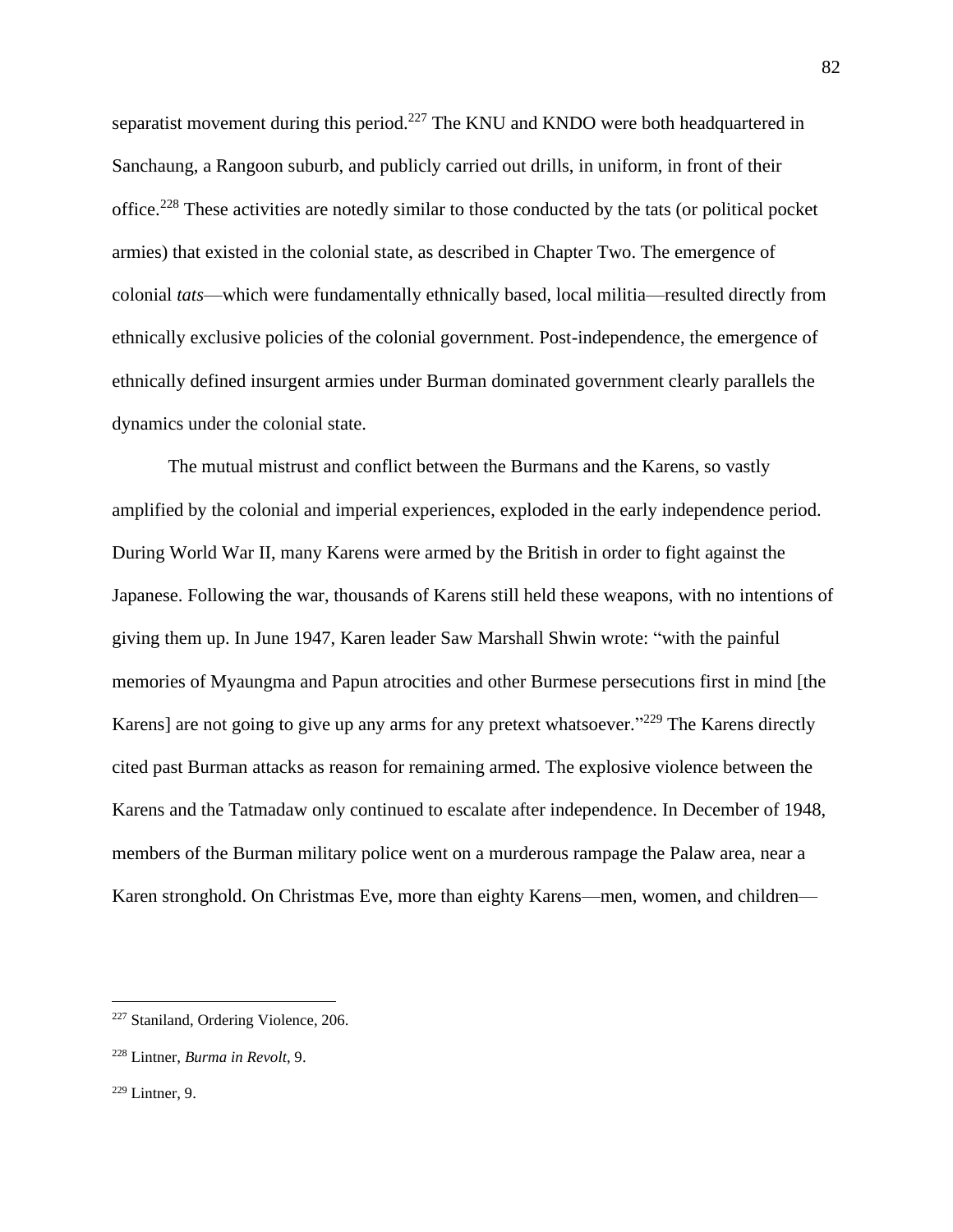separatist movement during this period.<sup>227</sup> The KNU and KNDO were both headquartered in Sanchaung, a Rangoon suburb, and publicly carried out drills, in uniform, in front of their office.<sup>228</sup> These activities are notedly similar to those conducted by the tats (or political pocket armies) that existed in the colonial state, as described in Chapter Two. The emergence of colonial *tats*—which were fundamentally ethnically based, local militia—resulted directly from ethnically exclusive policies of the colonial government. Post-independence, the emergence of ethnically defined insurgent armies under Burman dominated government clearly parallels the dynamics under the colonial state.

The mutual mistrust and conflict between the Burmans and the Karens, so vastly amplified by the colonial and imperial experiences, exploded in the early independence period. During World War II, many Karens were armed by the British in order to fight against the Japanese. Following the war, thousands of Karens still held these weapons, with no intentions of giving them up. In June 1947, Karen leader Saw Marshall Shwin wrote: "with the painful memories of Myaungma and Papun atrocities and other Burmese persecutions first in mind [the Karens] are not going to give up any arms for any pretext whatsoever."<sup>229</sup> The Karens directly cited past Burman attacks as reason for remaining armed. The explosive violence between the Karens and the Tatmadaw only continued to escalate after independence. In December of 1948, members of the Burman military police went on a murderous rampage the Palaw area, near a Karen stronghold. On Christmas Eve, more than eighty Karens—men, women, and children—

<sup>227</sup> Staniland, Ordering Violence, 206.

<sup>228</sup> Lintner, *Burma in Revolt*, 9.

 $229$  Lintner, 9.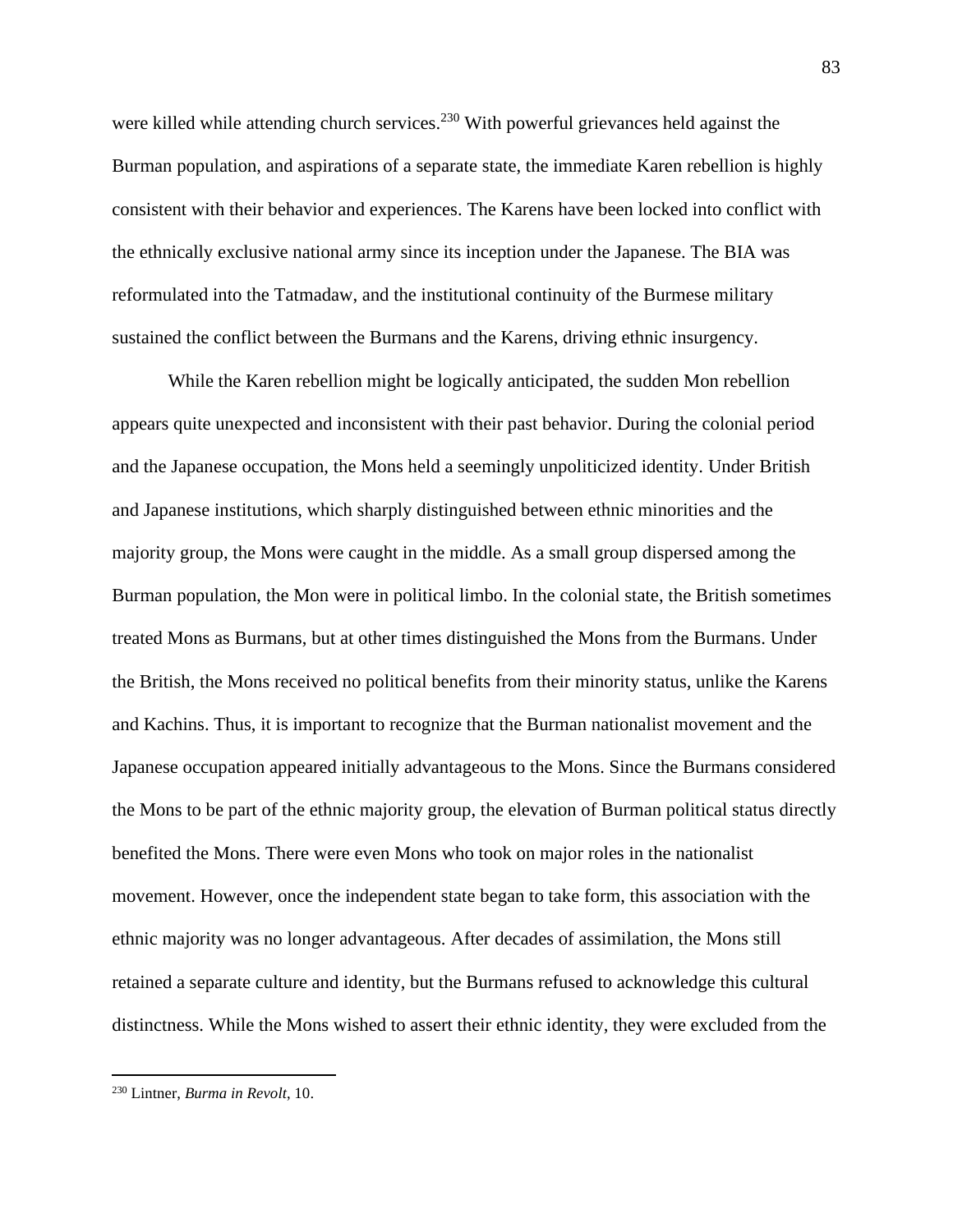were killed while attending church services.<sup>230</sup> With powerful grievances held against the Burman population, and aspirations of a separate state, the immediate Karen rebellion is highly consistent with their behavior and experiences. The Karens have been locked into conflict with the ethnically exclusive national army since its inception under the Japanese. The BIA was reformulated into the Tatmadaw, and the institutional continuity of the Burmese military sustained the conflict between the Burmans and the Karens, driving ethnic insurgency.

While the Karen rebellion might be logically anticipated, the sudden Mon rebellion appears quite unexpected and inconsistent with their past behavior. During the colonial period and the Japanese occupation, the Mons held a seemingly unpoliticized identity. Under British and Japanese institutions, which sharply distinguished between ethnic minorities and the majority group, the Mons were caught in the middle. As a small group dispersed among the Burman population, the Mon were in political limbo. In the colonial state, the British sometimes treated Mons as Burmans, but at other times distinguished the Mons from the Burmans. Under the British, the Mons received no political benefits from their minority status, unlike the Karens and Kachins. Thus, it is important to recognize that the Burman nationalist movement and the Japanese occupation appeared initially advantageous to the Mons. Since the Burmans considered the Mons to be part of the ethnic majority group, the elevation of Burman political status directly benefited the Mons. There were even Mons who took on major roles in the nationalist movement. However, once the independent state began to take form, this association with the ethnic majority was no longer advantageous. After decades of assimilation, the Mons still retained a separate culture and identity, but the Burmans refused to acknowledge this cultural distinctness. While the Mons wished to assert their ethnic identity, they were excluded from the

<sup>230</sup> Lintner, *Burma in Revolt*, 10.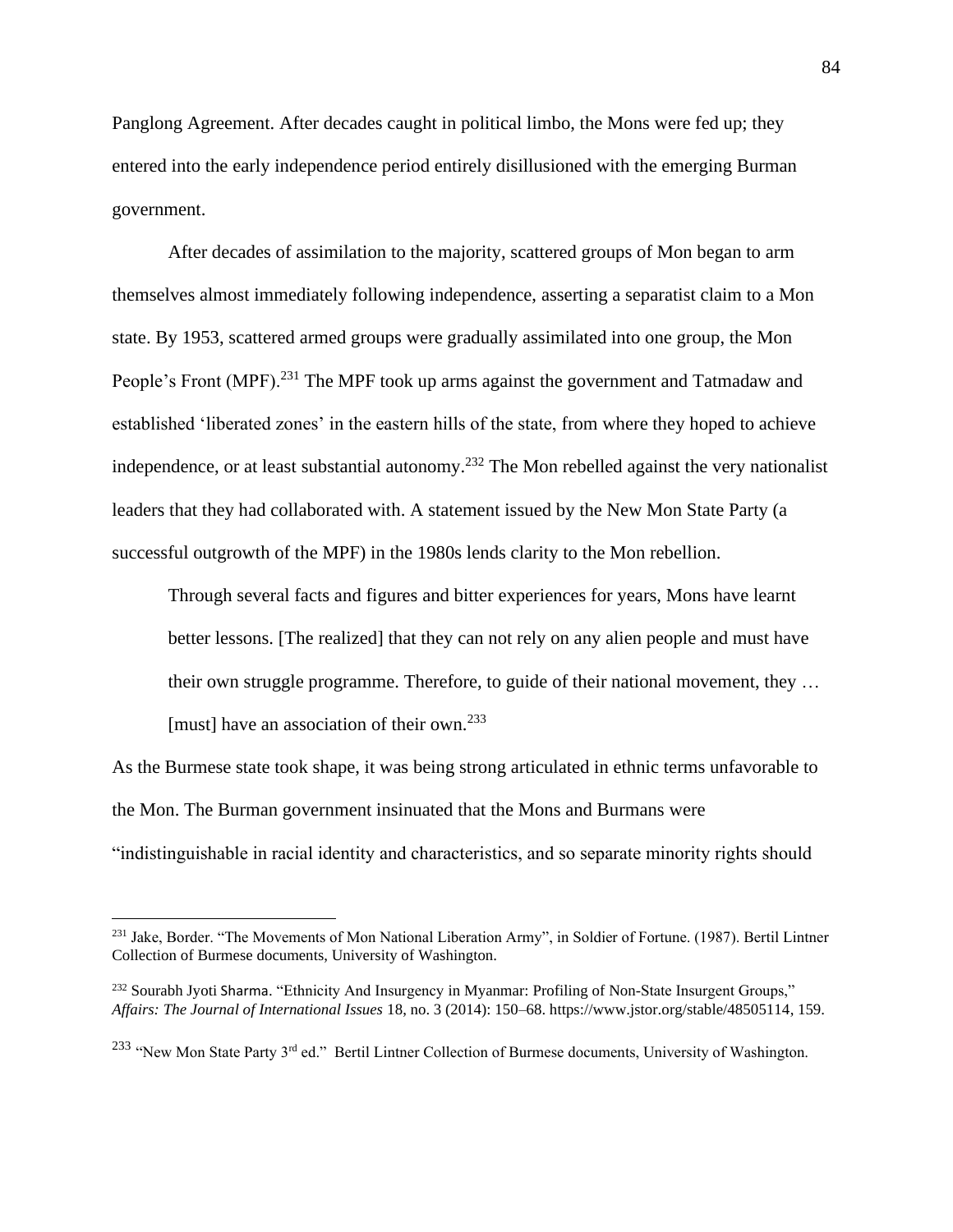Panglong Agreement. After decades caught in political limbo, the Mons were fed up; they entered into the early independence period entirely disillusioned with the emerging Burman government.

After decades of assimilation to the majority, scattered groups of Mon began to arm themselves almost immediately following independence, asserting a separatist claim to a Mon state. By 1953, scattered armed groups were gradually assimilated into one group, the Mon People's Front (MPF).<sup>231</sup> The MPF took up arms against the government and Tatmadaw and established 'liberated zones' in the eastern hills of the state, from where they hoped to achieve independence, or at least substantial autonomy.<sup>232</sup> The Mon rebelled against the very nationalist leaders that they had collaborated with. A statement issued by the New Mon State Party (a successful outgrowth of the MPF) in the 1980s lends clarity to the Mon rebellion.

Through several facts and figures and bitter experiences for years, Mons have learnt better lessons. [The realized] that they can not rely on any alien people and must have their own struggle programme. Therefore, to guide of their national movement, they … [must] have an association of their own. $^{233}$ ]

As the Burmese state took shape, it was being strong articulated in ethnic terms unfavorable to the Mon. The Burman government insinuated that the Mons and Burmans were "indistinguishable in racial identity and characteristics, and so separate minority rights should

<sup>&</sup>lt;sup>231</sup> Jake, Border. "The Movements of Mon National Liberation Army", in Soldier of Fortune. (1987). Bertil Lintner Collection of Burmese documents, University of Washington.

<sup>&</sup>lt;sup>232</sup> Sourabh Jyoti Sharma. "Ethnicity And Insurgency in Myanmar: Profiling of Non-State Insurgent Groups," *Affairs: The Journal of International Issues* 18, no. 3 (2014): 150–68. https://www.jstor.org/stable/48505114, 159.

<sup>&</sup>lt;sup>233</sup> "New Mon State Party 3<sup>rd</sup> ed." Bertil Lintner Collection of Burmese documents, University of Washington.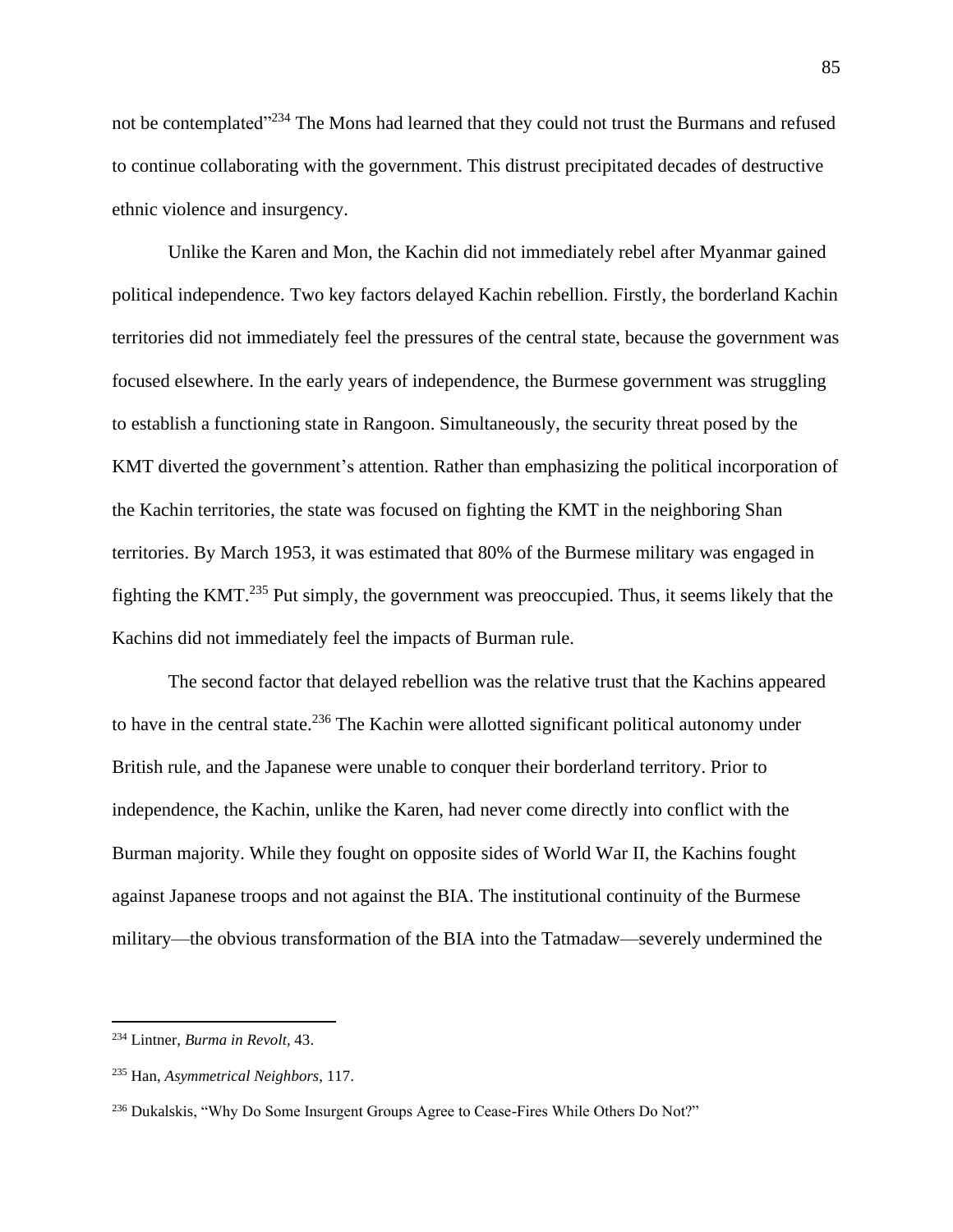not be contemplated"<sup>234</sup> The Mons had learned that they could not trust the Burmans and refused to continue collaborating with the government. This distrust precipitated decades of destructive ethnic violence and insurgency.

Unlike the Karen and Mon, the Kachin did not immediately rebel after Myanmar gained political independence. Two key factors delayed Kachin rebellion. Firstly, the borderland Kachin territories did not immediately feel the pressures of the central state, because the government was focused elsewhere. In the early years of independence, the Burmese government was struggling to establish a functioning state in Rangoon. Simultaneously, the security threat posed by the KMT diverted the government's attention. Rather than emphasizing the political incorporation of the Kachin territories, the state was focused on fighting the KMT in the neighboring Shan territories. By March 1953, it was estimated that 80% of the Burmese military was engaged in fighting the KMT.<sup>235</sup> Put simply, the government was preoccupied. Thus, it seems likely that the Kachins did not immediately feel the impacts of Burman rule.

The second factor that delayed rebellion was the relative trust that the Kachins appeared to have in the central state.<sup>236</sup> The Kachin were allotted significant political autonomy under British rule, and the Japanese were unable to conquer their borderland territory. Prior to independence, the Kachin, unlike the Karen, had never come directly into conflict with the Burman majority. While they fought on opposite sides of World War II, the Kachins fought against Japanese troops and not against the BIA. The institutional continuity of the Burmese military—the obvious transformation of the BIA into the Tatmadaw—severely undermined the

<sup>234</sup> Lintner, *Burma in Revolt,* 43.

<sup>235</sup> Han, *Asymmetrical Neighbors*, 117.

<sup>236</sup> Dukalskis, "Why Do Some Insurgent Groups Agree to Cease-Fires While Others Do Not?"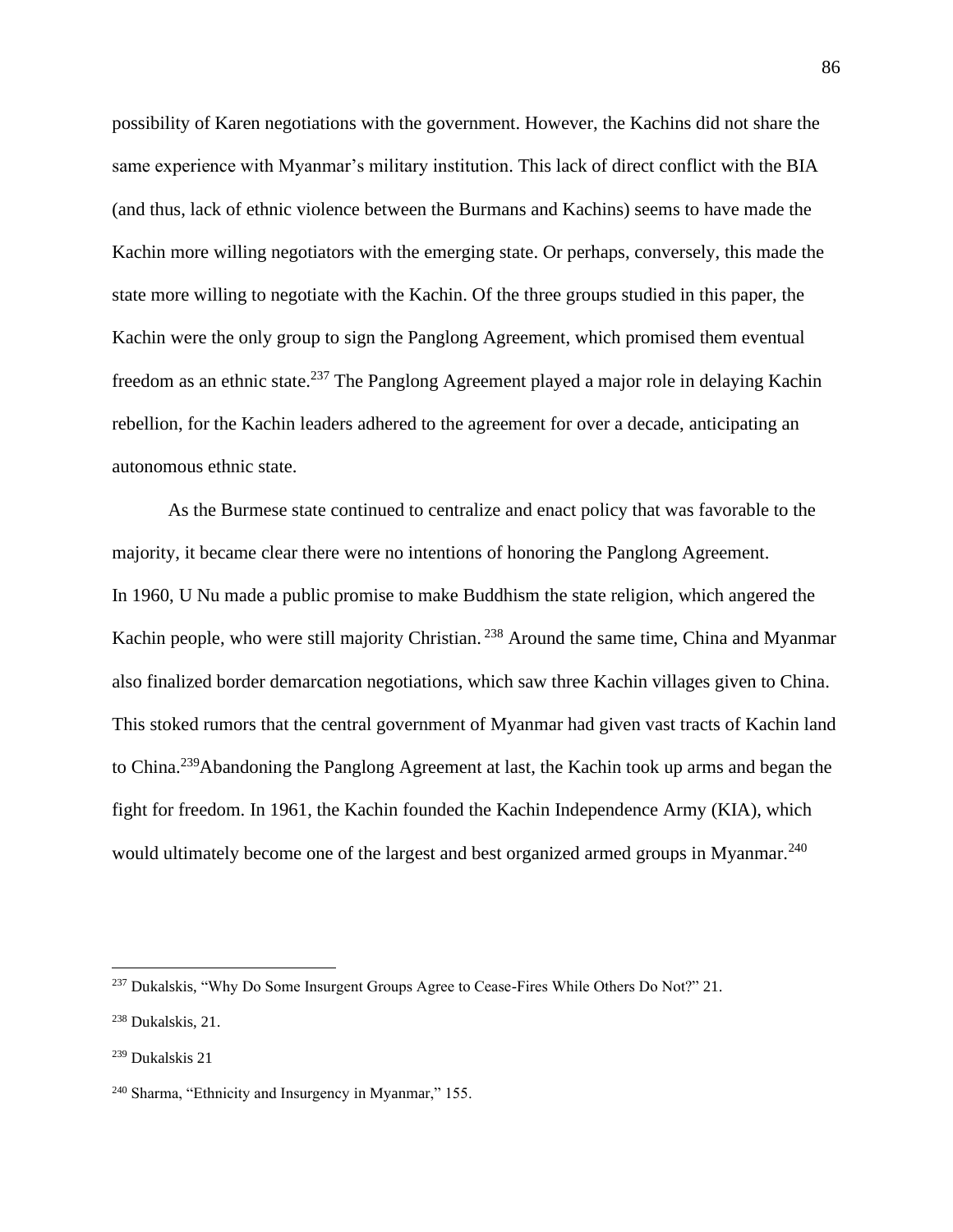possibility of Karen negotiations with the government. However, the Kachins did not share the same experience with Myanmar's military institution. This lack of direct conflict with the BIA (and thus, lack of ethnic violence between the Burmans and Kachins) seems to have made the Kachin more willing negotiators with the emerging state. Or perhaps, conversely, this made the state more willing to negotiate with the Kachin. Of the three groups studied in this paper, the Kachin were the only group to sign the Panglong Agreement, which promised them eventual freedom as an ethnic state.<sup>237</sup> The Panglong Agreement played a major role in delaying Kachin rebellion, for the Kachin leaders adhered to the agreement for over a decade, anticipating an autonomous ethnic state.

As the Burmese state continued to centralize and enact policy that was favorable to the majority, it became clear there were no intentions of honoring the Panglong Agreement. In 1960, U Nu made a public promise to make Buddhism the state religion, which angered the Kachin people, who were still majority Christian.<sup>238</sup> Around the same time, China and Myanmar also finalized border demarcation negotiations, which saw three Kachin villages given to China. This stoked rumors that the central government of Myanmar had given vast tracts of Kachin land to China.<sup>239</sup>Abandoning the Panglong Agreement at last, the Kachin took up arms and began the fight for freedom. In 1961, the Kachin founded the Kachin Independence Army (KIA), which would ultimately become one of the largest and best organized armed groups in Myanmar.<sup>240</sup>

<sup>&</sup>lt;sup>237</sup> Dukalskis, "Why Do Some Insurgent Groups Agree to Cease-Fires While Others Do Not?" 21.

<sup>238</sup> Dukalskis, 21.

<sup>239</sup> Dukalskis 21

<sup>240</sup> Sharma, "Ethnicity and Insurgency in Myanmar," 155.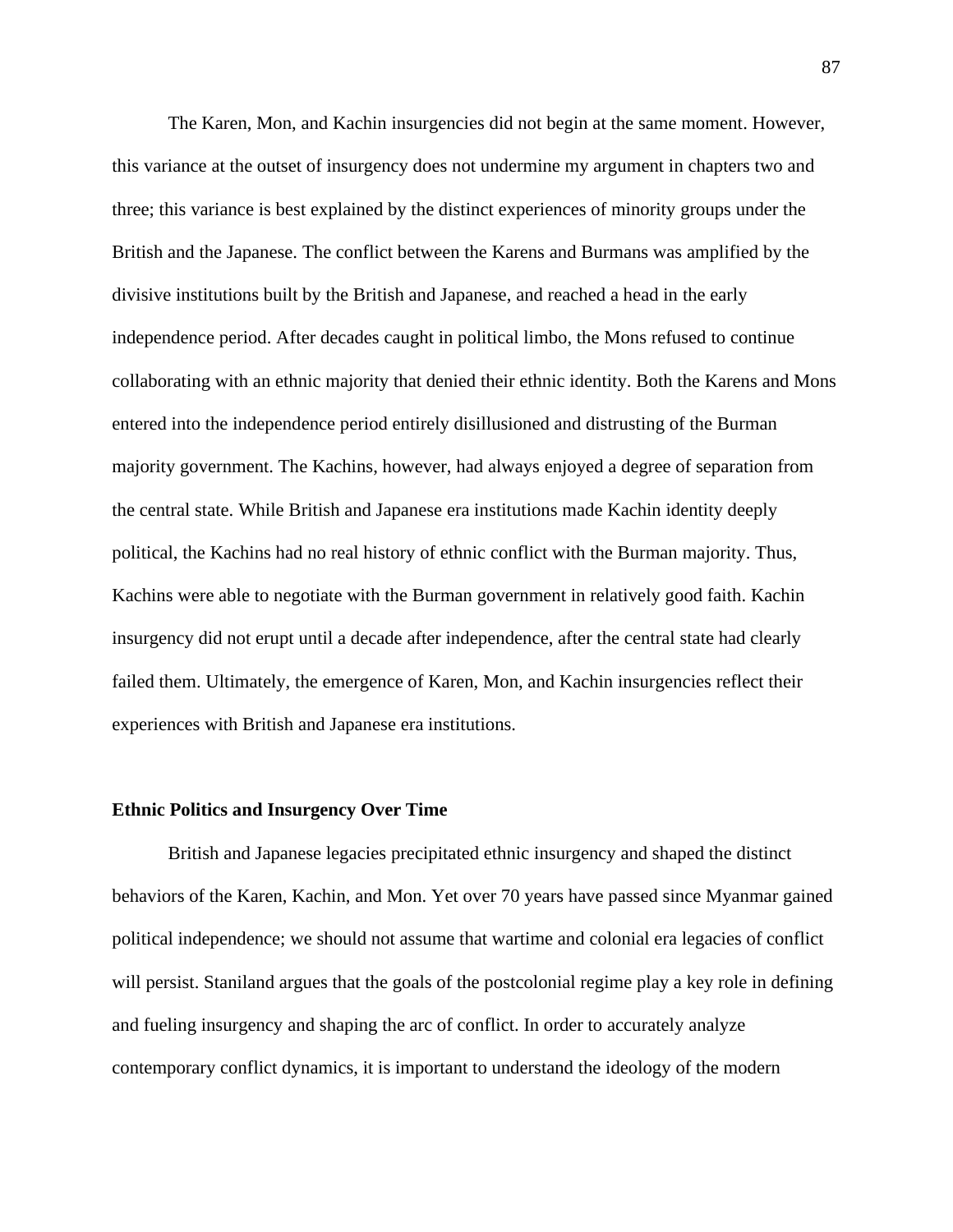The Karen, Mon, and Kachin insurgencies did not begin at the same moment. However, this variance at the outset of insurgency does not undermine my argument in chapters two and three; this variance is best explained by the distinct experiences of minority groups under the British and the Japanese. The conflict between the Karens and Burmans was amplified by the divisive institutions built by the British and Japanese, and reached a head in the early independence period. After decades caught in political limbo, the Mons refused to continue collaborating with an ethnic majority that denied their ethnic identity. Both the Karens and Mons entered into the independence period entirely disillusioned and distrusting of the Burman majority government. The Kachins, however, had always enjoyed a degree of separation from the central state. While British and Japanese era institutions made Kachin identity deeply political, the Kachins had no real history of ethnic conflict with the Burman majority. Thus, Kachins were able to negotiate with the Burman government in relatively good faith. Kachin insurgency did not erupt until a decade after independence, after the central state had clearly failed them. Ultimately, the emergence of Karen, Mon, and Kachin insurgencies reflect their experiences with British and Japanese era institutions.

#### **Ethnic Politics and Insurgency Over Time**

British and Japanese legacies precipitated ethnic insurgency and shaped the distinct behaviors of the Karen, Kachin, and Mon. Yet over 70 years have passed since Myanmar gained political independence; we should not assume that wartime and colonial era legacies of conflict will persist. Staniland argues that the goals of the postcolonial regime play a key role in defining and fueling insurgency and shaping the arc of conflict. In order to accurately analyze contemporary conflict dynamics, it is important to understand the ideology of the modern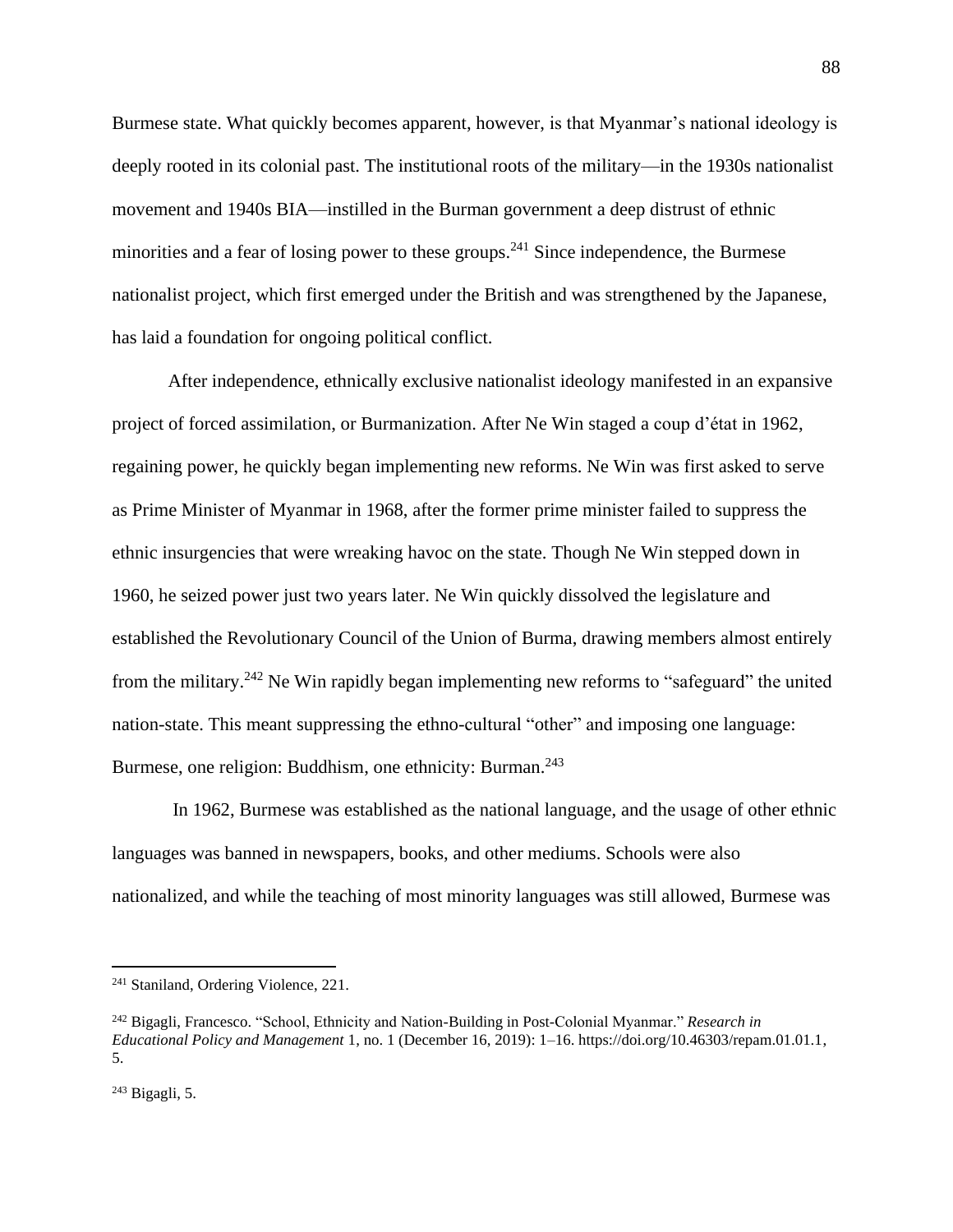Burmese state. What quickly becomes apparent, however, is that Myanmar's national ideology is deeply rooted in its colonial past. The institutional roots of the military—in the 1930s nationalist movement and 1940s BIA—instilled in the Burman government a deep distrust of ethnic minorities and a fear of losing power to these groups.<sup>241</sup> Since independence, the Burmese nationalist project, which first emerged under the British and was strengthened by the Japanese, has laid a foundation for ongoing political conflict.

After independence, ethnically exclusive nationalist ideology manifested in an expansive project of forced assimilation, or Burmanization. After Ne Win staged a coup d'état in 1962, regaining power, he quickly began implementing new reforms. Ne Win was first asked to serve as Prime Minister of Myanmar in 1968, after the former prime minister failed to suppress the ethnic insurgencies that were wreaking havoc on the state. Though Ne Win stepped down in 1960, he seized power just two years later. Ne Win quickly dissolved the legislature and established the Revolutionary Council of the Union of Burma, drawing members almost entirely from the military.<sup>242</sup> Ne Win rapidly began implementing new reforms to "safeguard" the united nation-state. This meant suppressing the ethno-cultural "other" and imposing one language: Burmese, one religion: Buddhism, one ethnicity: Burman.<sup>243</sup>

In 1962, Burmese was established as the national language, and the usage of other ethnic languages was banned in newspapers, books, and other mediums. Schools were also nationalized, and while the teaching of most minority languages was still allowed, Burmese was

<sup>&</sup>lt;sup>241</sup> Staniland, Ordering Violence, 221.

<sup>242</sup> Bigagli, Francesco. "School, Ethnicity and Nation-Building in Post-Colonial Myanmar." *Research in Educational Policy and Management* 1, no. 1 (December 16, 2019): 1–16. https://doi.org/10.46303/repam.01.01.1, 5.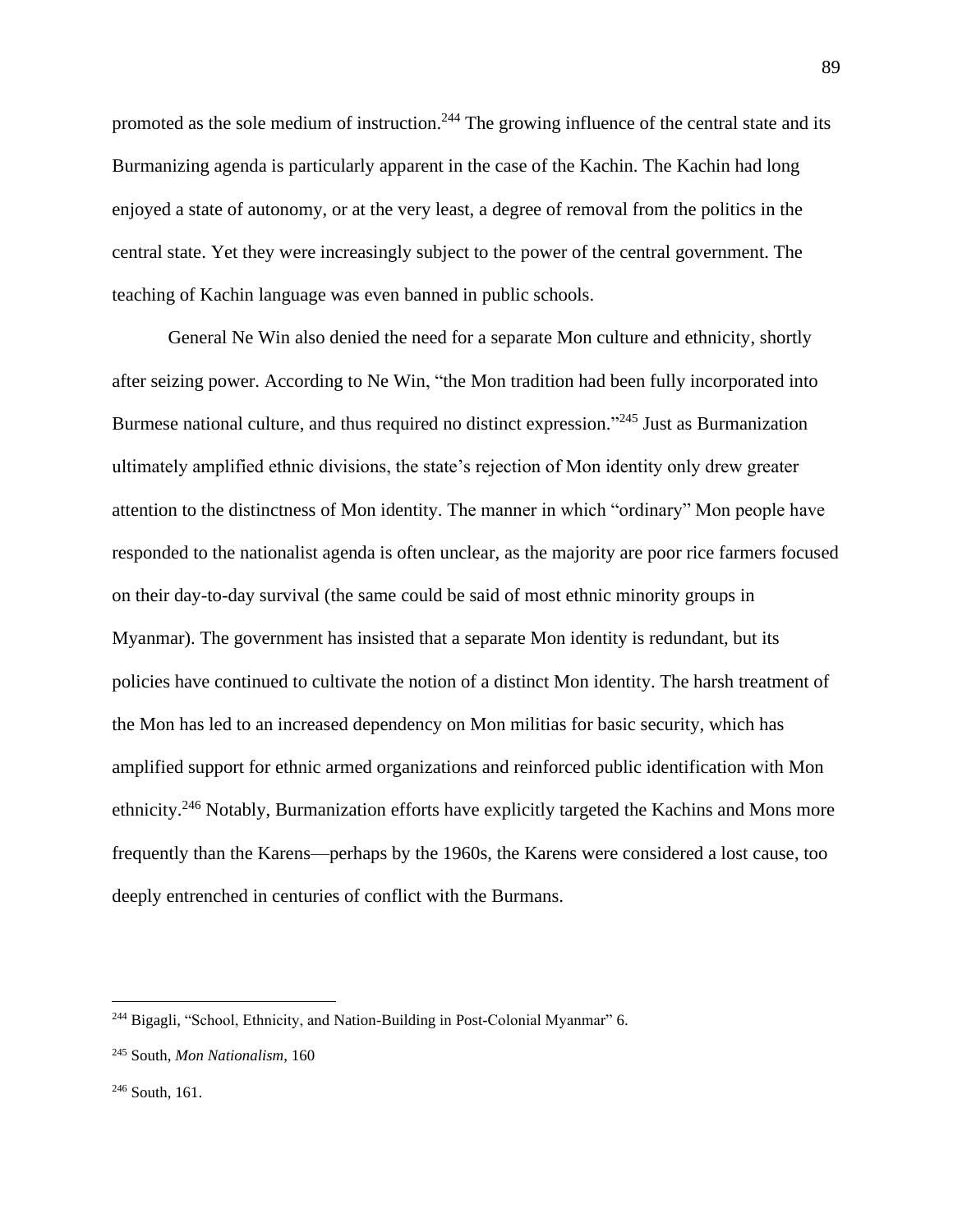promoted as the sole medium of instruction.<sup>244</sup> The growing influence of the central state and its Burmanizing agenda is particularly apparent in the case of the Kachin. The Kachin had long enjoyed a state of autonomy, or at the very least, a degree of removal from the politics in the central state. Yet they were increasingly subject to the power of the central government. The teaching of Kachin language was even banned in public schools.

General Ne Win also denied the need for a separate Mon culture and ethnicity, shortly after seizing power. According to Ne Win, "the Mon tradition had been fully incorporated into Burmese national culture, and thus required no distinct expression."<sup>245</sup> Just as Burmanization ultimately amplified ethnic divisions, the state's rejection of Mon identity only drew greater attention to the distinctness of Mon identity. The manner in which "ordinary" Mon people have responded to the nationalist agenda is often unclear, as the majority are poor rice farmers focused on their day-to-day survival (the same could be said of most ethnic minority groups in Myanmar). The government has insisted that a separate Mon identity is redundant, but its policies have continued to cultivate the notion of a distinct Mon identity. The harsh treatment of the Mon has led to an increased dependency on Mon militias for basic security, which has amplified support for ethnic armed organizations and reinforced public identification with Mon ethnicity.<sup>246</sup> Notably, Burmanization efforts have explicitly targeted the Kachins and Mons more frequently than the Karens—perhaps by the 1960s, the Karens were considered a lost cause, too deeply entrenched in centuries of conflict with the Burmans.

<sup>244</sup> Bigagli, "School, Ethnicity, and Nation-Building in Post-Colonial Myanmar" 6.

<sup>245</sup> South, *Mon Nationalism*, 160

<sup>246</sup> South, 161.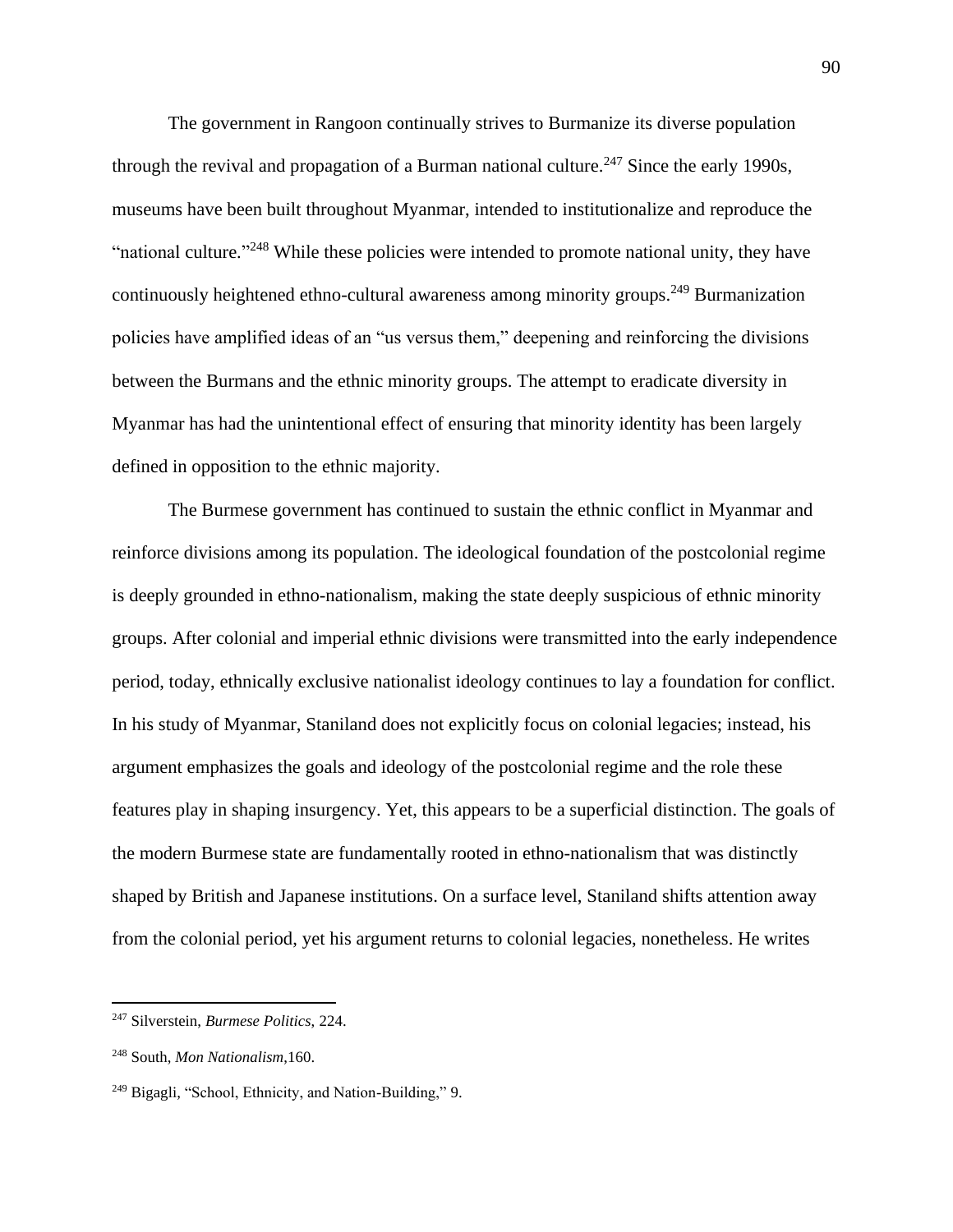The government in Rangoon continually strives to Burmanize its diverse population through the revival and propagation of a Burman national culture.<sup>247</sup> Since the early 1990s, museums have been built throughout Myanmar, intended to institutionalize and reproduce the "national culture."<sup>248</sup> While these policies were intended to promote national unity, they have continuously heightened ethno-cultural awareness among minority groups.<sup>249</sup> Burmanization policies have amplified ideas of an "us versus them," deepening and reinforcing the divisions between the Burmans and the ethnic minority groups. The attempt to eradicate diversity in Myanmar has had the unintentional effect of ensuring that minority identity has been largely defined in opposition to the ethnic majority.

The Burmese government has continued to sustain the ethnic conflict in Myanmar and reinforce divisions among its population. The ideological foundation of the postcolonial regime is deeply grounded in ethno-nationalism, making the state deeply suspicious of ethnic minority groups. After colonial and imperial ethnic divisions were transmitted into the early independence period, today, ethnically exclusive nationalist ideology continues to lay a foundation for conflict. In his study of Myanmar, Staniland does not explicitly focus on colonial legacies; instead, his argument emphasizes the goals and ideology of the postcolonial regime and the role these features play in shaping insurgency. Yet, this appears to be a superficial distinction. The goals of the modern Burmese state are fundamentally rooted in ethno-nationalism that was distinctly shaped by British and Japanese institutions. On a surface level, Staniland shifts attention away from the colonial period, yet his argument returns to colonial legacies, nonetheless. He writes

<sup>247</sup> Silverstein, *Burmese Politics*, 224.

<sup>248</sup> South, *Mon Nationalism*,160.

<sup>249</sup> Bigagli, "School, Ethnicity, and Nation-Building," 9.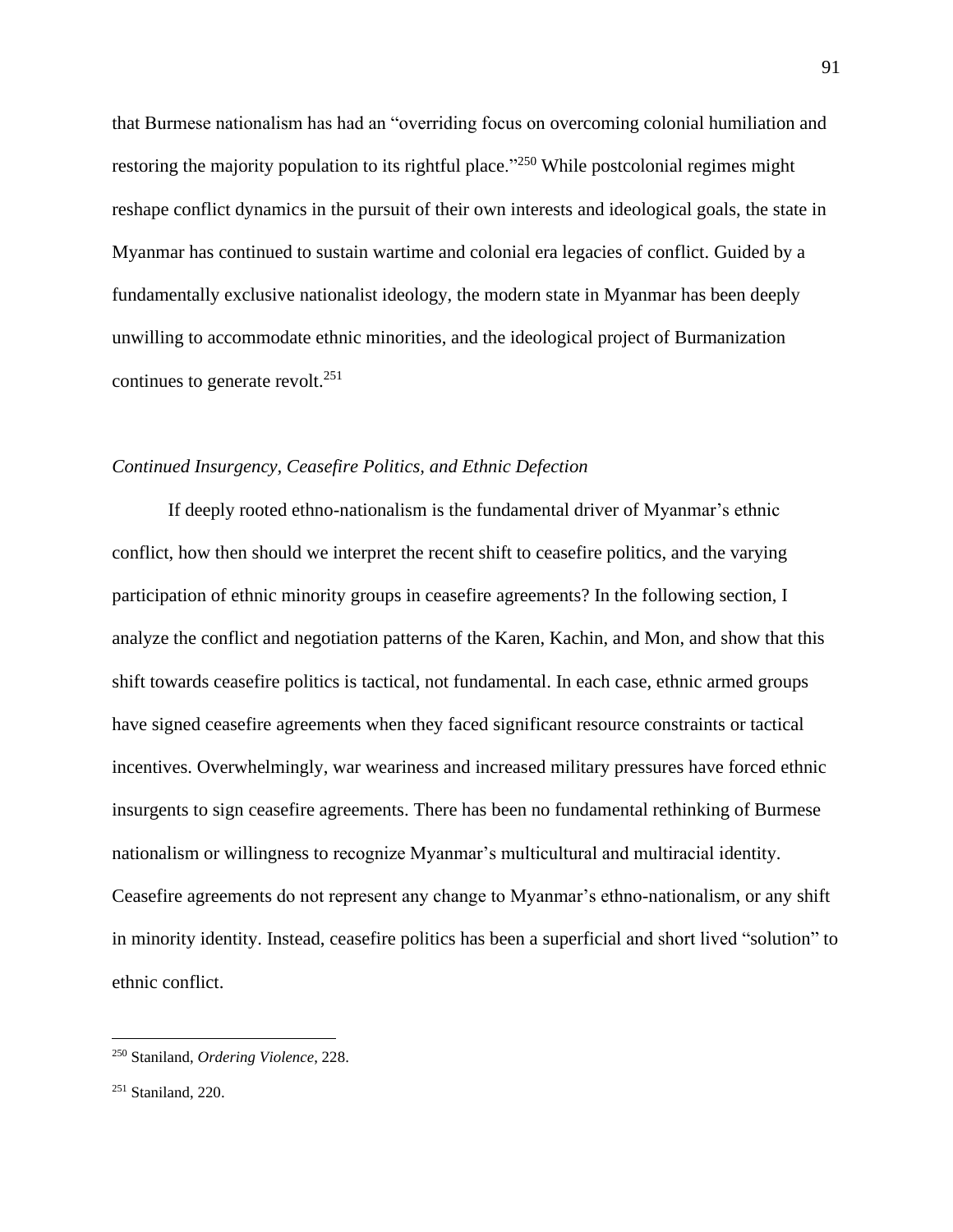that Burmese nationalism has had an "overriding focus on overcoming colonial humiliation and restoring the majority population to its rightful place."<sup>250</sup> While postcolonial regimes might reshape conflict dynamics in the pursuit of their own interests and ideological goals, the state in Myanmar has continued to sustain wartime and colonial era legacies of conflict. Guided by a fundamentally exclusive nationalist ideology, the modern state in Myanmar has been deeply unwilling to accommodate ethnic minorities, and the ideological project of Burmanization continues to generate revolt.<sup>251</sup>

## *Continued Insurgency, Ceasefire Politics, and Ethnic Defection*

If deeply rooted ethno-nationalism is the fundamental driver of Myanmar's ethnic conflict, how then should we interpret the recent shift to ceasefire politics, and the varying participation of ethnic minority groups in ceasefire agreements? In the following section, I analyze the conflict and negotiation patterns of the Karen, Kachin, and Mon, and show that this shift towards ceasefire politics is tactical, not fundamental. In each case, ethnic armed groups have signed ceasefire agreements when they faced significant resource constraints or tactical incentives. Overwhelmingly, war weariness and increased military pressures have forced ethnic insurgents to sign ceasefire agreements. There has been no fundamental rethinking of Burmese nationalism or willingness to recognize Myanmar's multicultural and multiracial identity. Ceasefire agreements do not represent any change to Myanmar's ethno-nationalism, or any shift in minority identity. Instead, ceasefire politics has been a superficial and short lived "solution" to ethnic conflict.

<sup>250</sup> Staniland, *Ordering Violence*, 228.

<sup>251</sup> Staniland, 220.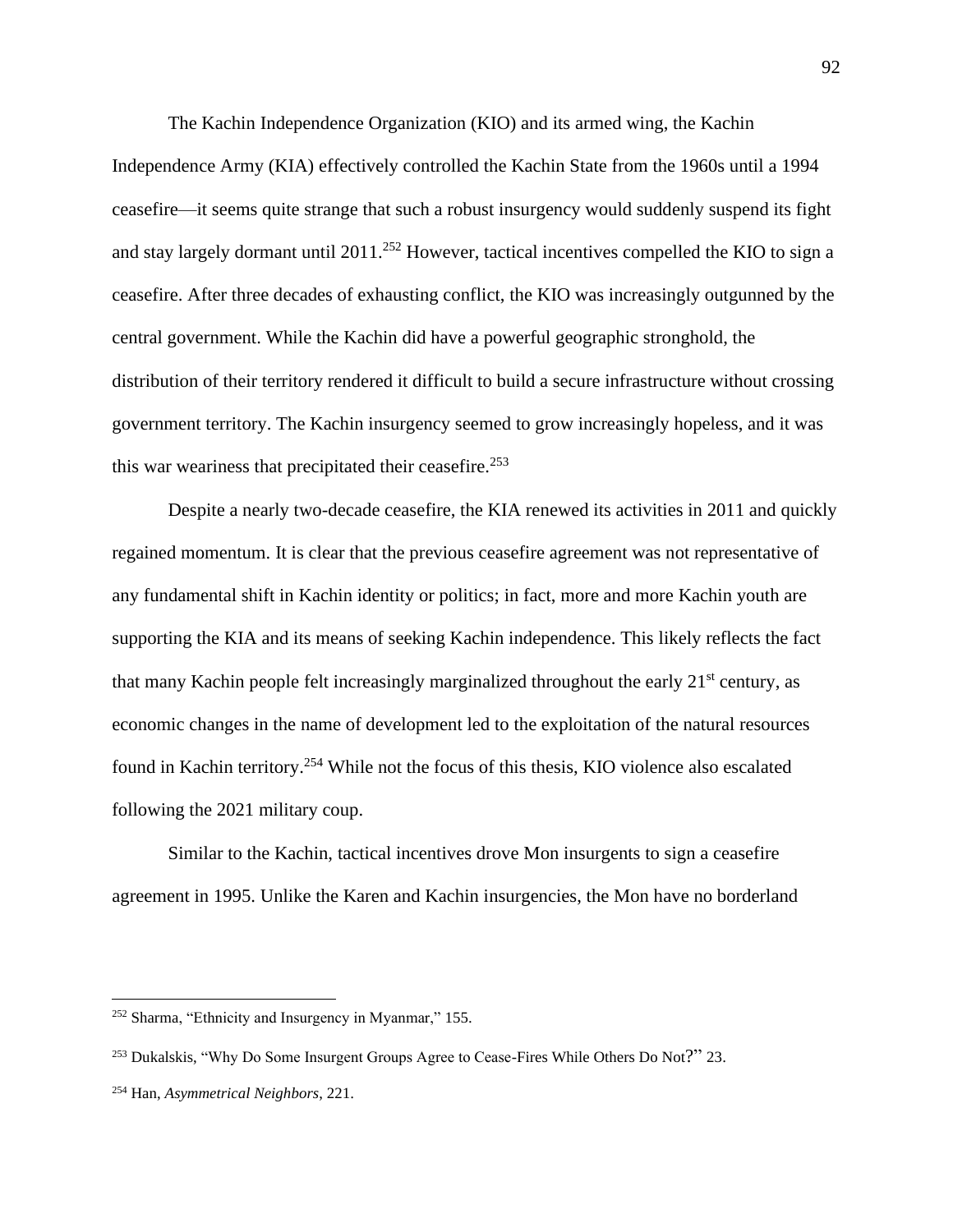The Kachin Independence Organization (KIO) and its armed wing, the Kachin Independence Army (KIA) effectively controlled the Kachin State from the 1960s until a 1994 ceasefire—it seems quite strange that such a robust insurgency would suddenly suspend its fight and stay largely dormant until 2011.<sup>252</sup> However, tactical incentives compelled the KIO to sign a ceasefire. After three decades of exhausting conflict, the KIO was increasingly outgunned by the central government. While the Kachin did have a powerful geographic stronghold, the distribution of their territory rendered it difficult to build a secure infrastructure without crossing government territory. The Kachin insurgency seemed to grow increasingly hopeless, and it was this war weariness that precipitated their ceasefire.<sup>253</sup>

Despite a nearly two-decade ceasefire, the KIA renewed its activities in 2011 and quickly regained momentum. It is clear that the previous ceasefire agreement was not representative of any fundamental shift in Kachin identity or politics; in fact, more and more Kachin youth are supporting the KIA and its means of seeking Kachin independence. This likely reflects the fact that many Kachin people felt increasingly marginalized throughout the early  $21<sup>st</sup>$  century, as economic changes in the name of development led to the exploitation of the natural resources found in Kachin territory.<sup>254</sup> While not the focus of this thesis, KIO violence also escalated following the 2021 military coup.

Similar to the Kachin, tactical incentives drove Mon insurgents to sign a ceasefire agreement in 1995. Unlike the Karen and Kachin insurgencies, the Mon have no borderland

<sup>252</sup> Sharma, "Ethnicity and Insurgency in Myanmar," 155.

<sup>&</sup>lt;sup>253</sup> Dukalskis, "Why Do Some Insurgent Groups Agree to Cease-Fires While Others Do Not?" 23.

<sup>254</sup> Han, *Asymmetrical Neighbors*, 221.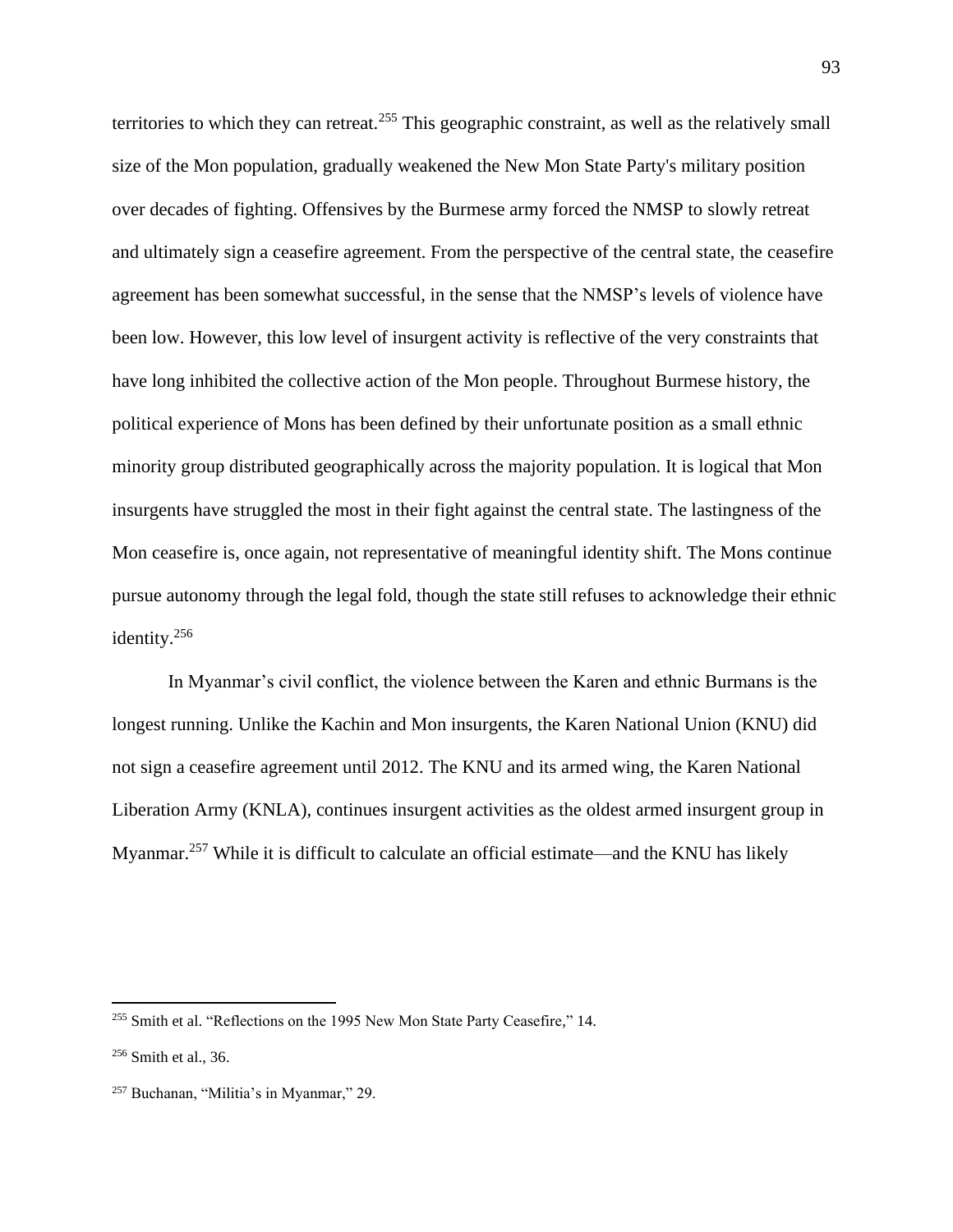territories to which they can retreat.<sup>255</sup> This geographic constraint, as well as the relatively small size of the Mon population, gradually weakened the New Mon State Party's military position over decades of fighting. Offensives by the Burmese army forced the NMSP to slowly retreat and ultimately sign a ceasefire agreement. From the perspective of the central state, the ceasefire agreement has been somewhat successful, in the sense that the NMSP's levels of violence have been low. However, this low level of insurgent activity is reflective of the very constraints that have long inhibited the collective action of the Mon people. Throughout Burmese history, the political experience of Mons has been defined by their unfortunate position as a small ethnic minority group distributed geographically across the majority population. It is logical that Mon insurgents have struggled the most in their fight against the central state. The lastingness of the Mon ceasefire is, once again, not representative of meaningful identity shift. The Mons continue pursue autonomy through the legal fold, though the state still refuses to acknowledge their ethnic identity.<sup>256</sup>

In Myanmar's civil conflict, the violence between the Karen and ethnic Burmans is the longest running. Unlike the Kachin and Mon insurgents, the Karen National Union (KNU) did not sign a ceasefire agreement until 2012. The KNU and its armed wing, the Karen National Liberation Army (KNLA), continues insurgent activities as the oldest armed insurgent group in Myanmar.<sup>257</sup> While it is difficult to calculate an official estimate—and the KNU has likely

<sup>&</sup>lt;sup>255</sup> Smith et al. "Reflections on the 1995 New Mon State Party Ceasefire," 14.

 $256$  Smith et al., 36.

<sup>257</sup> Buchanan, "Militia's in Myanmar," 29.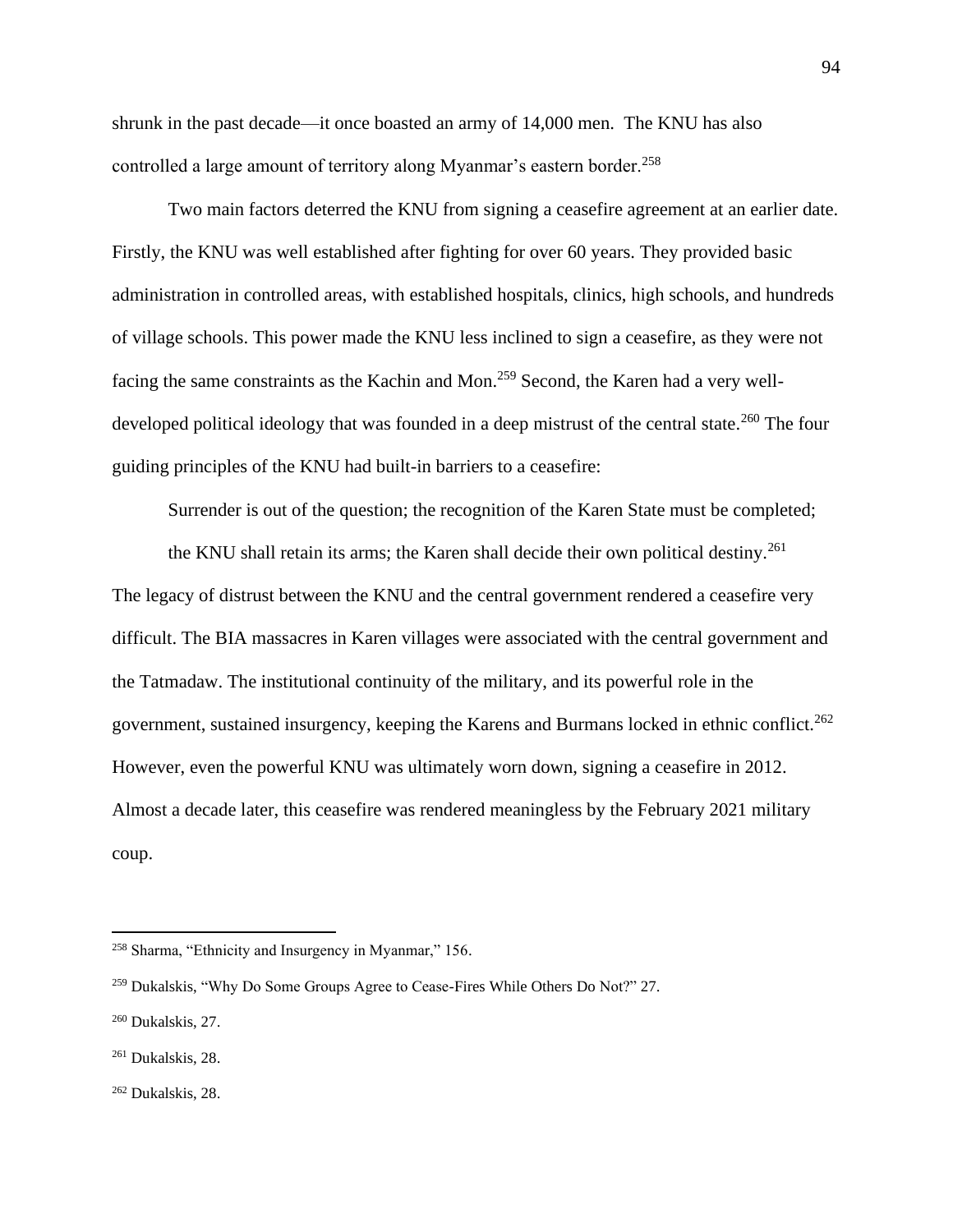shrunk in the past decade—it once boasted an army of 14,000 men. The KNU has also controlled a large amount of territory along Myanmar's eastern border.<sup>258</sup>

Two main factors deterred the KNU from signing a ceasefire agreement at an earlier date. Firstly, the KNU was well established after fighting for over 60 years. They provided basic administration in controlled areas, with established hospitals, clinics, high schools, and hundreds of village schools. This power made the KNU less inclined to sign a ceasefire, as they were not facing the same constraints as the Kachin and Mon.<sup>259</sup> Second, the Karen had a very welldeveloped political ideology that was founded in a deep mistrust of the central state.<sup>260</sup> The four guiding principles of the KNU had built-in barriers to a ceasefire:

Surrender is out of the question; the recognition of the Karen State must be completed;

the KNU shall retain its arms; the Karen shall decide their own political destiny.<sup>261</sup> The legacy of distrust between the KNU and the central government rendered a ceasefire very difficult. The BIA massacres in Karen villages were associated with the central government and the Tatmadaw. The institutional continuity of the military, and its powerful role in the government, sustained insurgency, keeping the Karens and Burmans locked in ethnic conflict.<sup>262</sup> However, even the powerful KNU was ultimately worn down, signing a ceasefire in 2012. Almost a decade later, this ceasefire was rendered meaningless by the February 2021 military coup.

<sup>258</sup> Sharma, "Ethnicity and Insurgency in Myanmar," 156.

<sup>259</sup> Dukalskis, "Why Do Some Groups Agree to Cease-Fires While Others Do Not?" 27.

<sup>260</sup> Dukalskis, 27.

<sup>261</sup> Dukalskis, 28.

<sup>262</sup> Dukalskis, 28.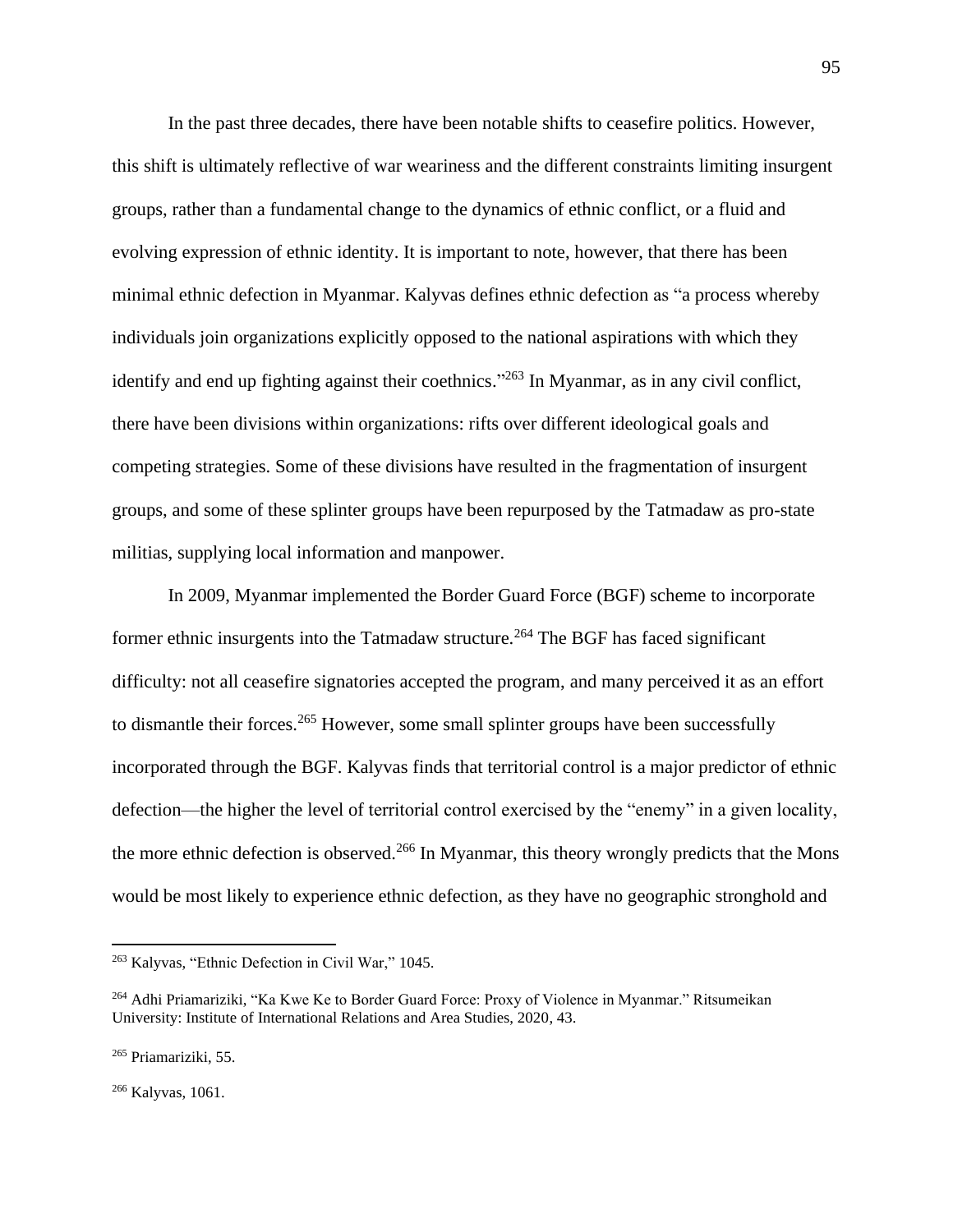In the past three decades, there have been notable shifts to ceasefire politics. However, this shift is ultimately reflective of war weariness and the different constraints limiting insurgent groups, rather than a fundamental change to the dynamics of ethnic conflict, or a fluid and evolving expression of ethnic identity. It is important to note, however, that there has been minimal ethnic defection in Myanmar. Kalyvas defines ethnic defection as "a process whereby individuals join organizations explicitly opposed to the national aspirations with which they identify and end up fighting against their coethnics."<sup>263</sup> In Myanmar, as in any civil conflict, there have been divisions within organizations: rifts over different ideological goals and competing strategies. Some of these divisions have resulted in the fragmentation of insurgent groups, and some of these splinter groups have been repurposed by the Tatmadaw as pro-state militias, supplying local information and manpower.

In 2009, Myanmar implemented the Border Guard Force (BGF) scheme to incorporate former ethnic insurgents into the Tatmadaw structure.<sup>264</sup> The BGF has faced significant difficulty: not all ceasefire signatories accepted the program, and many perceived it as an effort to dismantle their forces.<sup>265</sup> However, some small splinter groups have been successfully incorporated through the BGF. Kalyvas finds that territorial control is a major predictor of ethnic defection—the higher the level of territorial control exercised by the "enemy" in a given locality, the more ethnic defection is observed.<sup>266</sup> In Myanmar, this theory wrongly predicts that the Mons would be most likely to experience ethnic defection, as they have no geographic stronghold and

<sup>263</sup> Kalyvas, "Ethnic Defection in Civil War," 1045.

<sup>264</sup> Adhi Priamariziki, "Ka Kwe Ke to Border Guard Force: Proxy of Violence in Myanmar." Ritsumeikan University: Institute of International Relations and Area Studies, 2020, 43.

<sup>265</sup> Priamariziki, 55.

<sup>266</sup> Kalyvas, 1061.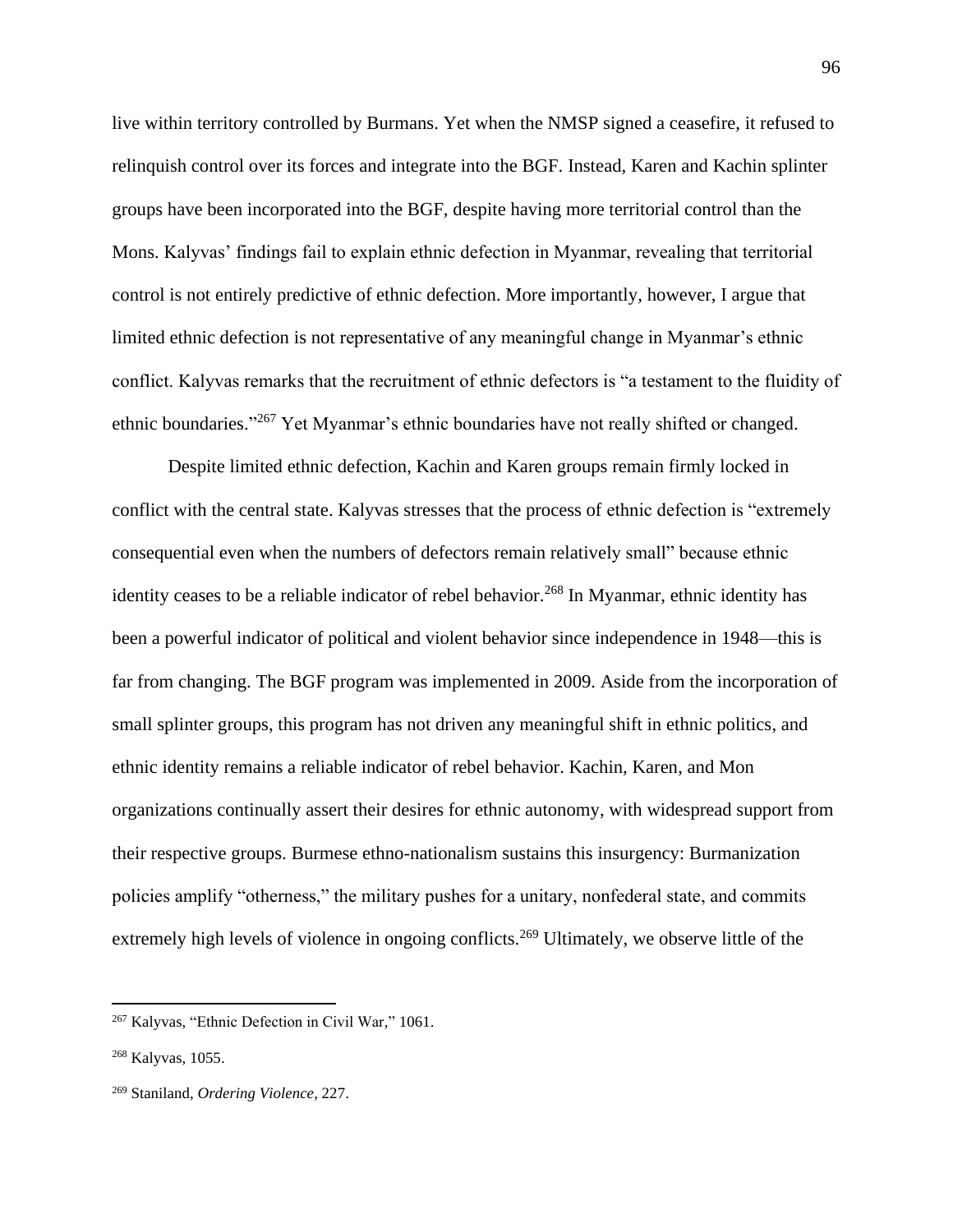live within territory controlled by Burmans. Yet when the NMSP signed a ceasefire, it refused to relinquish control over its forces and integrate into the BGF. Instead, Karen and Kachin splinter groups have been incorporated into the BGF, despite having more territorial control than the Mons. Kalyvas' findings fail to explain ethnic defection in Myanmar, revealing that territorial control is not entirely predictive of ethnic defection. More importantly, however, I argue that limited ethnic defection is not representative of any meaningful change in Myanmar's ethnic conflict. Kalyvas remarks that the recruitment of ethnic defectors is "a testament to the fluidity of ethnic boundaries."<sup>267</sup> Yet Myanmar's ethnic boundaries have not really shifted or changed.

Despite limited ethnic defection, Kachin and Karen groups remain firmly locked in conflict with the central state. Kalyvas stresses that the process of ethnic defection is "extremely consequential even when the numbers of defectors remain relatively small" because ethnic identity ceases to be a reliable indicator of rebel behavior.<sup>268</sup> In Myanmar, ethnic identity has been a powerful indicator of political and violent behavior since independence in 1948—this is far from changing. The BGF program was implemented in 2009. Aside from the incorporation of small splinter groups, this program has not driven any meaningful shift in ethnic politics, and ethnic identity remains a reliable indicator of rebel behavior. Kachin, Karen, and Mon organizations continually assert their desires for ethnic autonomy, with widespread support from their respective groups. Burmese ethno-nationalism sustains this insurgency: Burmanization policies amplify "otherness," the military pushes for a unitary, nonfederal state, and commits extremely high levels of violence in ongoing conflicts.<sup>269</sup> Ultimately, we observe little of the

<sup>267</sup> Kalyvas, "Ethnic Defection in Civil War," 1061.

<sup>268</sup> Kalyvas, 1055.

<sup>269</sup> Staniland, *Ordering Violence*, 227.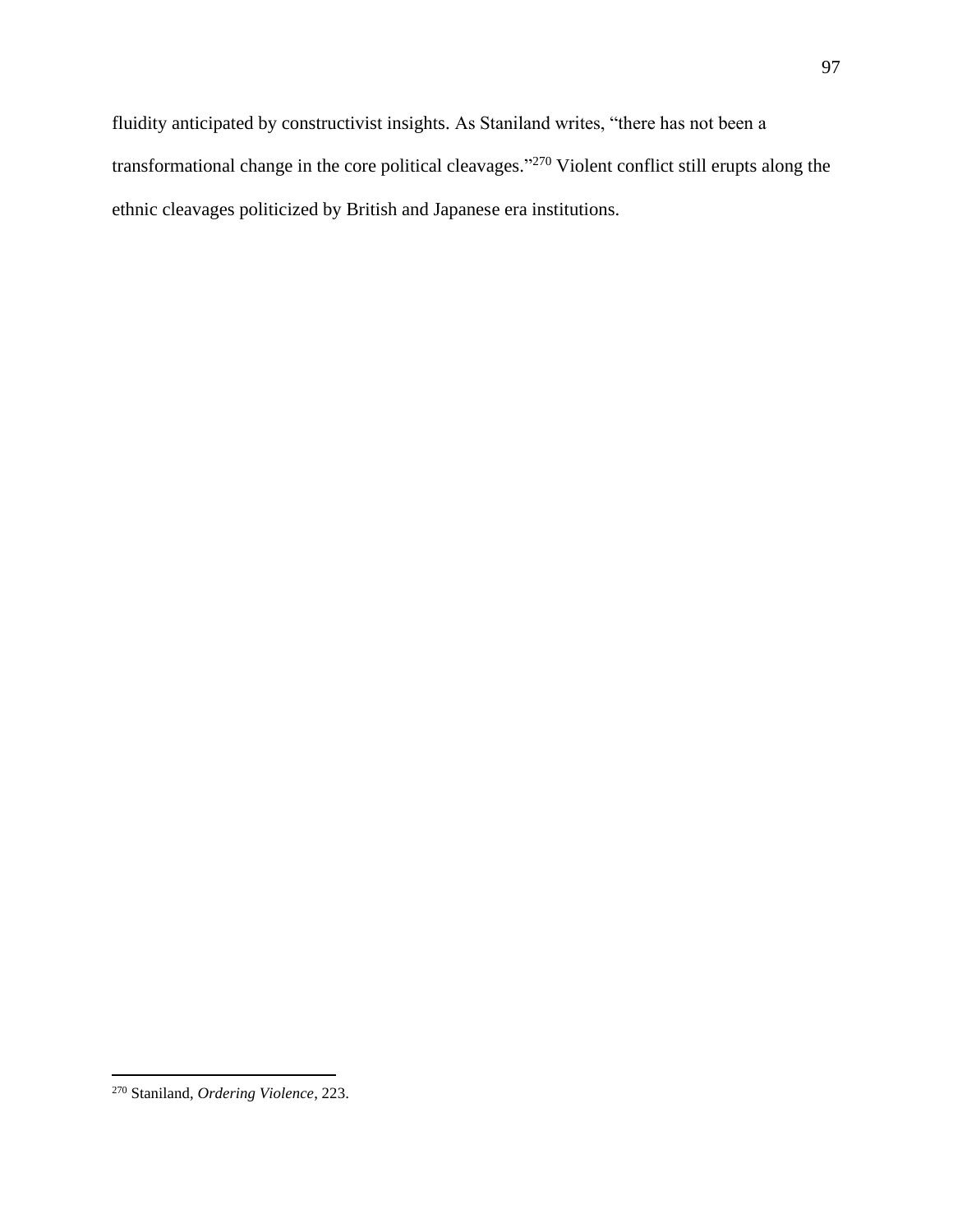<sup>270</sup> Staniland, *Ordering Violence*, 223.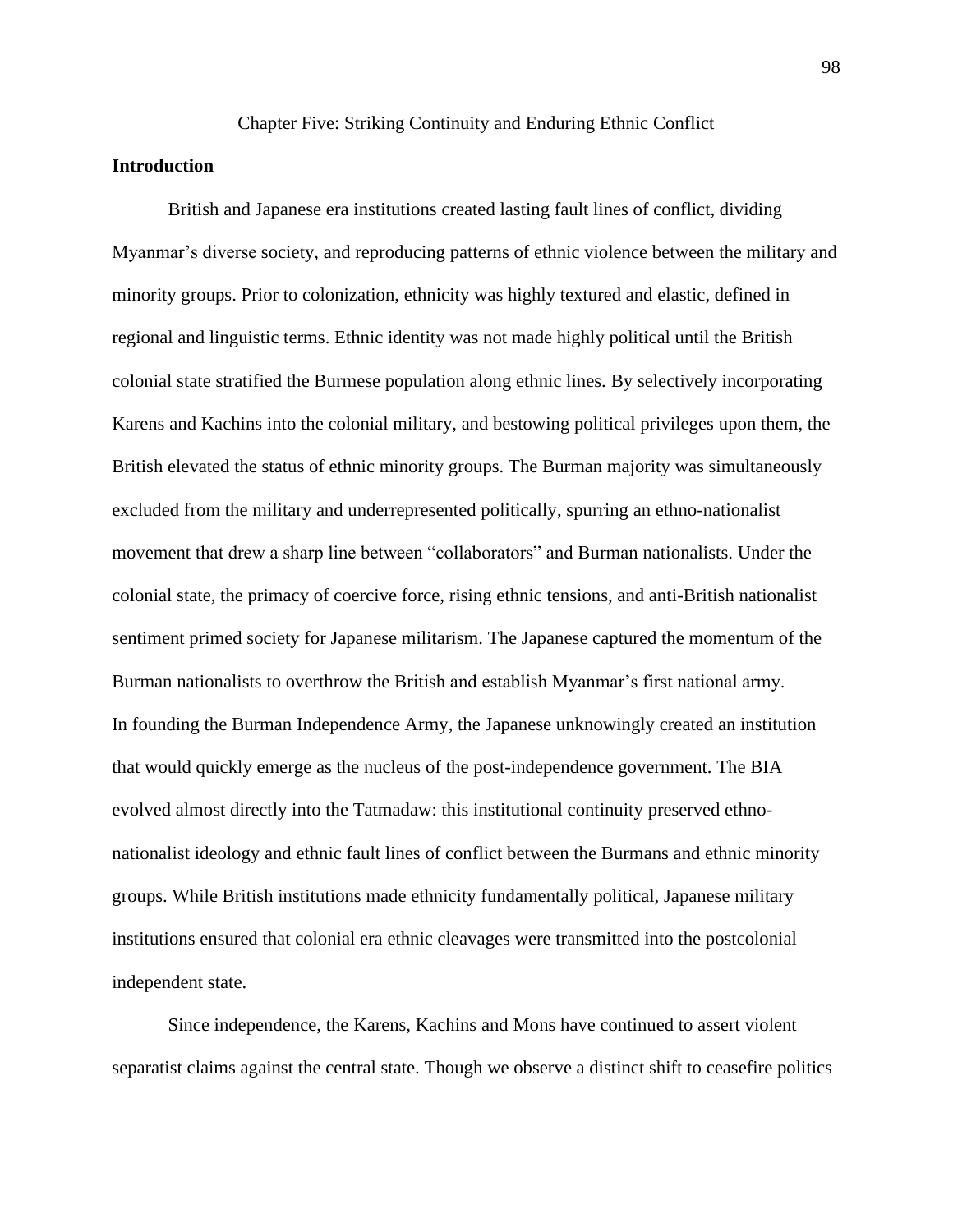### Chapter Five: Striking Continuity and Enduring Ethnic Conflict

# **Introduction**

British and Japanese era institutions created lasting fault lines of conflict, dividing Myanmar's diverse society, and reproducing patterns of ethnic violence between the military and minority groups. Prior to colonization, ethnicity was highly textured and elastic, defined in regional and linguistic terms. Ethnic identity was not made highly political until the British colonial state stratified the Burmese population along ethnic lines. By selectively incorporating Karens and Kachins into the colonial military, and bestowing political privileges upon them, the British elevated the status of ethnic minority groups. The Burman majority was simultaneously excluded from the military and underrepresented politically, spurring an ethno-nationalist movement that drew a sharp line between "collaborators" and Burman nationalists. Under the colonial state, the primacy of coercive force, rising ethnic tensions, and anti-British nationalist sentiment primed society for Japanese militarism. The Japanese captured the momentum of the Burman nationalists to overthrow the British and establish Myanmar's first national army. In founding the Burman Independence Army, the Japanese unknowingly created an institution that would quickly emerge as the nucleus of the post-independence government. The BIA evolved almost directly into the Tatmadaw: this institutional continuity preserved ethnonationalist ideology and ethnic fault lines of conflict between the Burmans and ethnic minority groups. While British institutions made ethnicity fundamentally political, Japanese military institutions ensured that colonial era ethnic cleavages were transmitted into the postcolonial independent state.

Since independence, the Karens, Kachins and Mons have continued to assert violent separatist claims against the central state. Though we observe a distinct shift to ceasefire politics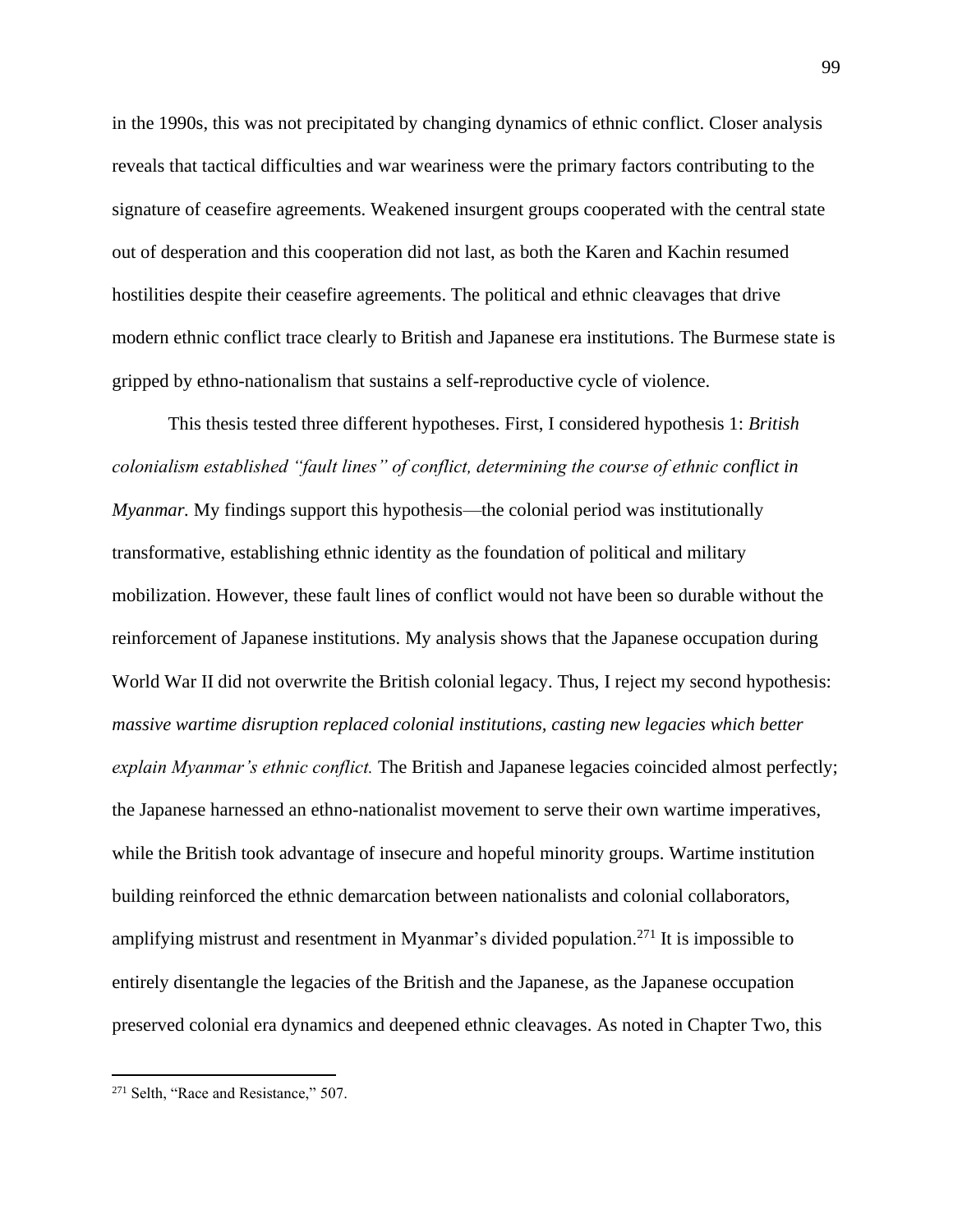in the 1990s, this was not precipitated by changing dynamics of ethnic conflict. Closer analysis reveals that tactical difficulties and war weariness were the primary factors contributing to the signature of ceasefire agreements. Weakened insurgent groups cooperated with the central state out of desperation and this cooperation did not last, as both the Karen and Kachin resumed hostilities despite their ceasefire agreements. The political and ethnic cleavages that drive modern ethnic conflict trace clearly to British and Japanese era institutions. The Burmese state is gripped by ethno-nationalism that sustains a self-reproductive cycle of violence.

This thesis tested three different hypotheses. First, I considered hypothesis 1: *British colonialism established "fault lines" of conflict, determining the course of ethnic conflict in Myanmar.* My findings support this hypothesis—the colonial period was institutionally transformative, establishing ethnic identity as the foundation of political and military mobilization. However, these fault lines of conflict would not have been so durable without the reinforcement of Japanese institutions. My analysis shows that the Japanese occupation during World War II did not overwrite the British colonial legacy. Thus, I reject my second hypothesis: *massive wartime disruption replaced colonial institutions, casting new legacies which better explain Myanmar's ethnic conflict.* The British and Japanese legacies coincided almost perfectly; the Japanese harnessed an ethno-nationalist movement to serve their own wartime imperatives, while the British took advantage of insecure and hopeful minority groups. Wartime institution building reinforced the ethnic demarcation between nationalists and colonial collaborators, amplifying mistrust and resentment in Myanmar's divided population.<sup>271</sup> It is impossible to entirely disentangle the legacies of the British and the Japanese, as the Japanese occupation preserved colonial era dynamics and deepened ethnic cleavages. As noted in Chapter Two, this

<sup>&</sup>lt;sup>271</sup> Selth, "Race and Resistance," 507.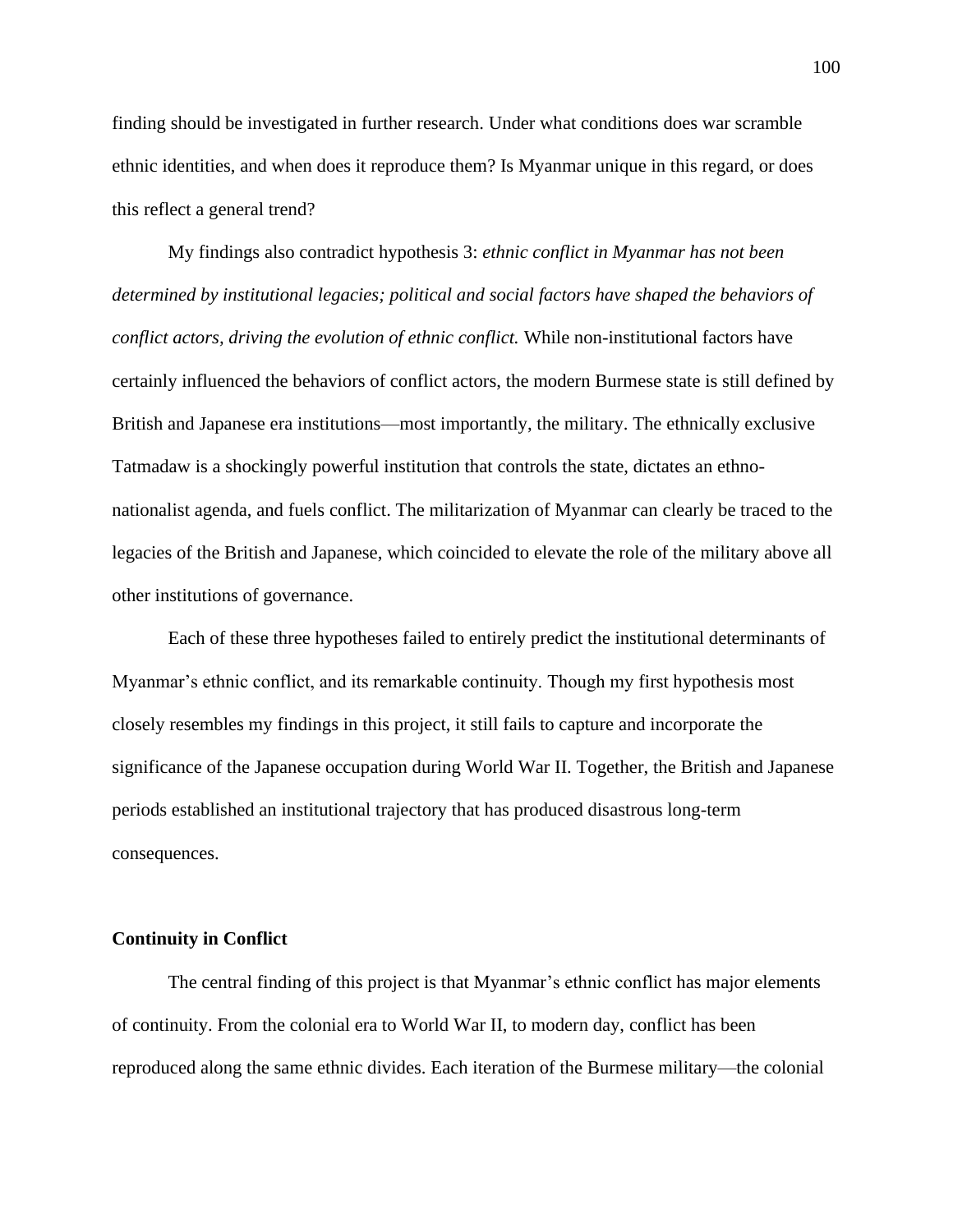finding should be investigated in further research. Under what conditions does war scramble ethnic identities, and when does it reproduce them? Is Myanmar unique in this regard, or does this reflect a general trend?

My findings also contradict hypothesis 3: *ethnic conflict in Myanmar has not been determined by institutional legacies; political and social factors have shaped the behaviors of conflict actors, driving the evolution of ethnic conflict.* While non-institutional factors have certainly influenced the behaviors of conflict actors, the modern Burmese state is still defined by British and Japanese era institutions—most importantly, the military. The ethnically exclusive Tatmadaw is a shockingly powerful institution that controls the state, dictates an ethnonationalist agenda, and fuels conflict. The militarization of Myanmar can clearly be traced to the legacies of the British and Japanese, which coincided to elevate the role of the military above all other institutions of governance.

Each of these three hypotheses failed to entirely predict the institutional determinants of Myanmar's ethnic conflict, and its remarkable continuity. Though my first hypothesis most closely resembles my findings in this project, it still fails to capture and incorporate the significance of the Japanese occupation during World War II. Together, the British and Japanese periods established an institutional trajectory that has produced disastrous long-term consequences.

#### **Continuity in Conflict**

The central finding of this project is that Myanmar's ethnic conflict has major elements of continuity. From the colonial era to World War II, to modern day, conflict has been reproduced along the same ethnic divides. Each iteration of the Burmese military—the colonial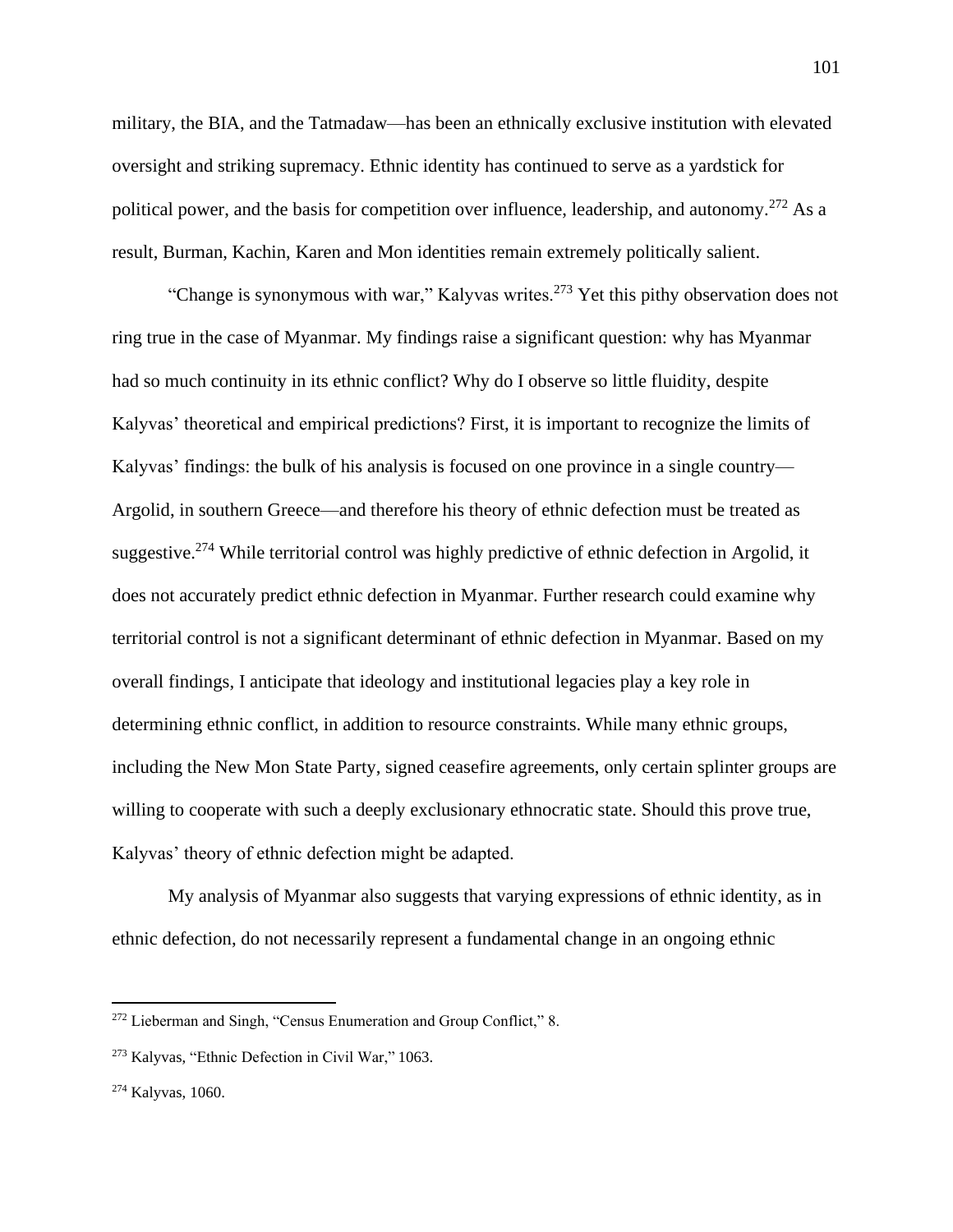military, the BIA, and the Tatmadaw—has been an ethnically exclusive institution with elevated oversight and striking supremacy. Ethnic identity has continued to serve as a yardstick for political power, and the basis for competition over influence, leadership, and autonomy.<sup>272</sup> As a result, Burman, Kachin, Karen and Mon identities remain extremely politically salient.

"Change is synonymous with war," Kalyvas writes.<sup>273</sup> Yet this pithy observation does not ring true in the case of Myanmar. My findings raise a significant question: why has Myanmar had so much continuity in its ethnic conflict? Why do I observe so little fluidity, despite Kalyvas' theoretical and empirical predictions? First, it is important to recognize the limits of Kalyvas' findings: the bulk of his analysis is focused on one province in a single country— Argolid, in southern Greece—and therefore his theory of ethnic defection must be treated as suggestive.<sup>274</sup> While territorial control was highly predictive of ethnic defection in Argolid, it does not accurately predict ethnic defection in Myanmar. Further research could examine why territorial control is not a significant determinant of ethnic defection in Myanmar. Based on my overall findings, I anticipate that ideology and institutional legacies play a key role in determining ethnic conflict, in addition to resource constraints. While many ethnic groups, including the New Mon State Party, signed ceasefire agreements, only certain splinter groups are willing to cooperate with such a deeply exclusionary ethnocratic state. Should this prove true, Kalyvas' theory of ethnic defection might be adapted.

My analysis of Myanmar also suggests that varying expressions of ethnic identity, as in ethnic defection, do not necessarily represent a fundamental change in an ongoing ethnic

<sup>272</sup> Lieberman and Singh, "Census Enumeration and Group Conflict," 8.

<sup>273</sup> Kalyvas, "Ethnic Defection in Civil War," 1063.

<sup>274</sup> Kalyvas, 1060.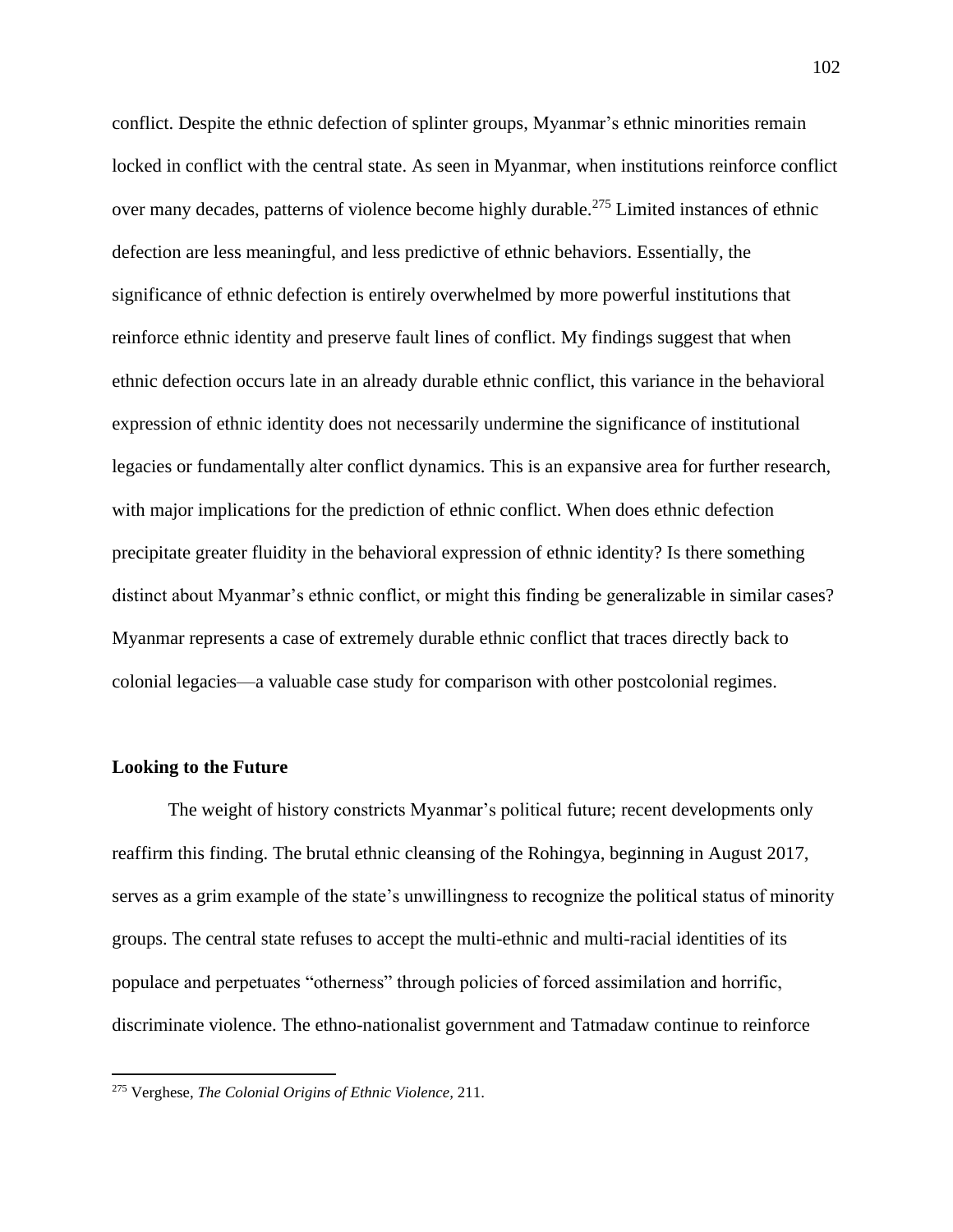conflict. Despite the ethnic defection of splinter groups, Myanmar's ethnic minorities remain locked in conflict with the central state. As seen in Myanmar, when institutions reinforce conflict over many decades, patterns of violence become highly durable.<sup>275</sup> Limited instances of ethnic defection are less meaningful, and less predictive of ethnic behaviors. Essentially, the significance of ethnic defection is entirely overwhelmed by more powerful institutions that reinforce ethnic identity and preserve fault lines of conflict. My findings suggest that when ethnic defection occurs late in an already durable ethnic conflict, this variance in the behavioral expression of ethnic identity does not necessarily undermine the significance of institutional legacies or fundamentally alter conflict dynamics. This is an expansive area for further research, with major implications for the prediction of ethnic conflict. When does ethnic defection precipitate greater fluidity in the behavioral expression of ethnic identity? Is there something distinct about Myanmar's ethnic conflict, or might this finding be generalizable in similar cases? Myanmar represents a case of extremely durable ethnic conflict that traces directly back to colonial legacies—a valuable case study for comparison with other postcolonial regimes.

#### **Looking to the Future**

The weight of history constricts Myanmar's political future; recent developments only reaffirm this finding. The brutal ethnic cleansing of the Rohingya, beginning in August 2017, serves as a grim example of the state's unwillingness to recognize the political status of minority groups. The central state refuses to accept the multi-ethnic and multi-racial identities of its populace and perpetuates "otherness" through policies of forced assimilation and horrific, discriminate violence. The ethno-nationalist government and Tatmadaw continue to reinforce

<sup>275</sup> Verghese, *The Colonial Origins of Ethnic Violence,* 211.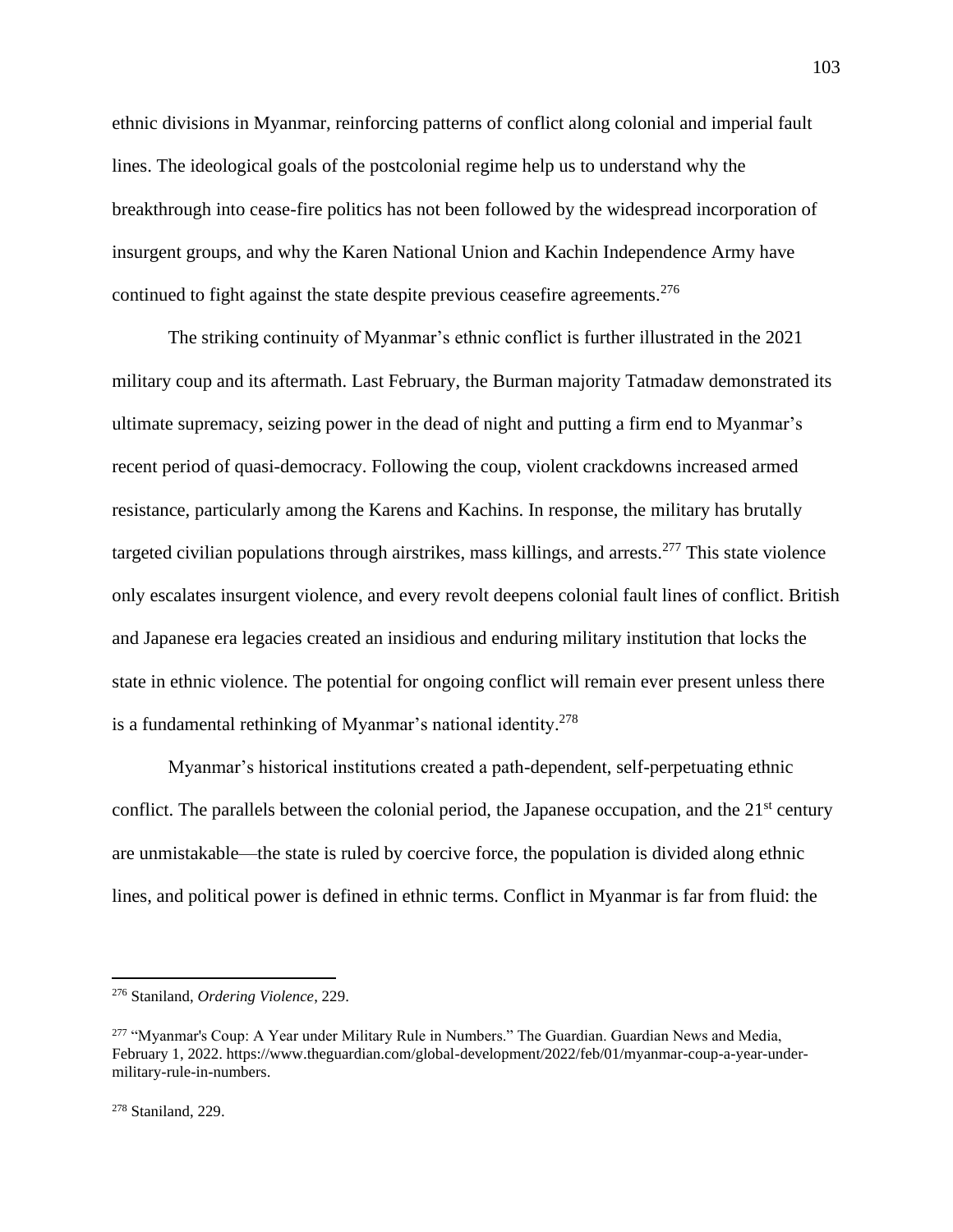ethnic divisions in Myanmar, reinforcing patterns of conflict along colonial and imperial fault lines. The ideological goals of the postcolonial regime help us to understand why the breakthrough into cease-fire politics has not been followed by the widespread incorporation of insurgent groups, and why the Karen National Union and Kachin Independence Army have continued to fight against the state despite previous ceasefire agreements.<sup>276</sup>

The striking continuity of Myanmar's ethnic conflict is further illustrated in the 2021 military coup and its aftermath. Last February, the Burman majority Tatmadaw demonstrated its ultimate supremacy, seizing power in the dead of night and putting a firm end to Myanmar's recent period of quasi-democracy. Following the coup, violent crackdowns increased armed resistance, particularly among the Karens and Kachins. In response, the military has brutally targeted civilian populations through airstrikes, mass killings, and arrests.<sup>277</sup> This state violence only escalates insurgent violence, and every revolt deepens colonial fault lines of conflict. British and Japanese era legacies created an insidious and enduring military institution that locks the state in ethnic violence. The potential for ongoing conflict will remain ever present unless there is a fundamental rethinking of Myanmar's national identity. 278

Myanmar's historical institutions created a path-dependent, self-perpetuating ethnic conflict. The parallels between the colonial period, the Japanese occupation, and the  $21<sup>st</sup>$  century are unmistakable—the state is ruled by coercive force, the population is divided along ethnic lines, and political power is defined in ethnic terms. Conflict in Myanmar is far from fluid: the

<sup>276</sup> Staniland, *Ordering Violence*, 229.

<sup>&</sup>lt;sup>277</sup> "Mvanmar's Coup: A Year under Military Rule in Numbers." The Guardian. Guardian News and Media, February 1, 2022. https://www.theguardian.com/global-development/2022/feb/01/myanmar-coup-a-year-undermilitary-rule-in-numbers.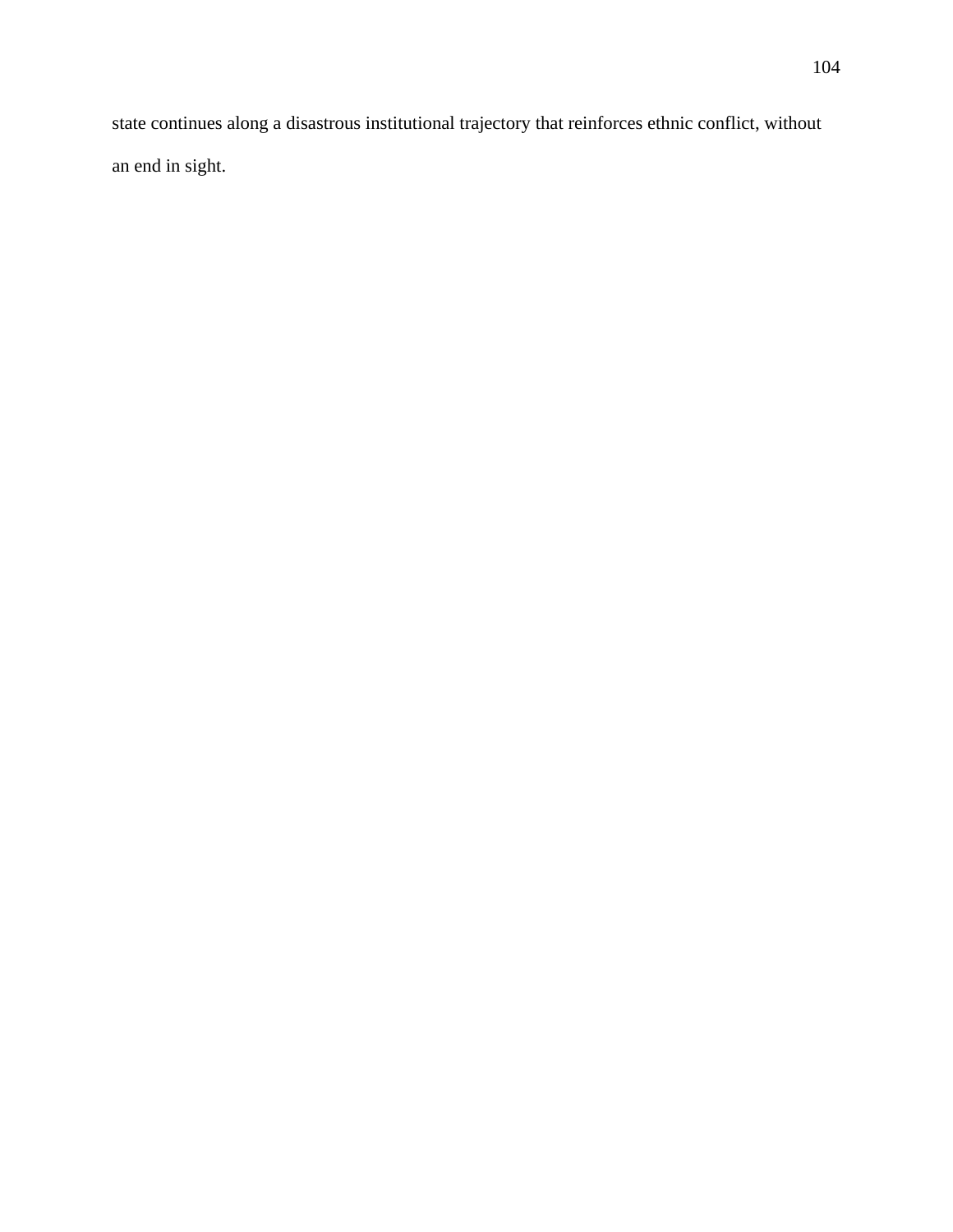state continues along a disastrous institutional trajectory that reinforces ethnic conflict, without an end in sight.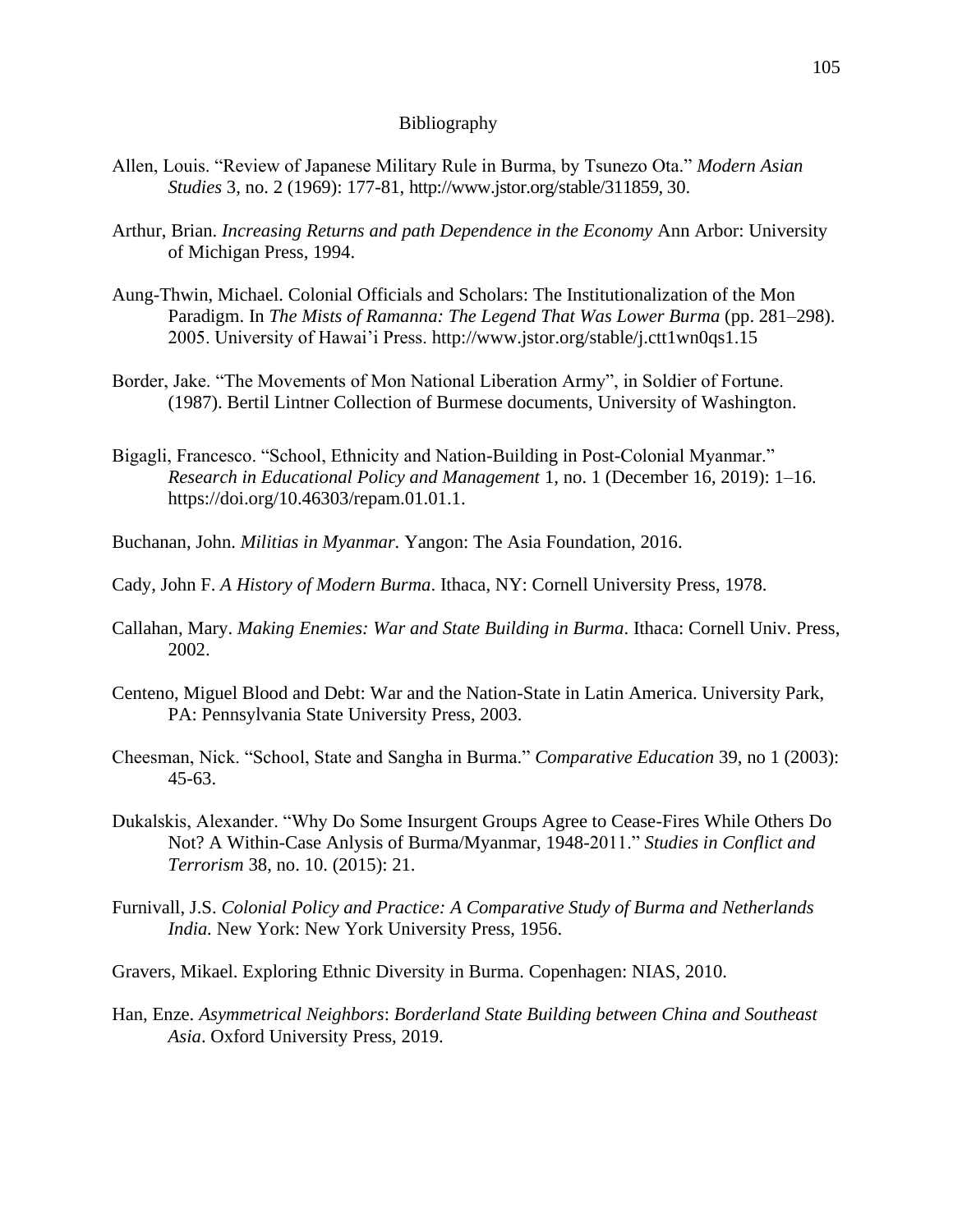### Bibliography

- Allen, Louis. "Review of Japanese Military Rule in Burma, by Tsunezo Ota." *Modern Asian Studies* 3, no. 2 (1969): 177-81, http://www.jstor.org/stable/311859, 30.
- Arthur, Brian. *Increasing Returns and path Dependence in the Economy* Ann Arbor: University of Michigan Press, 1994.
- Aung-Thwin, Michael. Colonial Officials and Scholars: The Institutionalization of the Mon Paradigm. In *The Mists of Ramanna: The Legend That Was Lower Burma* (pp. 281–298). 2005. University of Hawai'i Press. http://www.jstor.org/stable/j.ctt1wn0qs1.15
- Border, Jake. "The Movements of Mon National Liberation Army", in Soldier of Fortune. (1987). Bertil Lintner Collection of Burmese documents, University of Washington.
- Bigagli, Francesco. "School, Ethnicity and Nation-Building in Post-Colonial Myanmar." *Research in Educational Policy and Management* 1, no. 1 (December 16, 2019): 1–16. https://doi.org/10.46303/repam.01.01.1.
- Buchanan, John. *Militias in Myanmar.* Yangon: The Asia Foundation, 2016.
- Cady, John F. *A History of Modern Burma*. Ithaca, NY: Cornell University Press, 1978.
- Callahan, Mary. *Making Enemies: War and State Building in Burma*. Ithaca: Cornell Univ. Press, 2002.
- Centeno, Miguel Blood and Debt: War and the Nation-State in Latin America. University Park, PA: Pennsylvania State University Press, 2003.
- Cheesman, Nick. "School, State and Sangha in Burma." *Comparative Education* 39, no 1 (2003): 45-63.
- Dukalskis, Alexander. "Why Do Some Insurgent Groups Agree to Cease-Fires While Others Do Not? A Within-Case Anlysis of Burma/Myanmar, 1948-2011." *Studies in Conflict and Terrorism* 38, no. 10. (2015): 21.
- Furnivall, J.S. *Colonial Policy and Practice: A Comparative Study of Burma and Netherlands India.* New York: New York University Press, 1956.
- Gravers, Mikael. Exploring Ethnic Diversity in Burma. Copenhagen: NIAS, 2010.
- Han, Enze. *Asymmetrical Neighbors*: *Borderland State Building between China and Southeast Asia*. Oxford University Press, 2019.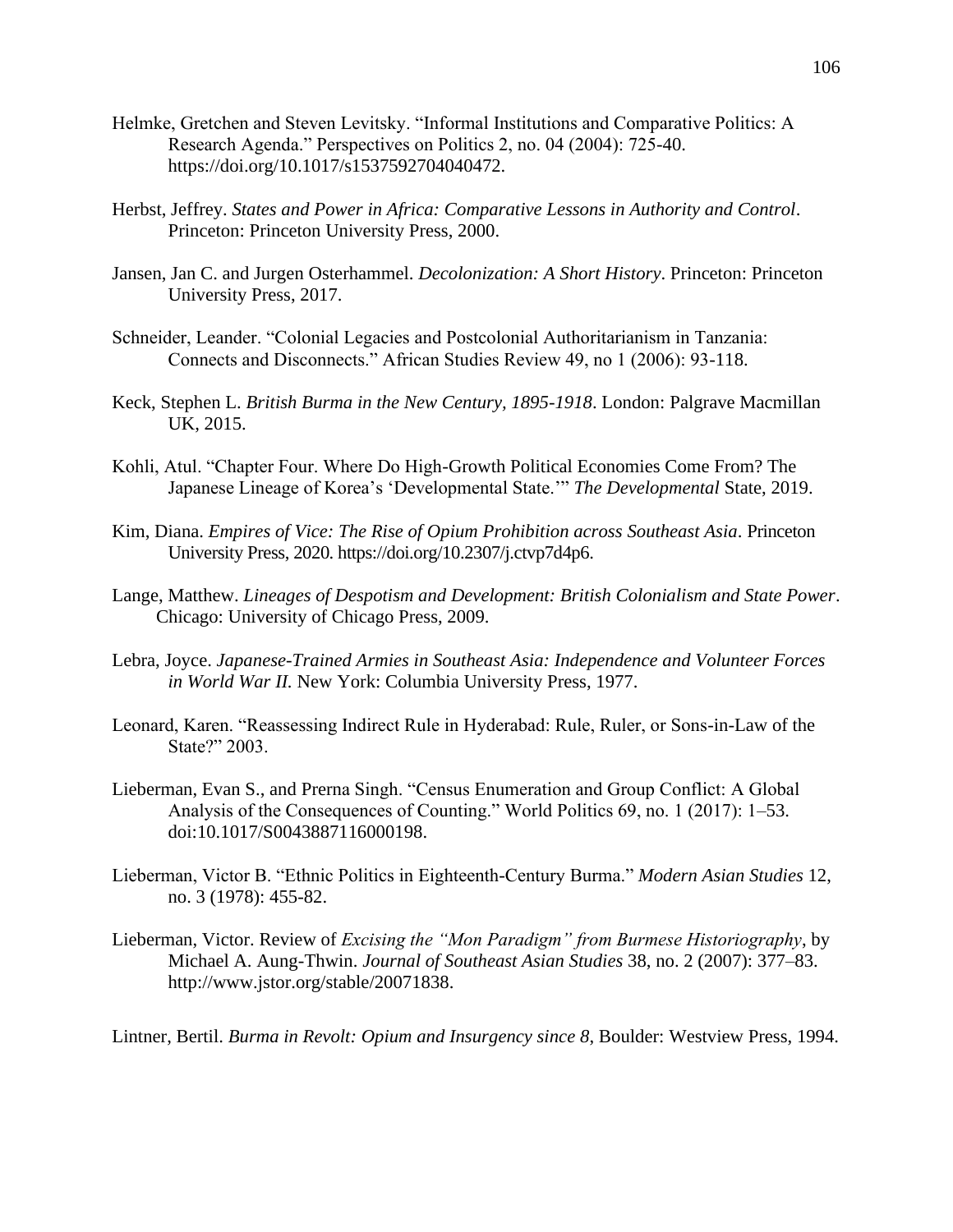- Helmke, Gretchen and Steven Levitsky. "Informal Institutions and Comparative Politics: A Research Agenda." Perspectives on Politics 2, no. 04 (2004): 725-40. https://doi.org/10.1017/s1537592704040472.
- Herbst, Jeffrey. *States and Power in Africa: Comparative Lessons in Authority and Control*. Princeton: Princeton University Press, 2000.
- Jansen, Jan C. and Jurgen Osterhammel. *Decolonization: A Short History*. Princeton: Princeton University Press, 2017.
- Schneider, Leander. "Colonial Legacies and Postcolonial Authoritarianism in Tanzania: Connects and Disconnects." African Studies Review 49, no 1 (2006): 93-118.
- Keck, Stephen L. *British Burma in the New Century, 1895-1918*. London: Palgrave Macmillan UK, 2015.
- Kohli, Atul. "Chapter Four. Where Do High-Growth Political Economies Come From? The Japanese Lineage of Korea's 'Developmental State.'" *The Developmental* State, 2019.
- Kim, Diana. *Empires of Vice: The Rise of Opium Prohibition across Southeast Asia*. Princeton University Press, 2020. https://doi.org/10.2307/j.ctvp7d4p6.
- Lange, Matthew. *Lineages of Despotism and Development: British Colonialism and State Power*. Chicago: University of Chicago Press, 2009.
- Lebra, Joyce. *Japanese-Trained Armies in Southeast Asia: Independence and Volunteer Forces in World War II.* New York: Columbia University Press, 1977.
- Leonard, Karen. "Reassessing Indirect Rule in Hyderabad: Rule, Ruler, or Sons-in-Law of the State?" 2003.
- Lieberman, Evan S., and Prerna Singh. "Census Enumeration and Group Conflict: A Global Analysis of the Consequences of Counting." World Politics 69, no. 1 (2017): 1–53. doi:10.1017/S0043887116000198.
- Lieberman, Victor B. "Ethnic Politics in Eighteenth-Century Burma." *Modern Asian Studies* 12, no. 3 (1978): 455-82.
- Lieberman, Victor. Review of *Excising the "Mon Paradigm" from Burmese Historiography*, by Michael A. Aung-Thwin. *Journal of Southeast Asian Studies* 38, no. 2 (2007): 377–83. http://www.jstor.org/stable/20071838.

Lintner, Bertil. *Burma in Revolt: Opium and Insurgency since 8*, Boulder: Westview Press, 1994.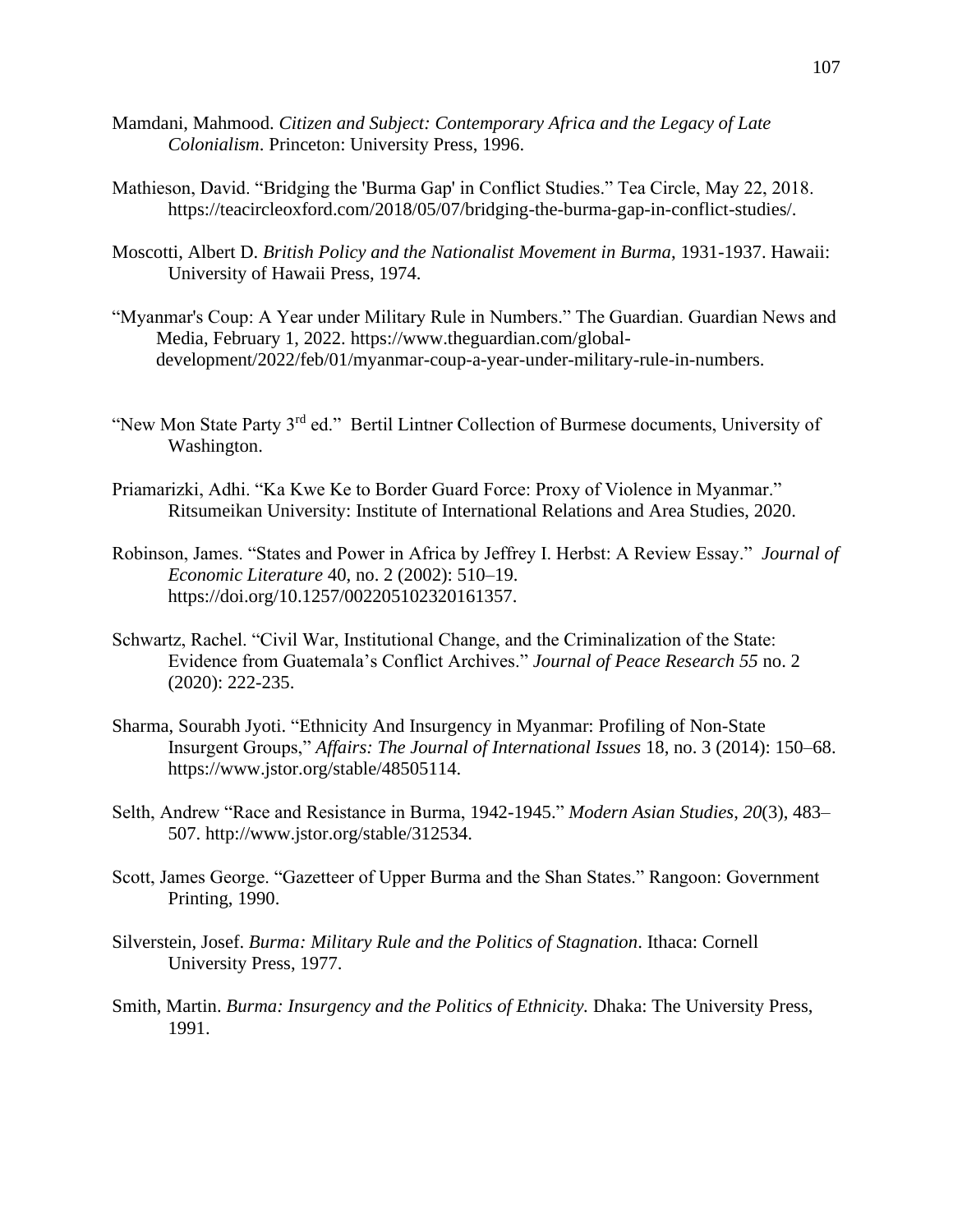- Mamdani, Mahmood. *Citizen and Subject: Contemporary Africa and the Legacy of Late Colonialism*. Princeton: University Press, 1996.
- Mathieson, David. "Bridging the 'Burma Gap' in Conflict Studies." Tea Circle, May 22, 2018. https://teacircleoxford.com/2018/05/07/bridging-the-burma-gap-in-conflict-studies/.
- Moscotti, Albert D. *British Policy and the Nationalist Movement in Burma*, 1931-1937. Hawaii: University of Hawaii Press, 1974.
- "Myanmar's Coup: A Year under Military Rule in Numbers." The Guardian. Guardian News and Media, February 1, 2022. https://www.theguardian.com/globaldevelopment/2022/feb/01/myanmar-coup-a-year-under-military-rule-in-numbers.
- "New Mon State Party 3<sup>rd</sup> ed." Bertil Lintner Collection of Burmese documents, University of Washington.
- Priamarizki, Adhi. "Ka Kwe Ke to Border Guard Force: Proxy of Violence in Myanmar." Ritsumeikan University: Institute of International Relations and Area Studies, 2020.
- Robinson, James. "States and Power in Africa by Jeffrey I. Herbst: A Review Essay." *Journal of Economic Literature* 40, no. 2 (2002): 510–19. https://doi.org/10.1257/002205102320161357.
- Schwartz, Rachel. "Civil War, Institutional Change, and the Criminalization of the State: Evidence from Guatemala's Conflict Archives." *Journal of Peace Research 55* no. 2 (2020): 222-235.
- Sharma, Sourabh Jyoti. "Ethnicity And Insurgency in Myanmar: Profiling of Non-State Insurgent Groups," *Affairs: The Journal of International Issues* 18, no. 3 (2014): 150–68. https://www.jstor.org/stable/48505114.
- Selth, Andrew "Race and Resistance in Burma, 1942-1945." *Modern Asian Studies*, *20*(3), 483– 507. http://www.jstor.org/stable/312534.
- Scott, James George. "Gazetteer of Upper Burma and the Shan States." Rangoon: Government Printing, 1990.
- Silverstein, Josef. *Burma: Military Rule and the Politics of Stagnation*. Ithaca: Cornell University Press, 1977.
- Smith, Martin. *Burma: Insurgency and the Politics of Ethnicity.* Dhaka: The University Press, 1991.